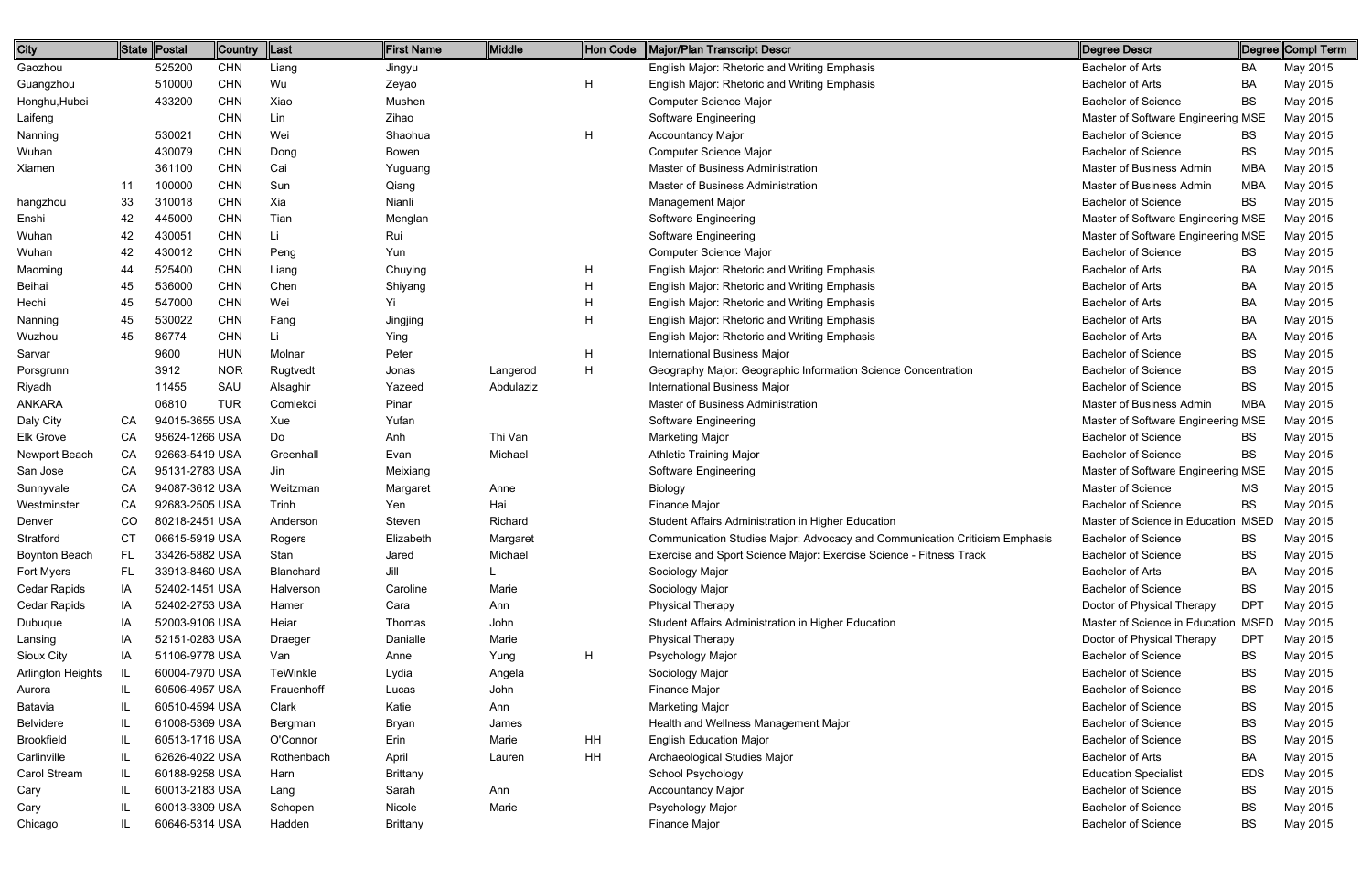| City                 |     | State Postal   | Country    | Last       | First Name      | Middle    | Hon Code | Major/Plan Transcript Descr                                                | Degree Descr                        |            | ∥Degree∥Compl Term |
|----------------------|-----|----------------|------------|------------|-----------------|-----------|----------|----------------------------------------------------------------------------|-------------------------------------|------------|--------------------|
| Gaozhou              |     | 525200         | <b>CHN</b> | Liang      | Jingyu          |           |          | English Major: Rhetoric and Writing Emphasis                               | <b>Bachelor of Arts</b>             | BA         | May 2015           |
| Guangzhou            |     | 510000         | <b>CHN</b> | Wu         | Zeyao           |           | H        | English Major: Rhetoric and Writing Emphasis                               | <b>Bachelor of Arts</b>             | BA         | May 2015           |
| Honghu, Hubei        |     | 433200         | <b>CHN</b> | Xiao       | Mushen          |           |          | <b>Computer Science Major</b>                                              | <b>Bachelor of Science</b>          | <b>BS</b>  | May 2015           |
| Laifeng              |     |                | <b>CHN</b> | Lin        | Zihao           |           |          | Software Engineering                                                       | Master of Software Engineering MSE  |            | May 2015           |
| Nanning              |     | 530021         | <b>CHN</b> | Wei        | Shaohua         |           | H        | <b>Accountancy Major</b>                                                   | <b>Bachelor of Science</b>          | <b>BS</b>  | May 2015           |
| Wuhan                |     | 430079         | <b>CHN</b> | Dong       | Bowen           |           |          | <b>Computer Science Major</b>                                              | <b>Bachelor of Science</b>          | <b>BS</b>  | May 2015           |
| Xiamen               |     | 361100         | <b>CHN</b> | Cai        | Yuguang         |           |          | Master of Business Administration                                          | Master of Business Admin            | <b>MBA</b> | May 2015           |
|                      | -11 | 100000         | <b>CHN</b> | Sun        | Qiang           |           |          | Master of Business Administration                                          | Master of Business Admin            | MBA        | May 2015           |
| hangzhou             | 33  | 310018         | <b>CHN</b> | Xia        | Nianli          |           |          | Management Major                                                           | <b>Bachelor of Science</b>          | <b>BS</b>  | May 2015           |
| Enshi                | 42  | 445000         | <b>CHN</b> | Tian       | Menglan         |           |          | Software Engineering                                                       | Master of Software Engineering MSE  |            | May 2015           |
| Wuhan                | 42  | 430051         | <b>CHN</b> | Li         | Rui             |           |          | Software Engineering                                                       | Master of Software Engineering MSE  |            | May 2015           |
| Wuhan                | 42  | 430012         | <b>CHN</b> | Peng       | Yun             |           |          | <b>Computer Science Major</b>                                              | <b>Bachelor of Science</b>          | BS         | May 2015           |
| Maoming              | 44  | 525400         | <b>CHN</b> | Liang      | Chuying         |           | H        | English Major: Rhetoric and Writing Emphasis                               | <b>Bachelor of Arts</b>             | BA         | May 2015           |
| Beihai               | 45  | 536000         | <b>CHN</b> | Chen       | Shiyang         |           | Н        | English Major: Rhetoric and Writing Emphasis                               | <b>Bachelor of Arts</b>             | BA         | May 2015           |
| Hechi                | 45  | 547000         | <b>CHN</b> | Wei        |                 |           | Н        | English Major: Rhetoric and Writing Emphasis                               | <b>Bachelor of Arts</b>             | BA         | May 2015           |
| Nanning              | 45  | 530022         | <b>CHN</b> | Fang       | Jingjing        |           | Н        | English Major: Rhetoric and Writing Emphasis                               | <b>Bachelor of Arts</b>             | BA         | May 2015           |
| Wuzhou               | 45  | 86774          | <b>CHN</b> | Li         | Ying            |           |          | English Major: Rhetoric and Writing Emphasis                               | <b>Bachelor of Arts</b>             | <b>BA</b>  | May 2015           |
| Sarvar               |     | 9600           | <b>HUN</b> | Molnar     | Peter           |           | H        | International Business Major                                               | <b>Bachelor of Science</b>          | <b>BS</b>  | May 2015           |
| Porsgrunn            |     | 3912           | <b>NOR</b> | Rugtvedt   | Jonas           | Langerod  | H        | Geography Major: Geographic Information Science Concentration              | <b>Bachelor of Science</b>          | <b>BS</b>  | May 2015           |
| Riyadh               |     | 11455          | SAU        | Alsaghir   | Yazeed          | Abdulaziz |          | International Business Major                                               | <b>Bachelor of Science</b>          | <b>BS</b>  | May 2015           |
| <b>ANKARA</b>        |     | 06810          | <b>TUR</b> | Comlekci   | Pinar           |           |          | Master of Business Administration                                          | Master of Business Admin            | MBA        | May 2015           |
| Daly City            | CА  | 94015-3655 USA |            | Xue        | Yufan           |           |          | Software Engineering                                                       | Master of Software Engineering MSE  |            | May 2015           |
| Elk Grove            | CA  | 95624-1266 USA |            | Do         | Anh             | Thi Van   |          | <b>Marketing Major</b>                                                     | <b>Bachelor of Science</b>          | BS.        | May 2015           |
| Newport Beach        | CA  | 92663-5419 USA |            | Greenhall  | Evan            | Michael   |          | <b>Athletic Training Major</b>                                             | <b>Bachelor of Science</b>          | BS.        | May 2015           |
| San Jose             | CA  | 95131-2783 USA |            | Jin        | Meixiang        |           |          | Software Engineering                                                       | Master of Software Engineering MSE  |            | May 2015           |
| Sunnyvale            | CА  | 94087-3612 USA |            | Weitzman   | Margaret        | Anne      |          | Biology                                                                    | Master of Science                   | MS.        | May 2015           |
| Westminster          | CA  | 92683-2505 USA |            | Trinh      | Yen             | Hai       |          | Finance Major                                                              | <b>Bachelor of Science</b>          | BS.        | May 2015           |
| Denver               | CO  | 80218-2451 USA |            | Anderson   | Steven          | Richard   |          | Student Affairs Administration in Higher Education                         | Master of Science in Education MSED |            | May 2015           |
| Stratford            | CT. | 06615-5919 USA |            | Rogers     | Elizabeth       | Margaret  |          | Communication Studies Major: Advocacy and Communication Criticism Emphasis | <b>Bachelor of Science</b>          | BS         | May 2015           |
| <b>Boynton Beach</b> | FL  | 33426-5882 USA |            | Stan       | Jared           | Michael   |          | Exercise and Sport Science Major: Exercise Science - Fitness Track         | <b>Bachelor of Science</b>          | BS.        | May 2015           |
| Fort Myers           | FL. | 33913-8460 USA |            | Blanchard  | Jill            |           |          | Sociology Major                                                            | <b>Bachelor of Arts</b>             | BA         | May 2015           |
| Cedar Rapids         | IA  | 52402-1451 USA |            | Halverson  | Caroline        | Marie     |          | Sociology Major                                                            | <b>Bachelor of Science</b>          | <b>BS</b>  | May 2015           |
| Cedar Rapids         | IA  | 52402-2753 USA |            | Hamer      | Cara            | Ann       |          | <b>Physical Therapy</b>                                                    | Doctor of Physical Therapy          | <b>DPT</b> | May 2015           |
| Dubuque              | IA  | 52003-9106 USA |            | Heiar      | Thomas          | John      |          | Student Affairs Administration in Higher Education                         | Master of Science in Education MSED |            | May 2015           |
| Lansing              | IA  | 52151-0283 USA |            | Draeger    | Danialle        | Marie     |          | <b>Physical Therapy</b>                                                    | Doctor of Physical Therapy          | <b>DPT</b> | May 2015           |
| Sioux City           | IA  | 51106-9778 USA |            | Van        | Anne            | Yung      | H        | Psychology Major                                                           | <b>Bachelor of Science</b>          | BS.        | May 2015           |
| Arlington Heights    | IL. | 60004-7970 USA |            | TeWinkle   | Lydia           | Angela    |          | Sociology Major                                                            | <b>Bachelor of Science</b>          | BS.        | May 2015           |
| Aurora               |     | 60506-4957 USA |            | Frauenhoff | Lucas           | John      |          | Finance Major                                                              | <b>Bachelor of Science</b>          | BS         | May 2015           |
| Batavia              |     | 60510-4594 USA |            | Clark      | Katie           | Ann       |          | <b>Marketing Major</b>                                                     | <b>Bachelor of Science</b>          | <b>BS</b>  | May 2015           |
| Belvidere            |     | 61008-5369 USA |            | Bergman    | Bryan           | James     |          | Health and Wellness Management Major                                       | <b>Bachelor of Science</b>          | BS         | May 2015           |
| <b>Brookfield</b>    |     | 60513-1716 USA |            | O'Connor   | Erin            | Marie     | HH       | <b>English Education Major</b>                                             | <b>Bachelor of Science</b>          | BS         | May 2015           |
| Carlinville          |     | 62626-4022 USA |            | Rothenbach | April           | Lauren    | HH       | Archaeological Studies Major                                               | <b>Bachelor of Arts</b>             | BA         | May 2015           |
| Carol Stream         | -lL | 60188-9258 USA |            | Harn       | <b>Brittany</b> |           |          | School Psychology                                                          | <b>Education Specialist</b>         | <b>EDS</b> | May 2015           |
| Cary                 |     | 60013-2183 USA |            | Lang       | Sarah           | Ann       |          | <b>Accountancy Major</b>                                                   | <b>Bachelor of Science</b>          | BS         | May 2015           |
| Cary                 |     | 60013-3309 USA |            | Schopen    | Nicole          | Marie     |          | Psychology Major                                                           | <b>Bachelor of Science</b>          | BS         | May 2015           |
| Chicago              |     | 60646-5314 USA |            | Hadden     | <b>Brittany</b> |           |          | Finance Major                                                              | <b>Bachelor of Science</b>          | <b>BS</b>  | May 2015           |
|                      |     |                |            |            |                 |           |          |                                                                            |                                     |            |                    |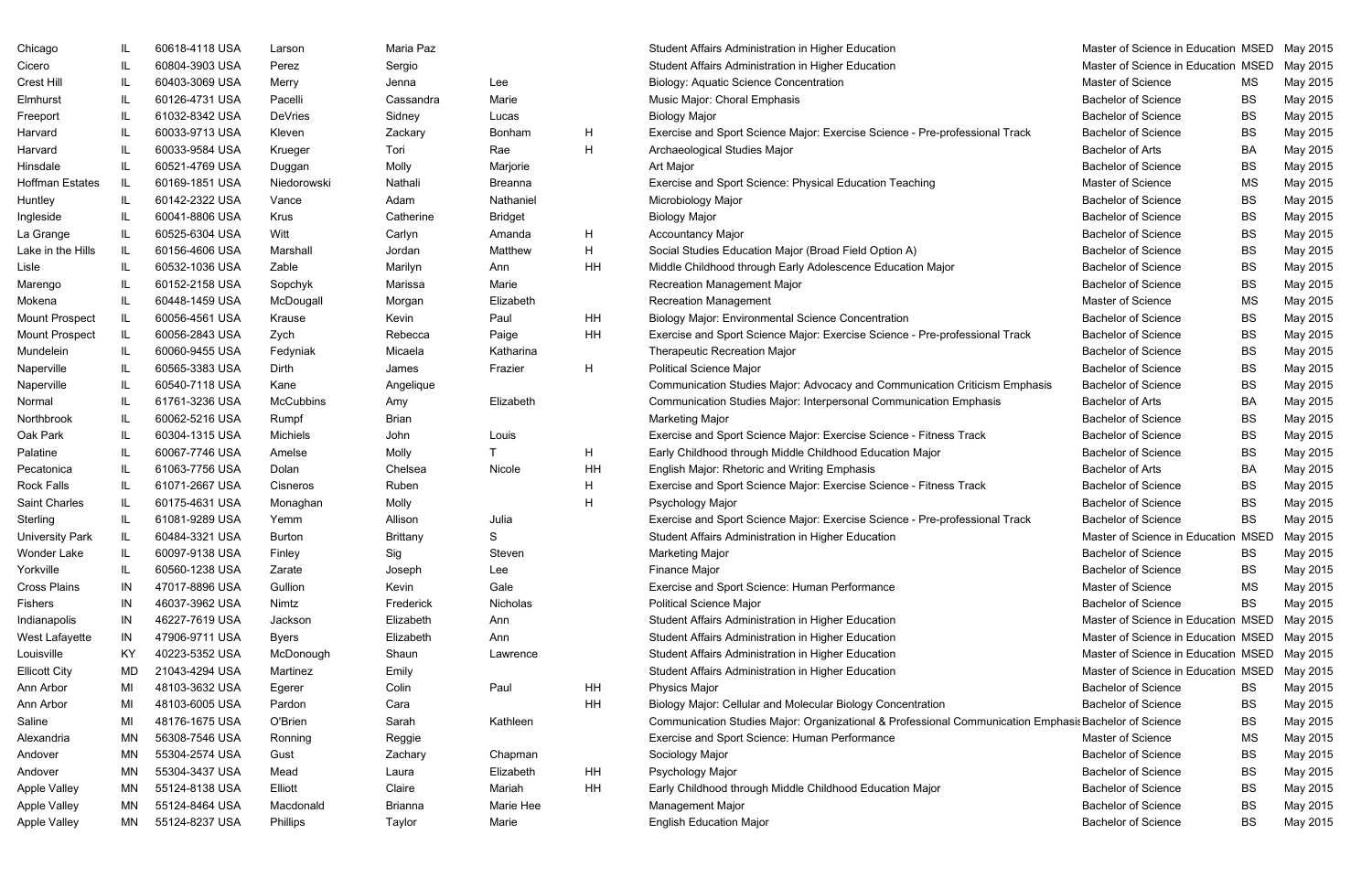| Chicago                | IL.       | 60618-4118 USA | Larson          |
|------------------------|-----------|----------------|-----------------|
| Cicero                 | IL        | 60804-3903 USA | Perez           |
| <b>Crest Hill</b>      | IL        | 60403-3069 USA | Merry           |
| Elmhurst               | IL        | 60126-4731 USA | Pacelli         |
| Freeport               | IL        | 61032-8342 USA | <b>DeVries</b>  |
| Harvard                | IL        | 60033-9713 USA | Kleven          |
| Harvard                | IL        | 60033-9584 USA | Krueger         |
| Hinsdale               | IL        | 60521-4769 USA | Duggan          |
| <b>Hoffman Estates</b> | IL        | 60169-1851 USA | Niedorow        |
| Huntley                | IL        | 60142-2322 USA | Vance           |
| Ingleside              | IL        | 60041-8806 USA | <b>Krus</b>     |
| La Grange              | IL        | 60525-6304 USA | Witt            |
| Lake in the Hills      | IL        | 60156-4606 USA | Marshall        |
| Lisle                  | IL        | 60532-1036 USA | Zable           |
| Marengo                | IL        | 60152-2158 USA | Sopchyk         |
| Mokena                 | IL        | 60448-1459 USA | McDouga         |
| <b>Mount Prospect</b>  | IL        | 60056-4561 USA | Krause          |
| <b>Mount Prospect</b>  | IL        | 60056-2843 USA | Zych            |
| Mundelein              | IL        | 60060-9455 USA | Fedyniak        |
| Naperville             | IL        | 60565-3383 USA | <b>Dirth</b>    |
| Naperville             | IL        | 60540-7118 USA | Kane            |
| Normal                 | IL        | 61761-3236 USA | McCubbi         |
| Northbrook             | IL        | 60062-5216 USA | Rumpf           |
| Oak Park               | IL        | 60304-1315 USA | <b>Michiels</b> |
| Palatine               | IL        | 60067-7746 USA | Amelse          |
| Pecatonica             | IL        | 61063-7756 USA | Dolan           |
| <b>Rock Falls</b>      | IL        | 61071-2667 USA | Cisneros        |
| Saint Charles          | IL        | 60175-4631 USA | Monagha         |
| Sterling               | IL        | 61081-9289 USA | Yemm            |
| <b>University Park</b> | IL        | 60484-3321 USA | <b>Burton</b>   |
| Wonder Lake            | IL        | 60097-9138 USA | Finley          |
| Yorkville              | IL        | 60560-1238 USA | Zarate          |
| <b>Cross Plains</b>    | IN        | 47017-8896 USA | Gullion         |
| <b>Fishers</b>         | IN        | 46037-3962 USA | Nimtz           |
| Indianapolis           | IN        | 46227-7619 USA | Jackson         |
| West Lafayette         | IN        | 47906-9711 USA | <b>Byers</b>    |
| Louisville             | KY.       | 40223-5352 USA | McDonou         |
| <b>Ellicott City</b>   | MD        | 21043-4294 USA | Martinez        |
| Ann Arbor              | MI        | 48103-3632 USA | Egerer          |
| Ann Arbor              | MI        | 48103-6005 USA | Pardon          |
| Saline                 | MI        | 48176-1675 USA | O'Brien         |
| Alexandria             | ΜN        | 56308-7546 USA | Ronning         |
| Andover                | ΜN        | 55304-2574 USA | Gust            |
| Andover                | ΜN        | 55304-3437 USA | Mead            |
| <b>Apple Valley</b>    | ΜN        | 55124-8138 USA | Elliott         |
| <b>Apple Valley</b>    | <b>MN</b> | 55124-8464 USA | Macdona         |
| <b>Apple Valley</b>    | MN        | 55124-8237 USA | Phillips        |

| Lee            |    |
|----------------|----|
| Marie          |    |
| Lucas          |    |
| Bonham         | н  |
| Rae            | H  |
| Marjorie       |    |
| Breanna        |    |
| Nathaniel      |    |
| <b>Bridget</b> |    |
| Amanda         | н  |
| Matthew        | н  |
| Ann            | ΗH |
| Marie          |    |
| Elizabeth      |    |
| Paul           | ΗH |
| Paige          | ΗH |
| Katharina      |    |
| Frazier        | н  |
| Elizabeth      |    |
| Louis          |    |
| T              | Н  |
| Nicole         | HΗ |
|                | н  |
|                | н  |
| Julia          |    |
| S              |    |
| Steven         |    |
| Lee            |    |
| Gale           |    |
| Nicholas       |    |
| Ann            |    |
| Ann            |    |
| Lawrence       |    |
| Paul           | HН |
|                | HH |
| Kathleen       |    |
| Chapman        |    |
| Elizabeth      | ΗH |
| Mariah         | ΗH |
| Marie Hee      |    |
| Marie          |    |

| Chicago                |     | 60618-4118 USA | Larson           | Maria Paz       |                |    | Student Affairs Administration in Higher Education                                                    | Master of Science in Education MSED          |           | May 2015 |
|------------------------|-----|----------------|------------------|-----------------|----------------|----|-------------------------------------------------------------------------------------------------------|----------------------------------------------|-----------|----------|
| Cicero                 |     | 60804-3903 USA | Perez            | Sergio          |                |    | Student Affairs Administration in Higher Education                                                    | Master of Science in Education MSED          |           | May 2015 |
| Crest Hill             |     | 60403-3069 USA | Merry            | Jenna           | Lee            |    | <b>Biology: Aquatic Science Concentration</b>                                                         | Master of Science                            | МS        | May 2015 |
| Elmhurst               |     | 60126-4731 USA | Pacelli          | Cassandra       | Marie          |    | Music Major: Choral Emphasis                                                                          | <b>Bachelor of Science</b>                   | BS        | May 2015 |
| Freeport               |     | 61032-8342 USA | <b>DeVries</b>   | Sidney          | Lucas          |    | <b>Biology Major</b>                                                                                  | <b>Bachelor of Science</b>                   | BS        | May 2015 |
| Harvard                |     | 60033-9713 USA | Kleven           | Zackary         | Bonham         | H  | Exercise and Sport Science Major: Exercise Science - Pre-professional Track                           | <b>Bachelor of Science</b>                   | BS        | May 2015 |
| Harvard                |     | 60033-9584 USA | Krueger          | Tori            | Rae            | H  | Archaeological Studies Major                                                                          | <b>Bachelor of Arts</b>                      | BA        | May 2015 |
| Hinsdale               |     | 60521-4769 USA | Duggan           | Molly           | Marjorie       |    | Art Major                                                                                             | <b>Bachelor of Science</b>                   | BS        | May 2015 |
| Hoffman Estates        | IL. | 60169-1851 USA | Niedorowski      | Nathali         | <b>Breanna</b> |    | Exercise and Sport Science: Physical Education Teaching                                               | Master of Science                            | MS        | May 2015 |
| Huntley                |     | 60142-2322 USA | Vance            | Adam            | Nathaniel      |    | Microbiology Major                                                                                    | <b>Bachelor of Science</b>                   | BS        | May 2015 |
| Ingleside              |     | 60041-8806 USA | Krus             | Catherine       | <b>Bridget</b> |    | <b>Biology Major</b>                                                                                  | <b>Bachelor of Science</b>                   | BS        | May 2015 |
| La Grange              |     | 60525-6304 USA | Witt             | Carlyn          | Amanda         | H  | <b>Accountancy Major</b>                                                                              | <b>Bachelor of Science</b>                   | BS        | May 2015 |
| Lake in the Hills      | IL. | 60156-4606 USA | Marshall         | Jordan          | Matthew        | H  | Social Studies Education Major (Broad Field Option A)                                                 | <b>Bachelor of Science</b>                   | BS        | May 2015 |
| Lisle                  |     | 60532-1036 USA | Zable            | Marilyn         | Ann            | HH | Middle Childhood through Early Adolescence Education Major                                            | <b>Bachelor of Science</b>                   | BS        | May 2015 |
| Marengo                |     | 60152-2158 USA | Sopchyk          | Marissa         | Marie          |    | <b>Recreation Management Major</b>                                                                    | <b>Bachelor of Science</b>                   | BS        | May 2015 |
| Mokena                 |     | 60448-1459 USA | McDougall        | Morgan          | Elizabeth      |    | <b>Recreation Management</b>                                                                          | Master of Science                            | MS        | May 2015 |
| <b>Mount Prospect</b>  | IL. | 60056-4561 USA | Krause           | Kevin           | Paul           | HH | <b>Biology Major: Environmental Science Concentration</b>                                             | <b>Bachelor of Science</b>                   | BS        | May 2015 |
| Mount Prospect         |     | 60056-2843 USA | Zych             | Rebecca         | Paige          | HH | Exercise and Sport Science Major: Exercise Science - Pre-professional Track                           | <b>Bachelor of Science</b>                   | BS        | May 2015 |
| Mundelein              |     | 60060-9455 USA | Fedyniak         | Micaela         | Katharina      |    | <b>Therapeutic Recreation Major</b>                                                                   | <b>Bachelor of Science</b>                   | BS        | May 2015 |
| Naperville             |     | 60565-3383 USA | Dirth            | James           | Frazier        | H  | <b>Political Science Major</b>                                                                        | <b>Bachelor of Science</b>                   | BS        | May 2015 |
| Naperville             |     | 60540-7118 USA | Kane             | Angelique       |                |    | Communication Studies Major: Advocacy and Communication Criticism Emphasis                            | <b>Bachelor of Science</b>                   | BS        | May 2015 |
| Normal                 |     | 61761-3236 USA | <b>McCubbins</b> | Amy             | Elizabeth      |    | Communication Studies Major: Interpersonal Communication Emphasis                                     | <b>Bachelor of Arts</b>                      | BA        | May 2015 |
| Northbrook             |     | 60062-5216 USA | Rumpf            | Brian           |                |    | <b>Marketing Major</b>                                                                                | <b>Bachelor of Science</b>                   | BS        | May 2015 |
| Oak Park               |     | 60304-1315 USA | <b>Michiels</b>  | John            | Louis          |    | Exercise and Sport Science Major: Exercise Science - Fitness Track                                    | <b>Bachelor of Science</b>                   | BS        | May 2015 |
| Palatine               |     | 60067-7746 USA | Amelse           | Molly           |                | H  | Early Childhood through Middle Childhood Education Major                                              | <b>Bachelor of Science</b>                   | BS        | May 2015 |
| Pecatonica             |     | 61063-7756 USA | Dolan            | Chelsea         | Nicole         | HH | English Major: Rhetoric and Writing Emphasis                                                          | <b>Bachelor of Arts</b>                      | BA        | May 2015 |
| Rock Falls             |     | 61071-2667 USA | Cisneros         | Ruben           |                | н  | Exercise and Sport Science Major: Exercise Science - Fitness Track                                    | <b>Bachelor of Science</b>                   | BS        | May 2015 |
| <b>Saint Charles</b>   |     | 60175-4631 USA | Monaghan         | Molly           |                | н  | Psychology Major                                                                                      | <b>Bachelor of Science</b>                   | BS        | May 2015 |
| Sterling               |     | 61081-9289 USA | Yemm             | Allison         | Julia          |    | Exercise and Sport Science Major: Exercise Science - Pre-professional Track                           | <b>Bachelor of Science</b>                   | BS.       | May 2015 |
| <b>University Park</b> |     | 60484-3321 USA | <b>Burton</b>    | <b>Brittany</b> | S.             |    | Student Affairs Administration in Higher Education                                                    | Master of Science in Education MSED May 2015 |           |          |
| Wonder Lake            |     | 60097-9138 USA | Finley           | Sig             | Steven         |    | <b>Marketing Major</b>                                                                                | <b>Bachelor of Science</b>                   | BS.       | May 2015 |
| Yorkville              |     | 60560-1238 USA | Zarate           | Joseph          | Lee            |    | Finance Major                                                                                         | <b>Bachelor of Science</b>                   | BS        | May 2015 |
| <b>Cross Plains</b>    | IN  | 47017-8896 USA | Gullion          | Kevin           | Gale           |    | Exercise and Sport Science: Human Performance                                                         | Master of Science                            | MS        | May 2015 |
| Fishers                | IN  | 46037-3962 USA | Nimtz            | Frederick       | Nicholas       |    | <b>Political Science Major</b>                                                                        | <b>Bachelor of Science</b>                   | <b>BS</b> | May 2015 |
| Indianapolis           | IN  | 46227-7619 USA | Jackson          | Elizabeth       | Ann            |    | Student Affairs Administration in Higher Education                                                    | Master of Science in Education MSED          |           | May 2015 |
| West Lafayette         | IN  | 47906-9711 USA | <b>Byers</b>     | Elizabeth       | Ann            |    | Student Affairs Administration in Higher Education                                                    | Master of Science in Education MSED May 2015 |           |          |
| Louisville             | KY  | 40223-5352 USA | McDonough        | Shaun           | Lawrence       |    | Student Affairs Administration in Higher Education                                                    | Master of Science in Education MSED          |           | May 2015 |
| <b>Ellicott City</b>   | MD  | 21043-4294 USA | Martinez         | Emily           |                |    | Student Affairs Administration in Higher Education                                                    | Master of Science in Education MSED          |           | May 2015 |
| Ann Arbor              | MI  | 48103-3632 USA | Egerer           | Colin           | Paul           | HH | Physics Major                                                                                         | <b>Bachelor of Science</b>                   | BS.       | May 2015 |
| Ann Arbor              | MI  | 48103-6005 USA | Pardon           | Cara            |                | HH | Biology Major: Cellular and Molecular Biology Concentration                                           | <b>Bachelor of Science</b>                   | BS        | May 2015 |
| Saline                 | MI  | 48176-1675 USA | O'Brien          | Sarah           | Kathleen       |    | Communication Studies Major: Organizational & Professional Communication Emphasis Bachelor of Science |                                              | BS        | May 2015 |
| Alexandria             | MN  | 56308-7546 USA | Ronning          | Reggie          |                |    | Exercise and Sport Science: Human Performance                                                         | Master of Science                            | МS        | May 2015 |
| Andover                | MN  | 55304-2574 USA | Gust             | Zachary         | Chapman        |    | Sociology Major                                                                                       | <b>Bachelor of Science</b>                   | BS        | May 2015 |
| Andover                | MN  | 55304-3437 USA | Mead             | Laura           | Elizabeth      | HH | Psychology Major                                                                                      | <b>Bachelor of Science</b>                   | BS        | May 2015 |
| Apple Valley           | MN  | 55124-8138 USA | Elliott          | Claire          | Mariah         | HH | Early Childhood through Middle Childhood Education Major                                              | <b>Bachelor of Science</b>                   | BS        | May 2015 |
| Apple Valley           | MN  | 55124-8464 USA | Macdonald        | <b>Brianna</b>  | Marie Hee      |    | <b>Management Major</b>                                                                               | <b>Bachelor of Science</b>                   | BS        | May 2015 |
| Apple Valley           | MN  | 55124-8237 USA | Phillips         | Taylor          | Marie          |    | <b>English Education Major</b>                                                                        | <b>Bachelor of Science</b>                   | <b>BS</b> | May 2015 |
|                        |     |                |                  |                 |                |    |                                                                                                       |                                              |           |          |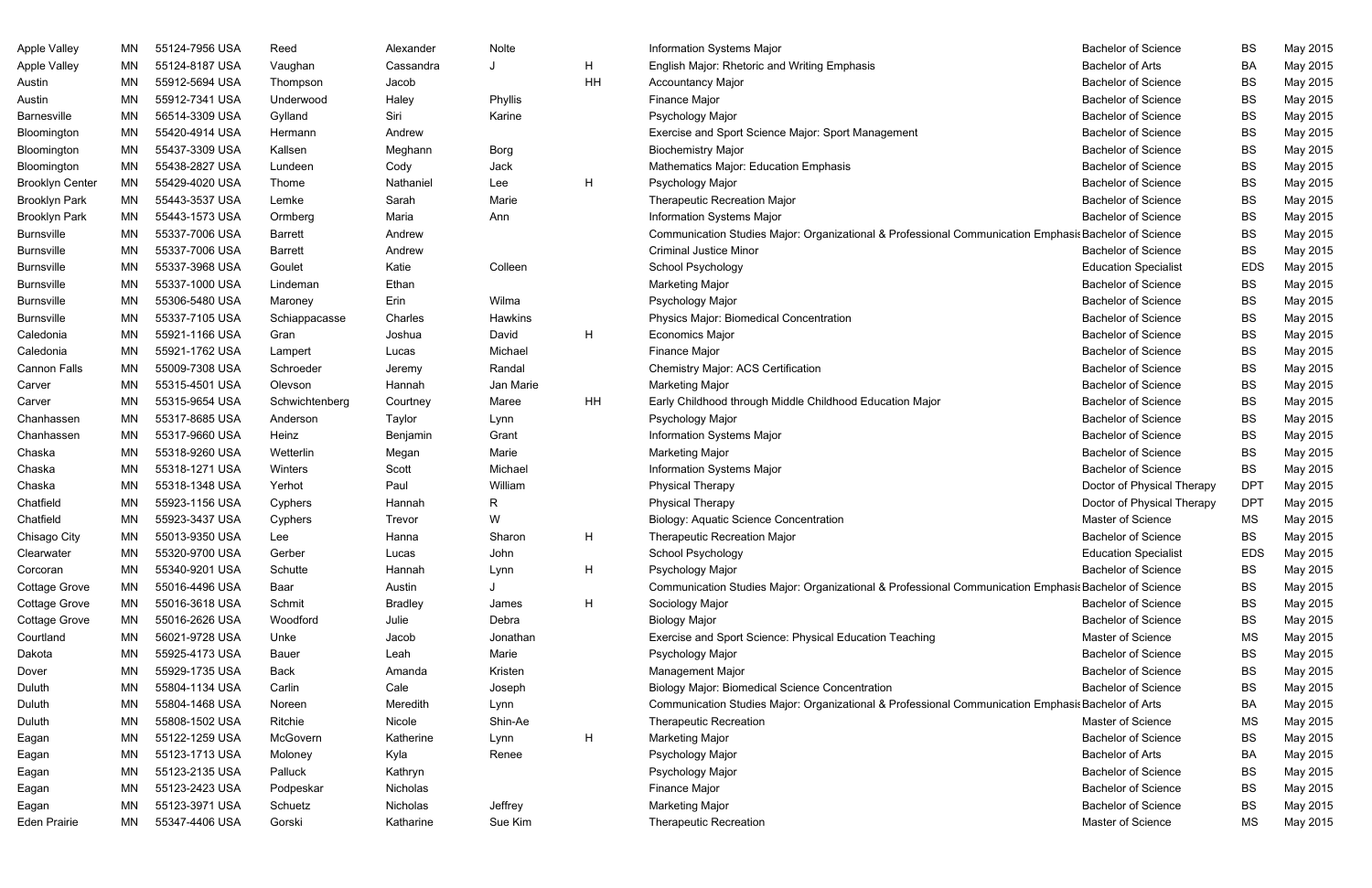| <b>Apple Valley</b>    | ΜN        | 55124-7956 USA | Reed           | Alexander      | Nolte     |    | <b>Information Systems Major</b>                                                                      | <b>Bachelor of Science</b>  | <b>BS</b>  | May 2015 |
|------------------------|-----------|----------------|----------------|----------------|-----------|----|-------------------------------------------------------------------------------------------------------|-----------------------------|------------|----------|
| <b>Apple Valley</b>    | МN        | 55124-8187 USA | Vaughan        | Cassandra      |           | H. | English Major: Rhetoric and Writing Emphasis                                                          | <b>Bachelor of Arts</b>     | <b>BA</b>  | May 2015 |
| Austin                 | MN        | 55912-5694 USA | Thompson       | Jacob          |           | HH | <b>Accountancy Major</b>                                                                              | <b>Bachelor of Science</b>  | <b>BS</b>  | May 2015 |
| Austin                 | MN        | 55912-7341 USA | Underwood      | Haley          | Phyllis   |    | Finance Major                                                                                         | <b>Bachelor of Science</b>  | <b>BS</b>  | May 2015 |
| Barnesville            | MN        | 56514-3309 USA | Gylland        | Siri           | Karine    |    | Psychology Major                                                                                      | <b>Bachelor of Science</b>  | BS         | May 2015 |
| Bloomington            | MN        | 55420-4914 USA | Hermann        | Andrew         |           |    | Exercise and Sport Science Major: Sport Management                                                    | <b>Bachelor of Science</b>  | <b>BS</b>  | May 2015 |
| Bloomington            | MN        | 55437-3309 USA | Kallsen        | Meghann        | Borg      |    | <b>Biochemistry Major</b>                                                                             | <b>Bachelor of Science</b>  | <b>BS</b>  | May 2015 |
| Bloomington            | MN        | 55438-2827 USA | Lundeen        | Cody           | Jack      |    | Mathematics Major: Education Emphasis                                                                 | <b>Bachelor of Science</b>  | BS         | May 2015 |
| <b>Brooklyn Center</b> | MN        | 55429-4020 USA | Thome          | Nathaniel      | Lee       | H  | Psychology Major                                                                                      | <b>Bachelor of Science</b>  | BS         | May 2015 |
| <b>Brooklyn Park</b>   | MN        | 55443-3537 USA | Lemke          | Sarah          | Marie     |    | Therapeutic Recreation Major                                                                          | <b>Bachelor of Science</b>  | <b>BS</b>  | May 2015 |
| <b>Brooklyn Park</b>   | MN        | 55443-1573 USA | Ormberg        | Maria          | Ann       |    | <b>Information Systems Major</b>                                                                      | <b>Bachelor of Science</b>  | <b>BS</b>  | May 2015 |
| <b>Burnsville</b>      | MN        | 55337-7006 USA | <b>Barrett</b> | Andrew         |           |    | Communication Studies Major: Organizational & Professional Communication Emphasis Bachelor of Science |                             | BS         | May 2015 |
| <b>Burnsville</b>      | MN        | 55337-7006 USA | <b>Barrett</b> | Andrew         |           |    | <b>Criminal Justice Minor</b>                                                                         | <b>Bachelor of Science</b>  | <b>BS</b>  | May 2015 |
| <b>Burnsville</b>      | MN        | 55337-3968 USA | Goulet         | Katie          | Colleen   |    | School Psychology                                                                                     | <b>Education Specialist</b> | <b>EDS</b> | May 2015 |
| <b>Burnsville</b>      | MN        | 55337-1000 USA | Lindeman       | Ethan          |           |    | <b>Marketing Major</b>                                                                                | <b>Bachelor of Science</b>  | <b>BS</b>  | May 2015 |
| <b>Burnsville</b>      | MN        | 55306-5480 USA | Maroney        | Erin           | Wilma     |    | Psychology Major                                                                                      | <b>Bachelor of Science</b>  | BS         | May 2015 |
| <b>Burnsville</b>      | MN        | 55337-7105 USA | Schiappacasse  | Charles        | Hawkins   |    | <b>Physics Major: Biomedical Concentration</b>                                                        | <b>Bachelor of Science</b>  | <b>BS</b>  | May 2015 |
| Caledonia              | MN        | 55921-1166 USA | Gran           | Joshua         | David     | H  | <b>Economics Major</b>                                                                                | <b>Bachelor of Science</b>  | <b>BS</b>  | May 2015 |
| Caledonia              | <b>MN</b> | 55921-1762 USA | Lampert        | Lucas          | Michael   |    | Finance Major                                                                                         | <b>Bachelor of Science</b>  | <b>BS</b>  | May 2015 |
| <b>Cannon Falls</b>    | MN        | 55009-7308 USA | Schroeder      | Jeremy         | Randal    |    | <b>Chemistry Major: ACS Certification</b>                                                             | <b>Bachelor of Science</b>  | BS         | May 2015 |
| Carver                 | MN        | 55315-4501 USA | Olevson        | Hannah         | Jan Marie |    | <b>Marketing Major</b>                                                                                | <b>Bachelor of Science</b>  | <b>BS</b>  | May 2015 |
| Carver                 | <b>MN</b> | 55315-9654 USA | Schwichtenberg | Courtney       | Maree     | HH | Early Childhood through Middle Childhood Education Major                                              | <b>Bachelor of Science</b>  | <b>BS</b>  | May 2015 |
| Chanhassen             | MN        | 55317-8685 USA | Anderson       | Taylor         | Lynn      |    | Psychology Major                                                                                      | <b>Bachelor of Science</b>  | BS         | May 2015 |
| Chanhassen             | MN        | 55317-9660 USA | Heinz          | Benjamin       | Grant     |    | Information Systems Major                                                                             | <b>Bachelor of Science</b>  | BS         | May 2015 |
| Chaska                 | MN        | 55318-9260 USA | Wetterlin      | Megan          | Marie     |    | <b>Marketing Major</b>                                                                                | <b>Bachelor of Science</b>  | <b>BS</b>  | May 2015 |
| Chaska                 | MN        | 55318-1271 USA | Winters        | Scott          | Michael   |    | Information Systems Major                                                                             | <b>Bachelor of Science</b>  | <b>BS</b>  | May 2015 |
| Chaska                 | MN        | 55318-1348 USA | Yerhot         | Paul           | William   |    | <b>Physical Therapy</b>                                                                               | Doctor of Physical Therapy  | <b>DPT</b> | May 2015 |
| Chatfield              | MN        | 55923-1156 USA | Cyphers        | Hannah         | R         |    | <b>Physical Therapy</b>                                                                               | Doctor of Physical Therapy  | <b>DPT</b> | May 2015 |
| Chatfield              | <b>MN</b> | 55923-3437 USA | Cyphers        | Trevor         | W         |    | <b>Biology: Aquatic Science Concentration</b>                                                         | Master of Science           | MS         | May 2015 |
| Chisago City           | <b>MN</b> | 55013-9350 USA | <b>Lee</b>     | Hanna          | Sharon    | H  | <b>Therapeutic Recreation Major</b>                                                                   | <b>Bachelor of Science</b>  | <b>BS</b>  | May 2015 |
| Clearwater             | ΜN        | 55320-9700 USA | Gerber         | Lucas          | John      |    | School Psychology                                                                                     | <b>Education Specialist</b> | <b>EDS</b> | May 2015 |
| Corcoran               | MN        | 55340-9201 USA | Schutte        | Hannah         | Lynn      | H  | Psychology Major                                                                                      | <b>Bachelor of Science</b>  | <b>BS</b>  | May 2015 |
| <b>Cottage Grove</b>   | MN        | 55016-4496 USA | Baar           | Austin         |           |    | Communication Studies Major: Organizational & Professional Communication Emphasis Bachelor of Science |                             | <b>BS</b>  | May 2015 |
| <b>Cottage Grove</b>   | MN        | 55016-3618 USA | Schmit         | <b>Bradley</b> | James     | H  | Sociology Major                                                                                       | <b>Bachelor of Science</b>  | BS         | May 2015 |
| <b>Cottage Grove</b>   | ΜN        | 55016-2626 USA | Woodford       | Julie          | Debra     |    | <b>Biology Major</b>                                                                                  | <b>Bachelor of Science</b>  | BS         | May 2015 |
| Courtland              | MN        | 56021-9728 USA | Unke           | Jacob          | Jonathan  |    | Exercise and Sport Science: Physical Education Teaching                                               | Master of Science           | MS         | May 2015 |
| Dakota                 | MN        | 55925-4173 USA | Bauer          | Leah           | Marie     |    | Psychology Major                                                                                      | <b>Bachelor of Science</b>  | BS         | May 2015 |
| Dover                  | MN        | 55929-1735 USA | <b>Back</b>    | Amanda         | Kristen   |    | Management Major                                                                                      | <b>Bachelor of Science</b>  | BS         | May 2015 |
| Duluth                 | MN        | 55804-1134 USA | Carlin         | Cale           | Joseph    |    | <b>Biology Major: Biomedical Science Concentration</b>                                                | <b>Bachelor of Science</b>  | BS         | May 2015 |
| Duluth                 | ΜN        | 55804-1468 USA | Noreen         | Meredith       | Lynn      |    | Communication Studies Major: Organizational & Professional Communication Emphasis Bachelor of Arts    |                             | <b>BA</b>  | May 2015 |
| Duluth                 | ΜN        | 55808-1502 USA | Ritchie        | Nicole         | Shin-Ae   |    | <b>Therapeutic Recreation</b>                                                                         | Master of Science           | MS         | May 2015 |
| Eagan                  | ΜN        | 55122-1259 USA | McGovern       | Katherine      | Lynn      | H  | <b>Marketing Major</b>                                                                                | <b>Bachelor of Science</b>  | BS         | May 2015 |
| Eagan                  | ΜN        | 55123-1713 USA | Moloney        | Kyla           | Renee     |    | Psychology Major                                                                                      | <b>Bachelor of Arts</b>     | <b>BA</b>  | May 2015 |
| Eagan                  | ΜN        | 55123-2135 USA | Palluck        | Kathryn        |           |    | Psychology Major                                                                                      | <b>Bachelor of Science</b>  | BS         | May 2015 |
| Eagan                  | ΜN        | 55123-2423 USA | Podpeskar      | Nicholas       |           |    | Finance Major                                                                                         | <b>Bachelor of Science</b>  | BS         | May 2015 |
| Eagan                  | ΜN        | 55123-3971 USA | Schuetz        | Nicholas       | Jeffrey   |    | <b>Marketing Major</b>                                                                                | <b>Bachelor of Science</b>  | BS         | May 2015 |
| <b>Eden Prairie</b>    | ΜN        | 55347-4406 USA | Gorski         | Katharine      | Sue Kim   |    | <b>Therapeutic Recreation</b>                                                                         | Master of Science           | MS         | May 2015 |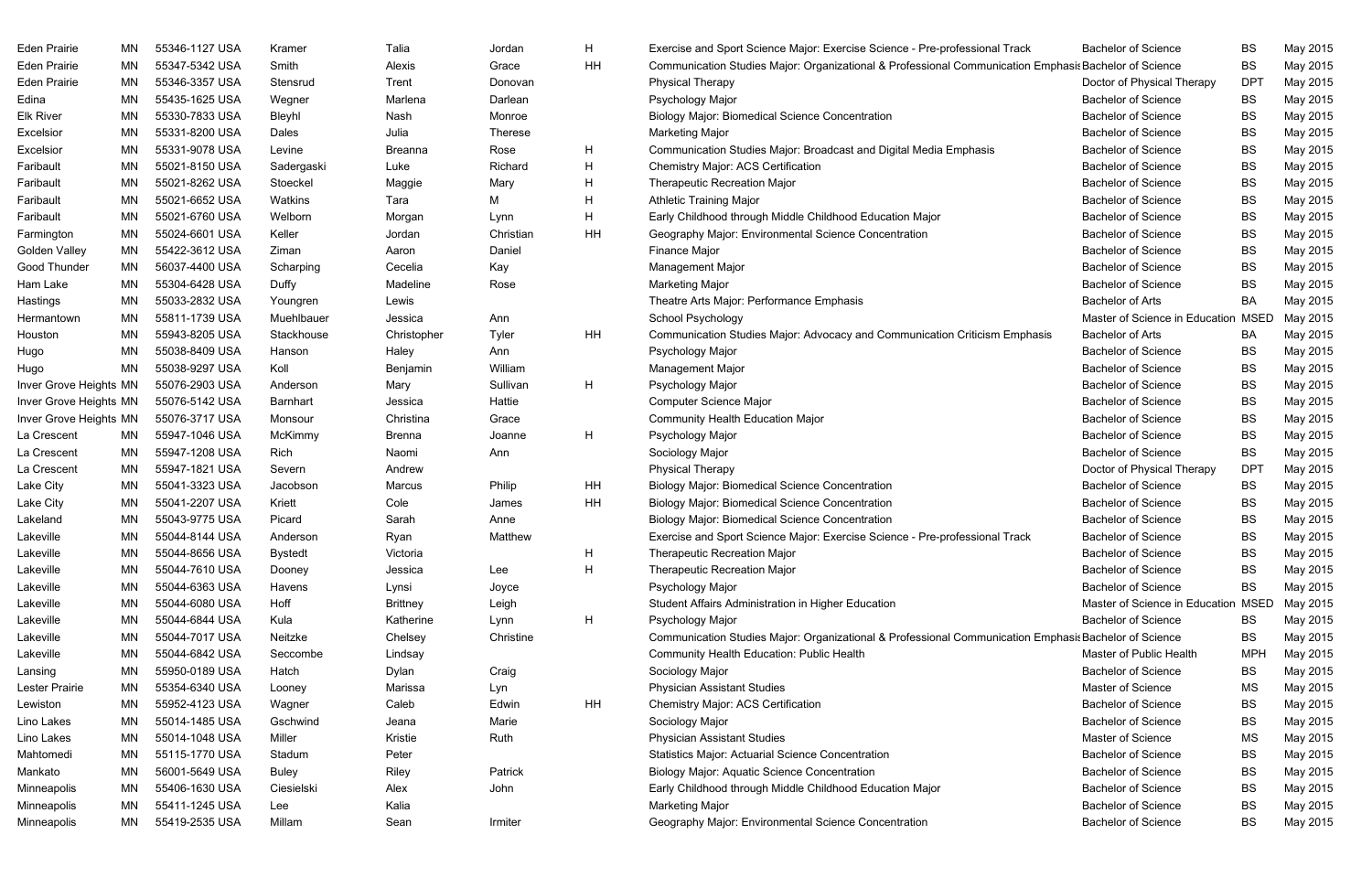| Eden Prairie<br>MN<br>Eden Prairie<br>ΜN<br>Edina<br>ΜN<br><b>Elk River</b><br>ΜN<br>Excelsior<br>ΜN<br>Excelsior<br>ΜN<br>Faribault<br>ΜN<br>MN<br>Faribault<br>Faribault<br>ΜN<br>Faribault<br>ΜN<br>ΜN<br>Farmington<br>MN<br><b>Golden Valley</b><br>Good Thunder<br>MN | 55347-5342 USA<br>55346-3357 USA<br>55435-1625 USA<br>55330-7833 USA<br>55331-8200 USA<br>55331-9078 USA<br>55021-8150 USA<br>55021-8262 USA<br>55021-6652 USA<br>55021-6760 USA<br>55024-6601 USA<br>55422-3612 USA<br>56037-4400 USA<br>55304-6428 USA<br>55033-2832 USA<br>55811-1739 USA<br>55943-8205 USA | Smith<br>Stensrud<br>Wegner<br>Bleyhl<br>Dales<br>Levine<br>Sadergaski<br>Stoeckel<br>Watkins<br>Welborn<br>Keller<br>Ziman<br>Scharping<br>Duffy<br>Youngren | Alexis<br>Trent<br>Marlena<br>Nash<br>Julia<br><b>Breanna</b><br>Luke<br>Maggie<br>Tara<br>Morgan<br>Jordan<br>Aaron<br>Cecelia<br>Madeline<br>Lewis | Grace<br>Donovan<br>Darlean<br>Monroe<br><b>Therese</b><br>Rose<br>Richard<br>Mary<br>Μ<br>Lynn<br>Christian<br>Daniel<br>Kay<br>Rose | ΗH<br>H<br>H<br>H<br>Η<br>н<br>ΗH | Communication Studies Major: Organizational & Professional Communication Emphasis Bachelor of Science<br><b>Physical Therapy</b><br>Psychology Major<br><b>Biology Major: Biomedical Science Concentration</b><br><b>Marketing Major</b><br>Communication Studies Major: Broadcast and Digital Media Emphasis<br><b>Chemistry Major: ACS Certification</b><br><b>Therapeutic Recreation Major</b><br><b>Athletic Training Major</b><br>Early Childhood through Middle Childhood Education Major<br>Geography Major: Environmental Science Concentration<br>Finance Major | Doctor of Physical Therapy<br><b>Bachelor of Science</b><br><b>Bachelor of Science</b><br><b>Bachelor of Science</b><br><b>Bachelor of Science</b><br><b>Bachelor of Science</b><br><b>Bachelor of Science</b><br><b>Bachelor of Science</b><br><b>Bachelor of Science</b><br><b>Bachelor of Science</b><br><b>Bachelor of Science</b> | BS<br><b>DPT</b><br>BS<br>BS<br>BS<br>BS<br>BS<br>BS<br>BS<br>BS<br>BS | May 2015<br>May 2015<br>May 2015<br>May 2015<br>May 2015<br>May 2015<br>May 2015<br>May 2015<br>May 2015<br>May 2015 |
|-----------------------------------------------------------------------------------------------------------------------------------------------------------------------------------------------------------------------------------------------------------------------------|----------------------------------------------------------------------------------------------------------------------------------------------------------------------------------------------------------------------------------------------------------------------------------------------------------------|---------------------------------------------------------------------------------------------------------------------------------------------------------------|------------------------------------------------------------------------------------------------------------------------------------------------------|---------------------------------------------------------------------------------------------------------------------------------------|-----------------------------------|--------------------------------------------------------------------------------------------------------------------------------------------------------------------------------------------------------------------------------------------------------------------------------------------------------------------------------------------------------------------------------------------------------------------------------------------------------------------------------------------------------------------------------------------------------------------------|----------------------------------------------------------------------------------------------------------------------------------------------------------------------------------------------------------------------------------------------------------------------------------------------------------------------------------------|------------------------------------------------------------------------|----------------------------------------------------------------------------------------------------------------------|
|                                                                                                                                                                                                                                                                             |                                                                                                                                                                                                                                                                                                                |                                                                                                                                                               |                                                                                                                                                      |                                                                                                                                       |                                   |                                                                                                                                                                                                                                                                                                                                                                                                                                                                                                                                                                          |                                                                                                                                                                                                                                                                                                                                        |                                                                        |                                                                                                                      |
|                                                                                                                                                                                                                                                                             |                                                                                                                                                                                                                                                                                                                |                                                                                                                                                               |                                                                                                                                                      |                                                                                                                                       |                                   |                                                                                                                                                                                                                                                                                                                                                                                                                                                                                                                                                                          |                                                                                                                                                                                                                                                                                                                                        |                                                                        |                                                                                                                      |
|                                                                                                                                                                                                                                                                             |                                                                                                                                                                                                                                                                                                                |                                                                                                                                                               |                                                                                                                                                      |                                                                                                                                       |                                   |                                                                                                                                                                                                                                                                                                                                                                                                                                                                                                                                                                          |                                                                                                                                                                                                                                                                                                                                        |                                                                        |                                                                                                                      |
|                                                                                                                                                                                                                                                                             |                                                                                                                                                                                                                                                                                                                |                                                                                                                                                               |                                                                                                                                                      |                                                                                                                                       |                                   |                                                                                                                                                                                                                                                                                                                                                                                                                                                                                                                                                                          |                                                                                                                                                                                                                                                                                                                                        |                                                                        |                                                                                                                      |
|                                                                                                                                                                                                                                                                             |                                                                                                                                                                                                                                                                                                                |                                                                                                                                                               |                                                                                                                                                      |                                                                                                                                       |                                   |                                                                                                                                                                                                                                                                                                                                                                                                                                                                                                                                                                          |                                                                                                                                                                                                                                                                                                                                        |                                                                        |                                                                                                                      |
|                                                                                                                                                                                                                                                                             |                                                                                                                                                                                                                                                                                                                |                                                                                                                                                               |                                                                                                                                                      |                                                                                                                                       |                                   |                                                                                                                                                                                                                                                                                                                                                                                                                                                                                                                                                                          |                                                                                                                                                                                                                                                                                                                                        |                                                                        |                                                                                                                      |
|                                                                                                                                                                                                                                                                             |                                                                                                                                                                                                                                                                                                                |                                                                                                                                                               |                                                                                                                                                      |                                                                                                                                       |                                   |                                                                                                                                                                                                                                                                                                                                                                                                                                                                                                                                                                          |                                                                                                                                                                                                                                                                                                                                        |                                                                        |                                                                                                                      |
|                                                                                                                                                                                                                                                                             |                                                                                                                                                                                                                                                                                                                |                                                                                                                                                               |                                                                                                                                                      |                                                                                                                                       |                                   |                                                                                                                                                                                                                                                                                                                                                                                                                                                                                                                                                                          |                                                                                                                                                                                                                                                                                                                                        |                                                                        |                                                                                                                      |
|                                                                                                                                                                                                                                                                             |                                                                                                                                                                                                                                                                                                                |                                                                                                                                                               |                                                                                                                                                      |                                                                                                                                       |                                   |                                                                                                                                                                                                                                                                                                                                                                                                                                                                                                                                                                          |                                                                                                                                                                                                                                                                                                                                        |                                                                        |                                                                                                                      |
|                                                                                                                                                                                                                                                                             |                                                                                                                                                                                                                                                                                                                |                                                                                                                                                               |                                                                                                                                                      |                                                                                                                                       |                                   |                                                                                                                                                                                                                                                                                                                                                                                                                                                                                                                                                                          |                                                                                                                                                                                                                                                                                                                                        |                                                                        |                                                                                                                      |
|                                                                                                                                                                                                                                                                             |                                                                                                                                                                                                                                                                                                                |                                                                                                                                                               |                                                                                                                                                      |                                                                                                                                       |                                   |                                                                                                                                                                                                                                                                                                                                                                                                                                                                                                                                                                          |                                                                                                                                                                                                                                                                                                                                        |                                                                        | May 2015                                                                                                             |
|                                                                                                                                                                                                                                                                             |                                                                                                                                                                                                                                                                                                                |                                                                                                                                                               |                                                                                                                                                      |                                                                                                                                       |                                   |                                                                                                                                                                                                                                                                                                                                                                                                                                                                                                                                                                          |                                                                                                                                                                                                                                                                                                                                        | BS                                                                     | May 2015                                                                                                             |
|                                                                                                                                                                                                                                                                             |                                                                                                                                                                                                                                                                                                                |                                                                                                                                                               |                                                                                                                                                      |                                                                                                                                       |                                   | Management Major                                                                                                                                                                                                                                                                                                                                                                                                                                                                                                                                                         | <b>Bachelor of Science</b>                                                                                                                                                                                                                                                                                                             | BS                                                                     | May 2015                                                                                                             |
| ΜN<br>Ham Lake                                                                                                                                                                                                                                                              |                                                                                                                                                                                                                                                                                                                |                                                                                                                                                               |                                                                                                                                                      |                                                                                                                                       |                                   | <b>Marketing Major</b>                                                                                                                                                                                                                                                                                                                                                                                                                                                                                                                                                   | <b>Bachelor of Science</b>                                                                                                                                                                                                                                                                                                             | BS                                                                     | May 2015                                                                                                             |
| Hastings<br>ΜN                                                                                                                                                                                                                                                              |                                                                                                                                                                                                                                                                                                                |                                                                                                                                                               |                                                                                                                                                      |                                                                                                                                       |                                   | Theatre Arts Major: Performance Emphasis                                                                                                                                                                                                                                                                                                                                                                                                                                                                                                                                 | <b>Bachelor of Arts</b>                                                                                                                                                                                                                                                                                                                | BA                                                                     | May 2015                                                                                                             |
| MN<br>Hermantown                                                                                                                                                                                                                                                            |                                                                                                                                                                                                                                                                                                                | Muehlbauer                                                                                                                                                    | Jessica                                                                                                                                              | Ann                                                                                                                                   |                                   | School Psychology                                                                                                                                                                                                                                                                                                                                                                                                                                                                                                                                                        | Master of Science in Education MSED                                                                                                                                                                                                                                                                                                    |                                                                        | May 2015                                                                                                             |
| Houston<br>ΜN                                                                                                                                                                                                                                                               |                                                                                                                                                                                                                                                                                                                | Stackhouse                                                                                                                                                    | Christopher                                                                                                                                          | Tyler                                                                                                                                 | ΗH                                | Communication Studies Major: Advocacy and Communication Criticism Emphasis                                                                                                                                                                                                                                                                                                                                                                                                                                                                                               | <b>Bachelor of Arts</b>                                                                                                                                                                                                                                                                                                                | BA                                                                     | May 2015                                                                                                             |
| Hugo<br>MN                                                                                                                                                                                                                                                                  | 55038-8409 USA                                                                                                                                                                                                                                                                                                 | Hanson                                                                                                                                                        | Haley                                                                                                                                                | Ann                                                                                                                                   |                                   | Psychology Major                                                                                                                                                                                                                                                                                                                                                                                                                                                                                                                                                         | <b>Bachelor of Science</b>                                                                                                                                                                                                                                                                                                             | BS                                                                     | May 2015                                                                                                             |
| Hugo<br>MN                                                                                                                                                                                                                                                                  | 55038-9297 USA                                                                                                                                                                                                                                                                                                 | Koll                                                                                                                                                          | Benjamin                                                                                                                                             | William                                                                                                                               |                                   | Management Major                                                                                                                                                                                                                                                                                                                                                                                                                                                                                                                                                         | <b>Bachelor of Science</b>                                                                                                                                                                                                                                                                                                             | BS                                                                     | May 2015                                                                                                             |
| Inver Grove Heights MN                                                                                                                                                                                                                                                      | 55076-2903 USA                                                                                                                                                                                                                                                                                                 | Anderson                                                                                                                                                      | Mary                                                                                                                                                 | Sullivan                                                                                                                              | H.                                | Psychology Major                                                                                                                                                                                                                                                                                                                                                                                                                                                                                                                                                         | <b>Bachelor of Science</b>                                                                                                                                                                                                                                                                                                             | BS                                                                     | May 2015                                                                                                             |
| Inver Grove Heights MN                                                                                                                                                                                                                                                      | 55076-5142 USA                                                                                                                                                                                                                                                                                                 | Barnhart                                                                                                                                                      | Jessica                                                                                                                                              | Hattie                                                                                                                                |                                   | Computer Science Major                                                                                                                                                                                                                                                                                                                                                                                                                                                                                                                                                   | <b>Bachelor of Science</b>                                                                                                                                                                                                                                                                                                             | BS                                                                     | May 2015                                                                                                             |
| Inver Grove Heights MN                                                                                                                                                                                                                                                      | 55076-3717 USA                                                                                                                                                                                                                                                                                                 | Monsour                                                                                                                                                       | Christina                                                                                                                                            | Grace                                                                                                                                 |                                   | <b>Community Health Education Major</b>                                                                                                                                                                                                                                                                                                                                                                                                                                                                                                                                  | <b>Bachelor of Science</b>                                                                                                                                                                                                                                                                                                             | BS                                                                     | May 2015                                                                                                             |
| La Crescent<br>MN                                                                                                                                                                                                                                                           | 55947-1046 USA                                                                                                                                                                                                                                                                                                 | McKimmy                                                                                                                                                       | <b>Brenna</b>                                                                                                                                        | Joanne                                                                                                                                | H                                 | Psychology Major                                                                                                                                                                                                                                                                                                                                                                                                                                                                                                                                                         | <b>Bachelor of Science</b>                                                                                                                                                                                                                                                                                                             | <b>BS</b>                                                              | May 2015                                                                                                             |
| La Crescent<br>ΜN                                                                                                                                                                                                                                                           | 55947-1208 USA                                                                                                                                                                                                                                                                                                 | Rich                                                                                                                                                          | Naomi                                                                                                                                                | Ann                                                                                                                                   |                                   | Sociology Major                                                                                                                                                                                                                                                                                                                                                                                                                                                                                                                                                          | <b>Bachelor of Science</b>                                                                                                                                                                                                                                                                                                             | BS                                                                     | May 2015                                                                                                             |
| La Crescent<br>ΜN                                                                                                                                                                                                                                                           | 55947-1821 USA                                                                                                                                                                                                                                                                                                 | Severn                                                                                                                                                        | Andrew                                                                                                                                               |                                                                                                                                       |                                   | <b>Physical Therapy</b>                                                                                                                                                                                                                                                                                                                                                                                                                                                                                                                                                  | Doctor of Physical Therapy                                                                                                                                                                                                                                                                                                             | DPT                                                                    | May 2015                                                                                                             |
| Lake City<br>ΜN                                                                                                                                                                                                                                                             | 55041-3323 USA                                                                                                                                                                                                                                                                                                 | Jacobson                                                                                                                                                      | Marcus                                                                                                                                               | Philip                                                                                                                                | HH                                | <b>Biology Major: Biomedical Science Concentration</b>                                                                                                                                                                                                                                                                                                                                                                                                                                                                                                                   | <b>Bachelor of Science</b>                                                                                                                                                                                                                                                                                                             | BS                                                                     | May 2015                                                                                                             |
| Lake City<br>MN                                                                                                                                                                                                                                                             | 55041-2207 USA                                                                                                                                                                                                                                                                                                 | Kriett                                                                                                                                                        | Cole                                                                                                                                                 | James                                                                                                                                 | HΗ                                | <b>Biology Major: Biomedical Science Concentration</b>                                                                                                                                                                                                                                                                                                                                                                                                                                                                                                                   | <b>Bachelor of Science</b>                                                                                                                                                                                                                                                                                                             | BS                                                                     | May 2015                                                                                                             |
| Lakeland<br>ΜN                                                                                                                                                                                                                                                              | 55043-9775 USA                                                                                                                                                                                                                                                                                                 | Picard                                                                                                                                                        | Sarah                                                                                                                                                | Anne                                                                                                                                  |                                   | <b>Biology Major: Biomedical Science Concentration</b>                                                                                                                                                                                                                                                                                                                                                                                                                                                                                                                   | <b>Bachelor of Science</b>                                                                                                                                                                                                                                                                                                             | BS                                                                     | May 2015                                                                                                             |
| Lakeville<br>MN                                                                                                                                                                                                                                                             | 55044-8144 USA                                                                                                                                                                                                                                                                                                 | Anderson                                                                                                                                                      | Ryan                                                                                                                                                 | Matthew                                                                                                                               |                                   | Exercise and Sport Science Major: Exercise Science - Pre-professional Track                                                                                                                                                                                                                                                                                                                                                                                                                                                                                              | <b>Bachelor of Science</b>                                                                                                                                                                                                                                                                                                             | <b>BS</b>                                                              | May 2015                                                                                                             |
| Lakeville<br>ΜN                                                                                                                                                                                                                                                             | 55044-8656 USA                                                                                                                                                                                                                                                                                                 | <b>Bystedt</b>                                                                                                                                                | Victoria                                                                                                                                             |                                                                                                                                       | H                                 | <b>Therapeutic Recreation Major</b>                                                                                                                                                                                                                                                                                                                                                                                                                                                                                                                                      | <b>Bachelor of Science</b>                                                                                                                                                                                                                                                                                                             | <b>BS</b>                                                              | May 2015                                                                                                             |
| Lakeville<br>MN                                                                                                                                                                                                                                                             | 55044-7610 USA                                                                                                                                                                                                                                                                                                 | Dooney                                                                                                                                                        | Jessica                                                                                                                                              | Lee                                                                                                                                   | Н                                 | <b>Therapeutic Recreation Major</b>                                                                                                                                                                                                                                                                                                                                                                                                                                                                                                                                      | <b>Bachelor of Science</b>                                                                                                                                                                                                                                                                                                             | BS                                                                     | May 2015                                                                                                             |
| Lakeville<br>ΜN                                                                                                                                                                                                                                                             | 55044-6363 USA                                                                                                                                                                                                                                                                                                 | Havens                                                                                                                                                        | Lynsi                                                                                                                                                | Joyce                                                                                                                                 |                                   | Psychology Major                                                                                                                                                                                                                                                                                                                                                                                                                                                                                                                                                         | <b>Bachelor of Science</b>                                                                                                                                                                                                                                                                                                             | BS                                                                     | May 2015                                                                                                             |
| Lakeville<br>ΜN                                                                                                                                                                                                                                                             | 55044-6080 USA                                                                                                                                                                                                                                                                                                 | Hoff                                                                                                                                                          | <b>Brittney</b>                                                                                                                                      | Leigh                                                                                                                                 |                                   | Student Affairs Administration in Higher Education                                                                                                                                                                                                                                                                                                                                                                                                                                                                                                                       | Master of Science in Education MSED                                                                                                                                                                                                                                                                                                    |                                                                        | May 2015                                                                                                             |
| Lakeville<br>ΜN                                                                                                                                                                                                                                                             | 55044-6844 USA                                                                                                                                                                                                                                                                                                 | Kula                                                                                                                                                          | Katherine                                                                                                                                            | Lynn                                                                                                                                  | H                                 | Psychology Major                                                                                                                                                                                                                                                                                                                                                                                                                                                                                                                                                         | <b>Bachelor of Science</b>                                                                                                                                                                                                                                                                                                             | <b>BS</b>                                                              | May 2015                                                                                                             |
| Lakeville<br>ΜN                                                                                                                                                                                                                                                             | 55044-7017 USA                                                                                                                                                                                                                                                                                                 | Neitzke                                                                                                                                                       | Chelsey                                                                                                                                              | Christine                                                                                                                             |                                   | Communication Studies Major: Organizational & Professional Communication Emphasis Bachelor of Science                                                                                                                                                                                                                                                                                                                                                                                                                                                                    |                                                                                                                                                                                                                                                                                                                                        | BS                                                                     | May 2015                                                                                                             |
| Lakeville<br>ΜN                                                                                                                                                                                                                                                             | 55044-6842 USA                                                                                                                                                                                                                                                                                                 | Seccombe                                                                                                                                                      | Lindsay                                                                                                                                              |                                                                                                                                       |                                   | <b>Community Health Education: Public Health</b>                                                                                                                                                                                                                                                                                                                                                                                                                                                                                                                         | Master of Public Health                                                                                                                                                                                                                                                                                                                | <b>MPH</b>                                                             | May 2015                                                                                                             |
| ΜN<br>Lansing                                                                                                                                                                                                                                                               | 55950-0189 USA                                                                                                                                                                                                                                                                                                 | Hatch                                                                                                                                                         | Dylan                                                                                                                                                | Craig                                                                                                                                 |                                   | Sociology Major                                                                                                                                                                                                                                                                                                                                                                                                                                                                                                                                                          | <b>Bachelor of Science</b>                                                                                                                                                                                                                                                                                                             | BS                                                                     | May 2015                                                                                                             |
| Lester Prairie<br>ΜN                                                                                                                                                                                                                                                        | 55354-6340 USA                                                                                                                                                                                                                                                                                                 | Looney                                                                                                                                                        | Marissa                                                                                                                                              | Lyn                                                                                                                                   |                                   | <b>Physician Assistant Studies</b>                                                                                                                                                                                                                                                                                                                                                                                                                                                                                                                                       | Master of Science                                                                                                                                                                                                                                                                                                                      | MS                                                                     | May 2015                                                                                                             |
| ΜN<br>Lewiston                                                                                                                                                                                                                                                              | 55952-4123 USA                                                                                                                                                                                                                                                                                                 | Wagner                                                                                                                                                        | Caleb                                                                                                                                                | Edwin                                                                                                                                 | HH                                | <b>Chemistry Major: ACS Certification</b>                                                                                                                                                                                                                                                                                                                                                                                                                                                                                                                                | <b>Bachelor of Science</b>                                                                                                                                                                                                                                                                                                             | BS                                                                     | May 2015                                                                                                             |
| Lino Lakes<br>ΜN                                                                                                                                                                                                                                                            | 55014-1485 USA                                                                                                                                                                                                                                                                                                 | Gschwind                                                                                                                                                      | Jeana                                                                                                                                                | Marie                                                                                                                                 |                                   | Sociology Major                                                                                                                                                                                                                                                                                                                                                                                                                                                                                                                                                          | <b>Bachelor of Science</b>                                                                                                                                                                                                                                                                                                             | BS                                                                     | May 2015                                                                                                             |
| Lino Lakes<br>ΜN                                                                                                                                                                                                                                                            | 55014-1048 USA                                                                                                                                                                                                                                                                                                 | Miller                                                                                                                                                        | Kristie                                                                                                                                              | Ruth                                                                                                                                  |                                   | <b>Physician Assistant Studies</b>                                                                                                                                                                                                                                                                                                                                                                                                                                                                                                                                       | Master of Science                                                                                                                                                                                                                                                                                                                      | MS                                                                     | May 2015                                                                                                             |
| Mahtomedi<br>ΜN                                                                                                                                                                                                                                                             | 55115-1770 USA                                                                                                                                                                                                                                                                                                 | Stadum                                                                                                                                                        | Peter                                                                                                                                                |                                                                                                                                       |                                   | <b>Statistics Major: Actuarial Science Concentration</b>                                                                                                                                                                                                                                                                                                                                                                                                                                                                                                                 | <b>Bachelor of Science</b>                                                                                                                                                                                                                                                                                                             | BS                                                                     | May 2015                                                                                                             |
| Mankato<br>ΜN                                                                                                                                                                                                                                                               | 56001-5649 USA                                                                                                                                                                                                                                                                                                 | Buley                                                                                                                                                         | Riley                                                                                                                                                | Patrick                                                                                                                               |                                   | <b>Biology Major: Aquatic Science Concentration</b>                                                                                                                                                                                                                                                                                                                                                                                                                                                                                                                      | <b>Bachelor of Science</b>                                                                                                                                                                                                                                                                                                             | BS                                                                     | May 2015                                                                                                             |
| ΜN<br>Minneapolis                                                                                                                                                                                                                                                           | 55406-1630 USA                                                                                                                                                                                                                                                                                                 | Ciesielski                                                                                                                                                    | Alex                                                                                                                                                 | John                                                                                                                                  |                                   | Early Childhood through Middle Childhood Education Major                                                                                                                                                                                                                                                                                                                                                                                                                                                                                                                 | <b>Bachelor of Science</b>                                                                                                                                                                                                                                                                                                             | BS                                                                     | May 2015                                                                                                             |
| Minneapolis<br>ΜN                                                                                                                                                                                                                                                           | 55411-1245 USA                                                                                                                                                                                                                                                                                                 | Lee                                                                                                                                                           | Kalia                                                                                                                                                |                                                                                                                                       |                                   | <b>Marketing Major</b>                                                                                                                                                                                                                                                                                                                                                                                                                                                                                                                                                   | <b>Bachelor of Science</b>                                                                                                                                                                                                                                                                                                             | BS                                                                     | May 2015                                                                                                             |
| <b>Minneapolis</b><br>MN                                                                                                                                                                                                                                                    | 55419-2535 USA                                                                                                                                                                                                                                                                                                 | Millam                                                                                                                                                        | Sean                                                                                                                                                 | Irmiter                                                                                                                               |                                   | Geography Major: Environmental Science Concentration                                                                                                                                                                                                                                                                                                                                                                                                                                                                                                                     | <b>Bachelor of Science</b>                                                                                                                                                                                                                                                                                                             | BS                                                                     | May 2015                                                                                                             |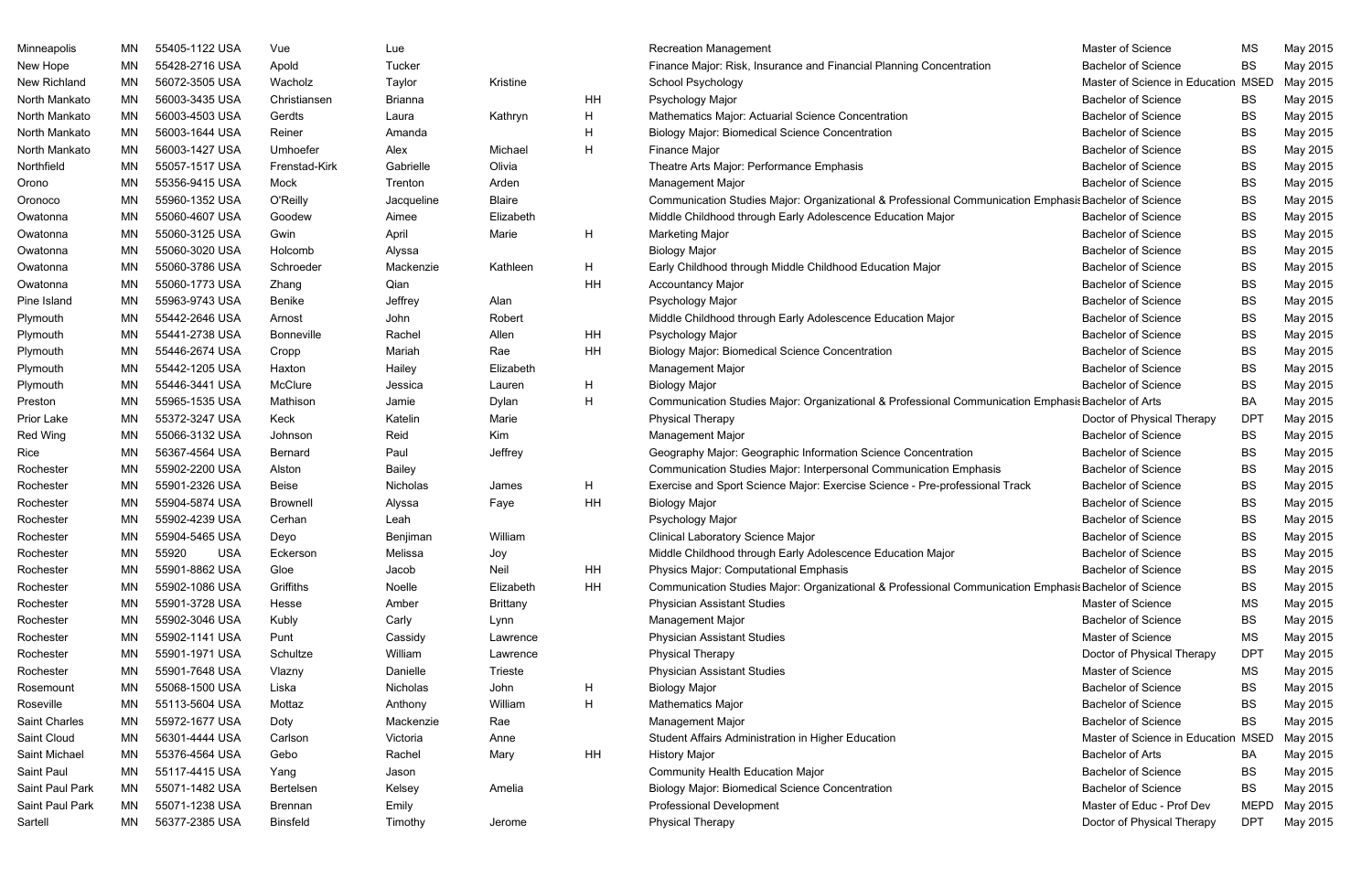| Minneapolis     | <b>MN</b> | 55405-1122 USA      | Vue               | Lue            |                 |    | <b>Recreation Management</b>                                                                          | Master of Science                   | MS          | May 2015 |
|-----------------|-----------|---------------------|-------------------|----------------|-----------------|----|-------------------------------------------------------------------------------------------------------|-------------------------------------|-------------|----------|
| New Hope        | MN        | 55428-2716 USA      | Apold             | Tucker         |                 |    | Finance Major: Risk, Insurance and Financial Planning Concentration                                   | <b>Bachelor of Science</b>          | BS          | May 2015 |
| New Richland    | MN        | 56072-3505 USA      | Wacholz           | Taylor         | Kristine        |    | School Psychology                                                                                     | Master of Science in Education MSED |             | May 2015 |
| North Mankato   | ΜN        | 56003-3435 USA      | Christiansen      | <b>Brianna</b> |                 | HH | Psychology Major                                                                                      | <b>Bachelor of Science</b>          | BS          | May 2015 |
| North Mankato   | ΜN        | 56003-4503 USA      | Gerdts            | Laura          | Kathryn         | H  | Mathematics Major: Actuarial Science Concentration                                                    | <b>Bachelor of Science</b>          | BS          | May 2015 |
| North Mankato   | ΜN        | 56003-1644 USA      | Reiner            | Amanda         |                 | H  | <b>Biology Major: Biomedical Science Concentration</b>                                                | <b>Bachelor of Science</b>          | BS          | May 2015 |
| North Mankato   | ΜN        | 56003-1427 USA      | Umhoefer          | Alex           | Michael         | H  | <b>Finance Major</b>                                                                                  | <b>Bachelor of Science</b>          | BS          | May 2015 |
| Northfield      | ΜN        | 55057-1517 USA      | Frenstad-Kirk     | Gabrielle      | Olivia          |    | Theatre Arts Major: Performance Emphasis                                                              | <b>Bachelor of Science</b>          | BS          | May 2015 |
| Orono           | MN        | 55356-9415 USA      | Mock              | Trenton        | Arden           |    | Management Major                                                                                      | <b>Bachelor of Science</b>          | BS          | May 2015 |
| Oronoco         | MN        | 55960-1352 USA      | O'Reilly          | Jacqueline     | <b>Blaire</b>   |    | Communication Studies Major: Organizational & Professional Communication Emphasis Bachelor of Science |                                     | BS          | May 2015 |
| Owatonna        | MN        | 55060-4607 USA      | Goodew            | Aimee          | Elizabeth       |    | Middle Childhood through Early Adolescence Education Major                                            | <b>Bachelor of Science</b>          | BS          | May 2015 |
| Owatonna        | ΜN        | 55060-3125 USA      | Gwin              | April          | Marie           | H  | <b>Marketing Major</b>                                                                                | <b>Bachelor of Science</b>          | BS          | May 2015 |
| Owatonna        | MN        | 55060-3020 USA      | Holcomb           | Alyssa         |                 |    | <b>Biology Major</b>                                                                                  | <b>Bachelor of Science</b>          | BS          | May 2015 |
| Owatonna        | MN        | 55060-3786 USA      | Schroeder         | Mackenzie      | Kathleen        | H  | Early Childhood through Middle Childhood Education Major                                              | <b>Bachelor of Science</b>          | BS          | May 2015 |
| Owatonna        | MN        | 55060-1773 USA      | Zhang             | Qian           |                 | HH | <b>Accountancy Major</b>                                                                              | <b>Bachelor of Science</b>          | BS          | May 2015 |
| Pine Island     | ΜN        | 55963-9743 USA      | Benike            | Jeffrey        | Alan            |    | Psychology Major                                                                                      | <b>Bachelor of Science</b>          | BS          | May 2015 |
| Plymouth        | ΜN        | 55442-2646 USA      | Arnost            | John           | Robert          |    | Middle Childhood through Early Adolescence Education Major                                            | <b>Bachelor of Science</b>          | BS          | May 2015 |
| Plymouth        | ΜN        | 55441-2738 USA      | <b>Bonneville</b> | Rachel         | Allen           | HH | Psychology Major                                                                                      | <b>Bachelor of Science</b>          | BS          | May 2015 |
| Plymouth        | MN        | 55446-2674 USA      | Cropp             | Mariah         | Rae             | HH | <b>Biology Major: Biomedical Science Concentration</b>                                                | <b>Bachelor of Science</b>          | BS          | May 2015 |
| Plymouth        | ΜN        | 55442-1205 USA      | Haxton            | Hailey         | Elizabeth       |    | Management Major                                                                                      | <b>Bachelor of Science</b>          | BS          | May 2015 |
| Plymouth        | ΜN        | 55446-3441 USA      | McClure           | Jessica        | Lauren          | H  | <b>Biology Major</b>                                                                                  | <b>Bachelor of Science</b>          | BS          | May 2015 |
| Preston         | MN        | 55965-1535 USA      | Mathison          | Jamie          | Dylan           | H  | Communication Studies Major: Organizational & Professional Communication Emphasis Bachelor of Arts    |                                     | BA          | May 2015 |
| Prior Lake      | MN        | 55372-3247 USA      | Keck              | Katelin        | Marie           |    | <b>Physical Therapy</b>                                                                               | Doctor of Physical Therapy          | <b>DPT</b>  | May 2015 |
| Red Wing        | MN        | 55066-3132 USA      | Johnson           | Reid           | Kim             |    | Management Major                                                                                      | <b>Bachelor of Science</b>          | BS          | May 2015 |
| Rice            | ΜN        | 56367-4564 USA      | <b>Bernard</b>    | Paul           | Jeffrey         |    | Geography Major: Geographic Information Science Concentration                                         | <b>Bachelor of Science</b>          | BS          | May 2015 |
| Rochester       | MN        | 55902-2200 USA      | Alston            | <b>Bailey</b>  |                 |    | Communication Studies Major: Interpersonal Communication Emphasis                                     | <b>Bachelor of Science</b>          | BS          | May 2015 |
| Rochester       | MN        | 55901-2326 USA      | <b>Beise</b>      | Nicholas       | James           | H  | Exercise and Sport Science Major: Exercise Science - Pre-professional Track                           | <b>Bachelor of Science</b>          | BS          | May 2015 |
| Rochester       | ΜN        | 55904-5874 USA      | <b>Brownell</b>   | Alyssa         | Faye            | HH | <b>Biology Major</b>                                                                                  | <b>Bachelor of Science</b>          | BS          | May 2015 |
| Rochester       | ΜN        | 55902-4239 USA      | Cerhan            | Leah           |                 |    | Psychology Major                                                                                      | <b>Bachelor of Science</b>          | BS          | May 2015 |
| Rochester       | MN        | 55904-5465 USA      | Deyo              | Benjiman       | William         |    | Clinical Laboratory Science Major                                                                     | <b>Bachelor of Science</b>          | <b>BS</b>   | May 2015 |
| Rochester       | MN        | 55920<br><b>USA</b> | Eckerson          | Melissa        | Joy             |    | Middle Childhood through Early Adolescence Education Major                                            | <b>Bachelor of Science</b>          | BS          | May 2015 |
| Rochester       | MN        | 55901-8862 USA      | Gloe              | Jacob          | Neil            | HH | <b>Physics Major: Computational Emphasis</b>                                                          | <b>Bachelor of Science</b>          | BS          | May 2015 |
| Rochester       | MN        | 55902-1086 USA      | Griffiths         | Noelle         | Elizabeth       | HH | Communication Studies Major: Organizational & Professional Communication Emphasis Bachelor of Science |                                     | BS          | May 2015 |
| Rochester       | MN        | 55901-3728 USA      | Hesse             | Amber          | <b>Brittany</b> |    | <b>Physician Assistant Studies</b>                                                                    | Master of Science                   | MS          | May 2015 |
| Rochester       | MN        | 55902-3046 USA      | Kubly             | Carly          | Lynn            |    | Management Major                                                                                      | <b>Bachelor of Science</b>          | BS          | May 2015 |
| Rochester       | MN        | 55902-1141 USA      | Punt              | Cassidy        | Lawrence        |    | <b>Physician Assistant Studies</b>                                                                    | Master of Science                   | MS          | May 2015 |
| Rochester       | MN        | 55901-1971 USA      | Schultze          | William        | Lawrence        |    | <b>Physical Therapy</b>                                                                               | Doctor of Physical Therapy          | <b>DPT</b>  | May 2015 |
| Rochester       | MN        | 55901-7648 USA      | Vlazny            | Danielle       | Trieste         |    | <b>Physician Assistant Studies</b>                                                                    | Master of Science                   | MS          | May 2015 |
| Rosemount       | ΜN        | 55068-1500 USA      | Liska             | Nicholas       | John            | H  | <b>Biology Major</b>                                                                                  | <b>Bachelor of Science</b>          | BS          | May 2015 |
| Roseville       | MN        | 55113-5604 USA      | Mottaz            | Anthony        | William         | H  | Mathematics Major                                                                                     | <b>Bachelor of Science</b>          | BS          | May 2015 |
| Saint Charles   | MN        | 55972-1677 USA      | Doty              | Mackenzie      | Rae             |    | Management Major                                                                                      | <b>Bachelor of Science</b>          | BS          | May 2015 |
| Saint Cloud     | ΜN        | 56301-4444 USA      | Carlson           | Victoria       | Anne            |    | Student Affairs Administration in Higher Education                                                    | Master of Science in Education MSED |             | May 2015 |
| Saint Michael   | MN        | 55376-4564 USA      | Gebo              | Rachel         | Mary            | HH | <b>History Major</b>                                                                                  | <b>Bachelor of Arts</b>             | BA          | May 2015 |
| Saint Paul      | MN        | 55117-4415 USA      | Yang              | Jason          |                 |    | Community Health Education Major                                                                      | <b>Bachelor of Science</b>          | BS          | May 2015 |
| Saint Paul Park | ΜN        | 55071-1482 USA      | Bertelsen         | Kelsey         | Amelia          |    | <b>Biology Major: Biomedical Science Concentration</b>                                                | <b>Bachelor of Science</b>          | BS          | May 2015 |
| Saint Paul Park | ΜN        | 55071-1238 USA      | <b>Brennan</b>    | Emily          |                 |    | Professional Development                                                                              | Master of Educ - Prof Dev           | <b>MEPD</b> | May 2015 |
| Sartell         | ΜN        | 56377-2385 USA      | <b>Binsfeld</b>   | Timothy        | Jerome          |    | Physical Therapy                                                                                      | Doctor of Physical Therapy          | DPT         | May 2015 |
|                 |           |                     |                   |                |                 |    |                                                                                                       |                                     |             |          |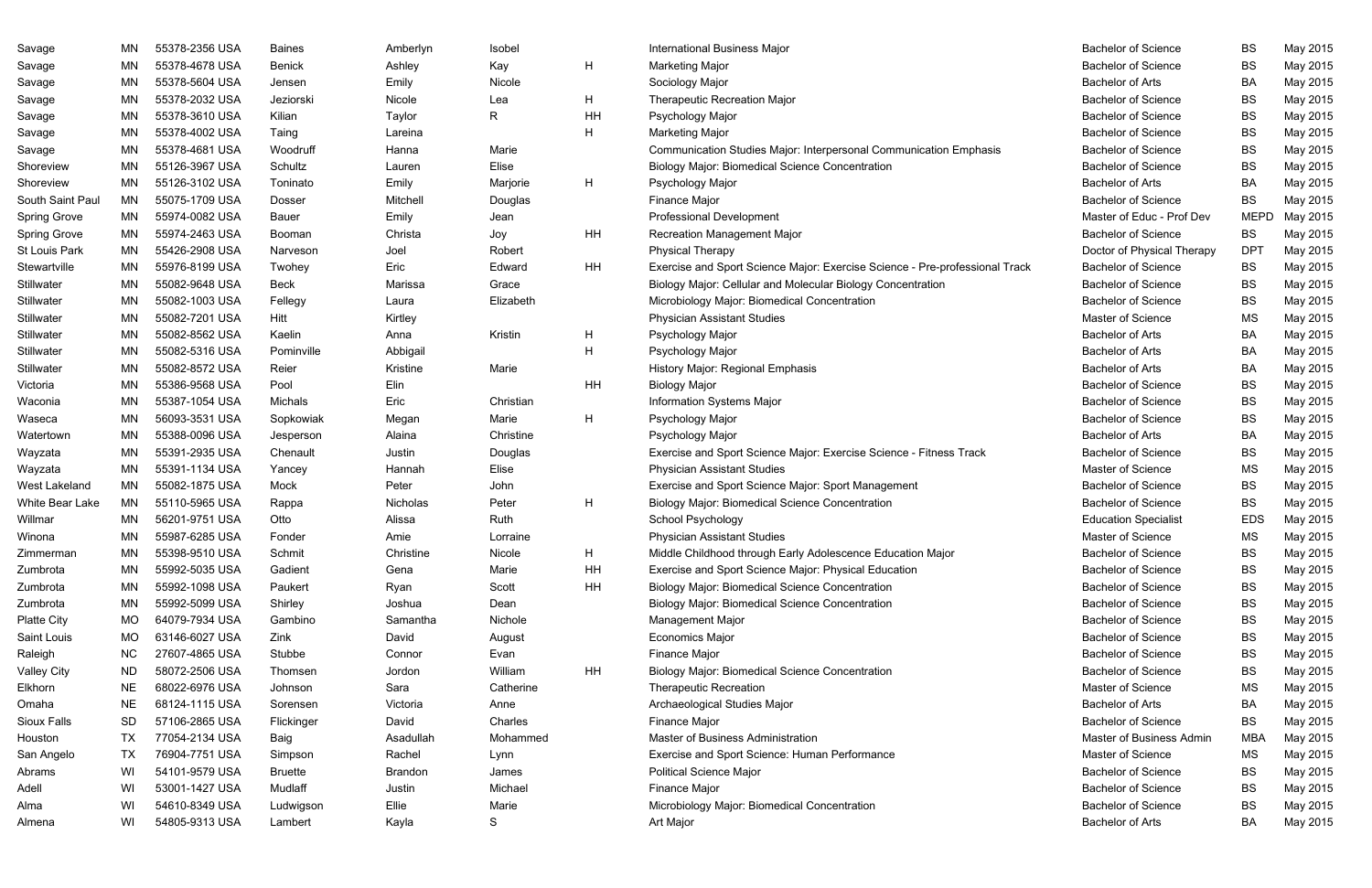| Savage              | ΜN        | 55378-2356 USA | <b>Baines</b>  | Amberlyn  | Isobel    |    | <b>International Business Major</b>                                         | <b>Bachelor of Science</b>  | BS          | May 2015 |
|---------------------|-----------|----------------|----------------|-----------|-----------|----|-----------------------------------------------------------------------------|-----------------------------|-------------|----------|
| Savage              | ΜN        | 55378-4678 USA | <b>Benick</b>  | Ashley    | Kay       | H  | <b>Marketing Major</b>                                                      | <b>Bachelor of Science</b>  | <b>BS</b>   | May 2015 |
| Savage              | ΜN        | 55378-5604 USA | Jensen         | Emily     | Nicole    |    | Sociology Major                                                             | <b>Bachelor of Arts</b>     | BA          | May 2015 |
| Savage              | ΜN        | 55378-2032 USA | Jeziorski      | Nicole    | Lea       | H  | <b>Therapeutic Recreation Major</b>                                         | <b>Bachelor of Science</b>  | BS          | May 2015 |
| Savage              | MN        | 55378-3610 USA | Kilian         | Taylor    | R.        | HH | Psychology Major                                                            | <b>Bachelor of Science</b>  | BS          | May 2015 |
| Savage              | ΜN        | 55378-4002 USA | Taing          | Lareina   |           | H  | <b>Marketing Major</b>                                                      | <b>Bachelor of Science</b>  | <b>BS</b>   | May 2015 |
| Savage              | MN        | 55378-4681 USA | Woodruff       | Hanna     | Marie     |    | Communication Studies Major: Interpersonal Communication Emphasis           | <b>Bachelor of Science</b>  | BS          | May 2015 |
| Shoreview           | ΜN        | 55126-3967 USA | Schultz        | Lauren    | Elise     |    | <b>Biology Major: Biomedical Science Concentration</b>                      | <b>Bachelor of Science</b>  | <b>BS</b>   | May 2015 |
| Shoreview           | MN        | 55126-3102 USA | Toninato       | Emily     | Marjorie  | H  | Psychology Major                                                            | <b>Bachelor of Arts</b>     | BA          | May 2015 |
| South Saint Paul    | ΜN        | 55075-1709 USA | Dosser         | Mitchell  | Douglas   |    | Finance Major                                                               | <b>Bachelor of Science</b>  | <b>BS</b>   | May 2015 |
| <b>Spring Grove</b> | ΜN        | 55974-0082 USA | <b>Bauer</b>   | Emily     | Jean      |    | <b>Professional Development</b>                                             | Master of Educ - Prof Dev   | <b>MEPD</b> | May 2015 |
| <b>Spring Grove</b> | MN        | 55974-2463 USA | Booman         | Christa   | Joy       | HH | Recreation Management Major                                                 | <b>Bachelor of Science</b>  | BS          | May 2015 |
| St Louis Park       | ΜN        | 55426-2908 USA | Narveson       | Joel      | Robert    |    | <b>Physical Therapy</b>                                                     | Doctor of Physical Therapy  | <b>DPT</b>  | May 2015 |
| Stewartville        | ΜN        | 55976-8199 USA | Twohey         | Eric      | Edward    | HH | Exercise and Sport Science Major: Exercise Science - Pre-professional Track | <b>Bachelor of Science</b>  | <b>BS</b>   | May 2015 |
| Stillwater          | MN        | 55082-9648 USA | <b>Beck</b>    | Marissa   | Grace     |    | Biology Major: Cellular and Molecular Biology Concentration                 | <b>Bachelor of Science</b>  | BS          | May 2015 |
| Stillwater          | ΜN        | 55082-1003 USA | Fellegy        | Laura     | Elizabeth |    | Microbiology Major: Biomedical Concentration                                | <b>Bachelor of Science</b>  | <b>BS</b>   | May 2015 |
| Stillwater          | MN        | 55082-7201 USA | Hitt           | Kirtley   |           |    | <b>Physician Assistant Studies</b>                                          | Master of Science           | <b>MS</b>   | May 2015 |
| Stillwater          | ΜN        | 55082-8562 USA | Kaelin         | Anna      | Kristin   | H  | Psychology Major                                                            | <b>Bachelor of Arts</b>     | BA          | May 2015 |
| Stillwater          | MN        | 55082-5316 USA | Pominville     | Abbigail  |           | H  | Psychology Major                                                            | <b>Bachelor of Arts</b>     | BA          | May 2015 |
| Stillwater          | MN        | 55082-8572 USA | Reier          | Kristine  | Marie     |    | History Major: Regional Emphasis                                            | <b>Bachelor of Arts</b>     | BA          | May 2015 |
| Victoria            | MN        | 55386-9568 USA | Pool           | Elin      |           | HH | <b>Biology Major</b>                                                        | <b>Bachelor of Science</b>  | <b>BS</b>   | May 2015 |
| Waconia             | MN        | 55387-1054 USA | Michals        | Eric      | Christian |    | Information Systems Major                                                   | <b>Bachelor of Science</b>  | <b>BS</b>   | May 2015 |
| Waseca              | MN        | 56093-3531 USA | Sopkowiak      | Megan     | Marie     | H  | Psychology Major                                                            | <b>Bachelor of Science</b>  | BS          | May 2015 |
| Watertown           | ΜN        | 55388-0096 USA | Jesperson      | Alaina    | Christine |    | Psychology Major                                                            | <b>Bachelor of Arts</b>     | BA          | May 2015 |
| Wayzata             | ΜN        | 55391-2935 USA | Chenault       | Justin    | Douglas   |    | Exercise and Sport Science Major: Exercise Science - Fitness Track          | <b>Bachelor of Science</b>  | BS          | May 2015 |
| Wayzata             | ΜN        | 55391-1134 USA | Yancey         | Hannah    | Elise     |    | <b>Physician Assistant Studies</b>                                          | Master of Science           | MS          | May 2015 |
| West Lakeland       | MN        | 55082-1875 USA | Mock           | Peter     | John      |    | Exercise and Sport Science Major: Sport Management                          | <b>Bachelor of Science</b>  | BS          | May 2015 |
| White Bear Lake     | MN        | 55110-5965 USA | Rappa          | Nicholas  | Peter     | H  | <b>Biology Major: Biomedical Science Concentration</b>                      | <b>Bachelor of Science</b>  | BS          | May 2015 |
| Willmar             | ΜN        | 56201-9751 USA | Otto           | Alissa    | Ruth      |    | School Psychology                                                           | <b>Education Specialist</b> | <b>EDS</b>  | May 2015 |
| Winona              | ΜN        | 55987-6285 USA | Fonder         | Amie      | Lorraine  |    | <b>Physician Assistant Studies</b>                                          | Master of Science           | МS          | May 2015 |
| Zimmerman           | MN        | 55398-9510 USA | Schmit         | Christine | Nicole    | H  | Middle Childhood through Early Adolescence Education Major                  | <b>Bachelor of Science</b>  | BS          | May 2015 |
| Zumbrota            | ΜN        | 55992-5035 USA | Gadient        | Gena      | Marie     | HH | Exercise and Sport Science Major: Physical Education                        | <b>Bachelor of Science</b>  | BS          | May 2015 |
| Zumbrota            | ΜN        | 55992-1098 USA | Paukert        | Ryan      | Scott     | HH | <b>Biology Major: Biomedical Science Concentration</b>                      | <b>Bachelor of Science</b>  | BS          | May 2015 |
| Zumbrota            | ΜN        | 55992-5099 USA | Shirley        | Joshua    | Dean      |    | <b>Biology Major: Biomedical Science Concentration</b>                      | <b>Bachelor of Science</b>  | BS          | May 2015 |
| <b>Platte City</b>  | MO        | 64079-7934 USA | Gambino        | Samantha  | Nichole   |    | Management Major                                                            | <b>Bachelor of Science</b>  | BS          | May 2015 |
| Saint Louis         | MO        | 63146-6027 USA | Zink           | David     | August    |    | <b>Economics Major</b>                                                      | <b>Bachelor of Science</b>  | BS          | May 2015 |
| Raleigh             | <b>NC</b> | 27607-4865 USA | Stubbe         | Connor    | Evan      |    | Finance Major                                                               | <b>Bachelor of Science</b>  | BS          | May 2015 |
| <b>Valley City</b>  | <b>ND</b> | 58072-2506 USA | Thomsen        | Jordon    | William   | HH | <b>Biology Major: Biomedical Science Concentration</b>                      | <b>Bachelor of Science</b>  | BS          | May 2015 |
| Elkhorn             | <b>NE</b> | 68022-6976 USA | Johnson        | Sara      | Catherine |    | <b>Therapeutic Recreation</b>                                               | Master of Science           | MS          | May 2015 |
| Omaha               | <b>NE</b> | 68124-1115 USA | Sorensen       | Victoria  | Anne      |    | Archaeological Studies Major                                                | <b>Bachelor of Arts</b>     | BA          | May 2015 |
| Sioux Falls         | <b>SD</b> | 57106-2865 USA | Flickinger     | David     | Charles   |    | Finance Major                                                               | <b>Bachelor of Science</b>  | BS          | May 2015 |
| Houston             | TX        | 77054-2134 USA | Baig           | Asadullah | Mohammed  |    | Master of Business Administration                                           | Master of Business Admin    | MBA         | May 2015 |
| San Angelo          | TX        | 76904-7751 USA | Simpson        | Rachel    | Lynn      |    | Exercise and Sport Science: Human Performance                               | Master of Science           | MS          | May 2015 |
| Abrams              | WI        | 54101-9579 USA | <b>Bruette</b> | Brandon   | James     |    | <b>Political Science Major</b>                                              | <b>Bachelor of Science</b>  | BS          | May 2015 |
| Adell               | WI        | 53001-1427 USA | Mudlaff        | Justin    | Michael   |    | Finance Major                                                               | <b>Bachelor of Science</b>  | BS          | May 2015 |
| Alma                | WI        | 54610-8349 USA | Ludwigson      | Ellie     | Marie     |    | Microbiology Major: Biomedical Concentration                                | <b>Bachelor of Science</b>  | BS          | May 2015 |
| Almena              | WI        | 54805-9313 USA | Lambert        | Kayla     | S         |    | Art Major                                                                   | <b>Bachelor of Arts</b>     | BA          | May 2015 |

| <b>Bachelor of Science</b>  | BS          | May 2015 |
|-----------------------------|-------------|----------|
| <b>Bachelor of Science</b>  | <b>BS</b>   | May 2015 |
| <b>Bachelor of Arts</b>     | BA          | May 2015 |
| <b>Bachelor of Science</b>  | <b>BS</b>   | May 2015 |
| <b>Bachelor of Science</b>  | <b>BS</b>   | May 2015 |
| <b>Bachelor of Science</b>  | <b>BS</b>   | May 2015 |
| <b>Bachelor of Science</b>  | <b>BS</b>   | May 2015 |
| <b>Bachelor of Science</b>  | <b>BS</b>   | May 2015 |
| <b>Bachelor of Arts</b>     | BA          | May 2015 |
| <b>Bachelor of Science</b>  | <b>BS</b>   | May 2015 |
| Master of Educ - Prof Dev   | <b>MEPD</b> | May 2015 |
| <b>Bachelor of Science</b>  | BS          | May 2015 |
| Doctor of Physical Therapy  | <b>DPT</b>  | May 2015 |
| <b>Bachelor of Science</b>  | <b>BS</b>   | May 2015 |
| <b>Bachelor of Science</b>  | <b>BS</b>   | May 2015 |
| <b>Bachelor of Science</b>  | <b>BS</b>   | May 2015 |
| <b>Master of Science</b>    | МS          | May 2015 |
| <b>Bachelor of Arts</b>     | BA          | May 2015 |
| <b>Bachelor of Arts</b>     | BA          | May 2015 |
| <b>Bachelor of Arts</b>     | BA          | May 2015 |
| <b>Bachelor of Science</b>  | <b>BS</b>   | May 2015 |
| <b>Bachelor of Science</b>  | <b>BS</b>   | May 2015 |
| <b>Bachelor of Science</b>  | <b>BS</b>   | May 2015 |
| <b>Bachelor of Arts</b>     | BA          | May 2015 |
| <b>Bachelor of Science</b>  | <b>BS</b>   | May 2015 |
| <b>Master of Science</b>    | <b>MS</b>   | May 2015 |
| <b>Bachelor of Science</b>  | <b>BS</b>   | May 2015 |
| <b>Bachelor of Science</b>  | <b>BS</b>   | May 2015 |
| <b>Education Specialist</b> | <b>EDS</b>  | May 2015 |
| <b>Master of Science</b>    | <b>MS</b>   | May 2015 |
| <b>Bachelor of Science</b>  | BS          | May 2015 |
| <b>Bachelor of Science</b>  | <b>BS</b>   | May 2015 |
| <b>Bachelor of Science</b>  | <b>BS</b>   | May 2015 |
| <b>Bachelor of Science</b>  | <b>BS</b>   | May 2015 |
| <b>Bachelor of Science</b>  | <b>BS</b>   | May 2015 |
| <b>Bachelor of Science</b>  | <b>BS</b>   | May 2015 |
| <b>Bachelor of Science</b>  | <b>BS</b>   | May 2015 |
| <b>Bachelor of Science</b>  | <b>BS</b>   | May 2015 |
| <b>Master of Science</b>    | MS          | May 2015 |
| <b>Bachelor of Arts</b>     | BA          | May 2015 |
| <b>Bachelor of Science</b>  | <b>BS</b>   | May 2015 |
| Master of Business Admin    | <b>MBA</b>  | May 2015 |
| <b>Master of Science</b>    | <b>MS</b>   | May 2015 |
| <b>Bachelor of Science</b>  | <b>BS</b>   | May 2015 |
| <b>Bachelor of Science</b>  | <b>BS</b>   | May 2015 |
| <b>Bachelor of Science</b>  | <b>BS</b>   | May 2015 |
| <b>Bachelor of Arts</b>     | BA          | May 2015 |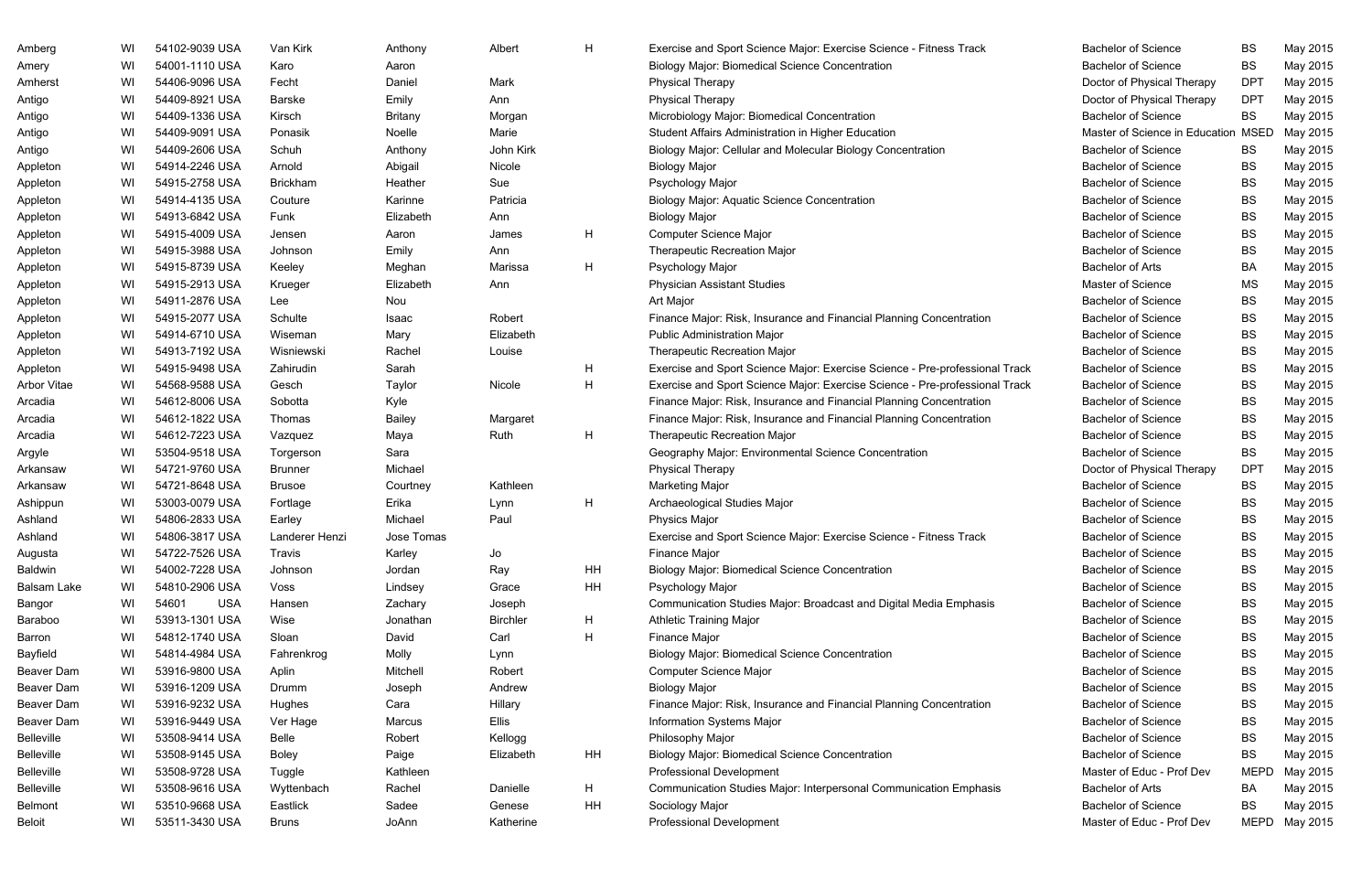| Amberg            | WI | 54102-9039 USA      | Van Kirk        | Anthony        | Albert          | H  | Exercise and Sport Science Major: Exercise Science - Fitness Track          | <b>Bachelor of Science</b>     | <b>BS</b>   | May 2015      |
|-------------------|----|---------------------|-----------------|----------------|-----------------|----|-----------------------------------------------------------------------------|--------------------------------|-------------|---------------|
| Amery             | WI | 54001-1110 USA      | Karo            | Aaron          |                 |    | <b>Biology Major: Biomedical Science Concentration</b>                      | <b>Bachelor of Science</b>     | <b>BS</b>   | May 2015      |
| Amherst           | WI | 54406-9096 USA      | Fecht           | Daniel         | Mark            |    | <b>Physical Therapy</b>                                                     | Doctor of Physical Therapy     | <b>DPT</b>  | May 2015      |
| Antigo            | WI | 54409-8921 USA      | <b>Barske</b>   | Emily          | Ann             |    | <b>Physical Therapy</b>                                                     | Doctor of Physical Therapy     | <b>DPT</b>  | May 2015      |
| Antigo            | WI | 54409-1336 USA      | Kirsch          | <b>Britany</b> | Morgan          |    | Microbiology Major: Biomedical Concentration                                | <b>Bachelor of Science</b>     | <b>BS</b>   | May 2015      |
| Antigo            | WI | 54409-9091 USA      | Ponasik         | Noelle         | Marie           |    | Student Affairs Administration in Higher Education                          | Master of Science in Education | <b>MSED</b> | May 2015      |
| Antigo            | WI | 54409-2606 USA      | Schuh           | Anthony        | John Kirk       |    | Biology Major: Cellular and Molecular Biology Concentration                 | <b>Bachelor of Science</b>     | <b>BS</b>   | May 2015      |
| Appleton          | WI | 54914-2246 USA      | Arnold          | Abigail        | Nicole          |    | <b>Biology Major</b>                                                        | <b>Bachelor of Science</b>     | <b>BS</b>   | May 2015      |
| Appleton          | WI | 54915-2758 USA      | <b>Brickham</b> | Heather        | Sue             |    | Psychology Major                                                            | <b>Bachelor of Science</b>     | <b>BS</b>   | May 2015      |
| Appleton          | WI | 54914-4135 USA      | Couture         | Karinne        | Patricia        |    | <b>Biology Major: Aquatic Science Concentration</b>                         | <b>Bachelor of Science</b>     | <b>BS</b>   | May 2015      |
| Appleton          | WI | 54913-6842 USA      | Funk            | Elizabeth      | Ann             |    | <b>Biology Major</b>                                                        | <b>Bachelor of Science</b>     | <b>BS</b>   | May 2015      |
| Appleton          | WI | 54915-4009 USA      | Jensen          | Aaron          | James           | H  | <b>Computer Science Major</b>                                               | <b>Bachelor of Science</b>     | BS          | May 2015      |
| Appleton          | WI | 54915-3988 USA      | Johnson         | Emily          | Ann             |    | <b>Therapeutic Recreation Major</b>                                         | <b>Bachelor of Science</b>     | <b>BS</b>   | May 2015      |
| Appleton          | WI | 54915-8739 USA      | Keeley          | Meghan         | Marissa         | H  | Psychology Major                                                            | <b>Bachelor of Arts</b>        | BA          | May 2015      |
| Appleton          | WI | 54915-2913 USA      | Krueger         | Elizabeth      | Ann             |    | <b>Physician Assistant Studies</b>                                          | Master of Science              | <b>MS</b>   | May 2015      |
| Appleton          | WI | 54911-2876 USA      | Lee             | Nou            |                 |    | Art Major                                                                   | <b>Bachelor of Science</b>     | BS          | May 2015      |
| Appleton          | WI | 54915-2077 USA      | Schulte         | Isaac          | Robert          |    | Finance Major: Risk, Insurance and Financial Planning Concentration         | <b>Bachelor of Science</b>     | <b>BS</b>   | May 2015      |
| Appleton          | WI | 54914-6710 USA      | Wiseman         | Mary           | Elizabeth       |    | <b>Public Administration Major</b>                                          | <b>Bachelor of Science</b>     | <b>BS</b>   | May 2015      |
| Appleton          | WI | 54913-7192 USA      | Wisniewski      | Rachel         | Louise          |    | <b>Therapeutic Recreation Major</b>                                         | <b>Bachelor of Science</b>     | <b>BS</b>   | May 2015      |
| Appleton          | WI | 54915-9498 USA      | Zahirudin       | Sarah          |                 | Η  | Exercise and Sport Science Major: Exercise Science - Pre-professional Track | <b>Bachelor of Science</b>     | <b>BS</b>   | May 2015      |
| Arbor Vitae       | WI | 54568-9588 USA      | Gesch           | Taylor         | Nicole          | H  | Exercise and Sport Science Major: Exercise Science - Pre-professional Track | <b>Bachelor of Science</b>     | <b>BS</b>   | May 2015      |
| Arcadia           | WI | 54612-8006 USA      | Sobotta         | Kyle           |                 |    | Finance Major: Risk, Insurance and Financial Planning Concentration         | <b>Bachelor of Science</b>     | <b>BS</b>   | May 2015      |
| Arcadia           | WI | 54612-1822 USA      | Thomas          | <b>Bailey</b>  | Margaret        |    | Finance Major: Risk, Insurance and Financial Planning Concentration         | <b>Bachelor of Science</b>     | <b>BS</b>   | May 2015      |
| Arcadia           | WI | 54612-7223 USA      | Vazquez         | Maya           | Ruth            | H  | Therapeutic Recreation Major                                                | <b>Bachelor of Science</b>     | <b>BS</b>   | May 2015      |
| Argyle            | WI | 53504-9518 USA      | Torgerson       | Sara           |                 |    | Geography Major: Environmental Science Concentration                        | <b>Bachelor of Science</b>     | <b>BS</b>   | May 2015      |
| Arkansaw          | WI | 54721-9760 USA      | <b>Brunner</b>  | Michael        |                 |    | <b>Physical Therapy</b>                                                     | Doctor of Physical Therapy     | <b>DPT</b>  | May 2015      |
| Arkansaw          | WI | 54721-8648 USA      | <b>Brusoe</b>   | Courtney       | Kathleen        |    | Marketing Major                                                             | <b>Bachelor of Science</b>     | <b>BS</b>   | May 2015      |
| Ashippun          | WI | 53003-0079 USA      | Fortlage        | Erika          | Lynn            | H  | Archaeological Studies Major                                                | <b>Bachelor of Science</b>     | <b>BS</b>   | May 2015      |
| Ashland           | WI | 54806-2833 USA      | Earley          | Michael        | Paul            |    | <b>Physics Major</b>                                                        | <b>Bachelor of Science</b>     | <b>BS</b>   | May 2015      |
| Ashland           | WI | 54806-3817 USA      | Landerer Henzi  | Jose Tomas     |                 |    | Exercise and Sport Science Major: Exercise Science - Fitness Track          | <b>Bachelor of Science</b>     | BS          | May 2015      |
| Augusta           | WI | 54722-7526 USA      | Travis          | Karley         | Jo              |    | <b>Finance Major</b>                                                        | <b>Bachelor of Science</b>     | <b>BS</b>   | May 2015      |
| Baldwin           | WI | 54002-7228 USA      | Johnson         | Jordan         | Ray             | HH | <b>Biology Major: Biomedical Science Concentration</b>                      | <b>Bachelor of Science</b>     | <b>BS</b>   | May 2015      |
| Balsam Lake       | WI | 54810-2906 USA      | Voss            | Lindsey        | Grace           | HH | Psychology Major                                                            | <b>Bachelor of Science</b>     | BS          | May 2015      |
| Bangor            | WI | 54601<br><b>USA</b> | Hansen          | Zachary        | Joseph          |    | Communication Studies Major: Broadcast and Digital Media Emphasis           | <b>Bachelor of Science</b>     | <b>BS</b>   | May 2015      |
| Baraboo           | WI | 53913-1301 USA      | Wise            | Jonathan       | <b>Birchler</b> | H  | <b>Athletic Training Major</b>                                              | <b>Bachelor of Science</b>     | <b>BS</b>   | May 2015      |
| Barron            | WI | 54812-1740 USA      | Sloan           | David          | Carl            | H  | Finance Major                                                               | <b>Bachelor of Science</b>     | <b>BS</b>   | May 2015      |
| Bayfield          | WI | 54814-4984 USA      | Fahrenkrog      | Molly          | Lynn            |    | <b>Biology Major: Biomedical Science Concentration</b>                      | <b>Bachelor of Science</b>     | <b>BS</b>   | May 2015      |
| Beaver Dam        | WI | 53916-9800 USA      | Aplin           | Mitchell       | Robert          |    | Computer Science Major                                                      | <b>Bachelor of Science</b>     | <b>BS</b>   | May 2015      |
| Beaver Dam        | WI | 53916-1209 USA      | Drumm           | Joseph         | Andrew          |    | <b>Biology Major</b>                                                        | <b>Bachelor of Science</b>     | BS          | May 2015      |
| Beaver Dam        | WI | 53916-9232 USA      | Hughes          | Cara           | Hillary         |    | Finance Major: Risk, Insurance and Financial Planning Concentration         | <b>Bachelor of Science</b>     | <b>BS</b>   | May 2015      |
| Beaver Dam        | WI | 53916-9449 USA      | Ver Hage        | Marcus         | <b>Ellis</b>    |    | Information Systems Major                                                   | <b>Bachelor of Science</b>     | <b>BS</b>   | May 2015      |
| <b>Belleville</b> | WI | 53508-9414 USA      | Belle           | Robert         | Kellogg         |    | Philosophy Major                                                            | <b>Bachelor of Science</b>     | <b>BS</b>   | May 2015      |
| <b>Belleville</b> | WI | 53508-9145 USA      | Boley           | Paige          | Elizabeth       | HH | <b>Biology Major: Biomedical Science Concentration</b>                      | <b>Bachelor of Science</b>     | <b>BS</b>   | May 2015      |
| <b>Belleville</b> | WI | 53508-9728 USA      | Tuggle          | Kathleen       |                 |    | <b>Professional Development</b>                                             | Master of Educ - Prof Dev      | <b>MEPD</b> | May 2015      |
| <b>Belleville</b> | WI | 53508-9616 USA      | Wyttenbach      | Rachel         | Danielle        | H  | Communication Studies Major: Interpersonal Communication Emphasis           | <b>Bachelor of Arts</b>        | BA          | May 2015      |
| <b>Belmont</b>    | WI | 53510-9668 USA      | Eastlick        | Sadee          | Genese          | HH | Sociology Major                                                             | <b>Bachelor of Science</b>     | BS          | May 2015      |
| <b>Beloit</b>     | WI | 53511-3430 USA      | <b>Bruns</b>    | JoAnn          | Katherine       |    | Professional Development                                                    | Master of Educ - Prof Dev      |             | MEPD May 2015 |
|                   |    |                     |                 |                |                 |    |                                                                             |                                |             |               |

| <b>Bachelor of Science</b>     | BS          | May 2015 |
|--------------------------------|-------------|----------|
| <b>Bachelor of Science</b>     | <b>BS</b>   | May 2015 |
| Doctor of Physical Therapy     | DPT         | May 2015 |
| Doctor of Physical Therapy     | DPT         | May 2015 |
| <b>Bachelor of Science</b>     | BS          | May 2015 |
| Master of Science in Education | <b>MSED</b> | May 2015 |
| <b>Bachelor of Science</b>     | <b>BS</b>   | May 2015 |
| <b>Bachelor of Science</b>     | <b>BS</b>   | May 2015 |
| <b>Bachelor of Science</b>     | BS          | May 2015 |
| <b>Bachelor of Science</b>     | BS          | May 2015 |
| <b>Bachelor of Science</b>     | BS          | May 2015 |
| <b>Bachelor of Science</b>     | BS          | May 2015 |
| <b>Bachelor of Science</b>     | BS          | May 2015 |
| <b>Bachelor of Arts</b>        | BA          | May 2015 |
| <b>Master of Science</b>       | <b>MS</b>   | May 2015 |
| <b>Bachelor of Science</b>     | BS          | May 2015 |
| <b>Bachelor of Science</b>     | BS          | May 2015 |
| <b>Bachelor of Science</b>     | BS          | May 2015 |
| <b>Bachelor of Science</b>     | <b>BS</b>   | May 2015 |
| <b>Bachelor of Science</b>     | BS          | May 2015 |
| <b>Bachelor of Science</b>     | BS          | May 2015 |
| <b>Bachelor of Science</b>     | BS          | May 2015 |
| <b>Bachelor of Science</b>     | BS          | May 2015 |
| <b>Bachelor of Science</b>     | BS          | May 2015 |
| <b>Bachelor of Science</b>     | BS          | May 2015 |
| Doctor of Physical Therapy     | DPT         | May 2015 |
| <b>Bachelor of Science</b>     | BS          | May 2015 |
| <b>Bachelor of Science</b>     | <b>BS</b>   | May 2015 |
| <b>Bachelor of Science</b>     | BS          | May 2015 |
| <b>Bachelor of Science</b>     | BS          | May 2015 |
| <b>Bachelor of Science</b>     | BS          | May 2015 |
| <b>Bachelor of Science</b>     | BS          | May 2015 |
| <b>Bachelor of Science</b>     | BS          | May 2015 |
| <b>Bachelor of Science</b>     | BS          | May 2015 |
| <b>Bachelor of Science</b>     | BS          | May 2015 |
| <b>Bachelor of Science</b>     | BS          | May 2015 |
| <b>Bachelor of Science</b>     | BS          | May 2015 |
| <b>Bachelor of Science</b>     | BS          | May 2015 |
| <b>Bachelor of Science</b>     | BS          | May 2015 |
| <b>Bachelor of Science</b>     | <b>BS</b>   | May 2015 |
| <b>Bachelor of Science</b>     | BS          | May 2015 |
| <b>Bachelor of Science</b>     | BS          | May 2015 |
| <b>Bachelor of Science</b>     | BS          | May 2015 |
| Master of Educ - Prof Dev      | MEPD        | May 2015 |
| <b>Bachelor of Arts</b>        | ВA          | May 2015 |
| <b>Bachelor of Science</b>     | BS          | May 2015 |
| Master of Educ - Prof Dev      | <b>MEPD</b> | May 2015 |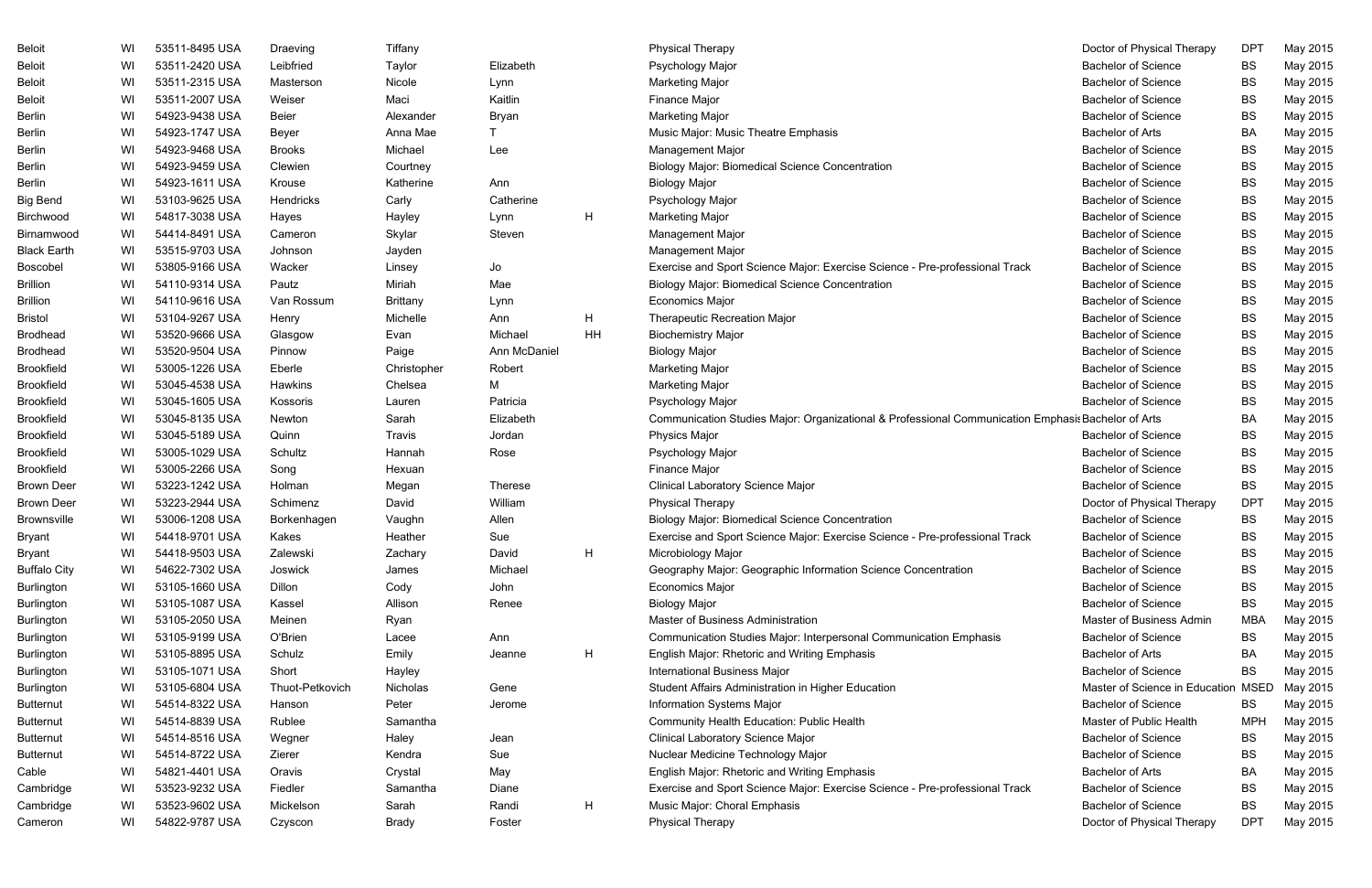| <b>Beloit</b>       | WI | 53511-8495 USA | Draeving        | Τi             |
|---------------------|----|----------------|-----------------|----------------|
| <b>Beloit</b>       | WI | 53511-2420 USA | Leibfried       | Ta             |
| <b>Beloit</b>       | WI | 53511-2315 USA | Masterson       | N              |
| <b>Beloit</b>       | WI | 53511-2007 USA | Weiser          | M              |
| <b>Berlin</b>       | WI | 54923-9438 USA | Beier           | $\overline{A}$ |
| <b>Berlin</b>       | WI | 54923-1747 USA | Beyer           | A              |
| <b>Berlin</b>       | WI | 54923-9468 USA | <b>Brooks</b>   | M              |
| <b>Berlin</b>       | WI | 54923-9459 USA | Clewien         | C              |
| <b>Berlin</b>       | WI | 54923-1611 USA | Krouse          | K              |
| <b>Big Bend</b>     | WI | 53103-9625 USA | Hendricks       | C              |
| Birchwood           | WI | 54817-3038 USA | Hayes           | $H_1$          |
| Birnamwood          | WI | 54414-8491 USA | Cameron         | SI             |
| <b>Black Earth</b>  | WI | 53515-9703 USA | Johnson         | ءَل            |
| <b>Boscobel</b>     | WI | 53805-9166 USA | Wacker          | Li             |
| <b>Brillion</b>     | WI | 54110-9314 USA | Pautz           | M              |
| <b>Brillion</b>     | WI | 54110-9616 USA | Van Rossum      | Bı             |
| <b>Bristol</b>      | WI | 53104-9267 USA | Henry           | M              |
| <b>Brodhead</b>     | WI | 53520-9666 USA | Glasgow         | E١             |
| <b>Brodhead</b>     | WI | 53520-9504 USA | Pinnow          | $P_i$          |
| <b>Brookfield</b>   | WI | 53005-1226 USA | Eberle          | $\mathsf{C}$   |
| <b>Brookfield</b>   | WI | 53045-4538 USA | <b>Hawkins</b>  | C              |
| <b>Brookfield</b>   | WI | 53045-1605 USA | Kossoris        | Lέ             |
| <b>Brookfield</b>   | WI | 53045-8135 USA | Newton          | S              |
| <b>Brookfield</b>   | WI | 53045-5189 USA | Quinn           | Tı             |
| <b>Brookfield</b>   | WI | 53005-1029 USA | Schultz         | $H_1$          |
| <b>Brookfield</b>   | WI | 53005-2266 USA | Song            | H              |
| <b>Brown Deer</b>   | WI | 53223-1242 USA | Holman          | M              |
| <b>Brown Deer</b>   | WI | 53223-2944 USA | Schimenz        | D.             |
| <b>Brownsville</b>  | WI | 53006-1208 USA | Borkenhagen     | V              |
| <b>Bryant</b>       | WI | 54418-9701 USA | Kakes           | H              |
| <b>Bryant</b>       | WI | 54418-9503 USA | Zalewski        | Z              |
| <b>Buffalo City</b> | WI | 54622-7302 USA | Joswick         | ءَل            |
| <b>Burlington</b>   | WI | 53105-1660 USA | Dillon          | C              |
| <b>Burlington</b>   | WI | 53105-1087 USA | Kassel          | A              |
| <b>Burlington</b>   | WI | 53105-2050 USA | Meinen          | R              |
| <b>Burlington</b>   | WI | 53105-9199 USA | O'Brien         | Lέ             |
| <b>Burlington</b>   | WI | 53105-8895 USA | Schulz          | Eı             |
| Burlington          | WI | 53105-1071 USA | Short           | H              |
| <b>Burlington</b>   | WI | 53105-6804 USA | Thuot-Petkovich | N              |
| <b>Butternut</b>    | WI | 54514-8322 USA | Hanson          | P)             |
| <b>Butternut</b>    | WI | 54514-8839 USA | Rublee          | S              |
| <b>Butternut</b>    | WI | 54514-8516 USA | Wegner          | H              |
| <b>Butternut</b>    | WI | 54514-8722 USA | Zierer          | K              |
| Cable               | WI | 54821-4401 USA | Oravis          | C              |
| Cambridge           | WI | 53523-9232 USA | Fiedler         | $S_i$          |
| Cambridge           | WI | 53523-9602 USA | Mickelson       | S              |
| Cameron             | WI | 54822-9787 USA | Czyscon         | Βı             |

| Elizabeth<br>Lynn<br>Kaitlin<br>Bryan<br>T<br>Lee                                             |              |         |
|-----------------------------------------------------------------------------------------------|--------------|---------|
| Ann<br>Catherine<br>Lynn<br>Steven                                                            |              | н       |
| Jo<br>Mae<br>Lynn<br>Ann<br>Michael<br>Robert<br>М<br>Patricia<br>Elizabeth<br>Jordan<br>Rose | Ann McDaniel | Η<br>ΗH |
| Therese<br>William<br>Allen<br>Sue<br>David<br>Michael<br>John<br>Renee                       |              | Н       |
| Ann<br>Jeanne<br>Gene<br>Jerome                                                               |              | Н       |
| Jean<br>Sue<br>May<br>Diane<br>Randi<br>Foster                                                |              | Н       |

| Beloit              | WI | 53511-8495 USA | Draeving        | Tiffany      |                |    | <b>Physical Therapy</b>                                                                            | Doctor of Physical Therapy          | <b>DPT</b> | May 2015 |
|---------------------|----|----------------|-----------------|--------------|----------------|----|----------------------------------------------------------------------------------------------------|-------------------------------------|------------|----------|
| Beloit              | WI | 53511-2420 USA | Leibfried       | Taylor       | Elizabeth      |    | Psychology Major                                                                                   | <b>Bachelor of Science</b>          | <b>BS</b>  | May 2015 |
| Beloit              | WI | 53511-2315 USA | Masterson       | Nicole       | Lynn           |    | <b>Marketing Major</b>                                                                             | <b>Bachelor of Science</b>          | BS         | May 2015 |
| Beloit              | WI | 53511-2007 USA | Weiser          | Maci         | Kaitlin        |    | Finance Major                                                                                      | <b>Bachelor of Science</b>          | BS         | May 2015 |
| Berlin              | WI | 54923-9438 USA | <b>Beier</b>    | Alexander    | Bryan          |    | <b>Marketing Major</b>                                                                             | <b>Bachelor of Science</b>          | BS         | May 2015 |
| Berlin              | WI | 54923-1747 USA | Beyer           | Anna Mae     |                |    | Music Major: Music Theatre Emphasis                                                                | <b>Bachelor of Arts</b>             | BA         | May 2015 |
| Berlin              | WI | 54923-9468 USA | <b>Brooks</b>   | Michael      | Lee            |    | <b>Management Major</b>                                                                            | <b>Bachelor of Science</b>          | BS         | May 2015 |
| Berlin              | WI | 54923-9459 USA | Clewien         | Courtney     |                |    | <b>Biology Major: Biomedical Science Concentration</b>                                             | <b>Bachelor of Science</b>          | BS         | May 2015 |
| Berlin              | WI | 54923-1611 USA | Krouse          | Katherine    | Ann            |    | <b>Biology Major</b>                                                                               | <b>Bachelor of Science</b>          | BS         | May 2015 |
| <b>Big Bend</b>     | WI | 53103-9625 USA | Hendricks       | Carly        | Catherine      |    | Psychology Major                                                                                   | <b>Bachelor of Science</b>          | BS         | May 2015 |
| Birchwood           | WI | 54817-3038 USA | Hayes           | Hayley       | Lynn           | H  | <b>Marketing Major</b>                                                                             | <b>Bachelor of Science</b>          | BS         | May 2015 |
| Birnamwood          | WI | 54414-8491 USA | Cameron         | Skylar       | Steven         |    | <b>Management Major</b>                                                                            | <b>Bachelor of Science</b>          | BS         | May 2015 |
| <b>Black Earth</b>  | WI | 53515-9703 USA | Johnson         | Jayden       |                |    | Management Major                                                                                   | <b>Bachelor of Science</b>          | BS         | May 2015 |
| Boscobel            | WI | 53805-9166 USA | Wacker          | Linsey       | Jo             |    | Exercise and Sport Science Major: Exercise Science - Pre-professional Track                        | <b>Bachelor of Science</b>          | BS         | May 2015 |
| Brillion            | WI | 54110-9314 USA | Pautz           | Miriah       | Mae            |    | <b>Biology Major: Biomedical Science Concentration</b>                                             | <b>Bachelor of Science</b>          | BS         | May 2015 |
| Brillion            | WI | 54110-9616 USA | Van Rossum      | Brittany     | Lynn           |    | <b>Economics Major</b>                                                                             | <b>Bachelor of Science</b>          | BS         | May 2015 |
| Bristol             | WI | 53104-9267 USA | Henry           | Michelle     | Ann            | H  | <b>Therapeutic Recreation Major</b>                                                                | <b>Bachelor of Science</b>          | BS         | May 2015 |
| <b>Brodhead</b>     | WI | 53520-9666 USA | Glasgow         | Evan         | Michael        | HH | <b>Biochemistry Major</b>                                                                          | <b>Bachelor of Science</b>          | BS         | May 2015 |
| Brodhead            | WI | 53520-9504 USA | Pinnow          | Paige        | Ann McDaniel   |    | <b>Biology Major</b>                                                                               | <b>Bachelor of Science</b>          | BS         | May 2015 |
| Brookfield          | WI | 53005-1226 USA | Eberle          | Christopher  | Robert         |    | <b>Marketing Major</b>                                                                             | <b>Bachelor of Science</b>          | BS         | May 2015 |
| Brookfield          | WI | 53045-4538 USA | Hawkins         | Chelsea      | М              |    | <b>Marketing Major</b>                                                                             | <b>Bachelor of Science</b>          | BS         | May 2015 |
| Brookfield          | WI | 53045-1605 USA | Kossoris        | Lauren       | Patricia       |    | Psychology Major                                                                                   | <b>Bachelor of Science</b>          | BS         | May 2015 |
| Brookfield          | WI | 53045-8135 USA | Newton          | Sarah        | Elizabeth      |    | Communication Studies Major: Organizational & Professional Communication Emphasis Bachelor of Arts |                                     | BA         | May 2015 |
| Brookfield          | WI | 53045-5189 USA | Quinn           | Travis       | Jordan         |    | Physics Major                                                                                      | <b>Bachelor of Science</b>          | BS         | May 2015 |
| Brookfield          | WI | 53005-1029 USA | Schultz         | Hannah       | Rose           |    | Psychology Major                                                                                   | <b>Bachelor of Science</b>          | BS         | May 2015 |
| <b>Brookfield</b>   | WI | 53005-2266 USA | Song            | Hexuan       |                |    | Finance Major                                                                                      | <b>Bachelor of Science</b>          | BS         | May 2015 |
| <b>Brown Deer</b>   | WI | 53223-1242 USA | Holman          | Megan        | <b>Therese</b> |    | <b>Clinical Laboratory Science Major</b>                                                           | <b>Bachelor of Science</b>          | BS         | May 2015 |
| <b>Brown Deer</b>   | WI | 53223-2944 USA | Schimenz        | David        | William        |    | <b>Physical Therapy</b>                                                                            | Doctor of Physical Therapy          | <b>DPT</b> | May 2015 |
| Brownsville         | WI | 53006-1208 USA | Borkenhagen     | Vaughn       | Allen          |    | <b>Biology Major: Biomedical Science Concentration</b>                                             | <b>Bachelor of Science</b>          | BS         | May 2015 |
| Bryant              | WI | 54418-9701 USA | Kakes           | Heather      | Sue            |    | Exercise and Sport Science Major: Exercise Science - Pre-professional Track                        | <b>Bachelor of Science</b>          | BS.        | May 2015 |
| Bryant              | WI | 54418-9503 USA | Zalewski        | Zachary      | David          | H  | Microbiology Major                                                                                 | <b>Bachelor of Science</b>          | BS         | May 2015 |
| <b>Buffalo City</b> | WI | 54622-7302 USA | Joswick         | James        | Michael        |    | Geography Major: Geographic Information Science Concentration                                      | <b>Bachelor of Science</b>          | BS         | May 2015 |
| Burlington          | WI | 53105-1660 USA | Dillon          | Cody         | John           |    | Economics Major                                                                                    | <b>Bachelor of Science</b>          | BS         | May 2015 |
| <b>Burlington</b>   | WI | 53105-1087 USA | Kassel          | Allison      | Renee          |    | <b>Biology Major</b>                                                                               | <b>Bachelor of Science</b>          | BS         | May 2015 |
| <b>Burlington</b>   | WI | 53105-2050 USA | Meinen          | Ryan         |                |    | Master of Business Administration                                                                  | Master of Business Admin            | MBA        | May 2015 |
| <b>Burlington</b>   | WI | 53105-9199 USA | O'Brien         | Lacee        | Ann            |    | Communication Studies Major: Interpersonal Communication Emphasis                                  | <b>Bachelor of Science</b>          | <b>BS</b>  | May 2015 |
| <b>Burlington</b>   | WI | 53105-8895 USA | Schulz          | Emily        | Jeanne         | H  | English Major: Rhetoric and Writing Emphasis                                                       | <b>Bachelor of Arts</b>             | BA         | May 2015 |
| <b>Burlington</b>   | WI | 53105-1071 USA | Short           | Hayley       |                |    | <b>International Business Major</b>                                                                | <b>Bachelor of Science</b>          | <b>BS</b>  | May 2015 |
| <b>Burlington</b>   | WI | 53105-6804 USA | Thuot-Petkovich | Nicholas     | Gene           |    | Student Affairs Administration in Higher Education                                                 | Master of Science in Education MSED |            | May 2015 |
| <b>Butternut</b>    | WI | 54514-8322 USA | Hanson          | Peter        | Jerome         |    | Information Systems Major                                                                          | <b>Bachelor of Science</b>          | BS         | May 2015 |
| <b>Butternut</b>    | WI | 54514-8839 USA | Rublee          | Samantha     |                |    | Community Health Education: Public Health                                                          | Master of Public Health             | <b>MPH</b> | May 2015 |
| <b>Butternut</b>    | WI | 54514-8516 USA | Wegner          | Haley        | Jean           |    | Clinical Laboratory Science Major                                                                  | <b>Bachelor of Science</b>          | BS         | May 2015 |
| <b>Butternut</b>    | WI | 54514-8722 USA | Zierer          | Kendra       | Sue            |    | Nuclear Medicine Technology Major                                                                  | <b>Bachelor of Science</b>          | BS         | May 2015 |
| Cable               | WI | 54821-4401 USA | Oravis          | Crystal      | May            |    | English Major: Rhetoric and Writing Emphasis                                                       | <b>Bachelor of Arts</b>             | BA         | May 2015 |
| Cambridge           | WI | 53523-9232 USA | Fiedler         | Samantha     | Diane          |    | Exercise and Sport Science Major: Exercise Science - Pre-professional Track                        | <b>Bachelor of Science</b>          | BS         | May 2015 |
| Cambridge           | WI | 53523-9602 USA | Mickelson       | Sarah        | Randi          | H  | Music Major: Choral Emphasis                                                                       | <b>Bachelor of Science</b>          | BS         | May 2015 |
| Cameron             | WI | 54822-9787 USA | Czyscon         | <b>Brady</b> | Foster         |    | <b>Physical Therapy</b>                                                                            | Doctor of Physical Therapy          | <b>DPT</b> | May 2015 |
|                     |    |                |                 |              |                |    |                                                                                                    |                                     |            |          |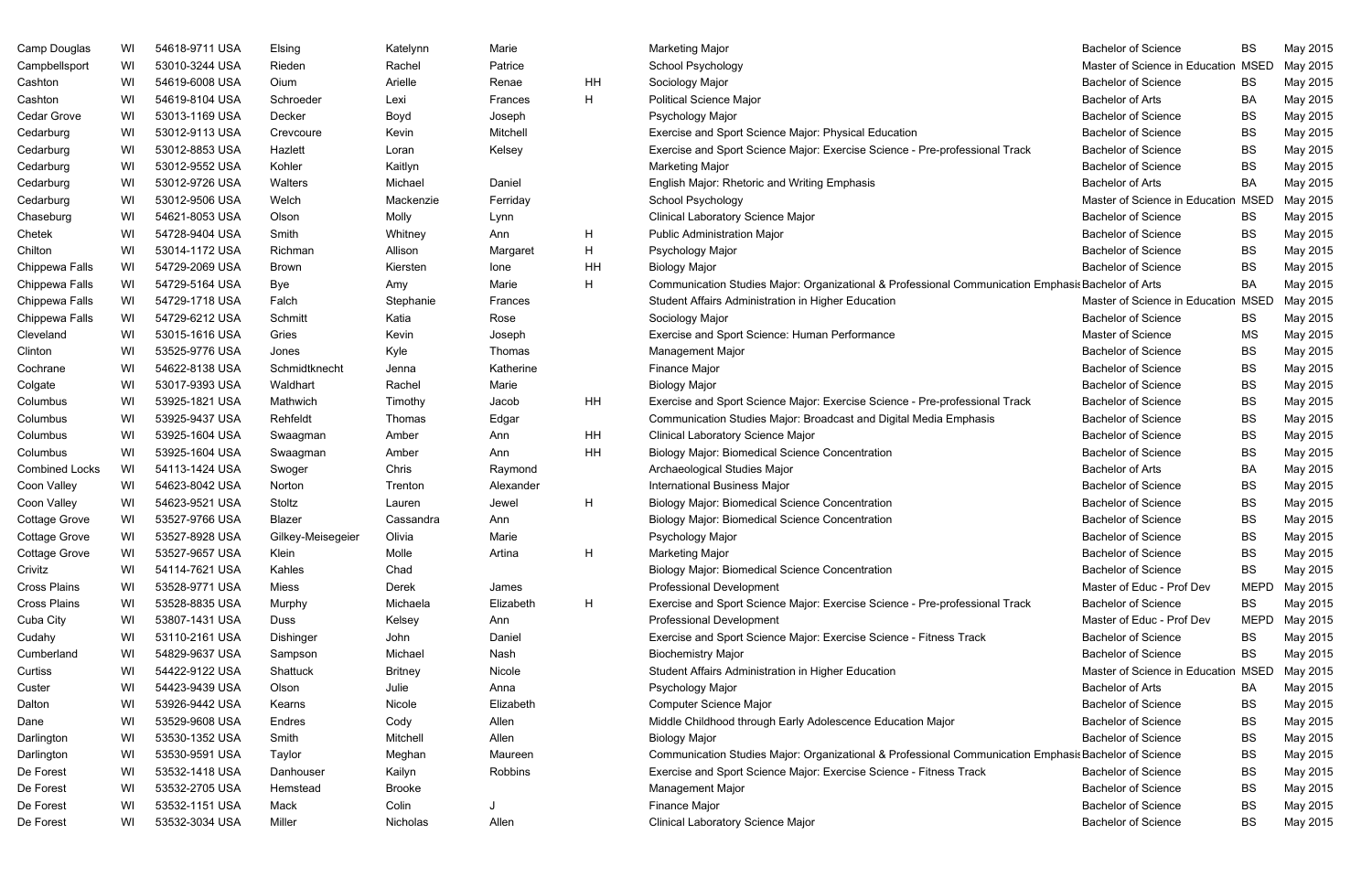| Camp Douglas          | WI | 54618-9711 USA | Elsing            | Katelynn       | Marie     |    | <b>Marketing Major</b>                                                                                | <b>Bachelor of Science</b>                               | BS          | May 2015 |
|-----------------------|----|----------------|-------------------|----------------|-----------|----|-------------------------------------------------------------------------------------------------------|----------------------------------------------------------|-------------|----------|
| Campbellsport         | WI | 53010-3244 USA | Rieden            | Rachel         | Patrice   |    | School Psychology                                                                                     | Master of Science in Education MSED                      |             | May 2015 |
| Cashton               | WI | 54619-6008 USA | Oium              | Arielle        | Renae     | HH | Sociology Major                                                                                       | <b>Bachelor of Science</b>                               | BS          | May 2015 |
| Cashton               | WI | 54619-8104 USA | Schroeder         | Lexi           | Frances   | H  | <b>Political Science Major</b>                                                                        | <b>Bachelor of Arts</b>                                  | BA          | May 2015 |
| Cedar Grove           | WI | 53013-1169 USA | Decker            | Boyd           | Joseph    |    | Psychology Major                                                                                      | <b>Bachelor of Science</b>                               | BS          | May 2015 |
| Cedarburg             | WI | 53012-9113 USA | Crevcoure         | Kevin          | Mitchell  |    | Exercise and Sport Science Major: Physical Education                                                  | <b>Bachelor of Science</b>                               | BS          | May 2015 |
| Cedarburg             | WI | 53012-8853 USA | Hazlett           | Loran          | Kelsey    |    | Exercise and Sport Science Major: Exercise Science - Pre-professional Track                           | <b>Bachelor of Science</b>                               | BS          | May 2015 |
| Cedarburg             | WI | 53012-9552 USA | Kohler            | Kaitlyn        |           |    | <b>Marketing Major</b>                                                                                | <b>Bachelor of Science</b>                               | <b>BS</b>   | May 2015 |
| Cedarburg             | WI | 53012-9726 USA | Walters           | Michael        | Daniel    |    | English Major: Rhetoric and Writing Emphasis                                                          | <b>Bachelor of Arts</b>                                  | BA          | May 2015 |
| Cedarburg             | WI | 53012-9506 USA | Welch             | Mackenzie      | Ferriday  |    | School Psychology                                                                                     | Master of Science in Education MSED                      |             | May 2015 |
| Chaseburg             | WI | 54621-8053 USA | Olson             | Molly          | Lynn      |    | Clinical Laboratory Science Major                                                                     | <b>Bachelor of Science</b>                               | BS          | May 2015 |
| Chetek                | WI | 54728-9404 USA | Smith             | Whitney        | Ann       | H  | <b>Public Administration Major</b>                                                                    | <b>Bachelor of Science</b>                               | BS          | May 2015 |
| Chilton               | WI | 53014-1172 USA | Richman           | Allison        | Margaret  | H  | Psychology Major                                                                                      | <b>Bachelor of Science</b>                               | BS          | May 2015 |
| Chippewa Falls        | WI | 54729-2069 USA | Brown             | Kiersten       | lone      | HH | <b>Biology Major</b>                                                                                  | <b>Bachelor of Science</b>                               | BS          | May 2015 |
| Chippewa Falls        | WI | 54729-5164 USA | Bye               | Amy            | Marie     | H  | Communication Studies Major: Organizational & Professional Communication Emphasis Bachelor of Arts    |                                                          | BA          | May 2015 |
| Chippewa Falls        | WI | 54729-1718 USA | Falch             | Stephanie      | Frances   |    | Student Affairs Administration in Higher Education                                                    | Master of Science in Education MSED                      |             | May 2015 |
| Chippewa Falls        | WI | 54729-6212 USA | Schmitt           | Katia          | Rose      |    | Sociology Major                                                                                       | <b>Bachelor of Science</b>                               | BS          | May 2015 |
| Cleveland             | WI | 53015-1616 USA | Gries             | Kevin          | Joseph    |    | Exercise and Sport Science: Human Performance                                                         | Master of Science                                        | MS          | May 2015 |
| Clinton               | WI | 53525-9776 USA | Jones             | Kyle           | Thomas    |    | Management Major                                                                                      | <b>Bachelor of Science</b>                               | BS          | May 2015 |
| Cochrane              | WI | 54622-8138 USA | Schmidtknecht     | Jenna          | Katherine |    | Finance Major                                                                                         | <b>Bachelor of Science</b>                               | BS          | May 2015 |
| Colgate               | WI | 53017-9393 USA | Waldhart          | Rachel         | Marie     |    | <b>Biology Major</b>                                                                                  | <b>Bachelor of Science</b>                               | BS          | May 2015 |
| Columbus              | WI | 53925-1821 USA | Mathwich          | Timothy        | Jacob     | HH | Exercise and Sport Science Major: Exercise Science - Pre-professional Track                           | <b>Bachelor of Science</b>                               | BS          | May 2015 |
| Columbus              | WI | 53925-9437 USA | Rehfeldt          | Thomas         | Edgar     |    | Communication Studies Major: Broadcast and Digital Media Emphasis                                     | <b>Bachelor of Science</b>                               | BS          | May 2015 |
| Columbus              | WI | 53925-1604 USA | Swaagman          | Amber          | Ann       | HH | Clinical Laboratory Science Major                                                                     | <b>Bachelor of Science</b>                               | BS          | May 2015 |
| Columbus              | WI | 53925-1604 USA | Swaagman          | Amber          | Ann       | HH | <b>Biology Major: Biomedical Science Concentration</b>                                                | <b>Bachelor of Science</b>                               | BS          | May 2015 |
| <b>Combined Locks</b> | WI | 54113-1424 USA | Swoger            | Chris          | Raymond   |    | Archaeological Studies Major                                                                          | <b>Bachelor of Arts</b>                                  | BA          | May 2015 |
| Coon Valley           | WI | 54623-8042 USA | Norton            | Trenton        | Alexander |    | <b>International Business Major</b>                                                                   | <b>Bachelor of Science</b>                               | BS          | May 2015 |
| Coon Valley           | WI | 54623-9521 USA | Stoltz            | Lauren         | Jewel     | H. | <b>Biology Major: Biomedical Science Concentration</b>                                                | <b>Bachelor of Science</b>                               | BS          | May 2015 |
| Cottage Grove         | WI | 53527-9766 USA | Blazer            | Cassandra      | Ann       |    | <b>Biology Major: Biomedical Science Concentration</b>                                                | <b>Bachelor of Science</b>                               | BS          | May 2015 |
| Cottage Grove         | WI | 53527-8928 USA | Gilkey-Meisegeier | Olivia         | Marie     |    | Psychology Major                                                                                      | <b>Bachelor of Science</b>                               | <b>BS</b>   | May 2015 |
| Cottage Grove         | WI | 53527-9657 USA | Klein             | Molle          | Artina    | H  | <b>Marketing Major</b>                                                                                | <b>Bachelor of Science</b>                               | BS          | May 2015 |
| Crivitz               | WI | 54114-7621 USA | Kahles            | Chad           |           |    | <b>Biology Major: Biomedical Science Concentration</b>                                                | <b>Bachelor of Science</b>                               | BS          | May 2015 |
| Cross Plains          | WI | 53528-9771 USA | Miess             | Derek          | James     |    | <b>Professional Development</b>                                                                       | Master of Educ - Prof Dev                                | <b>MEPD</b> | May 2015 |
| Cross Plains          | WI | 53528-8835 USA | Murphy            | Michaela       | Elizabeth | H. | Exercise and Sport Science Major: Exercise Science - Pre-professional Track                           | <b>Bachelor of Science</b>                               | <b>BS</b>   | May 2015 |
| Cuba City             | WI | 53807-1431 USA | Duss              | Kelsey         | Ann       |    | <b>Professional Development</b>                                                                       | Master of Educ - Prof Dev                                | <b>MEPD</b> | May 2015 |
| Cudahy                | WI | 53110-2161 USA | Dishinger         | John           | Daniel    |    | Exercise and Sport Science Major: Exercise Science - Fitness Track                                    | <b>Bachelor of Science</b>                               | BS          | May 2015 |
| Cumberland            | WI | 54829-9637 USA | Sampson           | Michael        | Nash      |    | <b>Biochemistry Major</b>                                                                             | <b>Bachelor of Science</b>                               | BS          | May 2015 |
| Curtiss               | WI | 54422-9122 USA | Shattuck          | <b>Britney</b> | Nicole    |    | Student Affairs Administration in Higher Education                                                    | Master of Science in Education MSED                      |             | May 2015 |
| Custer                | WI | 54423-9439 USA | Olson             | Julie          | Anna      |    | Psychology Major                                                                                      | <b>Bachelor of Arts</b>                                  |             | May 2015 |
| Dalton                |    | 53926-9442 USA |                   |                | Elizabeth |    |                                                                                                       | <b>Bachelor of Science</b>                               | BA          |          |
|                       | WI |                | Kearns            | Nicole         |           |    | Computer Science Major                                                                                |                                                          | BS          | May 2015 |
| Dane                  | WI | 53529-9608 USA | Endres            | Cody           | Allen     |    | Middle Childhood through Early Adolescence Education Major                                            | <b>Bachelor of Science</b><br><b>Bachelor of Science</b> | BS          | May 2015 |
| Darlington            | WI | 53530-1352 USA | Smith             | Mitchell       | Allen     |    | <b>Biology Major</b>                                                                                  |                                                          | BS          | May 2015 |
| Darlington            | WI | 53530-9591 USA | Taylor            | Meghan         | Maureen   |    | Communication Studies Major: Organizational & Professional Communication Emphasis Bachelor of Science |                                                          | BS          | May 2015 |
| De Forest             | WI | 53532-1418 USA | Danhouser         | Kailyn         | Robbins   |    | Exercise and Sport Science Major: Exercise Science - Fitness Track                                    | <b>Bachelor of Science</b>                               | BS          | May 2015 |
| De Forest             | WI | 53532-2705 USA | Hemstead          | <b>Brooke</b>  |           |    | Management Major                                                                                      | <b>Bachelor of Science</b>                               | BS          | May 2015 |
| De Forest             | WI | 53532-1151 USA | Mack              | Colin          |           |    | Finance Major                                                                                         | <b>Bachelor of Science</b>                               | BS          | May 2015 |
| De Forest             | WI | 53532-3034 USA | Miller            | Nicholas       | Allen     |    | Clinical Laboratory Science Major                                                                     | <b>Bachelor of Science</b>                               | BS          | May 2015 |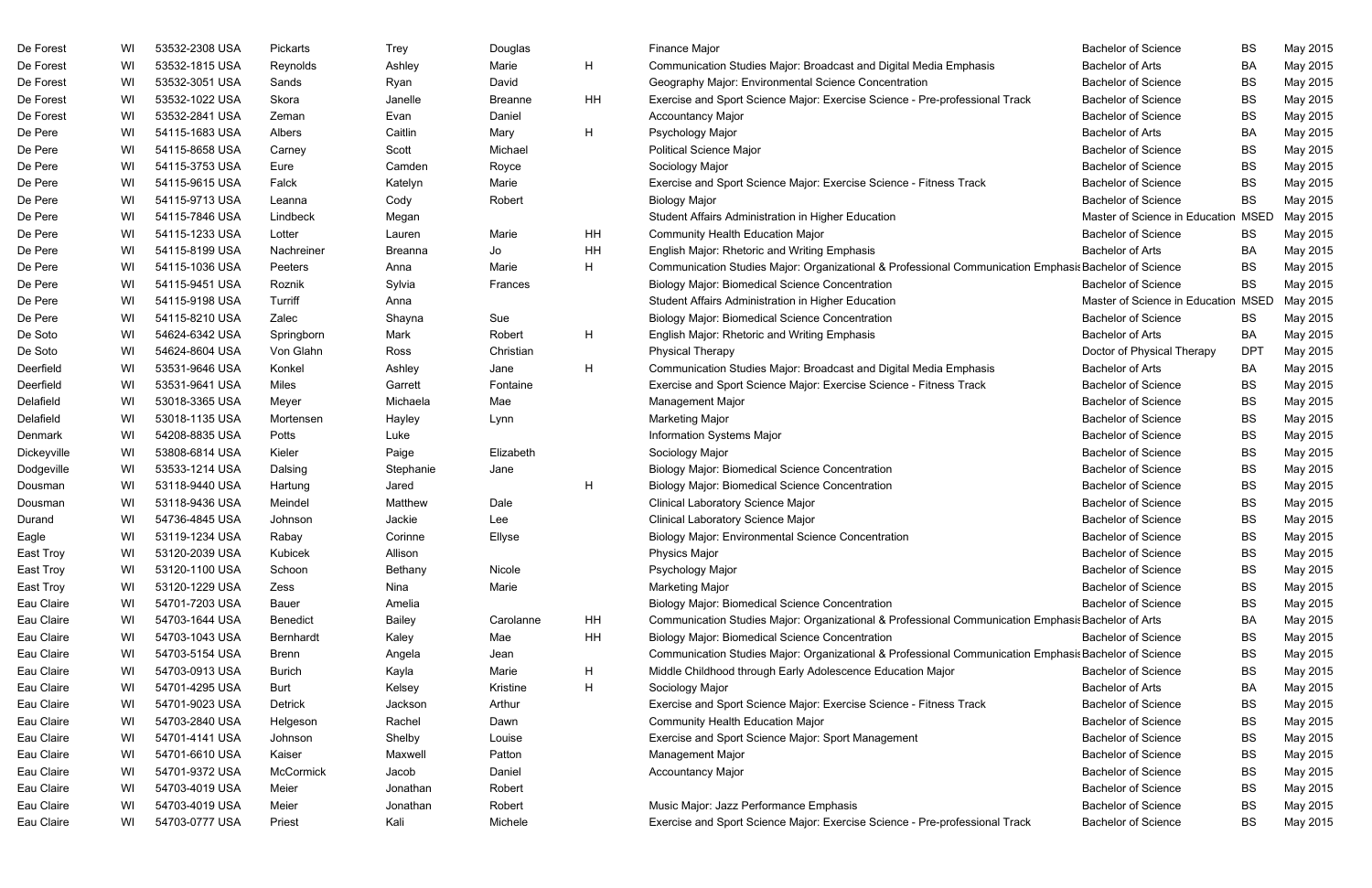| De Forest   | WI | 53532-2308 USA | Pickarts        | Trey           | Douglas        |    | <b>Finance Major</b>                                                                                  | <b>Bachelor of Science</b>          | <b>BS</b>  | May 2015 |
|-------------|----|----------------|-----------------|----------------|----------------|----|-------------------------------------------------------------------------------------------------------|-------------------------------------|------------|----------|
| De Forest   | WI | 53532-1815 USA | Reynolds        | Ashley         | Marie          | H  | Communication Studies Major: Broadcast and Digital Media Emphasis                                     | <b>Bachelor of Arts</b>             | BA         | May 2015 |
| De Forest   | WI | 53532-3051 USA | Sands           | Ryan           | David          |    | Geography Major: Environmental Science Concentration                                                  | <b>Bachelor of Science</b>          | BS         | May 2015 |
| De Forest   | WI | 53532-1022 USA | Skora           | Janelle        | <b>Breanne</b> | HH | Exercise and Sport Science Major: Exercise Science - Pre-professional Track                           | <b>Bachelor of Science</b>          | <b>BS</b>  | May 2015 |
| De Forest   | WI | 53532-2841 USA | Zeman           | Evan           | Daniel         |    | <b>Accountancy Major</b>                                                                              | <b>Bachelor of Science</b>          | <b>BS</b>  | May 2015 |
| De Pere     | WI | 54115-1683 USA | Albers          | Caitlin        | Mary           | H  | Psychology Major                                                                                      | <b>Bachelor of Arts</b>             | BA         | May 2015 |
| De Pere     | WI | 54115-8658 USA | Carney          | Scott          | Michael        |    | <b>Political Science Major</b>                                                                        | <b>Bachelor of Science</b>          | BS         | May 2015 |
| De Pere     | WI | 54115-3753 USA | Eure            | Camden         | Royce          |    | Sociology Major                                                                                       | <b>Bachelor of Science</b>          | <b>BS</b>  | May 2015 |
| De Pere     | WI | 54115-9615 USA | Falck           | Katelyn        | Marie          |    | Exercise and Sport Science Major: Exercise Science - Fitness Track                                    | <b>Bachelor of Science</b>          | <b>BS</b>  | May 2015 |
| De Pere     | WI | 54115-9713 USA | Leanna          | Cody           | Robert         |    | <b>Biology Major</b>                                                                                  | <b>Bachelor of Science</b>          | <b>BS</b>  | May 2015 |
| De Pere     | WI | 54115-7846 USA | Lindbeck        | Megan          |                |    | Student Affairs Administration in Higher Education                                                    | Master of Science in Education MSED |            | May 2015 |
| De Pere     | WI | 54115-1233 USA | Lotter          | Lauren         | Marie          | ΗH | <b>Community Health Education Major</b>                                                               | <b>Bachelor of Science</b>          | <b>BS</b>  | May 2015 |
| De Pere     | WI | 54115-8199 USA | Nachreiner      | <b>Breanna</b> | Jo             | ΗH | English Major: Rhetoric and Writing Emphasis                                                          | <b>Bachelor of Arts</b>             | BA         | May 2015 |
| De Pere     | WI | 54115-1036 USA | Peeters         | Anna           | Marie          | H  | Communication Studies Major: Organizational & Professional Communication Emphasis Bachelor of Science |                                     | BS         | May 2015 |
| De Pere     | WI | 54115-9451 USA | Roznik          | Sylvia         | Frances        |    | <b>Biology Major: Biomedical Science Concentration</b>                                                | <b>Bachelor of Science</b>          | BS         | May 2015 |
| De Pere     | WI | 54115-9198 USA | Turriff         | Anna           |                |    | Student Affairs Administration in Higher Education                                                    | Master of Science in Education MSED |            | May 2015 |
| De Pere     | WI | 54115-8210 USA | Zalec           | Shayna         | Sue            |    | <b>Biology Major: Biomedical Science Concentration</b>                                                | <b>Bachelor of Science</b>          | BS         | May 2015 |
| De Soto     | WI | 54624-6342 USA | Springborn      | Mark           | Robert         | H  | English Major: Rhetoric and Writing Emphasis                                                          | <b>Bachelor of Arts</b>             | BA         | May 2015 |
| De Soto     | WI | 54624-8604 USA | Von Glahn       | Ross           | Christian      |    | <b>Physical Therapy</b>                                                                               | Doctor of Physical Therapy          | <b>DPT</b> | May 2015 |
| Deerfield   | WI | 53531-9646 USA | Konkel          | Ashley         | Jane           | H  | Communication Studies Major: Broadcast and Digital Media Emphasis                                     | <b>Bachelor of Arts</b>             | BA         | May 2015 |
| Deerfield   | WI | 53531-9641 USA | Miles           | Garrett        | Fontaine       |    | Exercise and Sport Science Major: Exercise Science - Fitness Track                                    | <b>Bachelor of Science</b>          | BS         | May 2015 |
| Delafield   | WI | 53018-3365 USA | Meyer           | Michaela       | Mae            |    | Management Major                                                                                      | <b>Bachelor of Science</b>          | BS         | May 2015 |
| Delafield   | WI | 53018-1135 USA | Mortensen       | Hayley         | Lynn           |    | <b>Marketing Major</b>                                                                                | <b>Bachelor of Science</b>          | BS         | May 2015 |
| Denmark     | WI | 54208-8835 USA | Potts           | Luke           |                |    | Information Systems Major                                                                             | <b>Bachelor of Science</b>          | BS         | May 2015 |
| Dickeyville | WI | 53808-6814 USA | Kieler          | Paige          | Elizabeth      |    | Sociology Major                                                                                       | <b>Bachelor of Science</b>          | BS         | May 2015 |
| Dodgeville  | WI | 53533-1214 USA | Dalsing         | Stephanie      | Jane           |    | <b>Biology Major: Biomedical Science Concentration</b>                                                | <b>Bachelor of Science</b>          | BS         | May 2015 |
| Dousman     | WI | 53118-9440 USA | Hartung         | Jared          |                | H  | <b>Biology Major: Biomedical Science Concentration</b>                                                | <b>Bachelor of Science</b>          | BS         | May 2015 |
| Dousman     | WI | 53118-9436 USA | Meindel         | Matthew        | Dale           |    | Clinical Laboratory Science Major                                                                     | <b>Bachelor of Science</b>          | BS         | May 2015 |
| Durand      | WI | 54736-4845 USA | Johnson         | Jackie         | Lee            |    | Clinical Laboratory Science Major                                                                     | <b>Bachelor of Science</b>          | <b>BS</b>  | May 2015 |
| Eagle       | WI | 53119-1234 USA | Rabav           | Corinne        | Ellyse         |    | <b>Biology Major: Environmental Science Concentration</b>                                             | <b>Bachelor of Science</b>          | <b>BS</b>  | May 2015 |
| East Troy   | WI | 53120-2039 USA | Kubicek         | Allison        |                |    | <b>Physics Major</b>                                                                                  | <b>Bachelor of Science</b>          | BS         | May 2015 |
| East Troy   | WI | 53120-1100 USA | Schoon          | Bethany        | Nicole         |    | Psychology Major                                                                                      | <b>Bachelor of Science</b>          | BS         | May 2015 |
| East Troy   | WI | 53120-1229 USA | Zess            | Nina           | Marie          |    | <b>Marketing Major</b>                                                                                | <b>Bachelor of Science</b>          | BS         | May 2015 |
| Eau Claire  | WI | 54701-7203 USA | Bauer           | Amelia         |                |    | <b>Biology Major: Biomedical Science Concentration</b>                                                | <b>Bachelor of Science</b>          | BS         | May 2015 |
| Eau Claire  | WI | 54703-1644 USA | <b>Benedict</b> | <b>Bailey</b>  | Carolanne      | ΗH | Communication Studies Major: Organizational & Professional Communication Emphasis Bachelor of Arts    |                                     | BA         | May 2015 |
| Eau Claire  | WI | 54703-1043 USA | Bernhardt       | Kaley          | Mae            | HH | <b>Biology Major: Biomedical Science Concentration</b>                                                | <b>Bachelor of Science</b>          | BS         | May 2015 |
| Eau Claire  | WI | 54703-5154 USA | Brenn           | Angela         | Jean           |    | Communication Studies Major: Organizational & Professional Communication Emphasis Bachelor of Science |                                     | BS         | May 2015 |
| Eau Claire  | WI | 54703-0913 USA | <b>Burich</b>   | Kayla          | Marie          | H  | Middle Childhood through Early Adolescence Education Major                                            | <b>Bachelor of Science</b>          | BS         | May 2015 |
| Eau Claire  | WI | 54701-4295 USA | Burt            | Kelsey         | Kristine       | H  | Sociology Major                                                                                       | <b>Bachelor of Arts</b>             | BA         | May 2015 |
| Eau Claire  | WI | 54701-9023 USA | Detrick         | Jackson        | Arthur         |    | Exercise and Sport Science Major: Exercise Science - Fitness Track                                    | <b>Bachelor of Science</b>          | BS         | May 2015 |
| Eau Claire  | WI | 54703-2840 USA | Helgeson        | Rachel         | Dawn           |    | Community Health Education Major                                                                      | <b>Bachelor of Science</b>          | BS         | May 2015 |
| Eau Claire  | WI | 54701-4141 USA | Johnson         | Shelby         | Louise         |    | Exercise and Sport Science Major: Sport Management                                                    | <b>Bachelor of Science</b>          | BS         | May 2015 |
| Eau Claire  | WI | 54701-6610 USA | Kaiser          | Maxwell        | Patton         |    | Management Major                                                                                      | <b>Bachelor of Science</b>          | BS         | May 2015 |
| Eau Claire  | WI | 54701-9372 USA | McCormick       | Jacob          | Daniel         |    | <b>Accountancy Major</b>                                                                              | <b>Bachelor of Science</b>          | BS         | May 2015 |
| Eau Claire  | WI | 54703-4019 USA | Meier           | Jonathan       | Robert         |    |                                                                                                       | <b>Bachelor of Science</b>          | BS         | May 2015 |
| Eau Claire  | WI | 54703-4019 USA | Meier           | Jonathan       | Robert         |    | Music Major: Jazz Performance Emphasis                                                                | <b>Bachelor of Science</b>          | BS         | May 2015 |
| Eau Claire  | WI | 54703-0777 USA | Priest          | Kali           | Michele        |    | Exercise and Sport Science Major: Exercise Science - Pre-professional Track                           | <b>Bachelor of Science</b>          | BS         | May 2015 |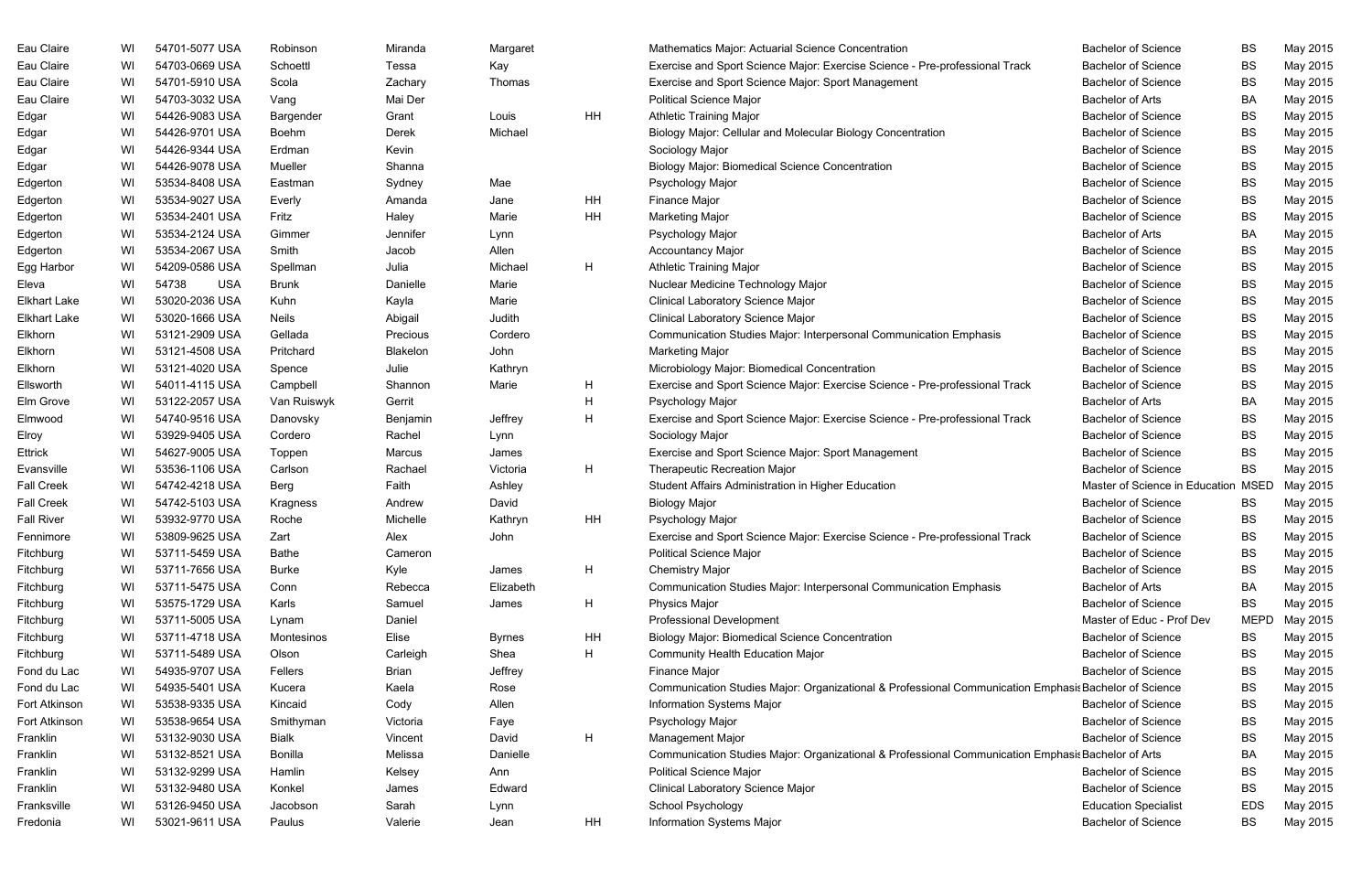| Eau Claire<br>54701-5077 USA<br><b>Bachelor of Science</b><br><b>BS</b><br>Robinson<br>Miranda<br>Mathematics Major: Actuarial Science Concentration<br>WI<br>Margaret<br>Eau Claire<br>54703-0669 USA<br>Kay<br>Exercise and Sport Science Major: Exercise Science - Pre-professional Track<br>BS<br>WI<br>Schoettl<br>Tessa<br><b>Bachelor of Science</b><br>Eau Claire<br>BS<br>WI<br>54701-5910 USA<br>Thomas<br>Exercise and Sport Science Major: Sport Management<br><b>Bachelor of Science</b><br>Scola<br>Zachary<br>Eau Claire<br>54703-3032 USA<br>Mai Der<br><b>Political Science Major</b><br>BA<br>WI<br>Vang<br><b>Bachelor of Arts</b><br><b>HH</b><br>Edgar<br>WI<br>54426-9083 USA<br><b>Athletic Training Major</b><br><b>Bachelor of Science</b><br><b>BS</b><br>Grant<br>Louis<br>Bargender<br>54426-9701 USA<br>Michael<br>Biology Major: Cellular and Molecular Biology Concentration<br><b>Bachelor of Science</b><br>BS<br>Edgar<br>WI<br>Derek<br>Boehm<br><b>Bachelor of Science</b><br>BS<br>Edgar<br>WI<br>54426-9344 USA<br>Kevin<br>Sociology Major<br>Erdman<br>WI<br>54426-9078 USA<br><b>Biology Major: Biomedical Science Concentration</b><br><b>Bachelor of Science</b><br>BS<br>Edgar<br>Mueller<br>Shanna<br>53534-8408 USA<br>Mae<br><b>Bachelor of Science</b><br>BS<br>Edgerton<br>WI<br>Sydney<br>Psychology Major<br>Eastman<br>53534-9027 USA<br>HH<br><b>Bachelor of Science</b><br><b>BS</b><br>WI<br>Jane<br>Finance Major<br>Edgerton<br>Everly<br>Amanda<br><b>HH</b><br><b>Bachelor of Science</b><br>BS<br>Edgerton<br>WI<br>53534-2401 USA<br>Fritz<br>Haley<br>Marie<br><b>Marketing Major</b><br>BA<br>Edgerton<br>WI<br>53534-2124 USA<br>Psychology Major<br><b>Bachelor of Arts</b><br>Gimmer<br>Jennifer<br>Lynn<br>53534-2067 USA<br>Allen<br><b>Accountancy Major</b><br><b>Bachelor of Science</b><br>BS<br>Edgerton<br>WI<br>Smith<br>Jacob<br>H<br>54209-0586 USA<br>Julia<br>Michael<br><b>Athletic Training Major</b><br><b>Bachelor of Science</b><br>BS<br>Egg Harbor<br>WI<br>Spellman<br>Eleva<br>WI<br>54738<br><b>USA</b><br><b>Bachelor of Science</b><br>BS<br>Danielle<br>Marie<br>Nuclear Medicine Technology Major<br><b>Brunk</b><br>53020-2036 USA<br>Clinical Laboratory Science Major<br>BS<br><b>Elkhart Lake</b><br>WI<br>Kuhn<br>Kayla<br>Marie<br><b>Bachelor of Science</b><br>WI<br>53020-1666 USA<br><b>Neils</b><br>Judith<br><b>Clinical Laboratory Science Major</b><br><b>Bachelor of Science</b><br>BS<br><b>Elkhart Lake</b><br>Abigail<br>WI<br>53121-2909 USA<br>Gellada<br>Cordero<br>Communication Studies Major: Interpersonal Communication Emphasis<br><b>Bachelor of Science</b><br>BS<br>Elkhorn<br>Precious<br>53121-4508 USA<br>John<br><b>Bachelor of Science</b><br><b>BS</b><br>Elkhorn<br>WI<br>Blakelon<br><b>Marketing Major</b><br>Pritchard<br>Elkhorn<br>WI<br>53121-4020 USA<br>Julie<br>Kathryn<br>Microbiology Major: Biomedical Concentration<br><b>Bachelor of Science</b><br>BS<br>Spence<br>H<br><b>Bachelor of Science</b><br>BS<br>Ellsworth<br>WI<br>54011-4115 USA<br>Shannon<br>Marie<br>Exercise and Sport Science Major: Exercise Science - Pre-professional Track<br>Campbell<br>WI<br>53122-2057 USA<br>H<br>BA<br>Elm Grove<br>Van Ruiswyk<br>Gerrit<br>Psychology Major<br><b>Bachelor of Arts</b><br>H<br>54740-9516 USA<br><b>Bachelor of Science</b><br>Elmwood<br>WI<br>Benjamin<br>Exercise and Sport Science Major: Exercise Science - Pre-professional Track<br>BS<br>Jeffrey<br>Danovsky<br>WI<br>53929-9405 USA<br><b>Bachelor of Science</b><br>BS<br>Elroy<br>Rachel<br>Sociology Major<br>Cordero<br>Lynn<br>Ettrick<br>WI<br>54627-9005 USA<br>Exercise and Sport Science Major: Sport Management<br><b>Bachelor of Science</b><br>BS<br>Marcus<br>Toppen<br>James<br>WI<br>53536-1106 USA<br>H<br><b>Bachelor of Science</b><br>Rachael<br>Victoria<br><b>Therapeutic Recreation Major</b><br><b>BS</b><br>Evansville<br>Carlson<br><b>Fall Creek</b><br>Faith<br>Master of Science in Education MSED<br>WI<br>54742-4218 USA<br>Ashley<br>Student Affairs Administration in Higher Education<br>Berg<br><b>Fall Creek</b><br>WI<br>54742-5103 USA<br><b>Bachelor of Science</b><br>David<br><b>Biology Major</b><br>Kragness<br>Andrew<br>BS<br><b>Fall River</b><br>WI<br>53932-9770 USA<br>Michelle<br>HH<br><b>Bachelor of Science</b><br><b>BS</b><br>Roche<br>Kathryn<br>Psychology Major<br>WI<br>53809-9625 USA<br><b>BS</b><br>Exercise and Sport Science Major: Exercise Science - Pre-professional Track<br><b>Bachelor of Science</b><br>Fennimore<br>Zart<br>Alex<br>John<br>53711-5459 USA<br><b>Bachelor of Science</b><br>Fitchburg<br>Cameron<br><b>Political Science Major</b><br>BS<br>WI<br><b>Bathe</b><br>H<br>WI<br>53711-7656 USA<br>Kyle<br><b>Chemistry Major</b><br>BS<br>Fitchburg<br><b>Burke</b><br><b>Bachelor of Science</b><br>James<br>53711-5475 USA<br>Elizabeth<br>Communication Studies Major: Interpersonal Communication Emphasis<br>BA<br>Fitchburg<br>WI<br>Rebecca<br><b>Bachelor of Arts</b><br>Conn<br>WI<br>53575-1729 USA<br>H<br><b>Bachelor of Science</b><br>BS<br>Fitchburg<br>Karls<br>Samuel<br><b>Physics Major</b><br>James<br>WI<br>53711-5005 USA<br>Professional Development<br>Master of Educ - Prof Dev<br><b>MEPD</b><br>Fitchburg<br>Daniel<br>Lynam<br>HH<br>WI<br>53711-4718 USA<br>Elise<br><b>Biology Major: Biomedical Science Concentration</b><br>Fitchburg<br><b>Bachelor of Science</b><br>BS<br>Montesinos<br><b>Byrnes</b><br>WI<br>53711-5489 USA<br>H<br><b>Bachelor of Science</b><br>Fitchburg<br>Olson<br>Carleigh<br>Shea<br><b>Community Health Education Major</b><br>BS<br>54935-9707 USA<br>Jeffrey<br><b>Bachelor of Science</b><br>BS<br>Fond du Lac<br>WI<br>Fellers<br>Brian<br>Finance Major<br>Kaela<br>Communication Studies Major: Organizational & Professional Communication Emphasis Bachelor of Science<br>Fond du Lac<br>WI<br>54935-5401 USA<br>Rose<br>BS<br>Kucera<br>53538-9335 USA<br>Allen<br>Fort Atkinson<br>WI<br>Cody<br><b>Information Systems Major</b><br><b>Bachelor of Science</b><br>BS<br>Kincaid<br>53538-9654 USA<br><b>Bachelor of Science</b><br>Fort Atkinson<br>WI<br>Victoria<br>Psychology Major<br>BS<br>Smithyman<br>Faye<br>H<br>WI<br>53132-9030 USA<br><b>Bialk</b><br><b>Management Major</b><br><b>Bachelor of Science</b><br>BS<br>Franklin<br>David<br>Vincent<br>53132-8521 USA<br>Melissa<br>Communication Studies Major: Organizational & Professional Communication Emphasis Bachelor of Arts<br>BA<br>Franklin<br>WI<br>Bonilla<br>Danielle<br>WI<br>53132-9299 USA<br>Franklin<br><b>Political Science Major</b><br><b>Bachelor of Science</b><br>BS<br>Hamlin<br>Kelsey<br>Ann<br>53132-9480 USA<br><b>Bachelor of Science</b><br>Franklin<br>WI<br>Edward<br>Clinical Laboratory Science Major<br>BS<br>Konkel<br>James<br>53126-9450 USA<br>School Psychology<br><b>EDS</b><br>WI<br>Sarah<br><b>Education Specialist</b><br>Franksville<br>Jacobson<br>Lynn<br>WI<br>HH<br>Information Systems Major<br><b>Bachelor of Science</b><br><b>BS</b><br>Fredonia<br>53021-9611 USA<br>Paulus<br>Valerie<br>Jean |  |  |  |  |  |          |
|---------------------------------------------------------------------------------------------------------------------------------------------------------------------------------------------------------------------------------------------------------------------------------------------------------------------------------------------------------------------------------------------------------------------------------------------------------------------------------------------------------------------------------------------------------------------------------------------------------------------------------------------------------------------------------------------------------------------------------------------------------------------------------------------------------------------------------------------------------------------------------------------------------------------------------------------------------------------------------------------------------------------------------------------------------------------------------------------------------------------------------------------------------------------------------------------------------------------------------------------------------------------------------------------------------------------------------------------------------------------------------------------------------------------------------------------------------------------------------------------------------------------------------------------------------------------------------------------------------------------------------------------------------------------------------------------------------------------------------------------------------------------------------------------------------------------------------------------------------------------------------------------------------------------------------------------------------------------------------------------------------------------------------------------------------------------------------------------------------------------------------------------------------------------------------------------------------------------------------------------------------------------------------------------------------------------------------------------------------------------------------------------------------------------------------------------------------------------------------------------------------------------------------------------------------------------------------------------------------------------------------------------------------------------------------------------------------------------------------------------------------------------------------------------------------------------------------------------------------------------------------------------------------------------------------------------------------------------------------------------------------------------------------------------------------------------------------------------------------------------------------------------------------------------------------------------------------------------------------------------------------------------------------------------------------------------------------------------------------------------------------------------------------------------------------------------------------------------------------------------------------------------------------------------------------------------------------------------------------------------------------------------------------------------------------------------------------------------------------------------------------------------------------------------------------------------------------------------------------------------------------------------------------------------------------------------------------------------------------------------------------------------------------------------------------------------------------------------------------------------------------------------------------------------------------------------------------------------------------------------------------------------------------------------------------------------------------------------------------------------------------------------------------------------------------------------------------------------------------------------------------------------------------------------------------------------------------------------------------------------------------------------------------------------------------------------------------------------------------------------------------------------------------------------------------------------------------------------------------------------------------------------------------------------------------------------------------------------------------------------------------------------------------------------------------------------------------------------------------------------------------------------------------------------------------------------------------------------------------------------------------------------------------------------------------------------------------------------------------------------------------------------------------------------------------------------------------------------------------------------------------------------------------------------------------------------------------------------------------------------------------------------------------------------------------------------------------------------------------------------------------------------------------------------------------------------------------------------------------------------------------------------------------------------------------------------------------------------------------------------------------------------------------------------------------------------------------------------------------------------------------------------------------------------------------------------------------------------------------------------------------------------------------------------------------------------------------------------------------------------------------------------------------------------------------------------------------------------------------------------------------------------------------------------------------------------------------------------------------------------------------------------------------------------------------------------------------------------------------------------------------------------------------------------------------------------------------------------------------------------------------------------------------------------------------------------------------------------------------------------------------------------------------------------------------------------------------------------------------------------------------------------------------------------------------------------------------|--|--|--|--|--|----------|
|                                                                                                                                                                                                                                                                                                                                                                                                                                                                                                                                                                                                                                                                                                                                                                                                                                                                                                                                                                                                                                                                                                                                                                                                                                                                                                                                                                                                                                                                                                                                                                                                                                                                                                                                                                                                                                                                                                                                                                                                                                                                                                                                                                                                                                                                                                                                                                                                                                                                                                                                                                                                                                                                                                                                                                                                                                                                                                                                                                                                                                                                                                                                                                                                                                                                                                                                                                                                                                                                                                                                                                                                                                                                                                                                                                                                                                                                                                                                                                                                                                                                                                                                                                                                                                                                                                                                                                                                                                                                                                                                                                                                                                                                                                                                                                                                                                                                                                                                                                                                                                                                                                                                                                                                                                                                                                                                                                                                                                                                                                                                                                                                                                                                                                                                                                                                                                                                                                                                                                                                                                                                                                                                                                                                                                                                                                                                                                                                                                                                                                                                                                                                                                                                                                                                                                                                                                                                                                                                                                                                                                                                                                                                                                                                         |  |  |  |  |  | May 2015 |
|                                                                                                                                                                                                                                                                                                                                                                                                                                                                                                                                                                                                                                                                                                                                                                                                                                                                                                                                                                                                                                                                                                                                                                                                                                                                                                                                                                                                                                                                                                                                                                                                                                                                                                                                                                                                                                                                                                                                                                                                                                                                                                                                                                                                                                                                                                                                                                                                                                                                                                                                                                                                                                                                                                                                                                                                                                                                                                                                                                                                                                                                                                                                                                                                                                                                                                                                                                                                                                                                                                                                                                                                                                                                                                                                                                                                                                                                                                                                                                                                                                                                                                                                                                                                                                                                                                                                                                                                                                                                                                                                                                                                                                                                                                                                                                                                                                                                                                                                                                                                                                                                                                                                                                                                                                                                                                                                                                                                                                                                                                                                                                                                                                                                                                                                                                                                                                                                                                                                                                                                                                                                                                                                                                                                                                                                                                                                                                                                                                                                                                                                                                                                                                                                                                                                                                                                                                                                                                                                                                                                                                                                                                                                                                                                         |  |  |  |  |  | May 2015 |
|                                                                                                                                                                                                                                                                                                                                                                                                                                                                                                                                                                                                                                                                                                                                                                                                                                                                                                                                                                                                                                                                                                                                                                                                                                                                                                                                                                                                                                                                                                                                                                                                                                                                                                                                                                                                                                                                                                                                                                                                                                                                                                                                                                                                                                                                                                                                                                                                                                                                                                                                                                                                                                                                                                                                                                                                                                                                                                                                                                                                                                                                                                                                                                                                                                                                                                                                                                                                                                                                                                                                                                                                                                                                                                                                                                                                                                                                                                                                                                                                                                                                                                                                                                                                                                                                                                                                                                                                                                                                                                                                                                                                                                                                                                                                                                                                                                                                                                                                                                                                                                                                                                                                                                                                                                                                                                                                                                                                                                                                                                                                                                                                                                                                                                                                                                                                                                                                                                                                                                                                                                                                                                                                                                                                                                                                                                                                                                                                                                                                                                                                                                                                                                                                                                                                                                                                                                                                                                                                                                                                                                                                                                                                                                                                         |  |  |  |  |  | May 2015 |
|                                                                                                                                                                                                                                                                                                                                                                                                                                                                                                                                                                                                                                                                                                                                                                                                                                                                                                                                                                                                                                                                                                                                                                                                                                                                                                                                                                                                                                                                                                                                                                                                                                                                                                                                                                                                                                                                                                                                                                                                                                                                                                                                                                                                                                                                                                                                                                                                                                                                                                                                                                                                                                                                                                                                                                                                                                                                                                                                                                                                                                                                                                                                                                                                                                                                                                                                                                                                                                                                                                                                                                                                                                                                                                                                                                                                                                                                                                                                                                                                                                                                                                                                                                                                                                                                                                                                                                                                                                                                                                                                                                                                                                                                                                                                                                                                                                                                                                                                                                                                                                                                                                                                                                                                                                                                                                                                                                                                                                                                                                                                                                                                                                                                                                                                                                                                                                                                                                                                                                                                                                                                                                                                                                                                                                                                                                                                                                                                                                                                                                                                                                                                                                                                                                                                                                                                                                                                                                                                                                                                                                                                                                                                                                                                         |  |  |  |  |  | May 2015 |
|                                                                                                                                                                                                                                                                                                                                                                                                                                                                                                                                                                                                                                                                                                                                                                                                                                                                                                                                                                                                                                                                                                                                                                                                                                                                                                                                                                                                                                                                                                                                                                                                                                                                                                                                                                                                                                                                                                                                                                                                                                                                                                                                                                                                                                                                                                                                                                                                                                                                                                                                                                                                                                                                                                                                                                                                                                                                                                                                                                                                                                                                                                                                                                                                                                                                                                                                                                                                                                                                                                                                                                                                                                                                                                                                                                                                                                                                                                                                                                                                                                                                                                                                                                                                                                                                                                                                                                                                                                                                                                                                                                                                                                                                                                                                                                                                                                                                                                                                                                                                                                                                                                                                                                                                                                                                                                                                                                                                                                                                                                                                                                                                                                                                                                                                                                                                                                                                                                                                                                                                                                                                                                                                                                                                                                                                                                                                                                                                                                                                                                                                                                                                                                                                                                                                                                                                                                                                                                                                                                                                                                                                                                                                                                                                         |  |  |  |  |  | May 2015 |
|                                                                                                                                                                                                                                                                                                                                                                                                                                                                                                                                                                                                                                                                                                                                                                                                                                                                                                                                                                                                                                                                                                                                                                                                                                                                                                                                                                                                                                                                                                                                                                                                                                                                                                                                                                                                                                                                                                                                                                                                                                                                                                                                                                                                                                                                                                                                                                                                                                                                                                                                                                                                                                                                                                                                                                                                                                                                                                                                                                                                                                                                                                                                                                                                                                                                                                                                                                                                                                                                                                                                                                                                                                                                                                                                                                                                                                                                                                                                                                                                                                                                                                                                                                                                                                                                                                                                                                                                                                                                                                                                                                                                                                                                                                                                                                                                                                                                                                                                                                                                                                                                                                                                                                                                                                                                                                                                                                                                                                                                                                                                                                                                                                                                                                                                                                                                                                                                                                                                                                                                                                                                                                                                                                                                                                                                                                                                                                                                                                                                                                                                                                                                                                                                                                                                                                                                                                                                                                                                                                                                                                                                                                                                                                                                         |  |  |  |  |  | May 2015 |
|                                                                                                                                                                                                                                                                                                                                                                                                                                                                                                                                                                                                                                                                                                                                                                                                                                                                                                                                                                                                                                                                                                                                                                                                                                                                                                                                                                                                                                                                                                                                                                                                                                                                                                                                                                                                                                                                                                                                                                                                                                                                                                                                                                                                                                                                                                                                                                                                                                                                                                                                                                                                                                                                                                                                                                                                                                                                                                                                                                                                                                                                                                                                                                                                                                                                                                                                                                                                                                                                                                                                                                                                                                                                                                                                                                                                                                                                                                                                                                                                                                                                                                                                                                                                                                                                                                                                                                                                                                                                                                                                                                                                                                                                                                                                                                                                                                                                                                                                                                                                                                                                                                                                                                                                                                                                                                                                                                                                                                                                                                                                                                                                                                                                                                                                                                                                                                                                                                                                                                                                                                                                                                                                                                                                                                                                                                                                                                                                                                                                                                                                                                                                                                                                                                                                                                                                                                                                                                                                                                                                                                                                                                                                                                                                         |  |  |  |  |  | May 2015 |
|                                                                                                                                                                                                                                                                                                                                                                                                                                                                                                                                                                                                                                                                                                                                                                                                                                                                                                                                                                                                                                                                                                                                                                                                                                                                                                                                                                                                                                                                                                                                                                                                                                                                                                                                                                                                                                                                                                                                                                                                                                                                                                                                                                                                                                                                                                                                                                                                                                                                                                                                                                                                                                                                                                                                                                                                                                                                                                                                                                                                                                                                                                                                                                                                                                                                                                                                                                                                                                                                                                                                                                                                                                                                                                                                                                                                                                                                                                                                                                                                                                                                                                                                                                                                                                                                                                                                                                                                                                                                                                                                                                                                                                                                                                                                                                                                                                                                                                                                                                                                                                                                                                                                                                                                                                                                                                                                                                                                                                                                                                                                                                                                                                                                                                                                                                                                                                                                                                                                                                                                                                                                                                                                                                                                                                                                                                                                                                                                                                                                                                                                                                                                                                                                                                                                                                                                                                                                                                                                                                                                                                                                                                                                                                                                         |  |  |  |  |  | May 2015 |
|                                                                                                                                                                                                                                                                                                                                                                                                                                                                                                                                                                                                                                                                                                                                                                                                                                                                                                                                                                                                                                                                                                                                                                                                                                                                                                                                                                                                                                                                                                                                                                                                                                                                                                                                                                                                                                                                                                                                                                                                                                                                                                                                                                                                                                                                                                                                                                                                                                                                                                                                                                                                                                                                                                                                                                                                                                                                                                                                                                                                                                                                                                                                                                                                                                                                                                                                                                                                                                                                                                                                                                                                                                                                                                                                                                                                                                                                                                                                                                                                                                                                                                                                                                                                                                                                                                                                                                                                                                                                                                                                                                                                                                                                                                                                                                                                                                                                                                                                                                                                                                                                                                                                                                                                                                                                                                                                                                                                                                                                                                                                                                                                                                                                                                                                                                                                                                                                                                                                                                                                                                                                                                                                                                                                                                                                                                                                                                                                                                                                                                                                                                                                                                                                                                                                                                                                                                                                                                                                                                                                                                                                                                                                                                                                         |  |  |  |  |  | May 2015 |
|                                                                                                                                                                                                                                                                                                                                                                                                                                                                                                                                                                                                                                                                                                                                                                                                                                                                                                                                                                                                                                                                                                                                                                                                                                                                                                                                                                                                                                                                                                                                                                                                                                                                                                                                                                                                                                                                                                                                                                                                                                                                                                                                                                                                                                                                                                                                                                                                                                                                                                                                                                                                                                                                                                                                                                                                                                                                                                                                                                                                                                                                                                                                                                                                                                                                                                                                                                                                                                                                                                                                                                                                                                                                                                                                                                                                                                                                                                                                                                                                                                                                                                                                                                                                                                                                                                                                                                                                                                                                                                                                                                                                                                                                                                                                                                                                                                                                                                                                                                                                                                                                                                                                                                                                                                                                                                                                                                                                                                                                                                                                                                                                                                                                                                                                                                                                                                                                                                                                                                                                                                                                                                                                                                                                                                                                                                                                                                                                                                                                                                                                                                                                                                                                                                                                                                                                                                                                                                                                                                                                                                                                                                                                                                                                         |  |  |  |  |  | May 2015 |
|                                                                                                                                                                                                                                                                                                                                                                                                                                                                                                                                                                                                                                                                                                                                                                                                                                                                                                                                                                                                                                                                                                                                                                                                                                                                                                                                                                                                                                                                                                                                                                                                                                                                                                                                                                                                                                                                                                                                                                                                                                                                                                                                                                                                                                                                                                                                                                                                                                                                                                                                                                                                                                                                                                                                                                                                                                                                                                                                                                                                                                                                                                                                                                                                                                                                                                                                                                                                                                                                                                                                                                                                                                                                                                                                                                                                                                                                                                                                                                                                                                                                                                                                                                                                                                                                                                                                                                                                                                                                                                                                                                                                                                                                                                                                                                                                                                                                                                                                                                                                                                                                                                                                                                                                                                                                                                                                                                                                                                                                                                                                                                                                                                                                                                                                                                                                                                                                                                                                                                                                                                                                                                                                                                                                                                                                                                                                                                                                                                                                                                                                                                                                                                                                                                                                                                                                                                                                                                                                                                                                                                                                                                                                                                                                         |  |  |  |  |  | May 2015 |
|                                                                                                                                                                                                                                                                                                                                                                                                                                                                                                                                                                                                                                                                                                                                                                                                                                                                                                                                                                                                                                                                                                                                                                                                                                                                                                                                                                                                                                                                                                                                                                                                                                                                                                                                                                                                                                                                                                                                                                                                                                                                                                                                                                                                                                                                                                                                                                                                                                                                                                                                                                                                                                                                                                                                                                                                                                                                                                                                                                                                                                                                                                                                                                                                                                                                                                                                                                                                                                                                                                                                                                                                                                                                                                                                                                                                                                                                                                                                                                                                                                                                                                                                                                                                                                                                                                                                                                                                                                                                                                                                                                                                                                                                                                                                                                                                                                                                                                                                                                                                                                                                                                                                                                                                                                                                                                                                                                                                                                                                                                                                                                                                                                                                                                                                                                                                                                                                                                                                                                                                                                                                                                                                                                                                                                                                                                                                                                                                                                                                                                                                                                                                                                                                                                                                                                                                                                                                                                                                                                                                                                                                                                                                                                                                         |  |  |  |  |  | May 2015 |
|                                                                                                                                                                                                                                                                                                                                                                                                                                                                                                                                                                                                                                                                                                                                                                                                                                                                                                                                                                                                                                                                                                                                                                                                                                                                                                                                                                                                                                                                                                                                                                                                                                                                                                                                                                                                                                                                                                                                                                                                                                                                                                                                                                                                                                                                                                                                                                                                                                                                                                                                                                                                                                                                                                                                                                                                                                                                                                                                                                                                                                                                                                                                                                                                                                                                                                                                                                                                                                                                                                                                                                                                                                                                                                                                                                                                                                                                                                                                                                                                                                                                                                                                                                                                                                                                                                                                                                                                                                                                                                                                                                                                                                                                                                                                                                                                                                                                                                                                                                                                                                                                                                                                                                                                                                                                                                                                                                                                                                                                                                                                                                                                                                                                                                                                                                                                                                                                                                                                                                                                                                                                                                                                                                                                                                                                                                                                                                                                                                                                                                                                                                                                                                                                                                                                                                                                                                                                                                                                                                                                                                                                                                                                                                                                         |  |  |  |  |  | May 2015 |
|                                                                                                                                                                                                                                                                                                                                                                                                                                                                                                                                                                                                                                                                                                                                                                                                                                                                                                                                                                                                                                                                                                                                                                                                                                                                                                                                                                                                                                                                                                                                                                                                                                                                                                                                                                                                                                                                                                                                                                                                                                                                                                                                                                                                                                                                                                                                                                                                                                                                                                                                                                                                                                                                                                                                                                                                                                                                                                                                                                                                                                                                                                                                                                                                                                                                                                                                                                                                                                                                                                                                                                                                                                                                                                                                                                                                                                                                                                                                                                                                                                                                                                                                                                                                                                                                                                                                                                                                                                                                                                                                                                                                                                                                                                                                                                                                                                                                                                                                                                                                                                                                                                                                                                                                                                                                                                                                                                                                                                                                                                                                                                                                                                                                                                                                                                                                                                                                                                                                                                                                                                                                                                                                                                                                                                                                                                                                                                                                                                                                                                                                                                                                                                                                                                                                                                                                                                                                                                                                                                                                                                                                                                                                                                                                         |  |  |  |  |  | May 2015 |
|                                                                                                                                                                                                                                                                                                                                                                                                                                                                                                                                                                                                                                                                                                                                                                                                                                                                                                                                                                                                                                                                                                                                                                                                                                                                                                                                                                                                                                                                                                                                                                                                                                                                                                                                                                                                                                                                                                                                                                                                                                                                                                                                                                                                                                                                                                                                                                                                                                                                                                                                                                                                                                                                                                                                                                                                                                                                                                                                                                                                                                                                                                                                                                                                                                                                                                                                                                                                                                                                                                                                                                                                                                                                                                                                                                                                                                                                                                                                                                                                                                                                                                                                                                                                                                                                                                                                                                                                                                                                                                                                                                                                                                                                                                                                                                                                                                                                                                                                                                                                                                                                                                                                                                                                                                                                                                                                                                                                                                                                                                                                                                                                                                                                                                                                                                                                                                                                                                                                                                                                                                                                                                                                                                                                                                                                                                                                                                                                                                                                                                                                                                                                                                                                                                                                                                                                                                                                                                                                                                                                                                                                                                                                                                                                         |  |  |  |  |  | May 2015 |
|                                                                                                                                                                                                                                                                                                                                                                                                                                                                                                                                                                                                                                                                                                                                                                                                                                                                                                                                                                                                                                                                                                                                                                                                                                                                                                                                                                                                                                                                                                                                                                                                                                                                                                                                                                                                                                                                                                                                                                                                                                                                                                                                                                                                                                                                                                                                                                                                                                                                                                                                                                                                                                                                                                                                                                                                                                                                                                                                                                                                                                                                                                                                                                                                                                                                                                                                                                                                                                                                                                                                                                                                                                                                                                                                                                                                                                                                                                                                                                                                                                                                                                                                                                                                                                                                                                                                                                                                                                                                                                                                                                                                                                                                                                                                                                                                                                                                                                                                                                                                                                                                                                                                                                                                                                                                                                                                                                                                                                                                                                                                                                                                                                                                                                                                                                                                                                                                                                                                                                                                                                                                                                                                                                                                                                                                                                                                                                                                                                                                                                                                                                                                                                                                                                                                                                                                                                                                                                                                                                                                                                                                                                                                                                                                         |  |  |  |  |  | May 2015 |
|                                                                                                                                                                                                                                                                                                                                                                                                                                                                                                                                                                                                                                                                                                                                                                                                                                                                                                                                                                                                                                                                                                                                                                                                                                                                                                                                                                                                                                                                                                                                                                                                                                                                                                                                                                                                                                                                                                                                                                                                                                                                                                                                                                                                                                                                                                                                                                                                                                                                                                                                                                                                                                                                                                                                                                                                                                                                                                                                                                                                                                                                                                                                                                                                                                                                                                                                                                                                                                                                                                                                                                                                                                                                                                                                                                                                                                                                                                                                                                                                                                                                                                                                                                                                                                                                                                                                                                                                                                                                                                                                                                                                                                                                                                                                                                                                                                                                                                                                                                                                                                                                                                                                                                                                                                                                                                                                                                                                                                                                                                                                                                                                                                                                                                                                                                                                                                                                                                                                                                                                                                                                                                                                                                                                                                                                                                                                                                                                                                                                                                                                                                                                                                                                                                                                                                                                                                                                                                                                                                                                                                                                                                                                                                                                         |  |  |  |  |  | May 2015 |
|                                                                                                                                                                                                                                                                                                                                                                                                                                                                                                                                                                                                                                                                                                                                                                                                                                                                                                                                                                                                                                                                                                                                                                                                                                                                                                                                                                                                                                                                                                                                                                                                                                                                                                                                                                                                                                                                                                                                                                                                                                                                                                                                                                                                                                                                                                                                                                                                                                                                                                                                                                                                                                                                                                                                                                                                                                                                                                                                                                                                                                                                                                                                                                                                                                                                                                                                                                                                                                                                                                                                                                                                                                                                                                                                                                                                                                                                                                                                                                                                                                                                                                                                                                                                                                                                                                                                                                                                                                                                                                                                                                                                                                                                                                                                                                                                                                                                                                                                                                                                                                                                                                                                                                                                                                                                                                                                                                                                                                                                                                                                                                                                                                                                                                                                                                                                                                                                                                                                                                                                                                                                                                                                                                                                                                                                                                                                                                                                                                                                                                                                                                                                                                                                                                                                                                                                                                                                                                                                                                                                                                                                                                                                                                                                         |  |  |  |  |  | May 2015 |
|                                                                                                                                                                                                                                                                                                                                                                                                                                                                                                                                                                                                                                                                                                                                                                                                                                                                                                                                                                                                                                                                                                                                                                                                                                                                                                                                                                                                                                                                                                                                                                                                                                                                                                                                                                                                                                                                                                                                                                                                                                                                                                                                                                                                                                                                                                                                                                                                                                                                                                                                                                                                                                                                                                                                                                                                                                                                                                                                                                                                                                                                                                                                                                                                                                                                                                                                                                                                                                                                                                                                                                                                                                                                                                                                                                                                                                                                                                                                                                                                                                                                                                                                                                                                                                                                                                                                                                                                                                                                                                                                                                                                                                                                                                                                                                                                                                                                                                                                                                                                                                                                                                                                                                                                                                                                                                                                                                                                                                                                                                                                                                                                                                                                                                                                                                                                                                                                                                                                                                                                                                                                                                                                                                                                                                                                                                                                                                                                                                                                                                                                                                                                                                                                                                                                                                                                                                                                                                                                                                                                                                                                                                                                                                                                         |  |  |  |  |  | May 2015 |
|                                                                                                                                                                                                                                                                                                                                                                                                                                                                                                                                                                                                                                                                                                                                                                                                                                                                                                                                                                                                                                                                                                                                                                                                                                                                                                                                                                                                                                                                                                                                                                                                                                                                                                                                                                                                                                                                                                                                                                                                                                                                                                                                                                                                                                                                                                                                                                                                                                                                                                                                                                                                                                                                                                                                                                                                                                                                                                                                                                                                                                                                                                                                                                                                                                                                                                                                                                                                                                                                                                                                                                                                                                                                                                                                                                                                                                                                                                                                                                                                                                                                                                                                                                                                                                                                                                                                                                                                                                                                                                                                                                                                                                                                                                                                                                                                                                                                                                                                                                                                                                                                                                                                                                                                                                                                                                                                                                                                                                                                                                                                                                                                                                                                                                                                                                                                                                                                                                                                                                                                                                                                                                                                                                                                                                                                                                                                                                                                                                                                                                                                                                                                                                                                                                                                                                                                                                                                                                                                                                                                                                                                                                                                                                                                         |  |  |  |  |  | May 2015 |
|                                                                                                                                                                                                                                                                                                                                                                                                                                                                                                                                                                                                                                                                                                                                                                                                                                                                                                                                                                                                                                                                                                                                                                                                                                                                                                                                                                                                                                                                                                                                                                                                                                                                                                                                                                                                                                                                                                                                                                                                                                                                                                                                                                                                                                                                                                                                                                                                                                                                                                                                                                                                                                                                                                                                                                                                                                                                                                                                                                                                                                                                                                                                                                                                                                                                                                                                                                                                                                                                                                                                                                                                                                                                                                                                                                                                                                                                                                                                                                                                                                                                                                                                                                                                                                                                                                                                                                                                                                                                                                                                                                                                                                                                                                                                                                                                                                                                                                                                                                                                                                                                                                                                                                                                                                                                                                                                                                                                                                                                                                                                                                                                                                                                                                                                                                                                                                                                                                                                                                                                                                                                                                                                                                                                                                                                                                                                                                                                                                                                                                                                                                                                                                                                                                                                                                                                                                                                                                                                                                                                                                                                                                                                                                                                         |  |  |  |  |  | May 2015 |
|                                                                                                                                                                                                                                                                                                                                                                                                                                                                                                                                                                                                                                                                                                                                                                                                                                                                                                                                                                                                                                                                                                                                                                                                                                                                                                                                                                                                                                                                                                                                                                                                                                                                                                                                                                                                                                                                                                                                                                                                                                                                                                                                                                                                                                                                                                                                                                                                                                                                                                                                                                                                                                                                                                                                                                                                                                                                                                                                                                                                                                                                                                                                                                                                                                                                                                                                                                                                                                                                                                                                                                                                                                                                                                                                                                                                                                                                                                                                                                                                                                                                                                                                                                                                                                                                                                                                                                                                                                                                                                                                                                                                                                                                                                                                                                                                                                                                                                                                                                                                                                                                                                                                                                                                                                                                                                                                                                                                                                                                                                                                                                                                                                                                                                                                                                                                                                                                                                                                                                                                                                                                                                                                                                                                                                                                                                                                                                                                                                                                                                                                                                                                                                                                                                                                                                                                                                                                                                                                                                                                                                                                                                                                                                                                         |  |  |  |  |  | May 2015 |
|                                                                                                                                                                                                                                                                                                                                                                                                                                                                                                                                                                                                                                                                                                                                                                                                                                                                                                                                                                                                                                                                                                                                                                                                                                                                                                                                                                                                                                                                                                                                                                                                                                                                                                                                                                                                                                                                                                                                                                                                                                                                                                                                                                                                                                                                                                                                                                                                                                                                                                                                                                                                                                                                                                                                                                                                                                                                                                                                                                                                                                                                                                                                                                                                                                                                                                                                                                                                                                                                                                                                                                                                                                                                                                                                                                                                                                                                                                                                                                                                                                                                                                                                                                                                                                                                                                                                                                                                                                                                                                                                                                                                                                                                                                                                                                                                                                                                                                                                                                                                                                                                                                                                                                                                                                                                                                                                                                                                                                                                                                                                                                                                                                                                                                                                                                                                                                                                                                                                                                                                                                                                                                                                                                                                                                                                                                                                                                                                                                                                                                                                                                                                                                                                                                                                                                                                                                                                                                                                                                                                                                                                                                                                                                                                         |  |  |  |  |  | May 2015 |
|                                                                                                                                                                                                                                                                                                                                                                                                                                                                                                                                                                                                                                                                                                                                                                                                                                                                                                                                                                                                                                                                                                                                                                                                                                                                                                                                                                                                                                                                                                                                                                                                                                                                                                                                                                                                                                                                                                                                                                                                                                                                                                                                                                                                                                                                                                                                                                                                                                                                                                                                                                                                                                                                                                                                                                                                                                                                                                                                                                                                                                                                                                                                                                                                                                                                                                                                                                                                                                                                                                                                                                                                                                                                                                                                                                                                                                                                                                                                                                                                                                                                                                                                                                                                                                                                                                                                                                                                                                                                                                                                                                                                                                                                                                                                                                                                                                                                                                                                                                                                                                                                                                                                                                                                                                                                                                                                                                                                                                                                                                                                                                                                                                                                                                                                                                                                                                                                                                                                                                                                                                                                                                                                                                                                                                                                                                                                                                                                                                                                                                                                                                                                                                                                                                                                                                                                                                                                                                                                                                                                                                                                                                                                                                                                         |  |  |  |  |  | May 2015 |
|                                                                                                                                                                                                                                                                                                                                                                                                                                                                                                                                                                                                                                                                                                                                                                                                                                                                                                                                                                                                                                                                                                                                                                                                                                                                                                                                                                                                                                                                                                                                                                                                                                                                                                                                                                                                                                                                                                                                                                                                                                                                                                                                                                                                                                                                                                                                                                                                                                                                                                                                                                                                                                                                                                                                                                                                                                                                                                                                                                                                                                                                                                                                                                                                                                                                                                                                                                                                                                                                                                                                                                                                                                                                                                                                                                                                                                                                                                                                                                                                                                                                                                                                                                                                                                                                                                                                                                                                                                                                                                                                                                                                                                                                                                                                                                                                                                                                                                                                                                                                                                                                                                                                                                                                                                                                                                                                                                                                                                                                                                                                                                                                                                                                                                                                                                                                                                                                                                                                                                                                                                                                                                                                                                                                                                                                                                                                                                                                                                                                                                                                                                                                                                                                                                                                                                                                                                                                                                                                                                                                                                                                                                                                                                                                         |  |  |  |  |  | May 2015 |
|                                                                                                                                                                                                                                                                                                                                                                                                                                                                                                                                                                                                                                                                                                                                                                                                                                                                                                                                                                                                                                                                                                                                                                                                                                                                                                                                                                                                                                                                                                                                                                                                                                                                                                                                                                                                                                                                                                                                                                                                                                                                                                                                                                                                                                                                                                                                                                                                                                                                                                                                                                                                                                                                                                                                                                                                                                                                                                                                                                                                                                                                                                                                                                                                                                                                                                                                                                                                                                                                                                                                                                                                                                                                                                                                                                                                                                                                                                                                                                                                                                                                                                                                                                                                                                                                                                                                                                                                                                                                                                                                                                                                                                                                                                                                                                                                                                                                                                                                                                                                                                                                                                                                                                                                                                                                                                                                                                                                                                                                                                                                                                                                                                                                                                                                                                                                                                                                                                                                                                                                                                                                                                                                                                                                                                                                                                                                                                                                                                                                                                                                                                                                                                                                                                                                                                                                                                                                                                                                                                                                                                                                                                                                                                                                         |  |  |  |  |  | May 2015 |
|                                                                                                                                                                                                                                                                                                                                                                                                                                                                                                                                                                                                                                                                                                                                                                                                                                                                                                                                                                                                                                                                                                                                                                                                                                                                                                                                                                                                                                                                                                                                                                                                                                                                                                                                                                                                                                                                                                                                                                                                                                                                                                                                                                                                                                                                                                                                                                                                                                                                                                                                                                                                                                                                                                                                                                                                                                                                                                                                                                                                                                                                                                                                                                                                                                                                                                                                                                                                                                                                                                                                                                                                                                                                                                                                                                                                                                                                                                                                                                                                                                                                                                                                                                                                                                                                                                                                                                                                                                                                                                                                                                                                                                                                                                                                                                                                                                                                                                                                                                                                                                                                                                                                                                                                                                                                                                                                                                                                                                                                                                                                                                                                                                                                                                                                                                                                                                                                                                                                                                                                                                                                                                                                                                                                                                                                                                                                                                                                                                                                                                                                                                                                                                                                                                                                                                                                                                                                                                                                                                                                                                                                                                                                                                                                         |  |  |  |  |  | May 2015 |
|                                                                                                                                                                                                                                                                                                                                                                                                                                                                                                                                                                                                                                                                                                                                                                                                                                                                                                                                                                                                                                                                                                                                                                                                                                                                                                                                                                                                                                                                                                                                                                                                                                                                                                                                                                                                                                                                                                                                                                                                                                                                                                                                                                                                                                                                                                                                                                                                                                                                                                                                                                                                                                                                                                                                                                                                                                                                                                                                                                                                                                                                                                                                                                                                                                                                                                                                                                                                                                                                                                                                                                                                                                                                                                                                                                                                                                                                                                                                                                                                                                                                                                                                                                                                                                                                                                                                                                                                                                                                                                                                                                                                                                                                                                                                                                                                                                                                                                                                                                                                                                                                                                                                                                                                                                                                                                                                                                                                                                                                                                                                                                                                                                                                                                                                                                                                                                                                                                                                                                                                                                                                                                                                                                                                                                                                                                                                                                                                                                                                                                                                                                                                                                                                                                                                                                                                                                                                                                                                                                                                                                                                                                                                                                                                         |  |  |  |  |  | May 2015 |
|                                                                                                                                                                                                                                                                                                                                                                                                                                                                                                                                                                                                                                                                                                                                                                                                                                                                                                                                                                                                                                                                                                                                                                                                                                                                                                                                                                                                                                                                                                                                                                                                                                                                                                                                                                                                                                                                                                                                                                                                                                                                                                                                                                                                                                                                                                                                                                                                                                                                                                                                                                                                                                                                                                                                                                                                                                                                                                                                                                                                                                                                                                                                                                                                                                                                                                                                                                                                                                                                                                                                                                                                                                                                                                                                                                                                                                                                                                                                                                                                                                                                                                                                                                                                                                                                                                                                                                                                                                                                                                                                                                                                                                                                                                                                                                                                                                                                                                                                                                                                                                                                                                                                                                                                                                                                                                                                                                                                                                                                                                                                                                                                                                                                                                                                                                                                                                                                                                                                                                                                                                                                                                                                                                                                                                                                                                                                                                                                                                                                                                                                                                                                                                                                                                                                                                                                                                                                                                                                                                                                                                                                                                                                                                                                         |  |  |  |  |  | May 2015 |
|                                                                                                                                                                                                                                                                                                                                                                                                                                                                                                                                                                                                                                                                                                                                                                                                                                                                                                                                                                                                                                                                                                                                                                                                                                                                                                                                                                                                                                                                                                                                                                                                                                                                                                                                                                                                                                                                                                                                                                                                                                                                                                                                                                                                                                                                                                                                                                                                                                                                                                                                                                                                                                                                                                                                                                                                                                                                                                                                                                                                                                                                                                                                                                                                                                                                                                                                                                                                                                                                                                                                                                                                                                                                                                                                                                                                                                                                                                                                                                                                                                                                                                                                                                                                                                                                                                                                                                                                                                                                                                                                                                                                                                                                                                                                                                                                                                                                                                                                                                                                                                                                                                                                                                                                                                                                                                                                                                                                                                                                                                                                                                                                                                                                                                                                                                                                                                                                                                                                                                                                                                                                                                                                                                                                                                                                                                                                                                                                                                                                                                                                                                                                                                                                                                                                                                                                                                                                                                                                                                                                                                                                                                                                                                                                         |  |  |  |  |  | May 2015 |
|                                                                                                                                                                                                                                                                                                                                                                                                                                                                                                                                                                                                                                                                                                                                                                                                                                                                                                                                                                                                                                                                                                                                                                                                                                                                                                                                                                                                                                                                                                                                                                                                                                                                                                                                                                                                                                                                                                                                                                                                                                                                                                                                                                                                                                                                                                                                                                                                                                                                                                                                                                                                                                                                                                                                                                                                                                                                                                                                                                                                                                                                                                                                                                                                                                                                                                                                                                                                                                                                                                                                                                                                                                                                                                                                                                                                                                                                                                                                                                                                                                                                                                                                                                                                                                                                                                                                                                                                                                                                                                                                                                                                                                                                                                                                                                                                                                                                                                                                                                                                                                                                                                                                                                                                                                                                                                                                                                                                                                                                                                                                                                                                                                                                                                                                                                                                                                                                                                                                                                                                                                                                                                                                                                                                                                                                                                                                                                                                                                                                                                                                                                                                                                                                                                                                                                                                                                                                                                                                                                                                                                                                                                                                                                                                         |  |  |  |  |  | May 2015 |
|                                                                                                                                                                                                                                                                                                                                                                                                                                                                                                                                                                                                                                                                                                                                                                                                                                                                                                                                                                                                                                                                                                                                                                                                                                                                                                                                                                                                                                                                                                                                                                                                                                                                                                                                                                                                                                                                                                                                                                                                                                                                                                                                                                                                                                                                                                                                                                                                                                                                                                                                                                                                                                                                                                                                                                                                                                                                                                                                                                                                                                                                                                                                                                                                                                                                                                                                                                                                                                                                                                                                                                                                                                                                                                                                                                                                                                                                                                                                                                                                                                                                                                                                                                                                                                                                                                                                                                                                                                                                                                                                                                                                                                                                                                                                                                                                                                                                                                                                                                                                                                                                                                                                                                                                                                                                                                                                                                                                                                                                                                                                                                                                                                                                                                                                                                                                                                                                                                                                                                                                                                                                                                                                                                                                                                                                                                                                                                                                                                                                                                                                                                                                                                                                                                                                                                                                                                                                                                                                                                                                                                                                                                                                                                                                         |  |  |  |  |  | May 2015 |
|                                                                                                                                                                                                                                                                                                                                                                                                                                                                                                                                                                                                                                                                                                                                                                                                                                                                                                                                                                                                                                                                                                                                                                                                                                                                                                                                                                                                                                                                                                                                                                                                                                                                                                                                                                                                                                                                                                                                                                                                                                                                                                                                                                                                                                                                                                                                                                                                                                                                                                                                                                                                                                                                                                                                                                                                                                                                                                                                                                                                                                                                                                                                                                                                                                                                                                                                                                                                                                                                                                                                                                                                                                                                                                                                                                                                                                                                                                                                                                                                                                                                                                                                                                                                                                                                                                                                                                                                                                                                                                                                                                                                                                                                                                                                                                                                                                                                                                                                                                                                                                                                                                                                                                                                                                                                                                                                                                                                                                                                                                                                                                                                                                                                                                                                                                                                                                                                                                                                                                                                                                                                                                                                                                                                                                                                                                                                                                                                                                                                                                                                                                                                                                                                                                                                                                                                                                                                                                                                                                                                                                                                                                                                                                                                         |  |  |  |  |  | May 2015 |
|                                                                                                                                                                                                                                                                                                                                                                                                                                                                                                                                                                                                                                                                                                                                                                                                                                                                                                                                                                                                                                                                                                                                                                                                                                                                                                                                                                                                                                                                                                                                                                                                                                                                                                                                                                                                                                                                                                                                                                                                                                                                                                                                                                                                                                                                                                                                                                                                                                                                                                                                                                                                                                                                                                                                                                                                                                                                                                                                                                                                                                                                                                                                                                                                                                                                                                                                                                                                                                                                                                                                                                                                                                                                                                                                                                                                                                                                                                                                                                                                                                                                                                                                                                                                                                                                                                                                                                                                                                                                                                                                                                                                                                                                                                                                                                                                                                                                                                                                                                                                                                                                                                                                                                                                                                                                                                                                                                                                                                                                                                                                                                                                                                                                                                                                                                                                                                                                                                                                                                                                                                                                                                                                                                                                                                                                                                                                                                                                                                                                                                                                                                                                                                                                                                                                                                                                                                                                                                                                                                                                                                                                                                                                                                                                         |  |  |  |  |  | May 2015 |
|                                                                                                                                                                                                                                                                                                                                                                                                                                                                                                                                                                                                                                                                                                                                                                                                                                                                                                                                                                                                                                                                                                                                                                                                                                                                                                                                                                                                                                                                                                                                                                                                                                                                                                                                                                                                                                                                                                                                                                                                                                                                                                                                                                                                                                                                                                                                                                                                                                                                                                                                                                                                                                                                                                                                                                                                                                                                                                                                                                                                                                                                                                                                                                                                                                                                                                                                                                                                                                                                                                                                                                                                                                                                                                                                                                                                                                                                                                                                                                                                                                                                                                                                                                                                                                                                                                                                                                                                                                                                                                                                                                                                                                                                                                                                                                                                                                                                                                                                                                                                                                                                                                                                                                                                                                                                                                                                                                                                                                                                                                                                                                                                                                                                                                                                                                                                                                                                                                                                                                                                                                                                                                                                                                                                                                                                                                                                                                                                                                                                                                                                                                                                                                                                                                                                                                                                                                                                                                                                                                                                                                                                                                                                                                                                         |  |  |  |  |  | May 2015 |
|                                                                                                                                                                                                                                                                                                                                                                                                                                                                                                                                                                                                                                                                                                                                                                                                                                                                                                                                                                                                                                                                                                                                                                                                                                                                                                                                                                                                                                                                                                                                                                                                                                                                                                                                                                                                                                                                                                                                                                                                                                                                                                                                                                                                                                                                                                                                                                                                                                                                                                                                                                                                                                                                                                                                                                                                                                                                                                                                                                                                                                                                                                                                                                                                                                                                                                                                                                                                                                                                                                                                                                                                                                                                                                                                                                                                                                                                                                                                                                                                                                                                                                                                                                                                                                                                                                                                                                                                                                                                                                                                                                                                                                                                                                                                                                                                                                                                                                                                                                                                                                                                                                                                                                                                                                                                                                                                                                                                                                                                                                                                                                                                                                                                                                                                                                                                                                                                                                                                                                                                                                                                                                                                                                                                                                                                                                                                                                                                                                                                                                                                                                                                                                                                                                                                                                                                                                                                                                                                                                                                                                                                                                                                                                                                         |  |  |  |  |  | May 2015 |
|                                                                                                                                                                                                                                                                                                                                                                                                                                                                                                                                                                                                                                                                                                                                                                                                                                                                                                                                                                                                                                                                                                                                                                                                                                                                                                                                                                                                                                                                                                                                                                                                                                                                                                                                                                                                                                                                                                                                                                                                                                                                                                                                                                                                                                                                                                                                                                                                                                                                                                                                                                                                                                                                                                                                                                                                                                                                                                                                                                                                                                                                                                                                                                                                                                                                                                                                                                                                                                                                                                                                                                                                                                                                                                                                                                                                                                                                                                                                                                                                                                                                                                                                                                                                                                                                                                                                                                                                                                                                                                                                                                                                                                                                                                                                                                                                                                                                                                                                                                                                                                                                                                                                                                                                                                                                                                                                                                                                                                                                                                                                                                                                                                                                                                                                                                                                                                                                                                                                                                                                                                                                                                                                                                                                                                                                                                                                                                                                                                                                                                                                                                                                                                                                                                                                                                                                                                                                                                                                                                                                                                                                                                                                                                                                         |  |  |  |  |  | May 2015 |
|                                                                                                                                                                                                                                                                                                                                                                                                                                                                                                                                                                                                                                                                                                                                                                                                                                                                                                                                                                                                                                                                                                                                                                                                                                                                                                                                                                                                                                                                                                                                                                                                                                                                                                                                                                                                                                                                                                                                                                                                                                                                                                                                                                                                                                                                                                                                                                                                                                                                                                                                                                                                                                                                                                                                                                                                                                                                                                                                                                                                                                                                                                                                                                                                                                                                                                                                                                                                                                                                                                                                                                                                                                                                                                                                                                                                                                                                                                                                                                                                                                                                                                                                                                                                                                                                                                                                                                                                                                                                                                                                                                                                                                                                                                                                                                                                                                                                                                                                                                                                                                                                                                                                                                                                                                                                                                                                                                                                                                                                                                                                                                                                                                                                                                                                                                                                                                                                                                                                                                                                                                                                                                                                                                                                                                                                                                                                                                                                                                                                                                                                                                                                                                                                                                                                                                                                                                                                                                                                                                                                                                                                                                                                                                                                         |  |  |  |  |  | May 2015 |
|                                                                                                                                                                                                                                                                                                                                                                                                                                                                                                                                                                                                                                                                                                                                                                                                                                                                                                                                                                                                                                                                                                                                                                                                                                                                                                                                                                                                                                                                                                                                                                                                                                                                                                                                                                                                                                                                                                                                                                                                                                                                                                                                                                                                                                                                                                                                                                                                                                                                                                                                                                                                                                                                                                                                                                                                                                                                                                                                                                                                                                                                                                                                                                                                                                                                                                                                                                                                                                                                                                                                                                                                                                                                                                                                                                                                                                                                                                                                                                                                                                                                                                                                                                                                                                                                                                                                                                                                                                                                                                                                                                                                                                                                                                                                                                                                                                                                                                                                                                                                                                                                                                                                                                                                                                                                                                                                                                                                                                                                                                                                                                                                                                                                                                                                                                                                                                                                                                                                                                                                                                                                                                                                                                                                                                                                                                                                                                                                                                                                                                                                                                                                                                                                                                                                                                                                                                                                                                                                                                                                                                                                                                                                                                                                         |  |  |  |  |  | May 2015 |
|                                                                                                                                                                                                                                                                                                                                                                                                                                                                                                                                                                                                                                                                                                                                                                                                                                                                                                                                                                                                                                                                                                                                                                                                                                                                                                                                                                                                                                                                                                                                                                                                                                                                                                                                                                                                                                                                                                                                                                                                                                                                                                                                                                                                                                                                                                                                                                                                                                                                                                                                                                                                                                                                                                                                                                                                                                                                                                                                                                                                                                                                                                                                                                                                                                                                                                                                                                                                                                                                                                                                                                                                                                                                                                                                                                                                                                                                                                                                                                                                                                                                                                                                                                                                                                                                                                                                                                                                                                                                                                                                                                                                                                                                                                                                                                                                                                                                                                                                                                                                                                                                                                                                                                                                                                                                                                                                                                                                                                                                                                                                                                                                                                                                                                                                                                                                                                                                                                                                                                                                                                                                                                                                                                                                                                                                                                                                                                                                                                                                                                                                                                                                                                                                                                                                                                                                                                                                                                                                                                                                                                                                                                                                                                                                         |  |  |  |  |  | May 2015 |
|                                                                                                                                                                                                                                                                                                                                                                                                                                                                                                                                                                                                                                                                                                                                                                                                                                                                                                                                                                                                                                                                                                                                                                                                                                                                                                                                                                                                                                                                                                                                                                                                                                                                                                                                                                                                                                                                                                                                                                                                                                                                                                                                                                                                                                                                                                                                                                                                                                                                                                                                                                                                                                                                                                                                                                                                                                                                                                                                                                                                                                                                                                                                                                                                                                                                                                                                                                                                                                                                                                                                                                                                                                                                                                                                                                                                                                                                                                                                                                                                                                                                                                                                                                                                                                                                                                                                                                                                                                                                                                                                                                                                                                                                                                                                                                                                                                                                                                                                                                                                                                                                                                                                                                                                                                                                                                                                                                                                                                                                                                                                                                                                                                                                                                                                                                                                                                                                                                                                                                                                                                                                                                                                                                                                                                                                                                                                                                                                                                                                                                                                                                                                                                                                                                                                                                                                                                                                                                                                                                                                                                                                                                                                                                                                         |  |  |  |  |  | May 2015 |
|                                                                                                                                                                                                                                                                                                                                                                                                                                                                                                                                                                                                                                                                                                                                                                                                                                                                                                                                                                                                                                                                                                                                                                                                                                                                                                                                                                                                                                                                                                                                                                                                                                                                                                                                                                                                                                                                                                                                                                                                                                                                                                                                                                                                                                                                                                                                                                                                                                                                                                                                                                                                                                                                                                                                                                                                                                                                                                                                                                                                                                                                                                                                                                                                                                                                                                                                                                                                                                                                                                                                                                                                                                                                                                                                                                                                                                                                                                                                                                                                                                                                                                                                                                                                                                                                                                                                                                                                                                                                                                                                                                                                                                                                                                                                                                                                                                                                                                                                                                                                                                                                                                                                                                                                                                                                                                                                                                                                                                                                                                                                                                                                                                                                                                                                                                                                                                                                                                                                                                                                                                                                                                                                                                                                                                                                                                                                                                                                                                                                                                                                                                                                                                                                                                                                                                                                                                                                                                                                                                                                                                                                                                                                                                                                         |  |  |  |  |  | May 2015 |
|                                                                                                                                                                                                                                                                                                                                                                                                                                                                                                                                                                                                                                                                                                                                                                                                                                                                                                                                                                                                                                                                                                                                                                                                                                                                                                                                                                                                                                                                                                                                                                                                                                                                                                                                                                                                                                                                                                                                                                                                                                                                                                                                                                                                                                                                                                                                                                                                                                                                                                                                                                                                                                                                                                                                                                                                                                                                                                                                                                                                                                                                                                                                                                                                                                                                                                                                                                                                                                                                                                                                                                                                                                                                                                                                                                                                                                                                                                                                                                                                                                                                                                                                                                                                                                                                                                                                                                                                                                                                                                                                                                                                                                                                                                                                                                                                                                                                                                                                                                                                                                                                                                                                                                                                                                                                                                                                                                                                                                                                                                                                                                                                                                                                                                                                                                                                                                                                                                                                                                                                                                                                                                                                                                                                                                                                                                                                                                                                                                                                                                                                                                                                                                                                                                                                                                                                                                                                                                                                                                                                                                                                                                                                                                                                         |  |  |  |  |  | May 2015 |
|                                                                                                                                                                                                                                                                                                                                                                                                                                                                                                                                                                                                                                                                                                                                                                                                                                                                                                                                                                                                                                                                                                                                                                                                                                                                                                                                                                                                                                                                                                                                                                                                                                                                                                                                                                                                                                                                                                                                                                                                                                                                                                                                                                                                                                                                                                                                                                                                                                                                                                                                                                                                                                                                                                                                                                                                                                                                                                                                                                                                                                                                                                                                                                                                                                                                                                                                                                                                                                                                                                                                                                                                                                                                                                                                                                                                                                                                                                                                                                                                                                                                                                                                                                                                                                                                                                                                                                                                                                                                                                                                                                                                                                                                                                                                                                                                                                                                                                                                                                                                                                                                                                                                                                                                                                                                                                                                                                                                                                                                                                                                                                                                                                                                                                                                                                                                                                                                                                                                                                                                                                                                                                                                                                                                                                                                                                                                                                                                                                                                                                                                                                                                                                                                                                                                                                                                                                                                                                                                                                                                                                                                                                                                                                                                         |  |  |  |  |  | May 2015 |
|                                                                                                                                                                                                                                                                                                                                                                                                                                                                                                                                                                                                                                                                                                                                                                                                                                                                                                                                                                                                                                                                                                                                                                                                                                                                                                                                                                                                                                                                                                                                                                                                                                                                                                                                                                                                                                                                                                                                                                                                                                                                                                                                                                                                                                                                                                                                                                                                                                                                                                                                                                                                                                                                                                                                                                                                                                                                                                                                                                                                                                                                                                                                                                                                                                                                                                                                                                                                                                                                                                                                                                                                                                                                                                                                                                                                                                                                                                                                                                                                                                                                                                                                                                                                                                                                                                                                                                                                                                                                                                                                                                                                                                                                                                                                                                                                                                                                                                                                                                                                                                                                                                                                                                                                                                                                                                                                                                                                                                                                                                                                                                                                                                                                                                                                                                                                                                                                                                                                                                                                                                                                                                                                                                                                                                                                                                                                                                                                                                                                                                                                                                                                                                                                                                                                                                                                                                                                                                                                                                                                                                                                                                                                                                                                         |  |  |  |  |  | May 2015 |
|                                                                                                                                                                                                                                                                                                                                                                                                                                                                                                                                                                                                                                                                                                                                                                                                                                                                                                                                                                                                                                                                                                                                                                                                                                                                                                                                                                                                                                                                                                                                                                                                                                                                                                                                                                                                                                                                                                                                                                                                                                                                                                                                                                                                                                                                                                                                                                                                                                                                                                                                                                                                                                                                                                                                                                                                                                                                                                                                                                                                                                                                                                                                                                                                                                                                                                                                                                                                                                                                                                                                                                                                                                                                                                                                                                                                                                                                                                                                                                                                                                                                                                                                                                                                                                                                                                                                                                                                                                                                                                                                                                                                                                                                                                                                                                                                                                                                                                                                                                                                                                                                                                                                                                                                                                                                                                                                                                                                                                                                                                                                                                                                                                                                                                                                                                                                                                                                                                                                                                                                                                                                                                                                                                                                                                                                                                                                                                                                                                                                                                                                                                                                                                                                                                                                                                                                                                                                                                                                                                                                                                                                                                                                                                                                         |  |  |  |  |  | May 2015 |
|                                                                                                                                                                                                                                                                                                                                                                                                                                                                                                                                                                                                                                                                                                                                                                                                                                                                                                                                                                                                                                                                                                                                                                                                                                                                                                                                                                                                                                                                                                                                                                                                                                                                                                                                                                                                                                                                                                                                                                                                                                                                                                                                                                                                                                                                                                                                                                                                                                                                                                                                                                                                                                                                                                                                                                                                                                                                                                                                                                                                                                                                                                                                                                                                                                                                                                                                                                                                                                                                                                                                                                                                                                                                                                                                                                                                                                                                                                                                                                                                                                                                                                                                                                                                                                                                                                                                                                                                                                                                                                                                                                                                                                                                                                                                                                                                                                                                                                                                                                                                                                                                                                                                                                                                                                                                                                                                                                                                                                                                                                                                                                                                                                                                                                                                                                                                                                                                                                                                                                                                                                                                                                                                                                                                                                                                                                                                                                                                                                                                                                                                                                                                                                                                                                                                                                                                                                                                                                                                                                                                                                                                                                                                                                                                         |  |  |  |  |  | May 2015 |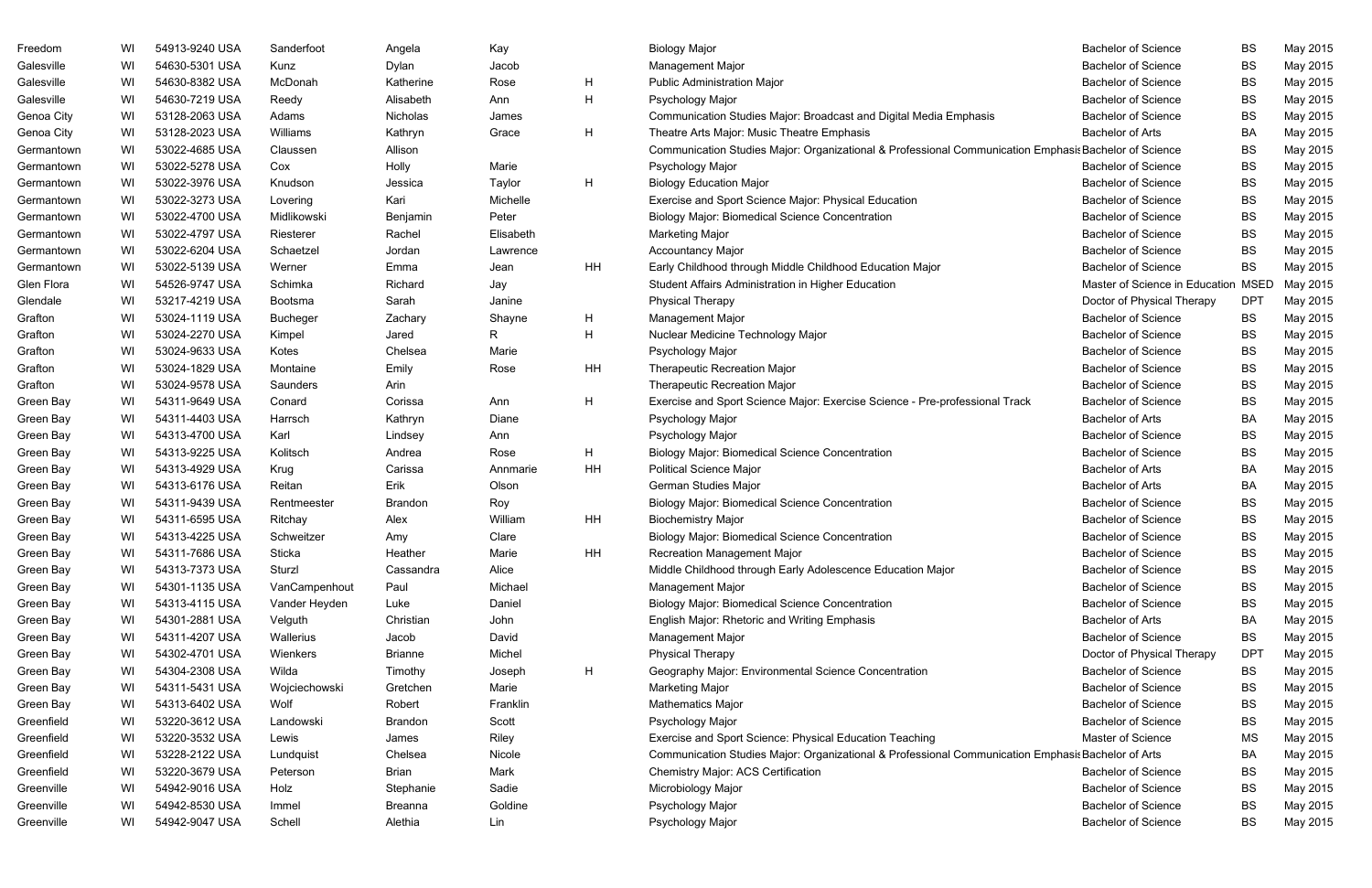| Freedom    | WI | 54913-9240 USA | Sanderfoot      | Angela         | Kay       |    | <b>Biology Major</b>                                                                               | <b>Bachelor of Science</b>          | <b>BS</b>  | May 2015 |
|------------|----|----------------|-----------------|----------------|-----------|----|----------------------------------------------------------------------------------------------------|-------------------------------------|------------|----------|
| Galesville | WI | 54630-5301 USA | Kunz            | Dylan          | Jacob     |    | Management Major                                                                                   | <b>Bachelor of Science</b>          | BS         | May 2015 |
| Galesville | WI | 54630-8382 USA | McDonah         | Katherine      | Rose      | H  | <b>Public Administration Major</b>                                                                 | <b>Bachelor of Science</b>          | BS         | May 2015 |
| Galesville | WI | 54630-7219 USA | Reedy           | Alisabeth      | Ann       | H  | Psychology Major                                                                                   | <b>Bachelor of Science</b>          | <b>BS</b>  | May 2015 |
| Genoa City | WI | 53128-2063 USA | Adams           | Nicholas       | James     |    | Communication Studies Major: Broadcast and Digital Media Emphasis                                  | <b>Bachelor of Science</b>          | <b>BS</b>  | May 2015 |
| Genoa City | WI | 53128-2023 USA | Williams        | Kathryn        | Grace     | H  | Theatre Arts Major: Music Theatre Emphasis                                                         | <b>Bachelor of Arts</b>             | BA         | May 2015 |
| Germantown | WI | 53022-4685 USA | Claussen        | Allison        |           |    | Communication Studies Major: Organizational & Professional Communication Emphasis                  | <b>Bachelor of Science</b>          | BS         | May 2015 |
| Germantown | WI | 53022-5278 USA | Cox             | Holly          | Marie     |    | Psychology Major                                                                                   | <b>Bachelor of Science</b>          | BS         | May 2015 |
| Germantown | WI | 53022-3976 USA | Knudson         | Jessica        | Taylor    | H  | <b>Biology Education Major</b>                                                                     | <b>Bachelor of Science</b>          | <b>BS</b>  | May 2015 |
| Germantown | WI | 53022-3273 USA | Lovering        | Kari           | Michelle  |    | Exercise and Sport Science Major: Physical Education                                               | <b>Bachelor of Science</b>          | BS         | May 2015 |
| Germantown | WI | 53022-4700 USA | Midlikowski     | Benjamin       | Peter     |    | <b>Biology Major: Biomedical Science Concentration</b>                                             | <b>Bachelor of Science</b>          | BS         | May 2015 |
| Germantown | WI | 53022-4797 USA | Riesterer       | Rachel         | Elisabeth |    | <b>Marketing Major</b>                                                                             | <b>Bachelor of Science</b>          | <b>BS</b>  | May 2015 |
| Germantown | WI | 53022-6204 USA | Schaetzel       | Jordan         | Lawrence  |    | <b>Accountancy Major</b>                                                                           | <b>Bachelor of Science</b>          | <b>BS</b>  | May 2015 |
| Germantown | WI | 53022-5139 USA | Werner          | Emma           | Jean      | HH | Early Childhood through Middle Childhood Education Major                                           | <b>Bachelor of Science</b>          | <b>BS</b>  | May 2015 |
| Glen Flora | WI | 54526-9747 USA | Schimka         | Richard        | Jay       |    | Student Affairs Administration in Higher Education                                                 | Master of Science in Education MSED |            | May 2015 |
| Glendale   | WI | 53217-4219 USA | Bootsma         | Sarah          | Janine    |    | <b>Physical Therapy</b>                                                                            | Doctor of Physical Therapy          | DPT        | May 2015 |
| Grafton    | WI | 53024-1119 USA | <b>Bucheger</b> | Zachary        | Shayne    | H  | Management Major                                                                                   | <b>Bachelor of Science</b>          | <b>BS</b>  | May 2015 |
| Grafton    | WI | 53024-2270 USA | Kimpel          | Jared          | R         | H. | Nuclear Medicine Technology Major                                                                  | <b>Bachelor of Science</b>          | BS         | May 2015 |
| Grafton    | WI | 53024-9633 USA | Kotes           | Chelsea        | Marie     |    | Psychology Major                                                                                   | <b>Bachelor of Science</b>          | BS         | May 2015 |
| Grafton    | WI | 53024-1829 USA | Montaine        | Emily          | Rose      | HH | <b>Therapeutic Recreation Major</b>                                                                | <b>Bachelor of Science</b>          | BS         | May 2015 |
| Grafton    | WI | 53024-9578 USA | Saunders        | Arin           |           |    | <b>Therapeutic Recreation Major</b>                                                                | <b>Bachelor of Science</b>          | BS         | May 2015 |
| Green Bay  | WI | 54311-9649 USA | Conard          | Corissa        | Ann       | H  | Exercise and Sport Science Major: Exercise Science - Pre-professional Track                        | <b>Bachelor of Science</b>          | BS         | May 2015 |
| Green Bay  | WI | 54311-4403 USA | Harrsch         | Kathryn        | Diane     |    | Psychology Major                                                                                   | <b>Bachelor of Arts</b>             | BA         | May 2015 |
| Green Bay  | WI | 54313-4700 USA | Karl            | Lindsey        | Ann       |    | Psychology Major                                                                                   | <b>Bachelor of Science</b>          | <b>BS</b>  | May 2015 |
| Green Bay  | WI | 54313-9225 USA | Kolitsch        | Andrea         | Rose      | H  | <b>Biology Major: Biomedical Science Concentration</b>                                             | <b>Bachelor of Science</b>          | BS         | May 2015 |
| Green Bay  | WI | 54313-4929 USA | Krug            | Carissa        | Annmarie  | HH | <b>Political Science Major</b>                                                                     | <b>Bachelor of Arts</b>             | BA         | May 2015 |
| Green Bay  | WI | 54313-6176 USA | Reitan          | Erik           | Olson     |    | German Studies Major                                                                               | <b>Bachelor of Arts</b>             | BA         | May 2015 |
| Green Bay  | WI | 54311-9439 USA | Rentmeester     | Brandon        | Roy       |    | <b>Biology Major: Biomedical Science Concentration</b>                                             | <b>Bachelor of Science</b>          | <b>BS</b>  | May 2015 |
| Green Bay  | WI | 54311-6595 USA | Ritchay         | Alex           | William   | HH | <b>Biochemistry Major</b>                                                                          | <b>Bachelor of Science</b>          | <b>BS</b>  | May 2015 |
| Green Bay  | WI | 54313-4225 USA | Schweitzer      | Amy            | Clare     |    | <b>Biology Major: Biomedical Science Concentration</b>                                             | <b>Bachelor of Science</b>          | <b>BS</b>  | May 2015 |
| Green Bay  | WI | 54311-7686 USA | Sticka          | Heather        | Marie     | HH | <b>Recreation Management Major</b>                                                                 | <b>Bachelor of Science</b>          | BS         | May 2015 |
| Green Bay  | WI | 54313-7373 USA | Sturzl          | Cassandra      | Alice     |    | Middle Childhood through Early Adolescence Education Major                                         | <b>Bachelor of Science</b>          | BS         | May 2015 |
| Green Bay  | WI | 54301-1135 USA | VanCampenhout   | Paul           | Michael   |    | <b>Management Major</b>                                                                            | <b>Bachelor of Science</b>          | BS         | May 2015 |
| Green Bay  | WI | 54313-4115 USA | Vander Heyden   | Luke           | Daniel    |    | <b>Biology Major: Biomedical Science Concentration</b>                                             | <b>Bachelor of Science</b>          | BS         | May 2015 |
| Green Bay  | WI | 54301-2881 USA | Velguth         | Christian      | John      |    | English Major: Rhetoric and Writing Emphasis                                                       | <b>Bachelor of Arts</b>             | BA         | May 2015 |
| Green Bay  | WI | 54311-4207 USA | Wallerius       | Jacob          | David     |    | Management Major                                                                                   | <b>Bachelor of Science</b>          | BS         | May 2015 |
| Green Bay  | WI | 54302-4701 USA | Wienkers        | <b>Brianne</b> | Michel    |    | <b>Physical Therapy</b>                                                                            | Doctor of Physical Therapy          | <b>DPT</b> | May 2015 |
| Green Bay  | WI | 54304-2308 USA | Wilda           | Timothy        | Joseph    | H  | Geography Major: Environmental Science Concentration                                               | <b>Bachelor of Science</b>          | BS         | May 2015 |
| Green Bay  | WI | 54311-5431 USA | Wojciechowski   | Gretchen       | Marie     |    | <b>Marketing Major</b>                                                                             | <b>Bachelor of Science</b>          | BS         | May 2015 |
| Green Bay  | WI | 54313-6402 USA | Wolf            | Robert         | Franklin  |    | Mathematics Major                                                                                  | <b>Bachelor of Science</b>          | BS         | May 2015 |
| Greenfield | WI | 53220-3612 USA | Landowski       | <b>Brandon</b> | Scott     |    | Psychology Major                                                                                   | <b>Bachelor of Science</b>          | BS         | May 2015 |
| Greenfield | WI | 53220-3532 USA | Lewis           | James          | Riley     |    | Exercise and Sport Science: Physical Education Teaching                                            | <b>Master of Science</b>            | MS         | May 2015 |
| Greenfield | WI | 53228-2122 USA | Lundquist       | Chelsea        | Nicole    |    | Communication Studies Major: Organizational & Professional Communication Emphasis Bachelor of Arts |                                     | BA         | May 2015 |
| Greenfield | WI | 53220-3679 USA | Peterson        | Brian          | Mark      |    | <b>Chemistry Major: ACS Certification</b>                                                          | <b>Bachelor of Science</b>          | BS         | May 2015 |
| Greenville | WI | 54942-9016 USA | Holz            | Stephanie      | Sadie     |    | Microbiology Major                                                                                 | <b>Bachelor of Science</b>          | BS         | May 2015 |
| Greenville | WI | 54942-8530 USA | Immel           | Breanna        | Goldine   |    | Psychology Major                                                                                   | <b>Bachelor of Science</b>          | BS         | May 2015 |
| Greenville | WI | 54942-9047 USA | Schell          | Alethia        | Lin       |    | Psychology Major                                                                                   | <b>Bachelor of Science</b>          | BS         | May 2015 |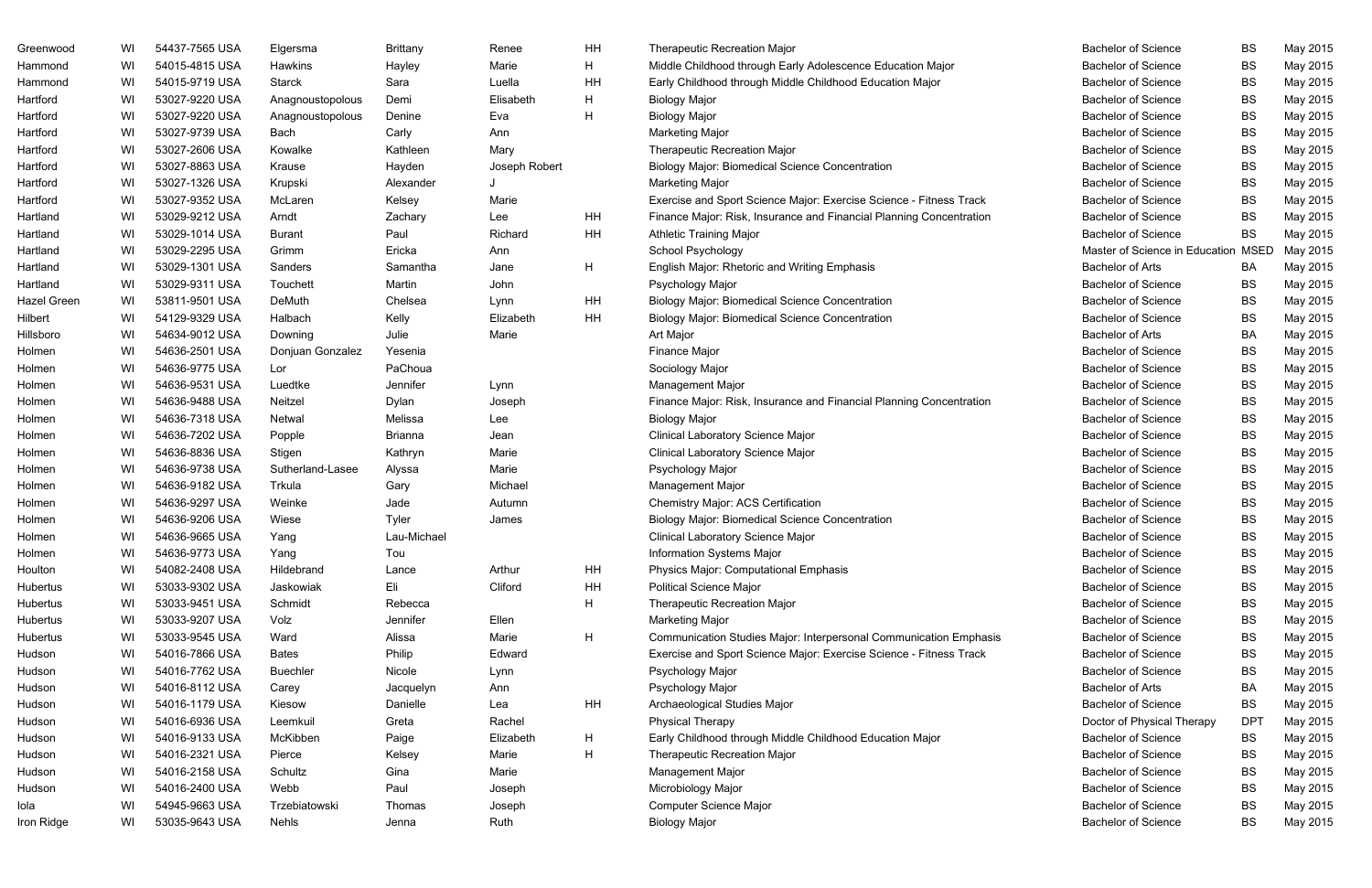| Greenwood   | WI | 54437-7565 USA | Elgersma         | <b>Brittany</b> | Renee         | HH | <b>Therapeutic Recreation Major</b>                                 | <b>Bachelor of Science</b>     | <b>BS</b>   | May 2015 |
|-------------|----|----------------|------------------|-----------------|---------------|----|---------------------------------------------------------------------|--------------------------------|-------------|----------|
| Hammond     | WI | 54015-4815 USA | Hawkins          | Hayley          | Marie         | H  | Middle Childhood through Early Adolescence Education Major          | <b>Bachelor of Science</b>     | <b>BS</b>   | May 2015 |
| Hammond     | WI | 54015-9719 USA | <b>Starck</b>    | Sara            | Luella        | HH | Early Childhood through Middle Childhood Education Major            | <b>Bachelor of Science</b>     | <b>BS</b>   | May 2015 |
| Hartford    | WI | 53027-9220 USA | Anagnoustopolous | Demi            | Elisabeth     | H  | <b>Biology Major</b>                                                | <b>Bachelor of Science</b>     | <b>BS</b>   | May 2015 |
| Hartford    | WI | 53027-9220 USA | Anagnoustopolous | Denine          | Eva           | H  | <b>Biology Major</b>                                                | <b>Bachelor of Science</b>     | <b>BS</b>   | May 2015 |
| Hartford    | WI | 53027-9739 USA | Bach             | Carly           | Ann           |    | <b>Marketing Major</b>                                              | <b>Bachelor of Science</b>     | <b>BS</b>   | May 2015 |
| Hartford    | WI | 53027-2606 USA | Kowalke          | Kathleen        | Mary          |    | <b>Therapeutic Recreation Major</b>                                 | <b>Bachelor of Science</b>     | <b>BS</b>   | May 2015 |
| Hartford    | WI | 53027-8863 USA | Krause           | Hayden          | Joseph Robert |    | <b>Biology Major: Biomedical Science Concentration</b>              | <b>Bachelor of Science</b>     | <b>BS</b>   | May 2015 |
| Hartford    | WI | 53027-1326 USA | Krupski          | Alexander       |               |    | <b>Marketing Major</b>                                              | <b>Bachelor of Science</b>     | <b>BS</b>   | May 2015 |
| Hartford    | WI | 53027-9352 USA | McLaren          | Kelsey          | Marie         |    | Exercise and Sport Science Major: Exercise Science - Fitness Track  | <b>Bachelor of Science</b>     | <b>BS</b>   | May 2015 |
| Hartland    | WI | 53029-9212 USA | Arndt            | Zachary         | Lee           | HH | Finance Major: Risk, Insurance and Financial Planning Concentration | <b>Bachelor of Science</b>     | <b>BS</b>   | May 2015 |
| Hartland    | WI | 53029-1014 USA | <b>Burant</b>    | Paul            | Richard       | HH | <b>Athletic Training Major</b>                                      | <b>Bachelor of Science</b>     | <b>BS</b>   | May 2015 |
| Hartland    | WI | 53029-2295 USA | Grimm            | Ericka          | Ann           |    | School Psychology                                                   | Master of Science in Education | <b>MSED</b> | May 2015 |
| Hartland    | WI | 53029-1301 USA | Sanders          | Samantha        | Jane          | H  | English Major: Rhetoric and Writing Emphasis                        | <b>Bachelor of Arts</b>        | BA          | May 2015 |
| Hartland    | WI | 53029-9311 USA | Touchett         | Martin          | John          |    | Psychology Major                                                    | <b>Bachelor of Science</b>     | <b>BS</b>   | May 2015 |
| Hazel Green | WI | 53811-9501 USA | DeMuth           | Chelsea         | Lynn          | HH | <b>Biology Major: Biomedical Science Concentration</b>              | <b>Bachelor of Science</b>     | <b>BS</b>   | May 2015 |
| Hilbert     | WI | 54129-9329 USA | Halbach          | Kelly           | Elizabeth     | HH | <b>Biology Major: Biomedical Science Concentration</b>              | <b>Bachelor of Science</b>     | <b>BS</b>   | May 2015 |
| Hillsboro   | WI | 54634-9012 USA | Downing          | Julie           | Marie         |    | Art Major                                                           | <b>Bachelor of Arts</b>        | BA          | May 2015 |
| Holmen      | WI | 54636-2501 USA | Donjuan Gonzalez | Yesenia         |               |    | <b>Finance Major</b>                                                | <b>Bachelor of Science</b>     | <b>BS</b>   | May 2015 |
| Holmen      | WI | 54636-9775 USA | Lor              | PaChoua         |               |    | Sociology Major                                                     | <b>Bachelor of Science</b>     | <b>BS</b>   | May 2015 |
| Holmen      | WI | 54636-9531 USA | Luedtke          | Jennifer        | Lynn          |    | Management Major                                                    | <b>Bachelor of Science</b>     | <b>BS</b>   | May 2015 |
| Holmen      | WI | 54636-9488 USA | Neitzel          | Dylan           | Joseph        |    | Finance Major: Risk, Insurance and Financial Planning Concentration | <b>Bachelor of Science</b>     | <b>BS</b>   | May 2015 |
| Holmen      | WI | 54636-7318 USA | Netwal           | Melissa         | Lee           |    | <b>Biology Major</b>                                                | <b>Bachelor of Science</b>     | <b>BS</b>   | May 2015 |
| Holmen      | WI | 54636-7202 USA | Popple           | Brianna         | Jean          |    | Clinical Laboratory Science Major                                   | <b>Bachelor of Science</b>     | BS          | May 2015 |
| Holmen      | WI | 54636-8836 USA | Stigen           | Kathryn         | Marie         |    | Clinical Laboratory Science Major                                   | <b>Bachelor of Science</b>     | <b>BS</b>   | May 2015 |
| Holmen      | WI | 54636-9738 USA | Sutherland-Lasee | Alyssa          | Marie         |    | Psychology Major                                                    | <b>Bachelor of Science</b>     | <b>BS</b>   | May 2015 |
| Holmen      | WI | 54636-9182 USA | Trkula           | Gary            | Michael       |    | Management Major                                                    | <b>Bachelor of Science</b>     | BS          | May 2015 |
| Holmen      | WI | 54636-9297 USA | Weinke           | Jade            | Autumn        |    | <b>Chemistry Major: ACS Certification</b>                           | <b>Bachelor of Science</b>     | <b>BS</b>   | May 2015 |
| Holmen      | WI | 54636-9206 USA | Wiese            | Tyler           | James         |    | <b>Biology Major: Biomedical Science Concentration</b>              | <b>Bachelor of Science</b>     | <b>BS</b>   | May 2015 |
| Holmen      | WI | 54636-9665 USA | Yang             | Lau-Michael     |               |    | Clinical Laboratory Science Major                                   | <b>Bachelor of Science</b>     | ВS          | May 2015 |
| Holmen      | WI | 54636-9773 USA | Yang             | Tou             |               |    | <b>Information Systems Major</b>                                    | <b>Bachelor of Science</b>     | <b>BS</b>   | May 2015 |
| Houlton     | WI | 54082-2408 USA | Hildebrand       | Lance           | Arthur        | HH | Physics Major: Computational Emphasis                               | <b>Bachelor of Science</b>     | <b>BS</b>   | May 2015 |
| Hubertus    | WI | 53033-9302 USA | Jaskowiak        | Eli             | Cliford       | HH | <b>Political Science Major</b>                                      | <b>Bachelor of Science</b>     | BS          | May 2015 |
| Hubertus    | WI | 53033-9451 USA | Schmidt          | Rebecca         |               | H. | <b>Therapeutic Recreation Major</b>                                 | <b>Bachelor of Science</b>     | BS          | May 2015 |
| Hubertus    | WI | 53033-9207 USA | Volz             | Jennifer        | Ellen         |    | <b>Marketing Major</b>                                              | <b>Bachelor of Science</b>     | <b>BS</b>   | May 2015 |
| Hubertus    | WI | 53033-9545 USA | Ward             | Alissa          | Marie         | H  | Communication Studies Major: Interpersonal Communication Emphasis   | <b>Bachelor of Science</b>     | BS          | May 2015 |
| Hudson      | WI | 54016-7866 USA | <b>Bates</b>     | Philip          | Edward        |    | Exercise and Sport Science Major: Exercise Science - Fitness Track  | <b>Bachelor of Science</b>     | <b>BS</b>   | May 2015 |
| Hudson      | WI | 54016-7762 USA | <b>Buechler</b>  | Nicole          | Lynn          |    | Psychology Major                                                    | <b>Bachelor of Science</b>     | <b>BS</b>   | May 2015 |
| Hudson      | WI | 54016-8112 USA | Carey            | Jacquelyn       | Ann           |    | Psychology Major                                                    | <b>Bachelor of Arts</b>        | BA          | May 2015 |
| Hudson      | WI | 54016-1179 USA | Kiesow           | Danielle        | Lea           | HH | Archaeological Studies Major                                        | <b>Bachelor of Science</b>     | <b>BS</b>   | May 2015 |
| Hudson      | WI | 54016-6936 USA | Leemkuil         | Greta           | Rachel        |    | <b>Physical Therapy</b>                                             | Doctor of Physical Therapy     | <b>DPT</b>  | May 2015 |
| Hudson      | WI | 54016-9133 USA | McKibben         | Paige           | Elizabeth     | H. | Early Childhood through Middle Childhood Education Major            | <b>Bachelor of Science</b>     | BS          | May 2015 |
| Hudson      | WI | 54016-2321 USA | Pierce           | Kelsey          | Marie         | H  | <b>Therapeutic Recreation Major</b>                                 | <b>Bachelor of Science</b>     | BS          | May 2015 |
| Hudson      | WI | 54016-2158 USA | Schultz          | Gina            | Marie         |    | Management Major                                                    | <b>Bachelor of Science</b>     | <b>BS</b>   | May 2015 |
| Hudson      | WI | 54016-2400 USA | Webb             | Paul            | Joseph        |    | Microbiology Major                                                  | <b>Bachelor of Science</b>     | BS          | May 2015 |
| Iola        | WI | 54945-9663 USA | Trzebiatowski    | Thomas          | Joseph        |    | Computer Science Major                                              | <b>Bachelor of Science</b>     | BS          | May 2015 |
| Iron Ridge  | WI | 53035-9643 USA | <b>Nehls</b>     | Jenna           | Ruth          |    | <b>Biology Major</b>                                                | <b>Bachelor of Science</b>     | <b>BS</b>   | May 2015 |
|             |    |                |                  |                 |               |    |                                                                     |                                |             |          |

| <b>Bachelor of Science</b>     | BS          | May 2015 |
|--------------------------------|-------------|----------|
| <b>Bachelor of Science</b>     | <b>BS</b>   | May 2015 |
| <b>Bachelor of Science</b>     | BS          | May 2015 |
| <b>Bachelor of Science</b>     | BS          | May 2015 |
| <b>Bachelor of Science</b>     | BS          | May 2015 |
| <b>Bachelor of Science</b>     | <b>BS</b>   | May 2015 |
| <b>Bachelor of Science</b>     | BS          | May 2015 |
| <b>Bachelor of Science</b>     | <b>BS</b>   | May 2015 |
| <b>Bachelor of Science</b>     | BS          | May 2015 |
| <b>Bachelor of Science</b>     | <b>BS</b>   | May 2015 |
| <b>Bachelor of Science</b>     | BS          | May 2015 |
| <b>Bachelor of Science</b>     | BS          | May 2015 |
| Master of Science in Education | <b>MSED</b> | May 2015 |
| <b>Bachelor of Arts</b>        | BA          | May 2015 |
| <b>Bachelor of Science</b>     | BS          | May 2015 |
| <b>Bachelor of Science</b>     | <b>BS</b>   | May 2015 |
| <b>Bachelor of Science</b>     | <b>BS</b>   | May 2015 |
| <b>Bachelor of Arts</b>        | BA          | May 2015 |
| <b>Bachelor of Science</b>     | BS          | May 2015 |
| <b>Bachelor of Science</b>     | BS          | May 2015 |
| <b>Bachelor of Science</b>     | BS          | May 2015 |
| <b>Bachelor of Science</b>     | <b>BS</b>   | May 2015 |
| <b>Bachelor of Science</b>     | <b>BS</b>   | May 2015 |
| <b>Bachelor of Science</b>     | BS          | May 2015 |
| <b>Bachelor of Science</b>     | BS          | May 2015 |
| <b>Bachelor of Science</b>     | <b>BS</b>   | May 2015 |
| <b>Bachelor of Science</b>     | <b>BS</b>   | May 2015 |
| <b>Bachelor of Science</b>     | <b>BS</b>   | May 2015 |
| <b>Bachelor of Science</b>     | BS          | May 2015 |
| <b>Bachelor of Science</b>     | <b>BS</b>   | May 2015 |
| <b>Bachelor of Science</b>     | BS          | May 2015 |
| <b>Bachelor of Science</b>     | BS          | May 2015 |
| <b>Bachelor of Science</b>     | BS          | May 2015 |
| <b>Bachelor of Science</b>     | BS          | May 2015 |
| <b>Bachelor of Science</b>     | BS          | May 2015 |
| <b>Bachelor of Science</b>     | BS          | May 2015 |
| <b>Bachelor of Science</b>     | <b>BS</b>   | May 2015 |
| <b>Bachelor of Science</b>     | BS          | May 2015 |
| <b>Bachelor of Arts</b>        | BA          | May 2015 |
| <b>Bachelor of Science</b>     | BS          | May 2015 |
| Doctor of Physical Therapy     | <b>DPT</b>  | May 2015 |
| <b>Bachelor of Science</b>     | BS          | May 2015 |
| <b>Bachelor of Science</b>     | BS          | May 2015 |
| <b>Bachelor of Science</b>     | BS          | May 2015 |
| <b>Bachelor of Science</b>     | BS          | May 2015 |
| <b>Bachelor of Science</b>     | BS          | May 2015 |
| <b>Bachelor of Science</b>     | BS          | May 2015 |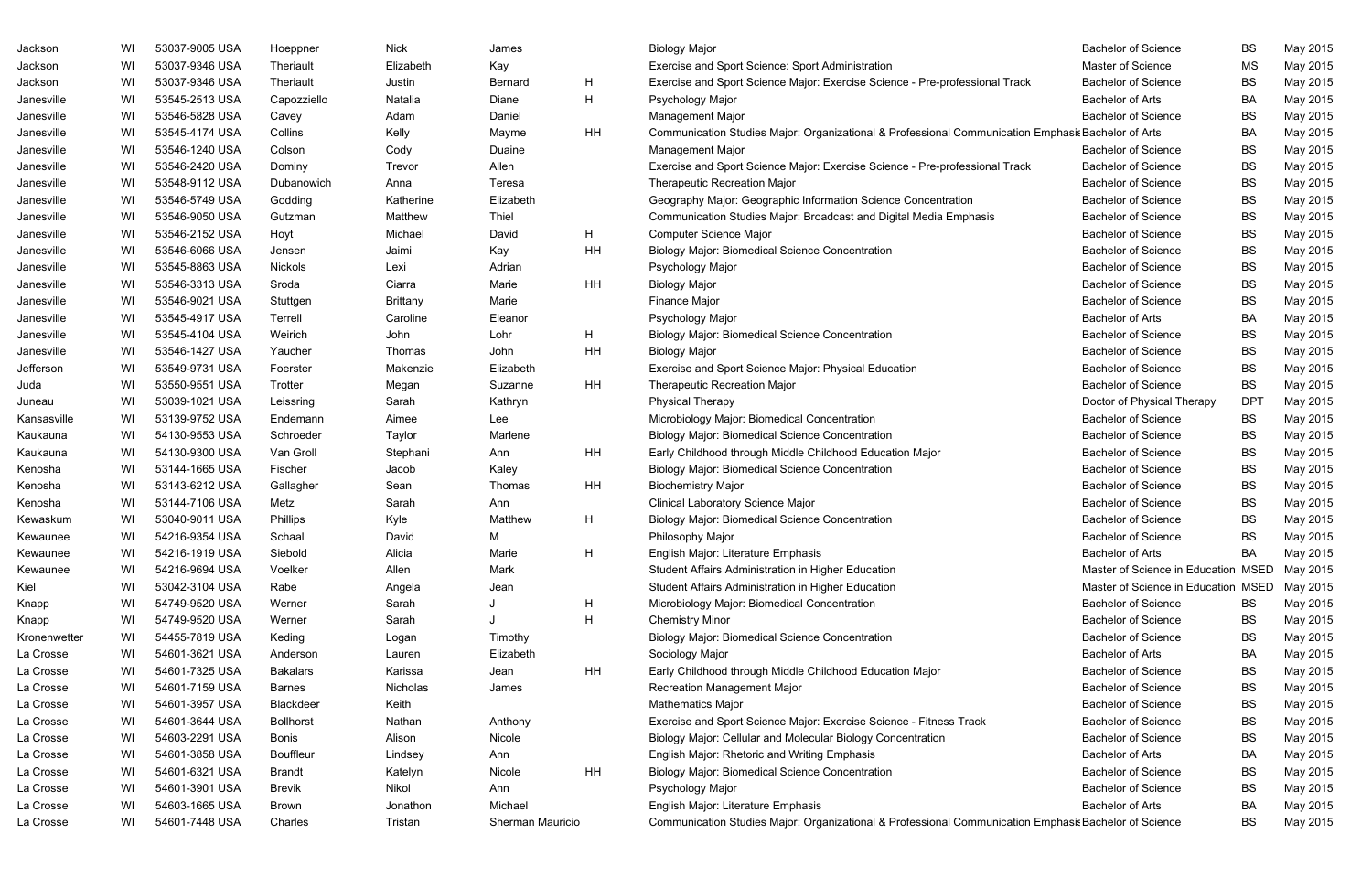| Jackson      | WI  | 53037-9005 USA | Hoeppner         | <b>Nick</b>     | James            |    | <b>Biology Major</b>                                                                                  | <b>Bachelor of Science</b>          | <b>BS</b>  | May 2015 |
|--------------|-----|----------------|------------------|-----------------|------------------|----|-------------------------------------------------------------------------------------------------------|-------------------------------------|------------|----------|
| Jackson      | WI  | 53037-9346 USA | Theriault        | Elizabeth       | Kay              |    | Exercise and Sport Science: Sport Administration                                                      | Master of Science                   | <b>MS</b>  | May 2015 |
| Jackson      | WI  | 53037-9346 USA | Theriault        | Justin          | <b>Bernard</b>   | H  | Exercise and Sport Science Major: Exercise Science - Pre-professional Track                           | <b>Bachelor of Science</b>          | BS         | May 2015 |
| Janesville   | WI  | 53545-2513 USA | Capozziello      | Natalia         | Diane            | Н  | Psychology Major                                                                                      | <b>Bachelor of Arts</b>             | <b>BA</b>  | May 2015 |
| Janesville   | WI  | 53546-5828 USA | Cavey            | Adam            | Daniel           |    | Management Major                                                                                      | <b>Bachelor of Science</b>          | BS         | May 2015 |
| Janesville   | WI  | 53545-4174 USA | Collins          | Kelly           | Mayme            | ΗH | Communication Studies Major: Organizational & Professional Communication Emphasis Bachelor of Arts    |                                     | <b>BA</b>  | May 2015 |
| Janesville   | WI  | 53546-1240 USA | Colson           | Cody            | Duaine           |    | Management Major                                                                                      | <b>Bachelor of Science</b>          | BS         | May 2015 |
| Janesville   | WI  | 53546-2420 USA | Dominy           | Trevor          | Allen            |    | Exercise and Sport Science Major: Exercise Science - Pre-professional Track                           | <b>Bachelor of Science</b>          | BS         | May 2015 |
| Janesville   | WI  | 53548-9112 USA | Dubanowich       | Anna            | Teresa           |    | <b>Therapeutic Recreation Major</b>                                                                   | <b>Bachelor of Science</b>          | BS         | May 2015 |
| Janesville   | WI  | 53546-5749 USA | Godding          | Katherine       | Elizabeth        |    | Geography Major: Geographic Information Science Concentration                                         | <b>Bachelor of Science</b>          | BS         | May 2015 |
| Janesville   | WI  | 53546-9050 USA | Gutzman          | Matthew         | Thiel            |    | Communication Studies Major: Broadcast and Digital Media Emphasis                                     | <b>Bachelor of Science</b>          | BS         | May 2015 |
| Janesville   | WI  | 53546-2152 USA | Hoyt             | Michael         | David            | H  | Computer Science Major                                                                                | <b>Bachelor of Science</b>          | BS         | May 2015 |
| Janesville   | WI  | 53546-6066 USA | Jensen           | Jaimi           | Kay              | ΗH | <b>Biology Major: Biomedical Science Concentration</b>                                                | <b>Bachelor of Science</b>          | BS         | May 2015 |
| Janesville   | WI  | 53545-8863 USA | <b>Nickols</b>   | Lexi            | Adrian           |    | Psychology Major                                                                                      | <b>Bachelor of Science</b>          | BS         | May 2015 |
| Janesville   | WI  | 53546-3313 USA | Sroda            | Ciarra          | Marie            | HH | <b>Biology Major</b>                                                                                  | <b>Bachelor of Science</b>          | BS         | May 2015 |
| Janesville   | WI  | 53546-9021 USA | Stuttgen         | <b>Brittany</b> | Marie            |    | Finance Major                                                                                         | <b>Bachelor of Science</b>          | BS         | May 2015 |
| Janesville   | WI  | 53545-4917 USA | Terrell          | Caroline        | Eleanor          |    | Psychology Major                                                                                      | <b>Bachelor of Arts</b>             | BA         | May 2015 |
| Janesville   | WI  | 53545-4104 USA | Weirich          | John            | Lohr             | H. | <b>Biology Major: Biomedical Science Concentration</b>                                                | <b>Bachelor of Science</b>          | BS         | May 2015 |
| Janesville   | WI  | 53546-1427 USA | Yaucher          | Thomas          | John             | ΗH | <b>Biology Major</b>                                                                                  | <b>Bachelor of Science</b>          | BS         | May 2015 |
| Jefferson    | WI  | 53549-9731 USA | Foerster         | Makenzie        | Elizabeth        |    | Exercise and Sport Science Major: Physical Education                                                  | <b>Bachelor of Science</b>          | BS         | May 2015 |
| Juda         | WI  | 53550-9551 USA | Trotter          | Megan           | Suzanne          | ΗH | Therapeutic Recreation Major                                                                          | <b>Bachelor of Science</b>          | <b>BS</b>  | May 2015 |
| Juneau       | WI  | 53039-1021 USA | Leissring        | Sarah           | Kathryn          |    | <b>Physical Therapy</b>                                                                               | Doctor of Physical Therapy          | <b>DPT</b> | May 2015 |
| Kansasville  | WI  | 53139-9752 USA | Endemann         | Aimee           | Lee              |    | Microbiology Major: Biomedical Concentration                                                          | <b>Bachelor of Science</b>          | BS         | May 2015 |
| Kaukauna     | WI  | 54130-9553 USA | Schroeder        | Taylor          | Marlene          |    | <b>Biology Major: Biomedical Science Concentration</b>                                                | <b>Bachelor of Science</b>          | BS         | May 2015 |
| Kaukauna     | WI  | 54130-9300 USA | Van Groll        | Stephani        | Ann              | ΗH | Early Childhood through Middle Childhood Education Major                                              | <b>Bachelor of Science</b>          | BS         | May 2015 |
| Kenosha      | WI  | 53144-1665 USA | Fischer          | Jacob           | Kaley            |    | <b>Biology Major: Biomedical Science Concentration</b>                                                | <b>Bachelor of Science</b>          | BS         | May 2015 |
| Kenosha      | WI  | 53143-6212 USA | Gallagher        | Sean            | Thomas           | ΗH | <b>Biochemistry Major</b>                                                                             | <b>Bachelor of Science</b>          | BS         | May 2015 |
| Kenosha      | WI  | 53144-7106 USA | Metz             | Sarah           | Ann              |    | Clinical Laboratory Science Major                                                                     | <b>Bachelor of Science</b>          | BS         | May 2015 |
| Kewaskum     | WI  | 53040-9011 USA | Phillips         | Kyle            | Matthew          | Η  | <b>Biology Major: Biomedical Science Concentration</b>                                                | <b>Bachelor of Science</b>          | <b>BS</b>  | May 2015 |
| Kewaunee     | WI. | 54216-9354 USA | Schaal           | David           | M                |    | Philosophy Major                                                                                      | <b>Bachelor of Science</b>          | BS         | May 2015 |
| Kewaunee     | WI. | 54216-1919 USA | Siebold          | Alicia          | Marie            | H  | English Major: Literature Emphasis                                                                    | <b>Bachelor of Arts</b>             | BA         | May 2015 |
| Kewaunee     | WI  | 54216-9694 USA | Voelker          | Allen           | Mark             |    | Student Affairs Administration in Higher Education                                                    | Master of Science in Education MSED |            | May 2015 |
| Kiel         | WI  | 53042-3104 USA | Rabe             | Angela          | Jean             |    | Student Affairs Administration in Higher Education                                                    | Master of Science in Education MSED |            | May 2015 |
| Knapp        | WI  | 54749-9520 USA | Werner           | Sarah           |                  | H  | Microbiology Major: Biomedical Concentration                                                          | <b>Bachelor of Science</b>          | <b>BS</b>  | May 2015 |
| Knapp        | WI  | 54749-9520 USA | Werner           | Sarah           |                  | н  | <b>Chemistry Minor</b>                                                                                | <b>Bachelor of Science</b>          | BS         | May 2015 |
| Kronenwetter | WI  | 54455-7819 USA | Keding           | Logan           | Timothy          |    | <b>Biology Major: Biomedical Science Concentration</b>                                                | <b>Bachelor of Science</b>          | BS         | May 2015 |
| La Crosse    | WI  | 54601-3621 USA | Anderson         | Lauren          | Elizabeth        |    | Sociology Major                                                                                       | <b>Bachelor of Arts</b>             | <b>BA</b>  | May 2015 |
| La Crosse    | WI  | 54601-7325 USA | <b>Bakalars</b>  | Karissa         | Jean             | ΗH | Early Childhood through Middle Childhood Education Major                                              | <b>Bachelor of Science</b>          | <b>BS</b>  | May 2015 |
| La Crosse    | WI  | 54601-7159 USA | <b>Barnes</b>    | Nicholas        | James            |    | <b>Recreation Management Major</b>                                                                    | <b>Bachelor of Science</b>          | BS         | May 2015 |
| La Crosse    | WI  | 54601-3957 USA | Blackdeer        | Keith           |                  |    | Mathematics Major                                                                                     | <b>Bachelor of Science</b>          | BS         | May 2015 |
| La Crosse    | WI  | 54601-3644 USA | <b>Bollhorst</b> | Nathan          | Anthony          |    | Exercise and Sport Science Major: Exercise Science - Fitness Track                                    | <b>Bachelor of Science</b>          | BS         | May 2015 |
| La Crosse    | WI  | 54603-2291 USA | Bonis            | Alison          | Nicole           |    | Biology Major: Cellular and Molecular Biology Concentration                                           | <b>Bachelor of Science</b>          | <b>BS</b>  | May 2015 |
| La Crosse    | WI  | 54601-3858 USA | Bouffleur        | Lindsey         | Ann              |    | English Major: Rhetoric and Writing Emphasis                                                          | <b>Bachelor of Arts</b>             | BA         | May 2015 |
| La Crosse    | WI  | 54601-6321 USA | <b>Brandt</b>    | Katelyn         | Nicole           | HH | <b>Biology Major: Biomedical Science Concentration</b>                                                | <b>Bachelor of Science</b>          | BS         | May 2015 |
| La Crosse    | WI  | 54601-3901 USA | <b>Brevik</b>    | Nikol           | Ann              |    | Psychology Major                                                                                      | <b>Bachelor of Science</b>          | BS         | May 2015 |
| La Crosse    | WI  | 54603-1665 USA | Brown            | Jonathon        | Michael          |    | English Major: Literature Emphasis                                                                    | <b>Bachelor of Arts</b>             | BA         | May 2015 |
| La Crosse    | WI  | 54601-7448 USA | Charles          | Tristan         | Sherman Mauricio |    | Communication Studies Major: Organizational & Professional Communication Emphasis Bachelor of Science |                                     | <b>BS</b>  | May 2015 |
|              |     |                |                  |                 |                  |    |                                                                                                       |                                     |            |          |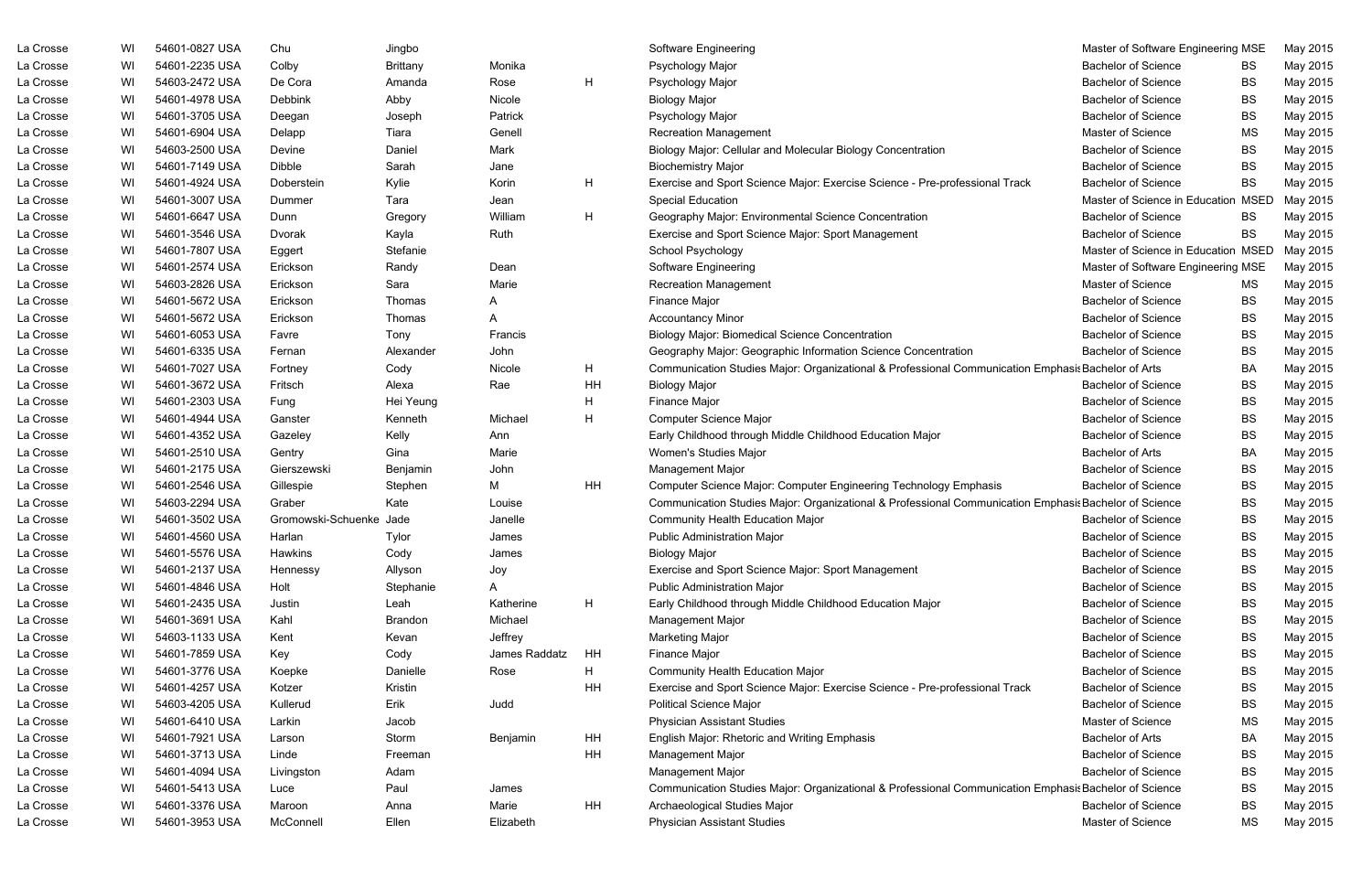| <b>Bachelor of Science</b><br>La Crosse<br>54601-2235 USA<br><b>Brittany</b><br>Monika<br>Psychology Major<br>May 2015<br>WI<br>Colby<br><b>BS</b><br>H.<br>WI<br>54603-2472 USA<br>De Cora<br>Rose<br><b>Bachelor of Science</b><br>La Crosse<br>Psychology Major<br><b>BS</b><br>Amanda<br>Abby<br><b>Bachelor of Science</b><br>La Crosse<br>WI<br>54601-4978 USA<br><b>Debbink</b><br>Nicole<br><b>Biology Major</b><br><b>BS</b><br>May 2015<br>WI<br>54601-3705 USA<br>Psychology Major<br><b>Bachelor of Science</b><br><b>BS</b><br>May 2015<br>La Crosse<br>Patrick<br>Deegan<br>Joseph<br>La Crosse<br>WI<br>54601-6904 USA<br>Genell<br>Master of Science<br><b>MS</b><br>May 2015<br>Delapp<br>Tiara<br><b>Recreation Management</b><br>WI<br>54603-2500 USA<br>Daniel<br>Mark<br><b>Bachelor of Science</b><br>BS<br>La Crosse<br>Devine<br>Biology Major: Cellular and Molecular Biology Concentration<br><b>Bachelor of Science</b><br>La Crosse<br>WI<br>54601-7149 USA<br>Dibble<br>Sarah<br><b>Biochemistry Major</b><br><b>BS</b><br>May 2015<br>Jane<br>H.<br>WI<br>54601-4924 USA<br><b>Bachelor of Science</b><br><b>BS</b><br>La Crosse<br>Doberstein<br>Kylie<br>Korin<br>Exercise and Sport Science Major: Exercise Science - Pre-professional Track<br>La Crosse<br>WI<br>54601-3007 USA<br><b>Special Education</b><br>Master of Science in Education<br><b>MSED</b><br>Tara<br>May 2015<br>Dummer<br>Jean<br>H.<br>WI<br>54601-6647 USA<br>William<br>Geography Major: Environmental Science Concentration<br><b>Bachelor of Science</b><br><b>BS</b><br>May 2015<br>La Crosse<br>Dunn<br>Gregory<br>Exercise and Sport Science Major: Sport Management<br><b>Bachelor of Science</b><br>La Crosse<br>WI<br>54601-3546 USA<br>Kayla<br>Ruth<br><b>BS</b><br>May 2015<br>Dvorak<br>WI<br>54601-7807 USA<br>School Psychology<br>Master of Science in Education MSED<br>La Crosse<br>Stefanie<br>May 2015<br>Eggert<br>La Crosse<br>WI<br>54601-2574 USA<br>Master of Software Engineering MSE<br>Erickson<br>Randy<br>Dean<br>Software Engineering<br>May 2015<br>La Crosse<br>WI<br>54603-2826 USA<br>Sara<br>Marie<br><b>Recreation Management</b><br>Master of Science<br>May 2015<br>Erickson<br>MS<br>54601-5672 USA<br><b>Finance Major</b><br><b>Bachelor of Science</b><br>La Crosse<br>WI<br>Erickson<br>Thomas<br><b>BS</b><br>May 2015<br>A<br>54601-5672 USA<br><b>Bachelor of Science</b><br><b>BS</b><br>La Crosse<br>WI<br>Erickson<br><b>Accountancy Minor</b><br>May 2015<br>Thomas<br>A<br>La Crosse<br>54601-6053 USA<br><b>Bachelor of Science</b><br><b>BS</b><br>WI<br>Tony<br>Francis<br><b>Biology Major: Biomedical Science Concentration</b><br>May 2015<br>Favre<br>La Crosse<br>WI<br>54601-6335 USA<br>Geography Major: Geographic Information Science Concentration<br><b>Bachelor of Science</b><br>BS<br>May 2015<br>Fernan<br>Alexander<br>John<br>La Crosse<br>H<br>Communication Studies Major: Organizational & Professional Communication Emphasis Bachelor of Arts<br><b>BA</b><br>WI<br>54601-7027 USA<br>Cody<br>Nicole<br>May 2015<br>Fortney<br>54601-3672 USA<br>ΗH<br><b>Bachelor of Science</b><br>BS<br>La Crosse<br>WI<br>Fritsch<br>Alexa<br>Rae<br><b>Biology Major</b><br>May 2015<br>Η<br>La Crosse<br>54601-2303 USA<br>Hei Yeung<br>Finance Major<br><b>Bachelor of Science</b><br>BS<br>May 2015<br>WI<br>Fung<br>54601-4944 USA<br>Michael<br>н<br>Computer Science Major<br><b>Bachelor of Science</b><br>BS<br>May 2015<br>La Crosse<br>WI<br>Ganster<br>Kenneth<br>Kelly<br>La Crosse<br>WI<br>54601-4352 USA<br>Early Childhood through Middle Childhood Education Major<br><b>Bachelor of Science</b><br><b>BS</b><br>May 2015<br>Gazeley<br>Ann<br>54601-2510 USA<br>Women's Studies Major<br><b>Bachelor of Arts</b><br><b>BA</b><br>May 2015<br>La Crosse<br>WI<br>Gina<br>Marie<br>Gentry<br>La Crosse<br>54601-2175 USA<br>Benjamin<br><b>Bachelor of Science</b><br>BS<br>May 2015<br>WI<br>Gierszewski<br>John<br>Management Major<br>54601-2546 USA<br>Μ<br>HH<br>Computer Science Major: Computer Engineering Technology Emphasis<br><b>Bachelor of Science</b><br>BS<br>May 2015<br>La Crosse<br>WI<br>Gillespie<br>Stephen<br>Communication Studies Major: Organizational & Professional Communication Emphasis Bachelor of Science<br>La Crosse<br>WI<br>54603-2294 USA<br>Graber<br>Kate<br><b>BS</b><br>May 2015<br>Louise<br>54601-3502 USA<br>Gromowski-Schuenke Jade<br>Community Health Education Major<br>May 2015<br>La Crosse<br>WI<br>Janelle<br><b>Bachelor of Science</b><br><b>BS</b><br>54601-4560 USA<br><b>Public Administration Major</b><br>BS<br>May 2015<br>La Crosse<br>WI<br>Harlan<br><b>Bachelor of Science</b><br>Tylor<br>James<br>La Crosse<br>54601-5576 USA<br>Cody<br><b>Bachelor of Science</b><br><b>BS</b><br>May 2015<br>Hawkins<br><b>Biology Major</b><br>WI<br>James<br>La Crosse<br>54601-2137 USA<br><b>Bachelor of Science</b><br><b>BS</b><br>WI<br>Allyson<br>Joy<br>Exercise and Sport Science Major: Sport Management<br>May 2015<br>Hennessy<br><b>Public Administration Major</b><br>BS<br>May 2015<br>La Crosse<br>WI<br>54601-4846 USA<br>Holt<br>Stephanie<br><b>Bachelor of Science</b><br>A<br>H<br>La Crosse<br>Early Childhood through Middle Childhood Education Major<br><b>Bachelor of Science</b><br>May 2015<br>WI<br>54601-2435 USA<br>Leah<br>Katherine<br>BS<br>Justin<br>La Crosse<br>54601-3691 USA<br>Michael<br><b>Bachelor of Science</b><br>BS<br>May 2015<br>WI<br>Kahl<br>Brandon<br>Management Major<br>La Crosse<br>Jeffrey<br><b>Bachelor of Science</b><br>BS<br>May 2015<br>WI<br>54603-1133 USA<br>Kent<br><b>Marketing Major</b><br>Kevan<br>54601-7859 USA<br>Finance Major<br>May 2015<br>La Crosse<br>WI<br>Key<br>Cody<br>James Raddatz<br>HH<br><b>Bachelor of Science</b><br>BS<br>H.<br>La Crosse<br>54601-3776 USA<br>Community Health Education Major<br><b>Bachelor of Science</b><br>May 2015<br>WI<br>Danielle<br>Rose<br>BS<br>Koepke<br>La Crosse<br>54601-4257 USA<br>Kristin<br>ΗH<br>Exercise and Sport Science Major: Exercise Science - Pre-professional Track<br><b>Bachelor of Science</b><br>BS<br>May 2015<br>WI<br>Kotzer<br>Erik<br>La Crosse<br>Judd<br><b>Political Science Major</b><br><b>Bachelor of Science</b><br>BS<br>May 2015<br>WI<br>54603-4205 USA<br>Kullerud<br><b>Physician Assistant Studies</b><br><b>MS</b><br>May 2015<br>La Crosse<br>WI<br>54601-6410 USA<br>Larkin<br>Jacob<br>Master of Science<br>HH<br>La Crosse<br>Storm<br><b>BA</b><br>WI<br>54601-7921 USA<br>English Major: Rhetoric and Writing Emphasis<br><b>Bachelor of Arts</b><br>May 2015<br>Benjamin<br>Larson<br>La Crosse<br>54601-3713 USA<br>ΗH<br>Management Major<br><b>Bachelor of Science</b><br>BS<br>May 2015<br>WI<br>Linde<br>Freeman<br>La Crosse<br>54601-4094 USA<br>Management Major<br><b>Bachelor of Science</b><br>BS<br>May 2015<br>WI<br>Adam<br>Livingston<br>Paul<br>Communication Studies Major: Organizational & Professional Communication Emphasis Bachelor of Science<br>La Crosse<br>WI<br>54601-5413 USA<br>BS<br>May 2015<br>Luce<br>James<br>HH<br>La Crosse<br>WI<br>54601-3376 USA<br>Marie<br>Archaeological Studies Major<br><b>Bachelor of Science</b><br>BS<br>May 2015<br>Maroon<br>Anna<br>54601-3953 USA<br>Master of Science<br>May 2015<br>La Crosse<br>WI<br>McConnell<br>Ellen<br>Elizabeth<br><b>Physician Assistant Studies</b><br>MS | La Crosse | WI | 54601-0827 USA | Chu | Jingbo |  | <b>Software Engineering</b> | Master of Software Engineering MSE | May 2015 |
|-------------------------------------------------------------------------------------------------------------------------------------------------------------------------------------------------------------------------------------------------------------------------------------------------------------------------------------------------------------------------------------------------------------------------------------------------------------------------------------------------------------------------------------------------------------------------------------------------------------------------------------------------------------------------------------------------------------------------------------------------------------------------------------------------------------------------------------------------------------------------------------------------------------------------------------------------------------------------------------------------------------------------------------------------------------------------------------------------------------------------------------------------------------------------------------------------------------------------------------------------------------------------------------------------------------------------------------------------------------------------------------------------------------------------------------------------------------------------------------------------------------------------------------------------------------------------------------------------------------------------------------------------------------------------------------------------------------------------------------------------------------------------------------------------------------------------------------------------------------------------------------------------------------------------------------------------------------------------------------------------------------------------------------------------------------------------------------------------------------------------------------------------------------------------------------------------------------------------------------------------------------------------------------------------------------------------------------------------------------------------------------------------------------------------------------------------------------------------------------------------------------------------------------------------------------------------------------------------------------------------------------------------------------------------------------------------------------------------------------------------------------------------------------------------------------------------------------------------------------------------------------------------------------------------------------------------------------------------------------------------------------------------------------------------------------------------------------------------------------------------------------------------------------------------------------------------------------------------------------------------------------------------------------------------------------------------------------------------------------------------------------------------------------------------------------------------------------------------------------------------------------------------------------------------------------------------------------------------------------------------------------------------------------------------------------------------------------------------------------------------------------------------------------------------------------------------------------------------------------------------------------------------------------------------------------------------------------------------------------------------------------------------------------------------------------------------------------------------------------------------------------------------------------------------------------------------------------------------------------------------------------------------------------------------------------------------------------------------------------------------------------------------------------------------------------------------------------------------------------------------------------------------------------------------------------------------------------------------------------------------------------------------------------------------------------------------------------------------------------------------------------------------------------------------------------------------------------------------------------------------------------------------------------------------------------------------------------------------------------------------------------------------------------------------------------------------------------------------------------------------------------------------------------------------------------------------------------------------------------------------------------------------------------------------------------------------------------------------------------------------------------------------------------------------------------------------------------------------------------------------------------------------------------------------------------------------------------------------------------------------------------------------------------------------------------------------------------------------------------------------------------------------------------------------------------------------------------------------------------------------------------------------------------------------------------------------------------------------------------------------------------------------------------------------------------------------------------------------------------------------------------------------------------------------------------------------------------------------------------------------------------------------------------------------------------------------------------------------------------------------------------------------------------------------------------------------------------------------------------------------------------------------------------------------------------------------------------------------------------------------------------------------------------------------------------------------------------------------------------------------------------------------------------------------------------------------------------------------------------------------------------------------------------------------------------------------------------------------------------------------------------------------------------------------------------------------------------------------------------------------------------------------------------------------------------------------------------------------------------------------------------------------------------------------------------------------------------------------------------------------------------------------------------------------------------------------------------------------------------|-----------|----|----------------|-----|--------|--|-----------------------------|------------------------------------|----------|
|                                                                                                                                                                                                                                                                                                                                                                                                                                                                                                                                                                                                                                                                                                                                                                                                                                                                                                                                                                                                                                                                                                                                                                                                                                                                                                                                                                                                                                                                                                                                                                                                                                                                                                                                                                                                                                                                                                                                                                                                                                                                                                                                                                                                                                                                                                                                                                                                                                                                                                                                                                                                                                                                                                                                                                                                                                                                                                                                                                                                                                                                                                                                                                                                                                                                                                                                                                                                                                                                                                                                                                                                                                                                                                                                                                                                                                                                                                                                                                                                                                                                                                                                                                                                                                                                                                                                                                                                                                                                                                                                                                                                                                                                                                                                                                                                                                                                                                                                                                                                                                                                                                                                                                                                                                                                                                                                                                                                                                                                                                                                                                                                                                                                                                                                                                                                                                                                                                                                                                                                                                                                                                                                                                                                                                                                                                                                                                                                                                                                                                                                                                                                                                                                                                                                                                                                                                                                                                                                                                                                                                                                                                                                                                                                                                                                                                                                                                                                                                                                                     |           |    |                |     |        |  |                             |                                    |          |
|                                                                                                                                                                                                                                                                                                                                                                                                                                                                                                                                                                                                                                                                                                                                                                                                                                                                                                                                                                                                                                                                                                                                                                                                                                                                                                                                                                                                                                                                                                                                                                                                                                                                                                                                                                                                                                                                                                                                                                                                                                                                                                                                                                                                                                                                                                                                                                                                                                                                                                                                                                                                                                                                                                                                                                                                                                                                                                                                                                                                                                                                                                                                                                                                                                                                                                                                                                                                                                                                                                                                                                                                                                                                                                                                                                                                                                                                                                                                                                                                                                                                                                                                                                                                                                                                                                                                                                                                                                                                                                                                                                                                                                                                                                                                                                                                                                                                                                                                                                                                                                                                                                                                                                                                                                                                                                                                                                                                                                                                                                                                                                                                                                                                                                                                                                                                                                                                                                                                                                                                                                                                                                                                                                                                                                                                                                                                                                                                                                                                                                                                                                                                                                                                                                                                                                                                                                                                                                                                                                                                                                                                                                                                                                                                                                                                                                                                                                                                                                                                                     |           |    |                |     |        |  |                             |                                    | May 2015 |
|                                                                                                                                                                                                                                                                                                                                                                                                                                                                                                                                                                                                                                                                                                                                                                                                                                                                                                                                                                                                                                                                                                                                                                                                                                                                                                                                                                                                                                                                                                                                                                                                                                                                                                                                                                                                                                                                                                                                                                                                                                                                                                                                                                                                                                                                                                                                                                                                                                                                                                                                                                                                                                                                                                                                                                                                                                                                                                                                                                                                                                                                                                                                                                                                                                                                                                                                                                                                                                                                                                                                                                                                                                                                                                                                                                                                                                                                                                                                                                                                                                                                                                                                                                                                                                                                                                                                                                                                                                                                                                                                                                                                                                                                                                                                                                                                                                                                                                                                                                                                                                                                                                                                                                                                                                                                                                                                                                                                                                                                                                                                                                                                                                                                                                                                                                                                                                                                                                                                                                                                                                                                                                                                                                                                                                                                                                                                                                                                                                                                                                                                                                                                                                                                                                                                                                                                                                                                                                                                                                                                                                                                                                                                                                                                                                                                                                                                                                                                                                                                                     |           |    |                |     |        |  |                             |                                    |          |
|                                                                                                                                                                                                                                                                                                                                                                                                                                                                                                                                                                                                                                                                                                                                                                                                                                                                                                                                                                                                                                                                                                                                                                                                                                                                                                                                                                                                                                                                                                                                                                                                                                                                                                                                                                                                                                                                                                                                                                                                                                                                                                                                                                                                                                                                                                                                                                                                                                                                                                                                                                                                                                                                                                                                                                                                                                                                                                                                                                                                                                                                                                                                                                                                                                                                                                                                                                                                                                                                                                                                                                                                                                                                                                                                                                                                                                                                                                                                                                                                                                                                                                                                                                                                                                                                                                                                                                                                                                                                                                                                                                                                                                                                                                                                                                                                                                                                                                                                                                                                                                                                                                                                                                                                                                                                                                                                                                                                                                                                                                                                                                                                                                                                                                                                                                                                                                                                                                                                                                                                                                                                                                                                                                                                                                                                                                                                                                                                                                                                                                                                                                                                                                                                                                                                                                                                                                                                                                                                                                                                                                                                                                                                                                                                                                                                                                                                                                                                                                                                                     |           |    |                |     |        |  |                             |                                    |          |
|                                                                                                                                                                                                                                                                                                                                                                                                                                                                                                                                                                                                                                                                                                                                                                                                                                                                                                                                                                                                                                                                                                                                                                                                                                                                                                                                                                                                                                                                                                                                                                                                                                                                                                                                                                                                                                                                                                                                                                                                                                                                                                                                                                                                                                                                                                                                                                                                                                                                                                                                                                                                                                                                                                                                                                                                                                                                                                                                                                                                                                                                                                                                                                                                                                                                                                                                                                                                                                                                                                                                                                                                                                                                                                                                                                                                                                                                                                                                                                                                                                                                                                                                                                                                                                                                                                                                                                                                                                                                                                                                                                                                                                                                                                                                                                                                                                                                                                                                                                                                                                                                                                                                                                                                                                                                                                                                                                                                                                                                                                                                                                                                                                                                                                                                                                                                                                                                                                                                                                                                                                                                                                                                                                                                                                                                                                                                                                                                                                                                                                                                                                                                                                                                                                                                                                                                                                                                                                                                                                                                                                                                                                                                                                                                                                                                                                                                                                                                                                                                                     |           |    |                |     |        |  |                             |                                    |          |
|                                                                                                                                                                                                                                                                                                                                                                                                                                                                                                                                                                                                                                                                                                                                                                                                                                                                                                                                                                                                                                                                                                                                                                                                                                                                                                                                                                                                                                                                                                                                                                                                                                                                                                                                                                                                                                                                                                                                                                                                                                                                                                                                                                                                                                                                                                                                                                                                                                                                                                                                                                                                                                                                                                                                                                                                                                                                                                                                                                                                                                                                                                                                                                                                                                                                                                                                                                                                                                                                                                                                                                                                                                                                                                                                                                                                                                                                                                                                                                                                                                                                                                                                                                                                                                                                                                                                                                                                                                                                                                                                                                                                                                                                                                                                                                                                                                                                                                                                                                                                                                                                                                                                                                                                                                                                                                                                                                                                                                                                                                                                                                                                                                                                                                                                                                                                                                                                                                                                                                                                                                                                                                                                                                                                                                                                                                                                                                                                                                                                                                                                                                                                                                                                                                                                                                                                                                                                                                                                                                                                                                                                                                                                                                                                                                                                                                                                                                                                                                                                                     |           |    |                |     |        |  |                             |                                    | May 2015 |
|                                                                                                                                                                                                                                                                                                                                                                                                                                                                                                                                                                                                                                                                                                                                                                                                                                                                                                                                                                                                                                                                                                                                                                                                                                                                                                                                                                                                                                                                                                                                                                                                                                                                                                                                                                                                                                                                                                                                                                                                                                                                                                                                                                                                                                                                                                                                                                                                                                                                                                                                                                                                                                                                                                                                                                                                                                                                                                                                                                                                                                                                                                                                                                                                                                                                                                                                                                                                                                                                                                                                                                                                                                                                                                                                                                                                                                                                                                                                                                                                                                                                                                                                                                                                                                                                                                                                                                                                                                                                                                                                                                                                                                                                                                                                                                                                                                                                                                                                                                                                                                                                                                                                                                                                                                                                                                                                                                                                                                                                                                                                                                                                                                                                                                                                                                                                                                                                                                                                                                                                                                                                                                                                                                                                                                                                                                                                                                                                                                                                                                                                                                                                                                                                                                                                                                                                                                                                                                                                                                                                                                                                                                                                                                                                                                                                                                                                                                                                                                                                                     |           |    |                |     |        |  |                             |                                    |          |
|                                                                                                                                                                                                                                                                                                                                                                                                                                                                                                                                                                                                                                                                                                                                                                                                                                                                                                                                                                                                                                                                                                                                                                                                                                                                                                                                                                                                                                                                                                                                                                                                                                                                                                                                                                                                                                                                                                                                                                                                                                                                                                                                                                                                                                                                                                                                                                                                                                                                                                                                                                                                                                                                                                                                                                                                                                                                                                                                                                                                                                                                                                                                                                                                                                                                                                                                                                                                                                                                                                                                                                                                                                                                                                                                                                                                                                                                                                                                                                                                                                                                                                                                                                                                                                                                                                                                                                                                                                                                                                                                                                                                                                                                                                                                                                                                                                                                                                                                                                                                                                                                                                                                                                                                                                                                                                                                                                                                                                                                                                                                                                                                                                                                                                                                                                                                                                                                                                                                                                                                                                                                                                                                                                                                                                                                                                                                                                                                                                                                                                                                                                                                                                                                                                                                                                                                                                                                                                                                                                                                                                                                                                                                                                                                                                                                                                                                                                                                                                                                                     |           |    |                |     |        |  |                             |                                    | May 2015 |
|                                                                                                                                                                                                                                                                                                                                                                                                                                                                                                                                                                                                                                                                                                                                                                                                                                                                                                                                                                                                                                                                                                                                                                                                                                                                                                                                                                                                                                                                                                                                                                                                                                                                                                                                                                                                                                                                                                                                                                                                                                                                                                                                                                                                                                                                                                                                                                                                                                                                                                                                                                                                                                                                                                                                                                                                                                                                                                                                                                                                                                                                                                                                                                                                                                                                                                                                                                                                                                                                                                                                                                                                                                                                                                                                                                                                                                                                                                                                                                                                                                                                                                                                                                                                                                                                                                                                                                                                                                                                                                                                                                                                                                                                                                                                                                                                                                                                                                                                                                                                                                                                                                                                                                                                                                                                                                                                                                                                                                                                                                                                                                                                                                                                                                                                                                                                                                                                                                                                                                                                                                                                                                                                                                                                                                                                                                                                                                                                                                                                                                                                                                                                                                                                                                                                                                                                                                                                                                                                                                                                                                                                                                                                                                                                                                                                                                                                                                                                                                                                                     |           |    |                |     |        |  |                             |                                    |          |
|                                                                                                                                                                                                                                                                                                                                                                                                                                                                                                                                                                                                                                                                                                                                                                                                                                                                                                                                                                                                                                                                                                                                                                                                                                                                                                                                                                                                                                                                                                                                                                                                                                                                                                                                                                                                                                                                                                                                                                                                                                                                                                                                                                                                                                                                                                                                                                                                                                                                                                                                                                                                                                                                                                                                                                                                                                                                                                                                                                                                                                                                                                                                                                                                                                                                                                                                                                                                                                                                                                                                                                                                                                                                                                                                                                                                                                                                                                                                                                                                                                                                                                                                                                                                                                                                                                                                                                                                                                                                                                                                                                                                                                                                                                                                                                                                                                                                                                                                                                                                                                                                                                                                                                                                                                                                                                                                                                                                                                                                                                                                                                                                                                                                                                                                                                                                                                                                                                                                                                                                                                                                                                                                                                                                                                                                                                                                                                                                                                                                                                                                                                                                                                                                                                                                                                                                                                                                                                                                                                                                                                                                                                                                                                                                                                                                                                                                                                                                                                                                                     |           |    |                |     |        |  |                             |                                    |          |
|                                                                                                                                                                                                                                                                                                                                                                                                                                                                                                                                                                                                                                                                                                                                                                                                                                                                                                                                                                                                                                                                                                                                                                                                                                                                                                                                                                                                                                                                                                                                                                                                                                                                                                                                                                                                                                                                                                                                                                                                                                                                                                                                                                                                                                                                                                                                                                                                                                                                                                                                                                                                                                                                                                                                                                                                                                                                                                                                                                                                                                                                                                                                                                                                                                                                                                                                                                                                                                                                                                                                                                                                                                                                                                                                                                                                                                                                                                                                                                                                                                                                                                                                                                                                                                                                                                                                                                                                                                                                                                                                                                                                                                                                                                                                                                                                                                                                                                                                                                                                                                                                                                                                                                                                                                                                                                                                                                                                                                                                                                                                                                                                                                                                                                                                                                                                                                                                                                                                                                                                                                                                                                                                                                                                                                                                                                                                                                                                                                                                                                                                                                                                                                                                                                                                                                                                                                                                                                                                                                                                                                                                                                                                                                                                                                                                                                                                                                                                                                                                                     |           |    |                |     |        |  |                             |                                    |          |
|                                                                                                                                                                                                                                                                                                                                                                                                                                                                                                                                                                                                                                                                                                                                                                                                                                                                                                                                                                                                                                                                                                                                                                                                                                                                                                                                                                                                                                                                                                                                                                                                                                                                                                                                                                                                                                                                                                                                                                                                                                                                                                                                                                                                                                                                                                                                                                                                                                                                                                                                                                                                                                                                                                                                                                                                                                                                                                                                                                                                                                                                                                                                                                                                                                                                                                                                                                                                                                                                                                                                                                                                                                                                                                                                                                                                                                                                                                                                                                                                                                                                                                                                                                                                                                                                                                                                                                                                                                                                                                                                                                                                                                                                                                                                                                                                                                                                                                                                                                                                                                                                                                                                                                                                                                                                                                                                                                                                                                                                                                                                                                                                                                                                                                                                                                                                                                                                                                                                                                                                                                                                                                                                                                                                                                                                                                                                                                                                                                                                                                                                                                                                                                                                                                                                                                                                                                                                                                                                                                                                                                                                                                                                                                                                                                                                                                                                                                                                                                                                                     |           |    |                |     |        |  |                             |                                    |          |
|                                                                                                                                                                                                                                                                                                                                                                                                                                                                                                                                                                                                                                                                                                                                                                                                                                                                                                                                                                                                                                                                                                                                                                                                                                                                                                                                                                                                                                                                                                                                                                                                                                                                                                                                                                                                                                                                                                                                                                                                                                                                                                                                                                                                                                                                                                                                                                                                                                                                                                                                                                                                                                                                                                                                                                                                                                                                                                                                                                                                                                                                                                                                                                                                                                                                                                                                                                                                                                                                                                                                                                                                                                                                                                                                                                                                                                                                                                                                                                                                                                                                                                                                                                                                                                                                                                                                                                                                                                                                                                                                                                                                                                                                                                                                                                                                                                                                                                                                                                                                                                                                                                                                                                                                                                                                                                                                                                                                                                                                                                                                                                                                                                                                                                                                                                                                                                                                                                                                                                                                                                                                                                                                                                                                                                                                                                                                                                                                                                                                                                                                                                                                                                                                                                                                                                                                                                                                                                                                                                                                                                                                                                                                                                                                                                                                                                                                                                                                                                                                                     |           |    |                |     |        |  |                             |                                    |          |
|                                                                                                                                                                                                                                                                                                                                                                                                                                                                                                                                                                                                                                                                                                                                                                                                                                                                                                                                                                                                                                                                                                                                                                                                                                                                                                                                                                                                                                                                                                                                                                                                                                                                                                                                                                                                                                                                                                                                                                                                                                                                                                                                                                                                                                                                                                                                                                                                                                                                                                                                                                                                                                                                                                                                                                                                                                                                                                                                                                                                                                                                                                                                                                                                                                                                                                                                                                                                                                                                                                                                                                                                                                                                                                                                                                                                                                                                                                                                                                                                                                                                                                                                                                                                                                                                                                                                                                                                                                                                                                                                                                                                                                                                                                                                                                                                                                                                                                                                                                                                                                                                                                                                                                                                                                                                                                                                                                                                                                                                                                                                                                                                                                                                                                                                                                                                                                                                                                                                                                                                                                                                                                                                                                                                                                                                                                                                                                                                                                                                                                                                                                                                                                                                                                                                                                                                                                                                                                                                                                                                                                                                                                                                                                                                                                                                                                                                                                                                                                                                                     |           |    |                |     |        |  |                             |                                    |          |
|                                                                                                                                                                                                                                                                                                                                                                                                                                                                                                                                                                                                                                                                                                                                                                                                                                                                                                                                                                                                                                                                                                                                                                                                                                                                                                                                                                                                                                                                                                                                                                                                                                                                                                                                                                                                                                                                                                                                                                                                                                                                                                                                                                                                                                                                                                                                                                                                                                                                                                                                                                                                                                                                                                                                                                                                                                                                                                                                                                                                                                                                                                                                                                                                                                                                                                                                                                                                                                                                                                                                                                                                                                                                                                                                                                                                                                                                                                                                                                                                                                                                                                                                                                                                                                                                                                                                                                                                                                                                                                                                                                                                                                                                                                                                                                                                                                                                                                                                                                                                                                                                                                                                                                                                                                                                                                                                                                                                                                                                                                                                                                                                                                                                                                                                                                                                                                                                                                                                                                                                                                                                                                                                                                                                                                                                                                                                                                                                                                                                                                                                                                                                                                                                                                                                                                                                                                                                                                                                                                                                                                                                                                                                                                                                                                                                                                                                                                                                                                                                                     |           |    |                |     |        |  |                             |                                    |          |
|                                                                                                                                                                                                                                                                                                                                                                                                                                                                                                                                                                                                                                                                                                                                                                                                                                                                                                                                                                                                                                                                                                                                                                                                                                                                                                                                                                                                                                                                                                                                                                                                                                                                                                                                                                                                                                                                                                                                                                                                                                                                                                                                                                                                                                                                                                                                                                                                                                                                                                                                                                                                                                                                                                                                                                                                                                                                                                                                                                                                                                                                                                                                                                                                                                                                                                                                                                                                                                                                                                                                                                                                                                                                                                                                                                                                                                                                                                                                                                                                                                                                                                                                                                                                                                                                                                                                                                                                                                                                                                                                                                                                                                                                                                                                                                                                                                                                                                                                                                                                                                                                                                                                                                                                                                                                                                                                                                                                                                                                                                                                                                                                                                                                                                                                                                                                                                                                                                                                                                                                                                                                                                                                                                                                                                                                                                                                                                                                                                                                                                                                                                                                                                                                                                                                                                                                                                                                                                                                                                                                                                                                                                                                                                                                                                                                                                                                                                                                                                                                                     |           |    |                |     |        |  |                             |                                    |          |
|                                                                                                                                                                                                                                                                                                                                                                                                                                                                                                                                                                                                                                                                                                                                                                                                                                                                                                                                                                                                                                                                                                                                                                                                                                                                                                                                                                                                                                                                                                                                                                                                                                                                                                                                                                                                                                                                                                                                                                                                                                                                                                                                                                                                                                                                                                                                                                                                                                                                                                                                                                                                                                                                                                                                                                                                                                                                                                                                                                                                                                                                                                                                                                                                                                                                                                                                                                                                                                                                                                                                                                                                                                                                                                                                                                                                                                                                                                                                                                                                                                                                                                                                                                                                                                                                                                                                                                                                                                                                                                                                                                                                                                                                                                                                                                                                                                                                                                                                                                                                                                                                                                                                                                                                                                                                                                                                                                                                                                                                                                                                                                                                                                                                                                                                                                                                                                                                                                                                                                                                                                                                                                                                                                                                                                                                                                                                                                                                                                                                                                                                                                                                                                                                                                                                                                                                                                                                                                                                                                                                                                                                                                                                                                                                                                                                                                                                                                                                                                                                                     |           |    |                |     |        |  |                             |                                    |          |
|                                                                                                                                                                                                                                                                                                                                                                                                                                                                                                                                                                                                                                                                                                                                                                                                                                                                                                                                                                                                                                                                                                                                                                                                                                                                                                                                                                                                                                                                                                                                                                                                                                                                                                                                                                                                                                                                                                                                                                                                                                                                                                                                                                                                                                                                                                                                                                                                                                                                                                                                                                                                                                                                                                                                                                                                                                                                                                                                                                                                                                                                                                                                                                                                                                                                                                                                                                                                                                                                                                                                                                                                                                                                                                                                                                                                                                                                                                                                                                                                                                                                                                                                                                                                                                                                                                                                                                                                                                                                                                                                                                                                                                                                                                                                                                                                                                                                                                                                                                                                                                                                                                                                                                                                                                                                                                                                                                                                                                                                                                                                                                                                                                                                                                                                                                                                                                                                                                                                                                                                                                                                                                                                                                                                                                                                                                                                                                                                                                                                                                                                                                                                                                                                                                                                                                                                                                                                                                                                                                                                                                                                                                                                                                                                                                                                                                                                                                                                                                                                                     |           |    |                |     |        |  |                             |                                    |          |
|                                                                                                                                                                                                                                                                                                                                                                                                                                                                                                                                                                                                                                                                                                                                                                                                                                                                                                                                                                                                                                                                                                                                                                                                                                                                                                                                                                                                                                                                                                                                                                                                                                                                                                                                                                                                                                                                                                                                                                                                                                                                                                                                                                                                                                                                                                                                                                                                                                                                                                                                                                                                                                                                                                                                                                                                                                                                                                                                                                                                                                                                                                                                                                                                                                                                                                                                                                                                                                                                                                                                                                                                                                                                                                                                                                                                                                                                                                                                                                                                                                                                                                                                                                                                                                                                                                                                                                                                                                                                                                                                                                                                                                                                                                                                                                                                                                                                                                                                                                                                                                                                                                                                                                                                                                                                                                                                                                                                                                                                                                                                                                                                                                                                                                                                                                                                                                                                                                                                                                                                                                                                                                                                                                                                                                                                                                                                                                                                                                                                                                                                                                                                                                                                                                                                                                                                                                                                                                                                                                                                                                                                                                                                                                                                                                                                                                                                                                                                                                                                                     |           |    |                |     |        |  |                             |                                    |          |
|                                                                                                                                                                                                                                                                                                                                                                                                                                                                                                                                                                                                                                                                                                                                                                                                                                                                                                                                                                                                                                                                                                                                                                                                                                                                                                                                                                                                                                                                                                                                                                                                                                                                                                                                                                                                                                                                                                                                                                                                                                                                                                                                                                                                                                                                                                                                                                                                                                                                                                                                                                                                                                                                                                                                                                                                                                                                                                                                                                                                                                                                                                                                                                                                                                                                                                                                                                                                                                                                                                                                                                                                                                                                                                                                                                                                                                                                                                                                                                                                                                                                                                                                                                                                                                                                                                                                                                                                                                                                                                                                                                                                                                                                                                                                                                                                                                                                                                                                                                                                                                                                                                                                                                                                                                                                                                                                                                                                                                                                                                                                                                                                                                                                                                                                                                                                                                                                                                                                                                                                                                                                                                                                                                                                                                                                                                                                                                                                                                                                                                                                                                                                                                                                                                                                                                                                                                                                                                                                                                                                                                                                                                                                                                                                                                                                                                                                                                                                                                                                                     |           |    |                |     |        |  |                             |                                    |          |
|                                                                                                                                                                                                                                                                                                                                                                                                                                                                                                                                                                                                                                                                                                                                                                                                                                                                                                                                                                                                                                                                                                                                                                                                                                                                                                                                                                                                                                                                                                                                                                                                                                                                                                                                                                                                                                                                                                                                                                                                                                                                                                                                                                                                                                                                                                                                                                                                                                                                                                                                                                                                                                                                                                                                                                                                                                                                                                                                                                                                                                                                                                                                                                                                                                                                                                                                                                                                                                                                                                                                                                                                                                                                                                                                                                                                                                                                                                                                                                                                                                                                                                                                                                                                                                                                                                                                                                                                                                                                                                                                                                                                                                                                                                                                                                                                                                                                                                                                                                                                                                                                                                                                                                                                                                                                                                                                                                                                                                                                                                                                                                                                                                                                                                                                                                                                                                                                                                                                                                                                                                                                                                                                                                                                                                                                                                                                                                                                                                                                                                                                                                                                                                                                                                                                                                                                                                                                                                                                                                                                                                                                                                                                                                                                                                                                                                                                                                                                                                                                                     |           |    |                |     |        |  |                             |                                    |          |
|                                                                                                                                                                                                                                                                                                                                                                                                                                                                                                                                                                                                                                                                                                                                                                                                                                                                                                                                                                                                                                                                                                                                                                                                                                                                                                                                                                                                                                                                                                                                                                                                                                                                                                                                                                                                                                                                                                                                                                                                                                                                                                                                                                                                                                                                                                                                                                                                                                                                                                                                                                                                                                                                                                                                                                                                                                                                                                                                                                                                                                                                                                                                                                                                                                                                                                                                                                                                                                                                                                                                                                                                                                                                                                                                                                                                                                                                                                                                                                                                                                                                                                                                                                                                                                                                                                                                                                                                                                                                                                                                                                                                                                                                                                                                                                                                                                                                                                                                                                                                                                                                                                                                                                                                                                                                                                                                                                                                                                                                                                                                                                                                                                                                                                                                                                                                                                                                                                                                                                                                                                                                                                                                                                                                                                                                                                                                                                                                                                                                                                                                                                                                                                                                                                                                                                                                                                                                                                                                                                                                                                                                                                                                                                                                                                                                                                                                                                                                                                                                                     |           |    |                |     |        |  |                             |                                    |          |
|                                                                                                                                                                                                                                                                                                                                                                                                                                                                                                                                                                                                                                                                                                                                                                                                                                                                                                                                                                                                                                                                                                                                                                                                                                                                                                                                                                                                                                                                                                                                                                                                                                                                                                                                                                                                                                                                                                                                                                                                                                                                                                                                                                                                                                                                                                                                                                                                                                                                                                                                                                                                                                                                                                                                                                                                                                                                                                                                                                                                                                                                                                                                                                                                                                                                                                                                                                                                                                                                                                                                                                                                                                                                                                                                                                                                                                                                                                                                                                                                                                                                                                                                                                                                                                                                                                                                                                                                                                                                                                                                                                                                                                                                                                                                                                                                                                                                                                                                                                                                                                                                                                                                                                                                                                                                                                                                                                                                                                                                                                                                                                                                                                                                                                                                                                                                                                                                                                                                                                                                                                                                                                                                                                                                                                                                                                                                                                                                                                                                                                                                                                                                                                                                                                                                                                                                                                                                                                                                                                                                                                                                                                                                                                                                                                                                                                                                                                                                                                                                                     |           |    |                |     |        |  |                             |                                    |          |
|                                                                                                                                                                                                                                                                                                                                                                                                                                                                                                                                                                                                                                                                                                                                                                                                                                                                                                                                                                                                                                                                                                                                                                                                                                                                                                                                                                                                                                                                                                                                                                                                                                                                                                                                                                                                                                                                                                                                                                                                                                                                                                                                                                                                                                                                                                                                                                                                                                                                                                                                                                                                                                                                                                                                                                                                                                                                                                                                                                                                                                                                                                                                                                                                                                                                                                                                                                                                                                                                                                                                                                                                                                                                                                                                                                                                                                                                                                                                                                                                                                                                                                                                                                                                                                                                                                                                                                                                                                                                                                                                                                                                                                                                                                                                                                                                                                                                                                                                                                                                                                                                                                                                                                                                                                                                                                                                                                                                                                                                                                                                                                                                                                                                                                                                                                                                                                                                                                                                                                                                                                                                                                                                                                                                                                                                                                                                                                                                                                                                                                                                                                                                                                                                                                                                                                                                                                                                                                                                                                                                                                                                                                                                                                                                                                                                                                                                                                                                                                                                                     |           |    |                |     |        |  |                             |                                    |          |
|                                                                                                                                                                                                                                                                                                                                                                                                                                                                                                                                                                                                                                                                                                                                                                                                                                                                                                                                                                                                                                                                                                                                                                                                                                                                                                                                                                                                                                                                                                                                                                                                                                                                                                                                                                                                                                                                                                                                                                                                                                                                                                                                                                                                                                                                                                                                                                                                                                                                                                                                                                                                                                                                                                                                                                                                                                                                                                                                                                                                                                                                                                                                                                                                                                                                                                                                                                                                                                                                                                                                                                                                                                                                                                                                                                                                                                                                                                                                                                                                                                                                                                                                                                                                                                                                                                                                                                                                                                                                                                                                                                                                                                                                                                                                                                                                                                                                                                                                                                                                                                                                                                                                                                                                                                                                                                                                                                                                                                                                                                                                                                                                                                                                                                                                                                                                                                                                                                                                                                                                                                                                                                                                                                                                                                                                                                                                                                                                                                                                                                                                                                                                                                                                                                                                                                                                                                                                                                                                                                                                                                                                                                                                                                                                                                                                                                                                                                                                                                                                                     |           |    |                |     |        |  |                             |                                    |          |
|                                                                                                                                                                                                                                                                                                                                                                                                                                                                                                                                                                                                                                                                                                                                                                                                                                                                                                                                                                                                                                                                                                                                                                                                                                                                                                                                                                                                                                                                                                                                                                                                                                                                                                                                                                                                                                                                                                                                                                                                                                                                                                                                                                                                                                                                                                                                                                                                                                                                                                                                                                                                                                                                                                                                                                                                                                                                                                                                                                                                                                                                                                                                                                                                                                                                                                                                                                                                                                                                                                                                                                                                                                                                                                                                                                                                                                                                                                                                                                                                                                                                                                                                                                                                                                                                                                                                                                                                                                                                                                                                                                                                                                                                                                                                                                                                                                                                                                                                                                                                                                                                                                                                                                                                                                                                                                                                                                                                                                                                                                                                                                                                                                                                                                                                                                                                                                                                                                                                                                                                                                                                                                                                                                                                                                                                                                                                                                                                                                                                                                                                                                                                                                                                                                                                                                                                                                                                                                                                                                                                                                                                                                                                                                                                                                                                                                                                                                                                                                                                                     |           |    |                |     |        |  |                             |                                    |          |
|                                                                                                                                                                                                                                                                                                                                                                                                                                                                                                                                                                                                                                                                                                                                                                                                                                                                                                                                                                                                                                                                                                                                                                                                                                                                                                                                                                                                                                                                                                                                                                                                                                                                                                                                                                                                                                                                                                                                                                                                                                                                                                                                                                                                                                                                                                                                                                                                                                                                                                                                                                                                                                                                                                                                                                                                                                                                                                                                                                                                                                                                                                                                                                                                                                                                                                                                                                                                                                                                                                                                                                                                                                                                                                                                                                                                                                                                                                                                                                                                                                                                                                                                                                                                                                                                                                                                                                                                                                                                                                                                                                                                                                                                                                                                                                                                                                                                                                                                                                                                                                                                                                                                                                                                                                                                                                                                                                                                                                                                                                                                                                                                                                                                                                                                                                                                                                                                                                                                                                                                                                                                                                                                                                                                                                                                                                                                                                                                                                                                                                                                                                                                                                                                                                                                                                                                                                                                                                                                                                                                                                                                                                                                                                                                                                                                                                                                                                                                                                                                                     |           |    |                |     |        |  |                             |                                    |          |
|                                                                                                                                                                                                                                                                                                                                                                                                                                                                                                                                                                                                                                                                                                                                                                                                                                                                                                                                                                                                                                                                                                                                                                                                                                                                                                                                                                                                                                                                                                                                                                                                                                                                                                                                                                                                                                                                                                                                                                                                                                                                                                                                                                                                                                                                                                                                                                                                                                                                                                                                                                                                                                                                                                                                                                                                                                                                                                                                                                                                                                                                                                                                                                                                                                                                                                                                                                                                                                                                                                                                                                                                                                                                                                                                                                                                                                                                                                                                                                                                                                                                                                                                                                                                                                                                                                                                                                                                                                                                                                                                                                                                                                                                                                                                                                                                                                                                                                                                                                                                                                                                                                                                                                                                                                                                                                                                                                                                                                                                                                                                                                                                                                                                                                                                                                                                                                                                                                                                                                                                                                                                                                                                                                                                                                                                                                                                                                                                                                                                                                                                                                                                                                                                                                                                                                                                                                                                                                                                                                                                                                                                                                                                                                                                                                                                                                                                                                                                                                                                                     |           |    |                |     |        |  |                             |                                    |          |
|                                                                                                                                                                                                                                                                                                                                                                                                                                                                                                                                                                                                                                                                                                                                                                                                                                                                                                                                                                                                                                                                                                                                                                                                                                                                                                                                                                                                                                                                                                                                                                                                                                                                                                                                                                                                                                                                                                                                                                                                                                                                                                                                                                                                                                                                                                                                                                                                                                                                                                                                                                                                                                                                                                                                                                                                                                                                                                                                                                                                                                                                                                                                                                                                                                                                                                                                                                                                                                                                                                                                                                                                                                                                                                                                                                                                                                                                                                                                                                                                                                                                                                                                                                                                                                                                                                                                                                                                                                                                                                                                                                                                                                                                                                                                                                                                                                                                                                                                                                                                                                                                                                                                                                                                                                                                                                                                                                                                                                                                                                                                                                                                                                                                                                                                                                                                                                                                                                                                                                                                                                                                                                                                                                                                                                                                                                                                                                                                                                                                                                                                                                                                                                                                                                                                                                                                                                                                                                                                                                                                                                                                                                                                                                                                                                                                                                                                                                                                                                                                                     |           |    |                |     |        |  |                             |                                    |          |
|                                                                                                                                                                                                                                                                                                                                                                                                                                                                                                                                                                                                                                                                                                                                                                                                                                                                                                                                                                                                                                                                                                                                                                                                                                                                                                                                                                                                                                                                                                                                                                                                                                                                                                                                                                                                                                                                                                                                                                                                                                                                                                                                                                                                                                                                                                                                                                                                                                                                                                                                                                                                                                                                                                                                                                                                                                                                                                                                                                                                                                                                                                                                                                                                                                                                                                                                                                                                                                                                                                                                                                                                                                                                                                                                                                                                                                                                                                                                                                                                                                                                                                                                                                                                                                                                                                                                                                                                                                                                                                                                                                                                                                                                                                                                                                                                                                                                                                                                                                                                                                                                                                                                                                                                                                                                                                                                                                                                                                                                                                                                                                                                                                                                                                                                                                                                                                                                                                                                                                                                                                                                                                                                                                                                                                                                                                                                                                                                                                                                                                                                                                                                                                                                                                                                                                                                                                                                                                                                                                                                                                                                                                                                                                                                                                                                                                                                                                                                                                                                                     |           |    |                |     |        |  |                             |                                    |          |
|                                                                                                                                                                                                                                                                                                                                                                                                                                                                                                                                                                                                                                                                                                                                                                                                                                                                                                                                                                                                                                                                                                                                                                                                                                                                                                                                                                                                                                                                                                                                                                                                                                                                                                                                                                                                                                                                                                                                                                                                                                                                                                                                                                                                                                                                                                                                                                                                                                                                                                                                                                                                                                                                                                                                                                                                                                                                                                                                                                                                                                                                                                                                                                                                                                                                                                                                                                                                                                                                                                                                                                                                                                                                                                                                                                                                                                                                                                                                                                                                                                                                                                                                                                                                                                                                                                                                                                                                                                                                                                                                                                                                                                                                                                                                                                                                                                                                                                                                                                                                                                                                                                                                                                                                                                                                                                                                                                                                                                                                                                                                                                                                                                                                                                                                                                                                                                                                                                                                                                                                                                                                                                                                                                                                                                                                                                                                                                                                                                                                                                                                                                                                                                                                                                                                                                                                                                                                                                                                                                                                                                                                                                                                                                                                                                                                                                                                                                                                                                                                                     |           |    |                |     |        |  |                             |                                    |          |
|                                                                                                                                                                                                                                                                                                                                                                                                                                                                                                                                                                                                                                                                                                                                                                                                                                                                                                                                                                                                                                                                                                                                                                                                                                                                                                                                                                                                                                                                                                                                                                                                                                                                                                                                                                                                                                                                                                                                                                                                                                                                                                                                                                                                                                                                                                                                                                                                                                                                                                                                                                                                                                                                                                                                                                                                                                                                                                                                                                                                                                                                                                                                                                                                                                                                                                                                                                                                                                                                                                                                                                                                                                                                                                                                                                                                                                                                                                                                                                                                                                                                                                                                                                                                                                                                                                                                                                                                                                                                                                                                                                                                                                                                                                                                                                                                                                                                                                                                                                                                                                                                                                                                                                                                                                                                                                                                                                                                                                                                                                                                                                                                                                                                                                                                                                                                                                                                                                                                                                                                                                                                                                                                                                                                                                                                                                                                                                                                                                                                                                                                                                                                                                                                                                                                                                                                                                                                                                                                                                                                                                                                                                                                                                                                                                                                                                                                                                                                                                                                                     |           |    |                |     |        |  |                             |                                    |          |
|                                                                                                                                                                                                                                                                                                                                                                                                                                                                                                                                                                                                                                                                                                                                                                                                                                                                                                                                                                                                                                                                                                                                                                                                                                                                                                                                                                                                                                                                                                                                                                                                                                                                                                                                                                                                                                                                                                                                                                                                                                                                                                                                                                                                                                                                                                                                                                                                                                                                                                                                                                                                                                                                                                                                                                                                                                                                                                                                                                                                                                                                                                                                                                                                                                                                                                                                                                                                                                                                                                                                                                                                                                                                                                                                                                                                                                                                                                                                                                                                                                                                                                                                                                                                                                                                                                                                                                                                                                                                                                                                                                                                                                                                                                                                                                                                                                                                                                                                                                                                                                                                                                                                                                                                                                                                                                                                                                                                                                                                                                                                                                                                                                                                                                                                                                                                                                                                                                                                                                                                                                                                                                                                                                                                                                                                                                                                                                                                                                                                                                                                                                                                                                                                                                                                                                                                                                                                                                                                                                                                                                                                                                                                                                                                                                                                                                                                                                                                                                                                                     |           |    |                |     |        |  |                             |                                    |          |
|                                                                                                                                                                                                                                                                                                                                                                                                                                                                                                                                                                                                                                                                                                                                                                                                                                                                                                                                                                                                                                                                                                                                                                                                                                                                                                                                                                                                                                                                                                                                                                                                                                                                                                                                                                                                                                                                                                                                                                                                                                                                                                                                                                                                                                                                                                                                                                                                                                                                                                                                                                                                                                                                                                                                                                                                                                                                                                                                                                                                                                                                                                                                                                                                                                                                                                                                                                                                                                                                                                                                                                                                                                                                                                                                                                                                                                                                                                                                                                                                                                                                                                                                                                                                                                                                                                                                                                                                                                                                                                                                                                                                                                                                                                                                                                                                                                                                                                                                                                                                                                                                                                                                                                                                                                                                                                                                                                                                                                                                                                                                                                                                                                                                                                                                                                                                                                                                                                                                                                                                                                                                                                                                                                                                                                                                                                                                                                                                                                                                                                                                                                                                                                                                                                                                                                                                                                                                                                                                                                                                                                                                                                                                                                                                                                                                                                                                                                                                                                                                                     |           |    |                |     |        |  |                             |                                    |          |
|                                                                                                                                                                                                                                                                                                                                                                                                                                                                                                                                                                                                                                                                                                                                                                                                                                                                                                                                                                                                                                                                                                                                                                                                                                                                                                                                                                                                                                                                                                                                                                                                                                                                                                                                                                                                                                                                                                                                                                                                                                                                                                                                                                                                                                                                                                                                                                                                                                                                                                                                                                                                                                                                                                                                                                                                                                                                                                                                                                                                                                                                                                                                                                                                                                                                                                                                                                                                                                                                                                                                                                                                                                                                                                                                                                                                                                                                                                                                                                                                                                                                                                                                                                                                                                                                                                                                                                                                                                                                                                                                                                                                                                                                                                                                                                                                                                                                                                                                                                                                                                                                                                                                                                                                                                                                                                                                                                                                                                                                                                                                                                                                                                                                                                                                                                                                                                                                                                                                                                                                                                                                                                                                                                                                                                                                                                                                                                                                                                                                                                                                                                                                                                                                                                                                                                                                                                                                                                                                                                                                                                                                                                                                                                                                                                                                                                                                                                                                                                                                                     |           |    |                |     |        |  |                             |                                    |          |
|                                                                                                                                                                                                                                                                                                                                                                                                                                                                                                                                                                                                                                                                                                                                                                                                                                                                                                                                                                                                                                                                                                                                                                                                                                                                                                                                                                                                                                                                                                                                                                                                                                                                                                                                                                                                                                                                                                                                                                                                                                                                                                                                                                                                                                                                                                                                                                                                                                                                                                                                                                                                                                                                                                                                                                                                                                                                                                                                                                                                                                                                                                                                                                                                                                                                                                                                                                                                                                                                                                                                                                                                                                                                                                                                                                                                                                                                                                                                                                                                                                                                                                                                                                                                                                                                                                                                                                                                                                                                                                                                                                                                                                                                                                                                                                                                                                                                                                                                                                                                                                                                                                                                                                                                                                                                                                                                                                                                                                                                                                                                                                                                                                                                                                                                                                                                                                                                                                                                                                                                                                                                                                                                                                                                                                                                                                                                                                                                                                                                                                                                                                                                                                                                                                                                                                                                                                                                                                                                                                                                                                                                                                                                                                                                                                                                                                                                                                                                                                                                                     |           |    |                |     |        |  |                             |                                    |          |
|                                                                                                                                                                                                                                                                                                                                                                                                                                                                                                                                                                                                                                                                                                                                                                                                                                                                                                                                                                                                                                                                                                                                                                                                                                                                                                                                                                                                                                                                                                                                                                                                                                                                                                                                                                                                                                                                                                                                                                                                                                                                                                                                                                                                                                                                                                                                                                                                                                                                                                                                                                                                                                                                                                                                                                                                                                                                                                                                                                                                                                                                                                                                                                                                                                                                                                                                                                                                                                                                                                                                                                                                                                                                                                                                                                                                                                                                                                                                                                                                                                                                                                                                                                                                                                                                                                                                                                                                                                                                                                                                                                                                                                                                                                                                                                                                                                                                                                                                                                                                                                                                                                                                                                                                                                                                                                                                                                                                                                                                                                                                                                                                                                                                                                                                                                                                                                                                                                                                                                                                                                                                                                                                                                                                                                                                                                                                                                                                                                                                                                                                                                                                                                                                                                                                                                                                                                                                                                                                                                                                                                                                                                                                                                                                                                                                                                                                                                                                                                                                                     |           |    |                |     |        |  |                             |                                    |          |
|                                                                                                                                                                                                                                                                                                                                                                                                                                                                                                                                                                                                                                                                                                                                                                                                                                                                                                                                                                                                                                                                                                                                                                                                                                                                                                                                                                                                                                                                                                                                                                                                                                                                                                                                                                                                                                                                                                                                                                                                                                                                                                                                                                                                                                                                                                                                                                                                                                                                                                                                                                                                                                                                                                                                                                                                                                                                                                                                                                                                                                                                                                                                                                                                                                                                                                                                                                                                                                                                                                                                                                                                                                                                                                                                                                                                                                                                                                                                                                                                                                                                                                                                                                                                                                                                                                                                                                                                                                                                                                                                                                                                                                                                                                                                                                                                                                                                                                                                                                                                                                                                                                                                                                                                                                                                                                                                                                                                                                                                                                                                                                                                                                                                                                                                                                                                                                                                                                                                                                                                                                                                                                                                                                                                                                                                                                                                                                                                                                                                                                                                                                                                                                                                                                                                                                                                                                                                                                                                                                                                                                                                                                                                                                                                                                                                                                                                                                                                                                                                                     |           |    |                |     |        |  |                             |                                    |          |
|                                                                                                                                                                                                                                                                                                                                                                                                                                                                                                                                                                                                                                                                                                                                                                                                                                                                                                                                                                                                                                                                                                                                                                                                                                                                                                                                                                                                                                                                                                                                                                                                                                                                                                                                                                                                                                                                                                                                                                                                                                                                                                                                                                                                                                                                                                                                                                                                                                                                                                                                                                                                                                                                                                                                                                                                                                                                                                                                                                                                                                                                                                                                                                                                                                                                                                                                                                                                                                                                                                                                                                                                                                                                                                                                                                                                                                                                                                                                                                                                                                                                                                                                                                                                                                                                                                                                                                                                                                                                                                                                                                                                                                                                                                                                                                                                                                                                                                                                                                                                                                                                                                                                                                                                                                                                                                                                                                                                                                                                                                                                                                                                                                                                                                                                                                                                                                                                                                                                                                                                                                                                                                                                                                                                                                                                                                                                                                                                                                                                                                                                                                                                                                                                                                                                                                                                                                                                                                                                                                                                                                                                                                                                                                                                                                                                                                                                                                                                                                                                                     |           |    |                |     |        |  |                             |                                    |          |
|                                                                                                                                                                                                                                                                                                                                                                                                                                                                                                                                                                                                                                                                                                                                                                                                                                                                                                                                                                                                                                                                                                                                                                                                                                                                                                                                                                                                                                                                                                                                                                                                                                                                                                                                                                                                                                                                                                                                                                                                                                                                                                                                                                                                                                                                                                                                                                                                                                                                                                                                                                                                                                                                                                                                                                                                                                                                                                                                                                                                                                                                                                                                                                                                                                                                                                                                                                                                                                                                                                                                                                                                                                                                                                                                                                                                                                                                                                                                                                                                                                                                                                                                                                                                                                                                                                                                                                                                                                                                                                                                                                                                                                                                                                                                                                                                                                                                                                                                                                                                                                                                                                                                                                                                                                                                                                                                                                                                                                                                                                                                                                                                                                                                                                                                                                                                                                                                                                                                                                                                                                                                                                                                                                                                                                                                                                                                                                                                                                                                                                                                                                                                                                                                                                                                                                                                                                                                                                                                                                                                                                                                                                                                                                                                                                                                                                                                                                                                                                                                                     |           |    |                |     |        |  |                             |                                    |          |
|                                                                                                                                                                                                                                                                                                                                                                                                                                                                                                                                                                                                                                                                                                                                                                                                                                                                                                                                                                                                                                                                                                                                                                                                                                                                                                                                                                                                                                                                                                                                                                                                                                                                                                                                                                                                                                                                                                                                                                                                                                                                                                                                                                                                                                                                                                                                                                                                                                                                                                                                                                                                                                                                                                                                                                                                                                                                                                                                                                                                                                                                                                                                                                                                                                                                                                                                                                                                                                                                                                                                                                                                                                                                                                                                                                                                                                                                                                                                                                                                                                                                                                                                                                                                                                                                                                                                                                                                                                                                                                                                                                                                                                                                                                                                                                                                                                                                                                                                                                                                                                                                                                                                                                                                                                                                                                                                                                                                                                                                                                                                                                                                                                                                                                                                                                                                                                                                                                                                                                                                                                                                                                                                                                                                                                                                                                                                                                                                                                                                                                                                                                                                                                                                                                                                                                                                                                                                                                                                                                                                                                                                                                                                                                                                                                                                                                                                                                                                                                                                                     |           |    |                |     |        |  |                             |                                    |          |
|                                                                                                                                                                                                                                                                                                                                                                                                                                                                                                                                                                                                                                                                                                                                                                                                                                                                                                                                                                                                                                                                                                                                                                                                                                                                                                                                                                                                                                                                                                                                                                                                                                                                                                                                                                                                                                                                                                                                                                                                                                                                                                                                                                                                                                                                                                                                                                                                                                                                                                                                                                                                                                                                                                                                                                                                                                                                                                                                                                                                                                                                                                                                                                                                                                                                                                                                                                                                                                                                                                                                                                                                                                                                                                                                                                                                                                                                                                                                                                                                                                                                                                                                                                                                                                                                                                                                                                                                                                                                                                                                                                                                                                                                                                                                                                                                                                                                                                                                                                                                                                                                                                                                                                                                                                                                                                                                                                                                                                                                                                                                                                                                                                                                                                                                                                                                                                                                                                                                                                                                                                                                                                                                                                                                                                                                                                                                                                                                                                                                                                                                                                                                                                                                                                                                                                                                                                                                                                                                                                                                                                                                                                                                                                                                                                                                                                                                                                                                                                                                                     |           |    |                |     |        |  |                             |                                    |          |
|                                                                                                                                                                                                                                                                                                                                                                                                                                                                                                                                                                                                                                                                                                                                                                                                                                                                                                                                                                                                                                                                                                                                                                                                                                                                                                                                                                                                                                                                                                                                                                                                                                                                                                                                                                                                                                                                                                                                                                                                                                                                                                                                                                                                                                                                                                                                                                                                                                                                                                                                                                                                                                                                                                                                                                                                                                                                                                                                                                                                                                                                                                                                                                                                                                                                                                                                                                                                                                                                                                                                                                                                                                                                                                                                                                                                                                                                                                                                                                                                                                                                                                                                                                                                                                                                                                                                                                                                                                                                                                                                                                                                                                                                                                                                                                                                                                                                                                                                                                                                                                                                                                                                                                                                                                                                                                                                                                                                                                                                                                                                                                                                                                                                                                                                                                                                                                                                                                                                                                                                                                                                                                                                                                                                                                                                                                                                                                                                                                                                                                                                                                                                                                                                                                                                                                                                                                                                                                                                                                                                                                                                                                                                                                                                                                                                                                                                                                                                                                                                                     |           |    |                |     |        |  |                             |                                    |          |
|                                                                                                                                                                                                                                                                                                                                                                                                                                                                                                                                                                                                                                                                                                                                                                                                                                                                                                                                                                                                                                                                                                                                                                                                                                                                                                                                                                                                                                                                                                                                                                                                                                                                                                                                                                                                                                                                                                                                                                                                                                                                                                                                                                                                                                                                                                                                                                                                                                                                                                                                                                                                                                                                                                                                                                                                                                                                                                                                                                                                                                                                                                                                                                                                                                                                                                                                                                                                                                                                                                                                                                                                                                                                                                                                                                                                                                                                                                                                                                                                                                                                                                                                                                                                                                                                                                                                                                                                                                                                                                                                                                                                                                                                                                                                                                                                                                                                                                                                                                                                                                                                                                                                                                                                                                                                                                                                                                                                                                                                                                                                                                                                                                                                                                                                                                                                                                                                                                                                                                                                                                                                                                                                                                                                                                                                                                                                                                                                                                                                                                                                                                                                                                                                                                                                                                                                                                                                                                                                                                                                                                                                                                                                                                                                                                                                                                                                                                                                                                                                                     |           |    |                |     |        |  |                             |                                    |          |
|                                                                                                                                                                                                                                                                                                                                                                                                                                                                                                                                                                                                                                                                                                                                                                                                                                                                                                                                                                                                                                                                                                                                                                                                                                                                                                                                                                                                                                                                                                                                                                                                                                                                                                                                                                                                                                                                                                                                                                                                                                                                                                                                                                                                                                                                                                                                                                                                                                                                                                                                                                                                                                                                                                                                                                                                                                                                                                                                                                                                                                                                                                                                                                                                                                                                                                                                                                                                                                                                                                                                                                                                                                                                                                                                                                                                                                                                                                                                                                                                                                                                                                                                                                                                                                                                                                                                                                                                                                                                                                                                                                                                                                                                                                                                                                                                                                                                                                                                                                                                                                                                                                                                                                                                                                                                                                                                                                                                                                                                                                                                                                                                                                                                                                                                                                                                                                                                                                                                                                                                                                                                                                                                                                                                                                                                                                                                                                                                                                                                                                                                                                                                                                                                                                                                                                                                                                                                                                                                                                                                                                                                                                                                                                                                                                                                                                                                                                                                                                                                                     |           |    |                |     |        |  |                             |                                    |          |
|                                                                                                                                                                                                                                                                                                                                                                                                                                                                                                                                                                                                                                                                                                                                                                                                                                                                                                                                                                                                                                                                                                                                                                                                                                                                                                                                                                                                                                                                                                                                                                                                                                                                                                                                                                                                                                                                                                                                                                                                                                                                                                                                                                                                                                                                                                                                                                                                                                                                                                                                                                                                                                                                                                                                                                                                                                                                                                                                                                                                                                                                                                                                                                                                                                                                                                                                                                                                                                                                                                                                                                                                                                                                                                                                                                                                                                                                                                                                                                                                                                                                                                                                                                                                                                                                                                                                                                                                                                                                                                                                                                                                                                                                                                                                                                                                                                                                                                                                                                                                                                                                                                                                                                                                                                                                                                                                                                                                                                                                                                                                                                                                                                                                                                                                                                                                                                                                                                                                                                                                                                                                                                                                                                                                                                                                                                                                                                                                                                                                                                                                                                                                                                                                                                                                                                                                                                                                                                                                                                                                                                                                                                                                                                                                                                                                                                                                                                                                                                                                                     |           |    |                |     |        |  |                             |                                    |          |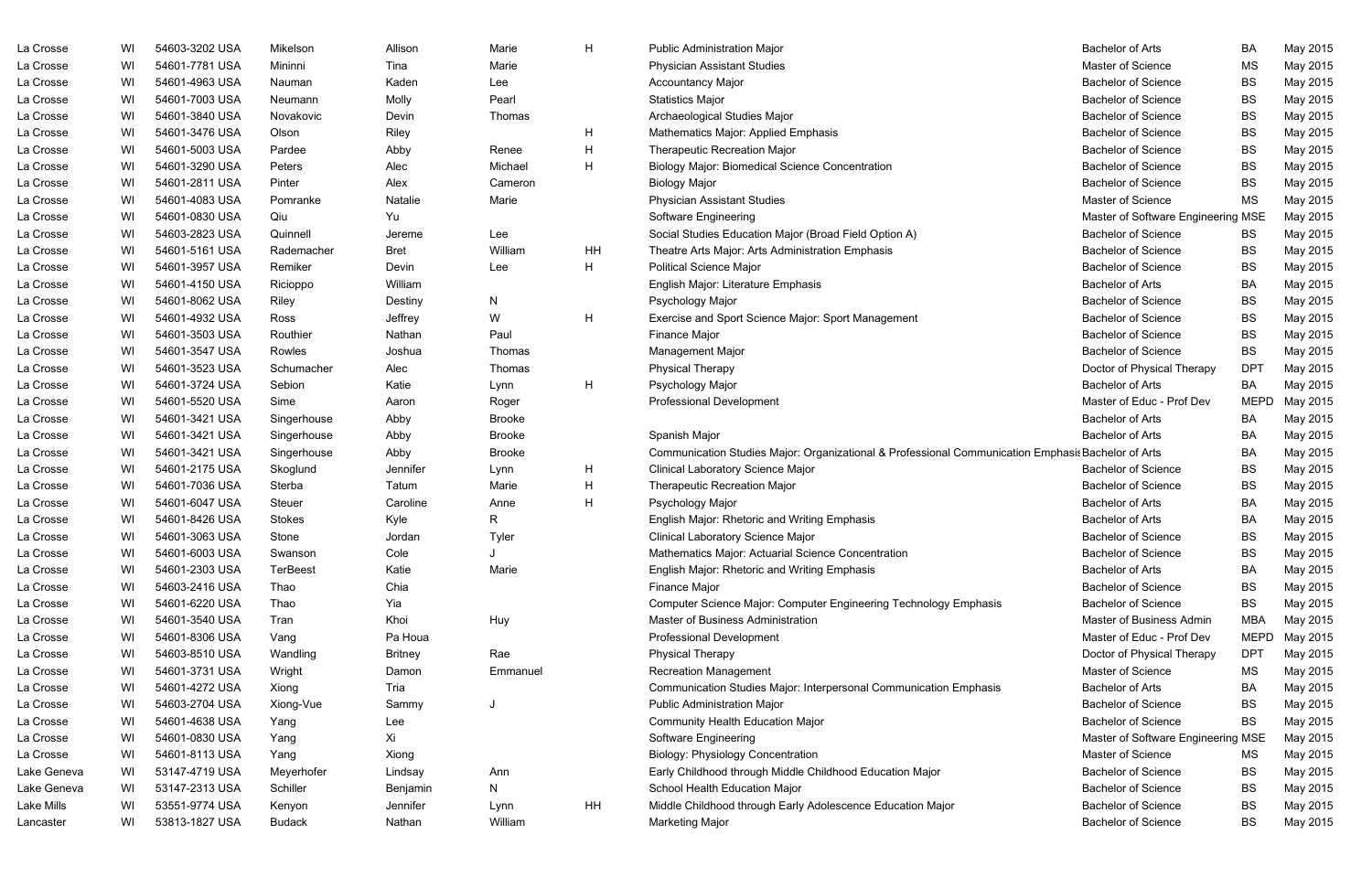| La Crosse   | WI | 54603-3202 USA | Mikelson        | Allison        | Marie         | H  | <b>Public Administration Major</b>                                                                 | <b>Bachelor of Arts</b>            | BA          | May 2015 |
|-------------|----|----------------|-----------------|----------------|---------------|----|----------------------------------------------------------------------------------------------------|------------------------------------|-------------|----------|
| La Crosse   | WI | 54601-7781 USA | Mininni         | Tina           | Marie         |    | <b>Physician Assistant Studies</b>                                                                 | Master of Science                  | <b>MS</b>   | May 2015 |
| La Crosse   | WI | 54601-4963 USA | Nauman          | Kaden          | Lee           |    | <b>Accountancy Major</b>                                                                           | <b>Bachelor of Science</b>         | <b>BS</b>   | May 2015 |
| La Crosse   | WI | 54601-7003 USA | Neumann         | Molly          | Pearl         |    | <b>Statistics Major</b>                                                                            | <b>Bachelor of Science</b>         | <b>BS</b>   | May 2015 |
| La Crosse   | WI | 54601-3840 USA | Novakovic       | Devin          | Thomas        |    | Archaeological Studies Major                                                                       | <b>Bachelor of Science</b>         | <b>BS</b>   | May 2015 |
| La Crosse   | WI | 54601-3476 USA | Olson           | Riley          |               | H  | Mathematics Major: Applied Emphasis                                                                | <b>Bachelor of Science</b>         | <b>BS</b>   | May 2015 |
| La Crosse   | WI | 54601-5003 USA | Pardee          | Abby           | Renee         | H  | <b>Therapeutic Recreation Major</b>                                                                | <b>Bachelor of Science</b>         | <b>BS</b>   | May 2015 |
| La Crosse   | WI | 54601-3290 USA | Peters          | Alec           | Michael       | H  | <b>Biology Major: Biomedical Science Concentration</b>                                             | <b>Bachelor of Science</b>         | <b>BS</b>   | May 2015 |
| La Crosse   | WI | 54601-2811 USA | Pinter          | Alex           | Cameron       |    | <b>Biology Major</b>                                                                               | <b>Bachelor of Science</b>         | <b>BS</b>   | May 2015 |
| La Crosse   | WI | 54601-4083 USA | Pomranke        | Natalie        | Marie         |    | <b>Physician Assistant Studies</b>                                                                 | Master of Science                  | MS          | May 2015 |
| La Crosse   | WI | 54601-0830 USA | Qiu             | Yu             |               |    | Software Engineering                                                                               | Master of Software Engineering MSE |             | May 2015 |
| La Crosse   | WI | 54603-2823 USA | Quinnell        | Jereme         | Lee           |    | Social Studies Education Major (Broad Field Option A)                                              | <b>Bachelor of Science</b>         | BS          | May 2015 |
| La Crosse   | WI | 54601-5161 USA | Rademacher      | <b>Bret</b>    | William       | HH | Theatre Arts Major: Arts Administration Emphasis                                                   | <b>Bachelor of Science</b>         | BS          | May 2015 |
| La Crosse   | WI | 54601-3957 USA | Remiker         | Devin          | Lee           | H  | <b>Political Science Major</b>                                                                     | <b>Bachelor of Science</b>         | <b>BS</b>   | May 2015 |
| La Crosse   | WI | 54601-4150 USA | Ricioppo        | William        |               |    | English Major: Literature Emphasis                                                                 | <b>Bachelor of Arts</b>            | BA          | May 2015 |
| La Crosse   | WI | 54601-8062 USA | Riley           | Destiny        | N             |    | Psychology Major                                                                                   | <b>Bachelor of Science</b>         | <b>BS</b>   | May 2015 |
| La Crosse   | WI | 54601-4932 USA | Ross            | Jeffrey        | W             | H  | Exercise and Sport Science Major: Sport Management                                                 | <b>Bachelor of Science</b>         | <b>BS</b>   | May 2015 |
| La Crosse   | WI | 54601-3503 USA | Routhier        | Nathan         | Paul          |    | Finance Major                                                                                      | <b>Bachelor of Science</b>         | <b>BS</b>   | May 2015 |
| La Crosse   | WI | 54601-3547 USA | Rowles          | Joshua         | Thomas        |    | Management Major                                                                                   | <b>Bachelor of Science</b>         | <b>BS</b>   | May 2015 |
| La Crosse   | WI | 54601-3523 USA | Schumacher      | Alec           | Thomas        |    | <b>Physical Therapy</b>                                                                            | Doctor of Physical Therapy         | <b>DPT</b>  | May 2015 |
| La Crosse   | WI | 54601-3724 USA | Sebion          | Katie          | Lynn          | H  | Psychology Major                                                                                   | <b>Bachelor of Arts</b>            | BA          | May 2015 |
| La Crosse   | WI | 54601-5520 USA | Sime            | Aaron          | Roger         |    | <b>Professional Development</b>                                                                    | Master of Educ - Prof Dev          | <b>MEPD</b> | May 2015 |
| La Crosse   | WI | 54601-3421 USA | Singerhouse     | Abby           | <b>Brooke</b> |    |                                                                                                    | <b>Bachelor of Arts</b>            | BA          | May 2015 |
| La Crosse   | WI | 54601-3421 USA | Singerhouse     | Abby           | <b>Brooke</b> |    | Spanish Major                                                                                      | <b>Bachelor of Arts</b>            | BA          | May 2015 |
| La Crosse   | WI | 54601-3421 USA | Singerhouse     | Abby           | <b>Brooke</b> |    | Communication Studies Major: Organizational & Professional Communication Emphasis Bachelor of Arts |                                    | BA          | May 2015 |
| La Crosse   | WI | 54601-2175 USA | Skoglund        | Jennifer       | Lynn          | H  | <b>Clinical Laboratory Science Major</b>                                                           | <b>Bachelor of Science</b>         | <b>BS</b>   | May 2015 |
| La Crosse   | WI | 54601-7036 USA | Sterba          | Tatum          | Marie         | H  | <b>Therapeutic Recreation Major</b>                                                                | <b>Bachelor of Science</b>         | <b>BS</b>   | May 2015 |
| La Crosse   | WI | 54601-6047 USA | Steuer          | Caroline       | Anne          | H  | Psychology Major                                                                                   | <b>Bachelor of Arts</b>            | BA          | May 2015 |
| La Crosse   | WI | 54601-8426 USA | <b>Stokes</b>   | Kyle           | R             |    | English Major: Rhetoric and Writing Emphasis                                                       | <b>Bachelor of Arts</b>            | BA          | May 2015 |
| La Crosse   | WI | 54601-3063 USA | Stone           | Jordan         | Tyler         |    | <b>Clinical Laboratory Science Major</b>                                                           | <b>Bachelor of Science</b>         | BS          | May 2015 |
| La Crosse   | WI | 54601-6003 USA | Swanson         | Cole           |               |    | Mathematics Major: Actuarial Science Concentration                                                 | <b>Bachelor of Science</b>         | BS          | May 2015 |
| La Crosse   | WI | 54601-2303 USA | <b>TerBeest</b> | Katie          | Marie         |    | <b>English Major: Rhetoric and Writing Emphasis</b>                                                | <b>Bachelor of Arts</b>            | BA          | May 2015 |
| La Crosse   | WI | 54603-2416 USA | Thao            | Chia           |               |    | Finance Major                                                                                      | <b>Bachelor of Science</b>         | <b>BS</b>   | May 2015 |
| La Crosse   | WI | 54601-6220 USA | Thao            | Yia            |               |    | Computer Science Major: Computer Engineering Technology Emphasis                                   | <b>Bachelor of Science</b>         | <b>BS</b>   | May 2015 |
| La Crosse   | WI | 54601-3540 USA | Tran            | Khoi           | Huy           |    | Master of Business Administration                                                                  | Master of Business Admin           | <b>MBA</b>  | May 2015 |
| La Crosse   | WI | 54601-8306 USA | Vang            | Pa Houa        |               |    | <b>Professional Development</b>                                                                    | Master of Educ - Prof Dev          | <b>MEPD</b> | May 2015 |
| La Crosse   | WI | 54603-8510 USA | Wandling        | <b>Britney</b> | Rae           |    | <b>Physical Therapy</b>                                                                            | Doctor of Physical Therapy         | <b>DPT</b>  | May 2015 |
| La Crosse   | WI | 54601-3731 USA | Wright          | Damon          | Emmanuel      |    | <b>Recreation Management</b>                                                                       | Master of Science                  | MS          | May 2015 |
| La Crosse   | WI | 54601-4272 USA | Xiong           | Tria           |               |    | Communication Studies Major: Interpersonal Communication Emphasis                                  | <b>Bachelor of Arts</b>            | BA          | May 2015 |
| La Crosse   | WI | 54603-2704 USA | Xiong-Vue       | Sammy          |               |    | <b>Public Administration Major</b>                                                                 | <b>Bachelor of Science</b>         | <b>BS</b>   | May 2015 |
| La Crosse   | WI | 54601-4638 USA | Yang            | Lee            |               |    | <b>Community Health Education Major</b>                                                            | <b>Bachelor of Science</b>         | BS          | May 2015 |
| La Crosse   | WI | 54601-0830 USA | Yang            | Xi             |               |    | Software Engineering                                                                               | Master of Software Engineering MSE |             | May 2015 |
| La Crosse   | WI | 54601-8113 USA | Yang            | Xiong          |               |    | <b>Biology: Physiology Concentration</b>                                                           | Master of Science                  | ΜS          | May 2015 |
| Lake Geneva | WI | 53147-4719 USA | Meyerhofer      | Lindsay        | Ann           |    | Early Childhood through Middle Childhood Education Major                                           | <b>Bachelor of Science</b>         | BS          | May 2015 |
| Lake Geneva | WI | 53147-2313 USA | Schiller        | Benjamin       | N             |    | School Health Education Major                                                                      | <b>Bachelor of Science</b>         | BS          | May 2015 |
| Lake Mills  | WI | 53551-9774 USA | Kenyon          | Jennifer       | Lynn          | HH | Middle Childhood through Early Adolescence Education Major                                         | <b>Bachelor of Science</b>         | BS          | May 2015 |
| Lancaster   | WI | 53813-1827 USA | <b>Budack</b>   | Nathan         | William       |    | <b>Marketing Major</b>                                                                             | <b>Bachelor of Science</b>         | BS          | May 2015 |

| <b>Bachelor of Arts</b>            | BA          | May 2015 |
|------------------------------------|-------------|----------|
| <b>Master of Science</b>           | <b>MS</b>   | May 2015 |
| <b>Bachelor of Science</b>         | <b>BS</b>   | May 2015 |
| <b>Bachelor of Science</b>         | <b>BS</b>   | May 2015 |
| <b>Bachelor of Science</b>         | BS          | May 2015 |
| <b>Bachelor of Science</b>         | <b>BS</b>   | May 2015 |
| <b>Bachelor of Science</b>         | <b>BS</b>   | May 2015 |
| <b>Bachelor of Science</b>         | <b>BS</b>   | May 2015 |
| <b>Bachelor of Science</b>         | BS          | May 2015 |
| <b>Master of Science</b>           | <b>MS</b>   | May 2015 |
| Master of Software Engineering MSE |             | May 2015 |
| <b>Bachelor of Science</b>         | <b>BS</b>   | May 2015 |
| <b>Bachelor of Science</b>         | BS          | May 2015 |
| <b>Bachelor of Science</b>         | <b>BS</b>   | May 2015 |
| <b>Bachelor of Arts</b>            | BA          | May 2015 |
| <b>Bachelor of Science</b>         | <b>BS</b>   | May 2015 |
| <b>Bachelor of Science</b>         | BS.         | May 2015 |
| <b>Bachelor of Science</b>         | <b>BS</b>   | May 2015 |
| <b>Bachelor of Science</b>         | BS          | May 2015 |
| Doctor of Physical Therapy         | DPT         | May 2015 |
| <b>Bachelor of Arts</b>            | BA          | May 2015 |
| Master of Educ - Prof Dev          | MEPD        | May 2015 |
| <b>Bachelor of Arts</b>            | BA          | May 2015 |
| <b>Bachelor of Arts</b>            | BA          | May 2015 |
| tion Emphasis Bachelor of Arts     | BA          | May 2015 |
| <b>Bachelor of Science</b>         | <b>BS</b>   | May 2015 |
| <b>Bachelor of Science</b>         | BS          | May 2015 |
| <b>Bachelor of Arts</b>            | BA          | May 2015 |
| <b>Bachelor of Arts</b>            | BA          | May 2015 |
| <b>Bachelor of Science</b>         | <b>BS</b>   | May 2015 |
| <b>Bachelor of Science</b>         | BS          | May 2015 |
| <b>Bachelor of Arts</b>            | BA          | May 2015 |
| <b>Bachelor of Science</b>         | BS.         | May 2015 |
| <b>Bachelor of Science</b>         | <b>BS</b>   | May 2015 |
| Master of Business Admin           | MBA         | May 2015 |
| Master of Educ - Prof Dev          | <b>MEPD</b> | May 2015 |
| Doctor of Physical Therapy         | <b>DPT</b>  | May 2015 |
| <b>Master of Science</b>           | MS          | May 2015 |
| <b>Bachelor of Arts</b>            | BA          | May 2015 |
| <b>Bachelor of Science</b>         | <b>BS</b>   | May 2015 |
| <b>Bachelor of Science</b>         | <b>BS</b>   | May 2015 |
| Master of Software Engineering MSE |             | May 2015 |
| <b>Master of Science</b>           | MS          | May 2015 |
| <b>Bachelor of Science</b>         | <b>BS</b>   | May 2015 |
| <b>Bachelor of Science</b>         | BS          | May 2015 |
| <b>Bachelor of Science</b>         | <b>BS</b>   | May 2015 |
| <b>Bachelor of Science</b>         | BS          | May 2015 |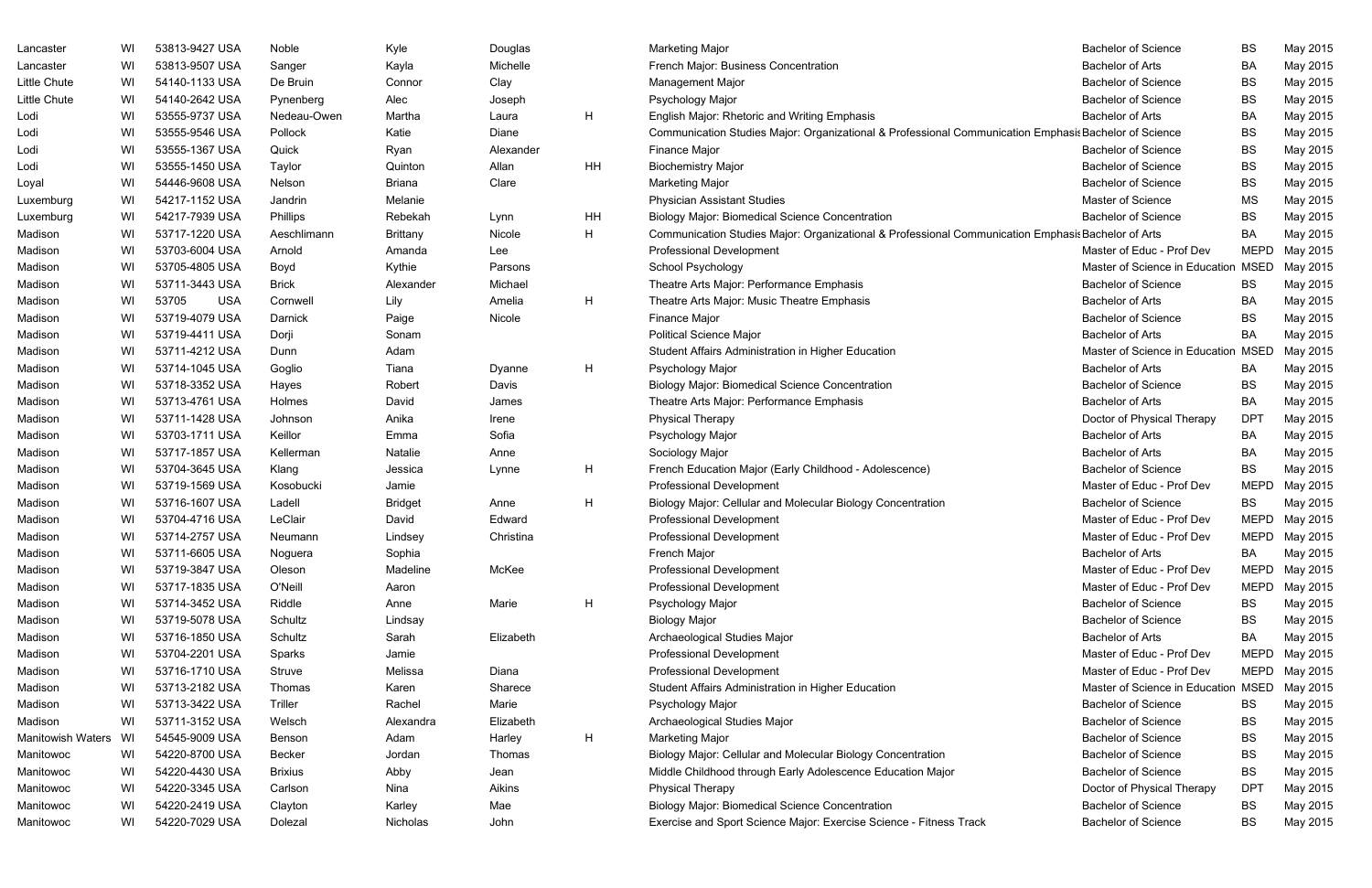| Lancaster                | WI | 53813-9427 USA      | Noble          | Kyle            | Douglas   |    | <b>Marketing Major</b>                                                                                | <b>Bachelor of Science</b>          | <b>BS</b>   | May 2015      |
|--------------------------|----|---------------------|----------------|-----------------|-----------|----|-------------------------------------------------------------------------------------------------------|-------------------------------------|-------------|---------------|
| Lancaster                | WI | 53813-9507 USA      | Sanger         | Kayla           | Michelle  |    | French Major: Business Concentration                                                                  | <b>Bachelor of Arts</b>             | <b>BA</b>   | May 2015      |
| Little Chute             | WI | 54140-1133 USA      | De Bruin       | Connor          | Clay      |    | <b>Management Major</b>                                                                               | <b>Bachelor of Science</b>          | <b>BS</b>   | May 2015      |
| Little Chute             | WI | 54140-2642 USA      | Pynenberg      | Alec            | Joseph    |    | Psychology Major                                                                                      | <b>Bachelor of Science</b>          | <b>BS</b>   | May 2015      |
| Lodi                     | WI | 53555-9737 USA      | Nedeau-Owen    | Martha          | Laura     | H  | English Major: Rhetoric and Writing Emphasis                                                          | <b>Bachelor of Arts</b>             | <b>BA</b>   | May 2015      |
| Lodi                     | WI | 53555-9546 USA      | Pollock        | Katie           | Diane     |    | Communication Studies Major: Organizational & Professional Communication Emphasis Bachelor of Science |                                     | <b>BS</b>   | May 2015      |
| Lodi                     | WI | 53555-1367 USA      | Quick          | Ryan            | Alexander |    | <b>Finance Major</b>                                                                                  | <b>Bachelor of Science</b>          | BS          | May 2015      |
| Lodi                     | WI | 53555-1450 USA      | Taylor         | Quinton         | Allan     | HH | <b>Biochemistry Major</b>                                                                             | <b>Bachelor of Science</b>          | <b>BS</b>   | May 2015      |
| Loyal                    | WI | 54446-9608 USA      | Nelson         | <b>Briana</b>   | Clare     |    | <b>Marketing Major</b>                                                                                | <b>Bachelor of Science</b>          | <b>BS</b>   | May 2015      |
| Luxemburg                | WI | 54217-1152 USA      | Jandrin        | Melanie         |           |    | <b>Physician Assistant Studies</b>                                                                    | Master of Science                   | MS          | May 2015      |
| Luxemburg                | WI | 54217-7939 USA      | Phillips       | Rebekah         | Lynn      | HH | <b>Biology Major: Biomedical Science Concentration</b>                                                | <b>Bachelor of Science</b>          | <b>BS</b>   | May 2015      |
| Madison                  | WI | 53717-1220 USA      | Aeschlimann    | <b>Brittany</b> | Nicole    | H  | Communication Studies Major: Organizational & Professional Communication Emphasis Bachelor of Arts    |                                     | BA          | May 2015      |
| Madison                  | WI | 53703-6004 USA      | Arnold         | Amanda          | Lee       |    | <b>Professional Development</b>                                                                       | Master of Educ - Prof Dev           | <b>MEPD</b> | May 2015      |
| Madison                  | WI | 53705-4805 USA      | Boyd           | Kythie          | Parsons   |    | School Psychology                                                                                     | Master of Science in Education MSED |             | May 2015      |
| Madison                  | WI | 53711-3443 USA      | <b>Brick</b>   | Alexander       | Michael   |    | Theatre Arts Major: Performance Emphasis                                                              | <b>Bachelor of Science</b>          | BS          | May 2015      |
| Madison                  | WI | 53705<br><b>USA</b> | Cornwell       | Lily            | Amelia    | H  | Theatre Arts Major: Music Theatre Emphasis                                                            | <b>Bachelor of Arts</b>             | <b>BA</b>   | May 2015      |
| Madison                  | WI | 53719-4079 USA      | Darnick        | Paige           | Nicole    |    | Finance Major                                                                                         | <b>Bachelor of Science</b>          | <b>BS</b>   | May 2015      |
| Madison                  | WI | 53719-4411 USA      | Dorji          | Sonam           |           |    | <b>Political Science Major</b>                                                                        | <b>Bachelor of Arts</b>             | BA          | May 2015      |
| Madison                  | WI | 53711-4212 USA      | Dunn           | Adam            |           |    | Student Affairs Administration in Higher Education                                                    | Master of Science in Education MSED |             | May 2015      |
| Madison                  | WI | 53714-1045 USA      | Goglio         | Tiana           | Dyanne    | H  | Psychology Major                                                                                      | <b>Bachelor of Arts</b>             | BA          | May 2015      |
| Madison                  | WI | 53718-3352 USA      | Hayes          | Robert          | Davis     |    | <b>Biology Major: Biomedical Science Concentration</b>                                                | <b>Bachelor of Science</b>          | BS          | May 2015      |
| Madison                  | WI | 53713-4761 USA      | Holmes         | David           | James     |    | Theatre Arts Major: Performance Emphasis                                                              | <b>Bachelor of Arts</b>             | <b>BA</b>   | May 2015      |
| Madison                  | WI | 53711-1428 USA      | Johnson        | Anika           | Irene     |    | <b>Physical Therapy</b>                                                                               | Doctor of Physical Therapy          | <b>DPT</b>  | May 2015      |
| Madison                  | WI | 53703-1711 USA      | Keillor        | Emma            | Sofia     |    | Psychology Major                                                                                      | <b>Bachelor of Arts</b>             | BA          | May 2015      |
| Madison                  | WI | 53717-1857 USA      | Kellerman      | Natalie         | Anne      |    | Sociology Major                                                                                       | <b>Bachelor of Arts</b>             | BA          | May 2015      |
| Madison                  | WI | 53704-3645 USA      | Klang          | Jessica         | Lynne     | H  | French Education Major (Early Childhood - Adolescence)                                                | <b>Bachelor of Science</b>          | <b>BS</b>   | May 2015      |
| Madison                  | WI | 53719-1569 USA      | Kosobucki      | Jamie           |           |    | <b>Professional Development</b>                                                                       | Master of Educ - Prof Dev           | <b>MEPD</b> | May 2015      |
| Madison                  | WI | 53716-1607 USA      | Ladell         | <b>Bridget</b>  | Anne      | H  | Biology Major: Cellular and Molecular Biology Concentration                                           | <b>Bachelor of Science</b>          | BS          | May 2015      |
| Madison                  | WI | 53704-4716 USA      | LeClair        | David           | Edward    |    | Professional Development                                                                              | Master of Educ - Prof Dev           | MEPD        | May 2015      |
| Madison                  | WI | 53714-2757 USA      | Neumann        | Lindsey         | Christina |    | <b>Professional Development</b>                                                                       | Master of Educ - Prof Dev           |             | MEPD May 2015 |
| Madison                  | WI | 53711-6605 USA      | Noguera        | Sophia          |           |    | French Major                                                                                          | <b>Bachelor of Arts</b>             | BA          | May 2015      |
| Madison                  | WI | 53719-3847 USA      | Oleson         | Madeline        | McKee     |    | Professional Development                                                                              | Master of Educ - Prof Dev           | <b>MEPD</b> | May 2015      |
| Madison                  | WI | 53717-1835 USA      | O'Neill        | Aaron           |           |    | <b>Professional Development</b>                                                                       | Master of Educ - Prof Dev           | MEPD        | May 2015      |
| Madison                  | WI | 53714-3452 USA      | Riddle         | Anne            | Marie     | H  | Psychology Major                                                                                      | <b>Bachelor of Science</b>          | BS          | May 2015      |
| Madison                  | WI | 53719-5078 USA      | Schultz        | Lindsay         |           |    | <b>Biology Major</b>                                                                                  | <b>Bachelor of Science</b>          | BS          | May 2015      |
| Madison                  | WI | 53716-1850 USA      | Schultz        | Sarah           | Elizabeth |    | Archaeological Studies Major                                                                          | <b>Bachelor of Arts</b>             | BA          | May 2015      |
| Madison                  | WI | 53704-2201 USA      | Sparks         | Jamie           |           |    | <b>Professional Development</b>                                                                       | Master of Educ - Prof Dev           | <b>MEPD</b> | May 2015      |
| Madison                  | WI | 53716-1710 USA      | Struve         | Melissa         | Diana     |    | Professional Development                                                                              | Master of Educ - Prof Dev           | MEPD        | May 2015      |
| Madison                  | WI | 53713-2182 USA      | Thomas         | Karen           | Sharece   |    | Student Affairs Administration in Higher Education                                                    | Master of Science in Education MSED |             | May 2015      |
| Madison                  | WI | 53713-3422 USA      | Triller        | Rachel          | Marie     |    | Psychology Major                                                                                      | <b>Bachelor of Science</b>          | BS          | May 2015      |
| Madison                  | WI | 53711-3152 USA      | Welsch         | Alexandra       | Elizabeth |    | Archaeological Studies Major                                                                          | <b>Bachelor of Science</b>          | BS          | May 2015      |
| <b>Manitowish Waters</b> | WI | 54545-9009 USA      | Benson         | Adam            | Harley    | H  | <b>Marketing Major</b>                                                                                | <b>Bachelor of Science</b>          | BS          | May 2015      |
| Manitowoc                | WI | 54220-8700 USA      | Becker         | Jordan          | Thomas    |    | Biology Major: Cellular and Molecular Biology Concentration                                           | <b>Bachelor of Science</b>          | BS          | May 2015      |
| Manitowoc                | WI | 54220-4430 USA      | <b>Brixius</b> | Abby            | Jean      |    | Middle Childhood through Early Adolescence Education Major                                            | <b>Bachelor of Science</b>          | BS          | May 2015      |
| Manitowoc                | WI | 54220-3345 USA      | Carlson        | Nina            | Aikins    |    | <b>Physical Therapy</b>                                                                               | Doctor of Physical Therapy          | <b>DPT</b>  | May 2015      |
| Manitowoc                | WI | 54220-2419 USA      | Clayton        | Karley          | Mae       |    | <b>Biology Major: Biomedical Science Concentration</b>                                                | <b>Bachelor of Science</b>          | BS          | May 2015      |
| Manitowoc                | WI | 54220-7029 USA      | Dolezal        | Nicholas        | John      |    | Exercise and Sport Science Major: Exercise Science - Fitness Track                                    | <b>Bachelor of Science</b>          | BS          | May 2015      |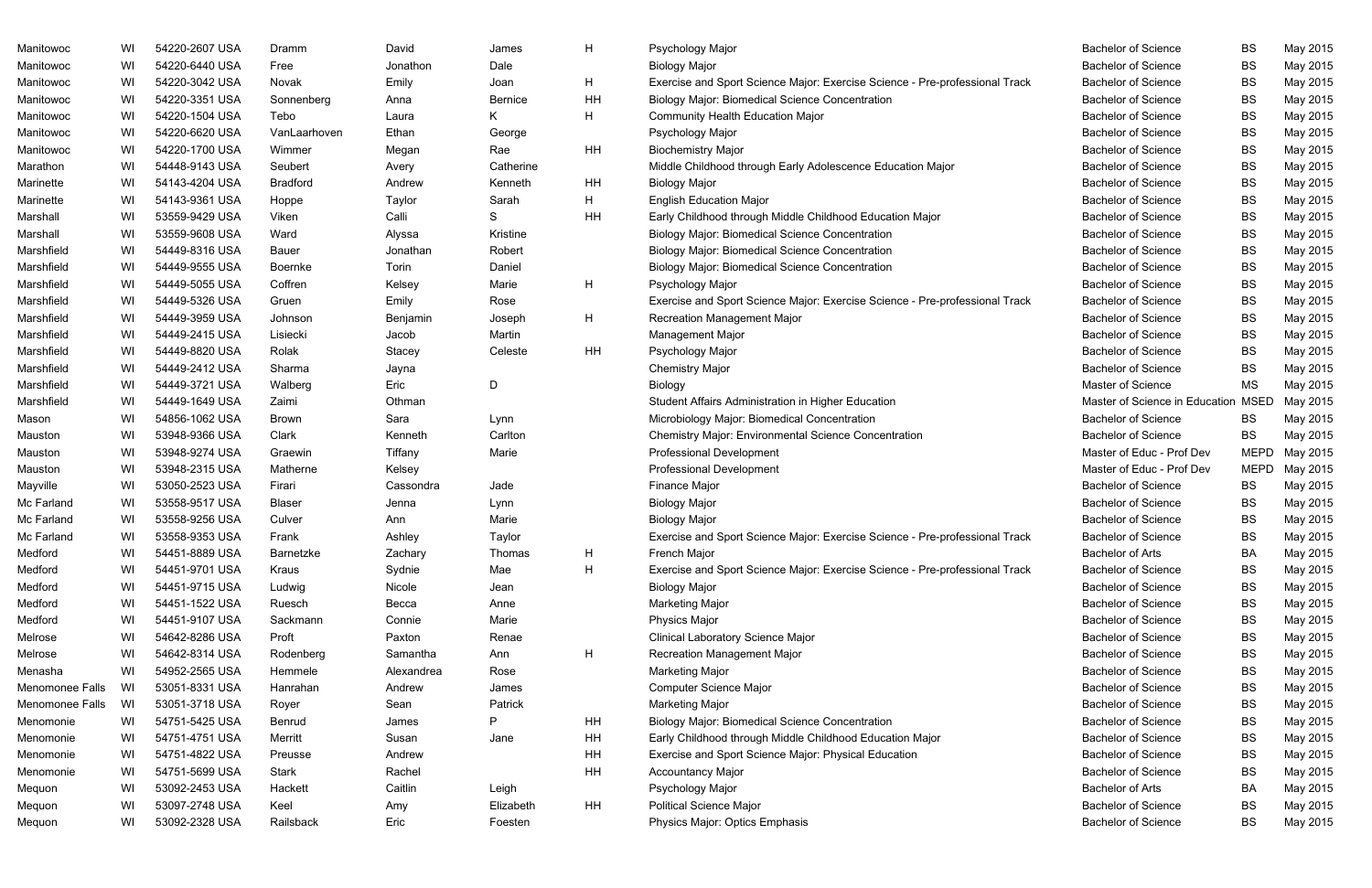| Manitowoc       | WI | 54220-2607 USA | Dramm           | David      | James          | H            | Psychology Major                                                            | <b>Bachelor of Science</b>     | <b>BS</b>   | May 2015 |
|-----------------|----|----------------|-----------------|------------|----------------|--------------|-----------------------------------------------------------------------------|--------------------------------|-------------|----------|
| Manitowoc       | WI | 54220-6440 USA | Free            | Jonathon   | Dale           |              | <b>Biology Major</b>                                                        | <b>Bachelor of Science</b>     | <b>BS</b>   | May 2015 |
| Manitowoc       | WI | 54220-3042 USA | Novak           | Emily      | Joan           | H            | Exercise and Sport Science Major: Exercise Science - Pre-professional Track | <b>Bachelor of Science</b>     | BS          | May 2015 |
| Manitowoc       | WI | 54220-3351 USA | Sonnenberg      | Anna       | <b>Bernice</b> | HH           | <b>Biology Major: Biomedical Science Concentration</b>                      | <b>Bachelor of Science</b>     | BS          | May 2015 |
| Manitowoc       | WI | 54220-1504 USA | Tebo            | Laura      | K.             | H            | <b>Community Health Education Major</b>                                     | <b>Bachelor of Science</b>     | BS          | May 2015 |
| Manitowoc       | WI | 54220-6620 USA | VanLaarhoven    | Ethan      | George         |              | Psychology Major                                                            | <b>Bachelor of Science</b>     | BS          | May 2015 |
| Manitowoc       | WI | 54220-1700 USA | Wimmer          | Megan      | Rae            | HH           | <b>Biochemistry Major</b>                                                   | <b>Bachelor of Science</b>     | BS          | May 2015 |
| Marathon        | WI | 54448-9143 USA | Seubert         | Avery      | Catherine      |              | Middle Childhood through Early Adolescence Education Major                  | <b>Bachelor of Science</b>     | BS          | May 2015 |
| Marinette       | WI | 54143-4204 USA | <b>Bradford</b> | Andrew     | Kenneth        | HH           | <b>Biology Major</b>                                                        | <b>Bachelor of Science</b>     | BS          | May 2015 |
| Marinette       | WI | 54143-9361 USA | Hoppe           | Taylor     | Sarah          | H            | <b>English Education Major</b>                                              | <b>Bachelor of Science</b>     | BS          | May 2015 |
| Marshall        | WI | 53559-9429 USA | Viken           | Calli      | S              | HH           | Early Childhood through Middle Childhood Education Major                    | <b>Bachelor of Science</b>     | BS          | May 2015 |
| Marshall        | WI | 53559-9608 USA | Ward            | Alyssa     | Kristine       |              | <b>Biology Major: Biomedical Science Concentration</b>                      | <b>Bachelor of Science</b>     | BS          | May 2015 |
| Marshfield      | WI | 54449-8316 USA | Bauer           | Jonathan   | Robert         |              | <b>Biology Major: Biomedical Science Concentration</b>                      | <b>Bachelor of Science</b>     | BS          | May 2015 |
| Marshfield      | WI | 54449-9555 USA | <b>Boernke</b>  | Torin      | Daniel         |              | <b>Biology Major: Biomedical Science Concentration</b>                      | <b>Bachelor of Science</b>     | BS          | May 2015 |
| Marshfield      | WI | 54449-5055 USA | Coffren         | Kelsey     | Marie          | H            | Psychology Major                                                            | <b>Bachelor of Science</b>     | BS          | May 2015 |
| Marshfield      | WI | 54449-5326 USA | Gruen           | Emily      | Rose           |              | Exercise and Sport Science Major: Exercise Science - Pre-professional Track | <b>Bachelor of Science</b>     | BS          | May 2015 |
| Marshfield      | WI | 54449-3959 USA | Johnson         | Benjamin   | Joseph         | H            | Recreation Management Major                                                 | <b>Bachelor of Science</b>     | BS          | May 2015 |
| Marshfield      | WI | 54449-2415 USA | Lisiecki        | Jacob      | Martin         |              | Management Major                                                            | <b>Bachelor of Science</b>     | BS          | May 2015 |
| Marshfield      | WI | 54449-8820 USA | Rolak           | Stacey     | Celeste        | HH           | Psychology Major                                                            | <b>Bachelor of Science</b>     | BS          | May 2015 |
| Marshfield      | WI | 54449-2412 USA | Sharma          | Jayna      |                |              | <b>Chemistry Major</b>                                                      | <b>Bachelor of Science</b>     | BS          | May 2015 |
| Marshfield      | WI | 54449-3721 USA | Walberg         | Eric       | D              |              | Biology                                                                     | Master of Science              | MS          | May 2015 |
| Marshfield      | WI | 54449-1649 USA | Zaimi           | Othman     |                |              | Student Affairs Administration in Higher Education                          | Master of Science in Education | <b>MSED</b> | May 2015 |
| Mason           | WI | 54856-1062 USA | <b>Brown</b>    | Sara       | Lynn           |              | Microbiology Major: Biomedical Concentration                                | <b>Bachelor of Science</b>     | BS          | May 2015 |
| Mauston         | WI | 53948-9366 USA | Clark           | Kenneth    | Carlton        |              | Chemistry Major: Environmental Science Concentration                        | <b>Bachelor of Science</b>     | <b>BS</b>   | May 2015 |
| Mauston         | WI | 53948-9274 USA | Graewin         | Tiffany    | Marie          |              | Professional Development                                                    | Master of Educ - Prof Dev      | <b>MEPD</b> | May 2015 |
| Mauston         | WI | 53948-2315 USA | Matherne        | Kelsey     |                |              | Professional Development                                                    | Master of Educ - Prof Dev      | <b>MEPD</b> | May 2015 |
| Mayville        | WI | 53050-2523 USA | Firari          | Cassondra  | Jade           |              | Finance Major                                                               | <b>Bachelor of Science</b>     | BS          | May 2015 |
| Mc Farland      | WI | 53558-9517 USA | <b>Blaser</b>   | Jenna      | Lynn           |              | <b>Biology Major</b>                                                        | <b>Bachelor of Science</b>     | BS          | May 2015 |
| Mc Farland      | WI | 53558-9256 USA | Culver          | Ann        | Marie          |              | <b>Biology Major</b>                                                        | <b>Bachelor of Science</b>     | <b>BS</b>   | May 2015 |
| Mc Farland      | WI | 53558-9353 USA | Frank           | Ashley     | Taylor         |              | Exercise and Sport Science Major: Exercise Science - Pre-professional Track | <b>Bachelor of Science</b>     | <b>BS</b>   | May 2015 |
| Medford         | WI | 54451-8889 USA | Barnetzke       | Zachary    | Thomas         | H            | French Major                                                                | <b>Bachelor of Arts</b>        | BA          | May 2015 |
| Medford         | WI | 54451-9701 USA | Kraus           | Sydnie     | Mae            | $\mathsf{H}$ | Exercise and Sport Science Major: Exercise Science - Pre-professional Track | <b>Bachelor of Science</b>     | BS          | May 2015 |
| Medford         | WI | 54451-9715 USA | Ludwig          | Nicole     | Jean           |              | <b>Biology Major</b>                                                        | <b>Bachelor of Science</b>     | BS          | May 2015 |
| Medford         | WI | 54451-1522 USA | Ruesch          | Becca      | Anne           |              | <b>Marketing Major</b>                                                      | <b>Bachelor of Science</b>     | BS          | May 2015 |
| Medford         | WI | 54451-9107 USA | Sackmann        | Connie     | Marie          |              | Physics Major                                                               | <b>Bachelor of Science</b>     | BS          | May 2015 |
| Melrose         | WI | 54642-8286 USA | Proft           | Paxton     | Renae          |              | <b>Clinical Laboratory Science Major</b>                                    | <b>Bachelor of Science</b>     | BS          | May 2015 |
| Melrose         | WI | 54642-8314 USA | Rodenberg       | Samantha   | Ann            | H            | Recreation Management Major                                                 | <b>Bachelor of Science</b>     | BS          | May 2015 |
| Menasha         | WI | 54952-2565 USA | Hemmele         | Alexandrea | Rose           |              | <b>Marketing Major</b>                                                      | <b>Bachelor of Science</b>     | BS          | May 2015 |
| Menomonee Falls | WI | 53051-8331 USA | Hanrahan        | Andrew     | James          |              | <b>Computer Science Major</b>                                               | <b>Bachelor of Science</b>     | BS          | May 2015 |
| Menomonee Falls | WI | 53051-3718 USA | Royer           | Sean       | Patrick        |              | <b>Marketing Major</b>                                                      | <b>Bachelor of Science</b>     | BS          | May 2015 |
| Menomonie       | WI | 54751-5425 USA | Benrud          | James      | Р              | HH           | <b>Biology Major: Biomedical Science Concentration</b>                      | <b>Bachelor of Science</b>     | BS          | May 2015 |
| Menomonie       | WI | 54751-4751 USA | Merritt         | Susan      | Jane           | HH           | Early Childhood through Middle Childhood Education Major                    | <b>Bachelor of Science</b>     | BS          | May 2015 |
| Menomonie       | WI | 54751-4822 USA | Preusse         | Andrew     |                | HH           | Exercise and Sport Science Major: Physical Education                        | <b>Bachelor of Science</b>     | BS          | May 2015 |
| Menomonie       | WI | 54751-5699 USA | <b>Stark</b>    | Rachel     |                | HH           | <b>Accountancy Major</b>                                                    | <b>Bachelor of Science</b>     | BS          | May 2015 |
| Mequon          | WI | 53092-2453 USA | Hackett         | Caitlin    | Leigh          |              | Psychology Major                                                            | <b>Bachelor of Arts</b>        | BA          | May 2015 |
| Mequon          | WI | 53097-2748 USA | Keel            | Amy        | Elizabeth      | HH           | <b>Political Science Major</b>                                              | <b>Bachelor of Science</b>     | BS          | May 2015 |
| Mequon          | WI | 53092-2328 USA | Railsback       | Eric       | Foesten        |              | Physics Major: Optics Emphasis                                              | <b>Bachelor of Science</b>     | BS          | May 2015 |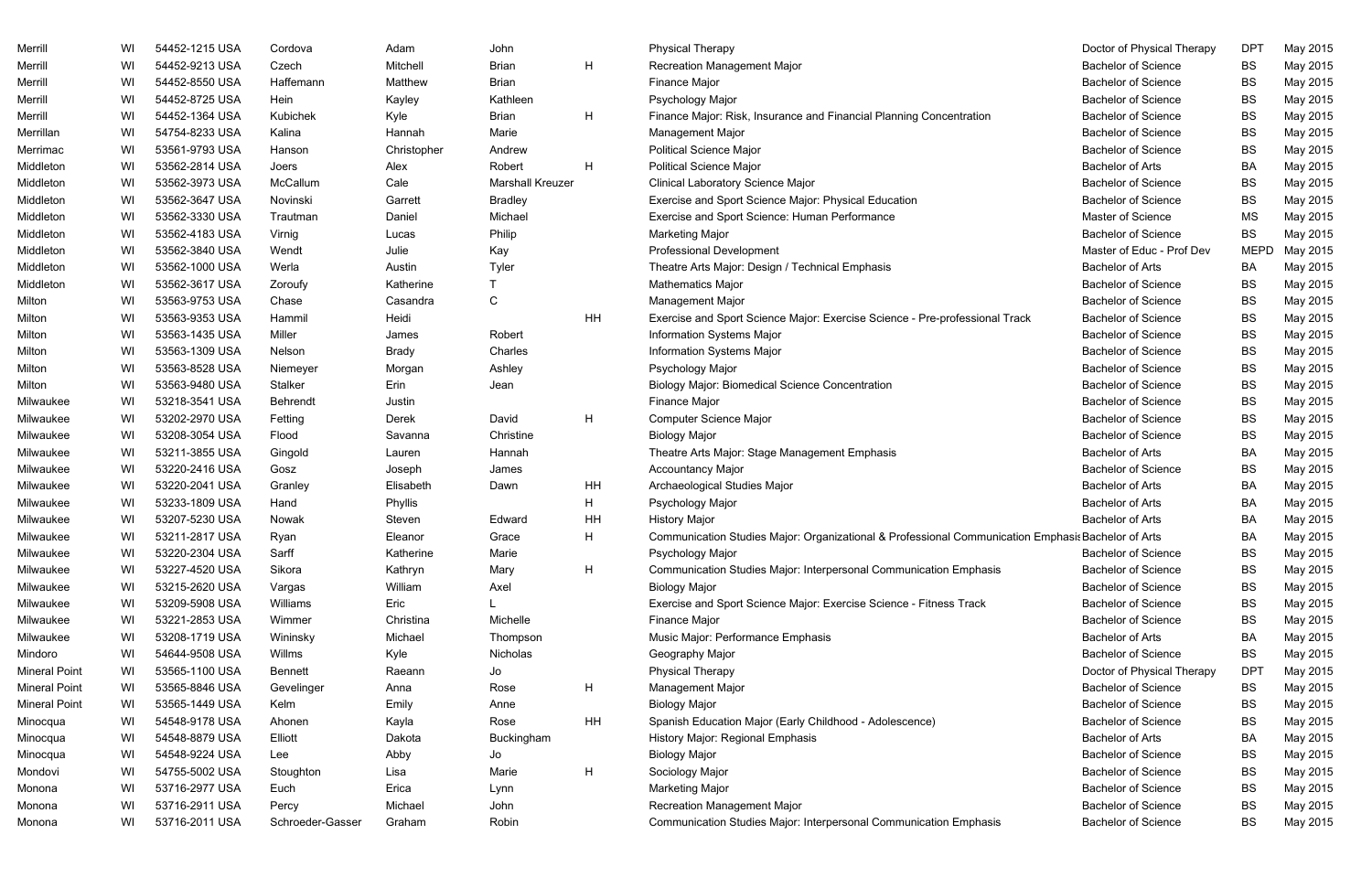| Merrill              | WI | 54452-1215 USA | Cordova          | Adam         | John                    |    | <b>Physical Therapy</b>                                                                            | Doctor of Physical Therapy | <b>DPT</b>  | May 2015 |
|----------------------|----|----------------|------------------|--------------|-------------------------|----|----------------------------------------------------------------------------------------------------|----------------------------|-------------|----------|
| Merrill              | WI | 54452-9213 USA | Czech            | Mitchell     | <b>Brian</b>            | H  | <b>Recreation Management Major</b>                                                                 | <b>Bachelor of Science</b> | <b>BS</b>   | May 2015 |
| Merrill              | WI | 54452-8550 USA | Haffemann        | Matthew      | <b>Brian</b>            |    | Finance Major                                                                                      | <b>Bachelor of Science</b> | <b>BS</b>   | May 2015 |
| Merrill              | WI | 54452-8725 USA | Hein             | Kayley       | Kathleen                |    | Psychology Major                                                                                   | <b>Bachelor of Science</b> | <b>BS</b>   | May 2015 |
| Merrill              | WI | 54452-1364 USA | Kubichek         | Kyle         | <b>Brian</b>            | H  | Finance Major: Risk, Insurance and Financial Planning Concentration                                | <b>Bachelor of Science</b> | <b>BS</b>   | May 2015 |
| Merrillan            | WI | 54754-8233 USA | Kalina           | Hannah       | Marie                   |    | Management Major                                                                                   | <b>Bachelor of Science</b> | <b>BS</b>   | May 2015 |
| Merrimac             | WI | 53561-9793 USA | Hanson           | Christopher  | Andrew                  |    | <b>Political Science Major</b>                                                                     | <b>Bachelor of Science</b> | <b>BS</b>   | May 2015 |
| Middleton            | WI | 53562-2814 USA | Joers            | Alex         | Robert                  | H  | <b>Political Science Major</b>                                                                     | <b>Bachelor of Arts</b>    | BA          | May 2015 |
| Middleton            | WI | 53562-3973 USA | McCallum         | Cale         | <b>Marshall Kreuzer</b> |    | Clinical Laboratory Science Major                                                                  | <b>Bachelor of Science</b> | <b>BS</b>   | May 2015 |
| Middleton            | WI | 53562-3647 USA | Novinski         | Garrett      | <b>Bradley</b>          |    | Exercise and Sport Science Major: Physical Education                                               | <b>Bachelor of Science</b> | <b>BS</b>   | May 2015 |
| Middleton            | WI | 53562-3330 USA | Trautman         | Daniel       | Michael                 |    | Exercise and Sport Science: Human Performance                                                      | Master of Science          | MS          | May 2015 |
| Middleton            | WI | 53562-4183 USA | Virnig           | Lucas        | Philip                  |    | <b>Marketing Major</b>                                                                             | <b>Bachelor of Science</b> | <b>BS</b>   | May 2015 |
| Middleton            | WI | 53562-3840 USA | Wendt            | Julie        | Kay                     |    | <b>Professional Development</b>                                                                    | Master of Educ - Prof Dev  | <b>MEPD</b> | May 2015 |
| Middleton            | WI | 53562-1000 USA | Werla            | Austin       | Tyler                   |    | Theatre Arts Major: Design / Technical Emphasis                                                    | <b>Bachelor of Arts</b>    | BA          | May 2015 |
| Middleton            | WI | 53562-3617 USA | Zoroufy          | Katherine    |                         |    | <b>Mathematics Major</b>                                                                           | <b>Bachelor of Science</b> | <b>BS</b>   | May 2015 |
| Milton               | WI | 53563-9753 USA | Chase            | Casandra     | С                       |    | <b>Management Major</b>                                                                            | <b>Bachelor of Science</b> | <b>BS</b>   | May 2015 |
| Milton               | WI | 53563-9353 USA | Hammil           | Heidi        |                         | HH | Exercise and Sport Science Major: Exercise Science - Pre-professional Track                        | <b>Bachelor of Science</b> | <b>BS</b>   | May 2015 |
| Milton               | WI | 53563-1435 USA | Miller           | James        | Robert                  |    | Information Systems Major                                                                          | <b>Bachelor of Science</b> | <b>BS</b>   | May 2015 |
| Milton               | WI | 53563-1309 USA | Nelson           | <b>Brady</b> | Charles                 |    | Information Systems Major                                                                          | <b>Bachelor of Science</b> | <b>BS</b>   | May 2015 |
| Milton               | WI | 53563-8528 USA | Niemeyer         | Morgan       | Ashley                  |    | Psychology Major                                                                                   | <b>Bachelor of Science</b> | <b>BS</b>   | May 2015 |
| Milton               | WI | 53563-9480 USA | Stalker          | Erin         | Jean                    |    | <b>Biology Major: Biomedical Science Concentration</b>                                             | <b>Bachelor of Science</b> | <b>BS</b>   | May 2015 |
| Milwaukee            | WI | 53218-3541 USA | Behrendt         | Justin       |                         |    | Finance Major                                                                                      | <b>Bachelor of Science</b> | <b>BS</b>   | May 2015 |
| Milwaukee            | WI | 53202-2970 USA | Fetting          | Derek        | David                   | H  | <b>Computer Science Major</b>                                                                      | <b>Bachelor of Science</b> | <b>BS</b>   | May 2015 |
| Milwaukee            | WI | 53208-3054 USA | Flood            | Savanna      | Christine               |    | <b>Biology Major</b>                                                                               | <b>Bachelor of Science</b> | <b>BS</b>   | May 2015 |
| Milwaukee            | WI | 53211-3855 USA | Gingold          | Lauren       | Hannah                  |    | Theatre Arts Major: Stage Management Emphasis                                                      | <b>Bachelor of Arts</b>    | <b>BA</b>   | May 2015 |
| Milwaukee            | WI | 53220-2416 USA | Gosz             | Joseph       | James                   |    | <b>Accountancy Major</b>                                                                           | <b>Bachelor of Science</b> | <b>BS</b>   | May 2015 |
| Milwaukee            | WI | 53220-2041 USA | Granley          | Elisabeth    | Dawn                    | HH | Archaeological Studies Major                                                                       | <b>Bachelor of Arts</b>    | <b>BA</b>   | May 2015 |
| Milwaukee            | WI | 53233-1809 USA | Hand             | Phyllis      |                         | H  | Psychology Major                                                                                   | <b>Bachelor of Arts</b>    | <b>BA</b>   | May 2015 |
| Milwaukee            | WI | 53207-5230 USA | Nowak            | Steven       | Edward                  | HH | <b>History Major</b>                                                                               | <b>Bachelor of Arts</b>    | <b>BA</b>   | May 2015 |
| Milwaukee            | WI | 53211-2817 USA | Ryan             | Eleanor      | Grace                   | H  | Communication Studies Major: Organizational & Professional Communication Emphasis Bachelor of Arts |                            | <b>BA</b>   | May 2015 |
| Milwaukee            | WI | 53220-2304 USA | Sarff            | Katherine    | Marie                   |    | Psychology Major                                                                                   | <b>Bachelor of Science</b> | <b>BS</b>   | May 2015 |
| Milwaukee            | WI | 53227-4520 USA | Sikora           | Kathryn      | Mary                    | H  | Communication Studies Major: Interpersonal Communication Emphasis                                  | <b>Bachelor of Science</b> | <b>BS</b>   | May 2015 |
| Milwaukee            | WI | 53215-2620 USA | Vargas           | William      | Axel                    |    | <b>Biology Major</b>                                                                               | <b>Bachelor of Science</b> | <b>BS</b>   | May 2015 |
| Milwaukee            | WI | 53209-5908 USA | Williams         | Eric         |                         |    | Exercise and Sport Science Major: Exercise Science - Fitness Track                                 | <b>Bachelor of Science</b> | <b>BS</b>   | May 2015 |
| Milwaukee            | WI | 53221-2853 USA | Wimmer           | Christina    | Michelle                |    | Finance Major                                                                                      | <b>Bachelor of Science</b> | BS          | May 2015 |
| Milwaukee            | WI | 53208-1719 USA | Wininsky         | Michael      | Thompson                |    | Music Major: Performance Emphasis                                                                  | <b>Bachelor of Arts</b>    | BA          | May 2015 |
| Mindoro              | WI | 54644-9508 USA | Willms           | Kyle         | Nicholas                |    | Geography Major                                                                                    | <b>Bachelor of Science</b> | BS          | May 2015 |
| <b>Mineral Point</b> | WI | 53565-1100 USA | <b>Bennett</b>   | Raeann       | Jo                      |    | <b>Physical Therapy</b>                                                                            | Doctor of Physical Therapy | <b>DPT</b>  | May 2015 |
| <b>Mineral Point</b> | WI | 53565-8846 USA | Gevelinger       | Anna         | Rose                    | H  | Management Major                                                                                   | <b>Bachelor of Science</b> | BS          | May 2015 |
| <b>Mineral Point</b> | WI | 53565-1449 USA | Kelm             | Emily        | Anne                    |    | <b>Biology Major</b>                                                                               | <b>Bachelor of Science</b> | BS          | May 2015 |
| Minocqua             | WI | 54548-9178 USA | Ahonen           | Kayla        | Rose                    | HH | Spanish Education Major (Early Childhood - Adolescence)                                            | <b>Bachelor of Science</b> | <b>BS</b>   | May 2015 |
| Minocqua             | WI | 54548-8879 USA | Elliott          | Dakota       | <b>Buckingham</b>       |    | History Major: Regional Emphasis                                                                   | <b>Bachelor of Arts</b>    | <b>BA</b>   | May 2015 |
| Minocqua             | WI | 54548-9224 USA | Lee              | Abby         | Jo                      |    | <b>Biology Major</b>                                                                               | <b>Bachelor of Science</b> | <b>BS</b>   | May 2015 |
| Mondovi              | WI | 54755-5002 USA | Stoughton        | Lisa         | Marie                   | H  | Sociology Major                                                                                    | <b>Bachelor of Science</b> | <b>BS</b>   | May 2015 |
| Monona               | WI | 53716-2977 USA | Euch             | Erica        | Lynn                    |    | <b>Marketing Major</b>                                                                             | <b>Bachelor of Science</b> | BS          | May 2015 |
| Monona               | WI | 53716-2911 USA | Percy            | Michael      | John                    |    | Recreation Management Major                                                                        | <b>Bachelor of Science</b> | <b>BS</b>   | May 2015 |
| Monona               | WI | 53716-2011 USA | Schroeder-Gasser | Graham       | Robin                   |    | Communication Studies Major: Interpersonal Communication Emphasis                                  | <b>Bachelor of Science</b> | <b>BS</b>   | May 2015 |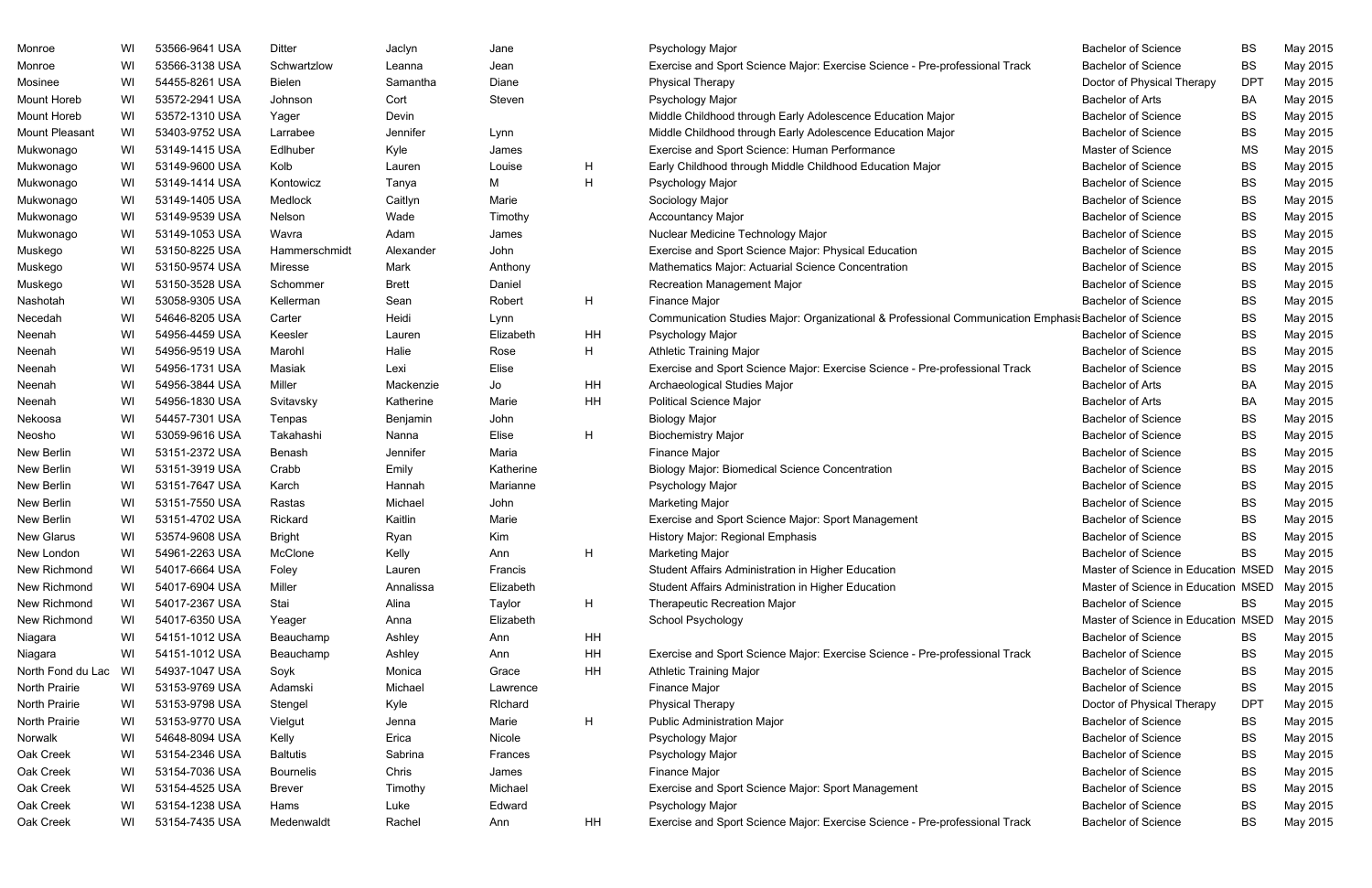| Monroe            | WI | 53566-9641 USA | Ditter           | Jaclyn       | Jane      |    | Psychology Major                                                                                      | <b>Bachelor of Science</b>          | BS         | May 2015 |
|-------------------|----|----------------|------------------|--------------|-----------|----|-------------------------------------------------------------------------------------------------------|-------------------------------------|------------|----------|
| Monroe            | WI | 53566-3138 USA | Schwartzlow      | Leanna       | Jean      |    | Exercise and Sport Science Major: Exercise Science - Pre-professional Track                           | <b>Bachelor of Science</b>          | BS         | May 2015 |
| Mosinee           | WI | 54455-8261 USA | Bielen           | Samantha     | Diane     |    | <b>Physical Therapy</b>                                                                               | Doctor of Physical Therapy          | <b>DPT</b> | May 2015 |
| Mount Horeb       | WI | 53572-2941 USA | Johnson          | Cort         | Steven    |    | Psychology Major                                                                                      | <b>Bachelor of Arts</b>             | BA         | May 2015 |
| Mount Horeb       | WI | 53572-1310 USA | Yager            | Devin        |           |    | Middle Childhood through Early Adolescence Education Major                                            | <b>Bachelor of Science</b>          | BS         | May 2015 |
| Mount Pleasant    | WI | 53403-9752 USA | Larrabee         | Jennifer     | Lynn      |    | Middle Childhood through Early Adolescence Education Major                                            | <b>Bachelor of Science</b>          | BS         | May 2015 |
| Mukwonago         | WI | 53149-1415 USA | Edlhuber         | Kyle         | James     |    | Exercise and Sport Science: Human Performance                                                         | Master of Science                   | MS         | May 2015 |
| Mukwonago         | WI | 53149-9600 USA | Kolb             | Lauren       | Louise    | H  | Early Childhood through Middle Childhood Education Major                                              | <b>Bachelor of Science</b>          | BS         | May 2015 |
| Mukwonago         | WI | 53149-1414 USA | Kontowicz        | Tanya        | М         | Н  | Psychology Major                                                                                      | <b>Bachelor of Science</b>          | BS         | May 2015 |
| Mukwonago         | WI | 53149-1405 USA | Medlock          | Caitlyn      | Marie     |    | Sociology Major                                                                                       | <b>Bachelor of Science</b>          | BS         | May 2015 |
| Mukwonago         | WI | 53149-9539 USA | Nelson           | Wade         | Timothy   |    | <b>Accountancy Major</b>                                                                              | <b>Bachelor of Science</b>          | BS         | May 2015 |
| Mukwonago         | WI | 53149-1053 USA | Wavra            | Adam         | James     |    | Nuclear Medicine Technology Major                                                                     | <b>Bachelor of Science</b>          | BS         | May 2015 |
| Muskego           | WI | 53150-8225 USA | Hammerschmidt    | Alexander    | John      |    | Exercise and Sport Science Major: Physical Education                                                  | <b>Bachelor of Science</b>          | BS         | May 2015 |
| Muskego           | WI | 53150-9574 USA | Miresse          | Mark         | Anthony   |    | Mathematics Major: Actuarial Science Concentration                                                    | <b>Bachelor of Science</b>          | BS         | May 2015 |
| Muskego           | WI | 53150-3528 USA | Schommer         | <b>Brett</b> | Daniel    |    | Recreation Management Major                                                                           | <b>Bachelor of Science</b>          | BS         | May 2015 |
| Nashotah          | WI | 53058-9305 USA | Kellerman        | Sean         | Robert    | H. | Finance Major                                                                                         | <b>Bachelor of Science</b>          | BS         | May 2015 |
| Necedah           | WI | 54646-8205 USA | Carter           | Heidi        | Lynn      |    | Communication Studies Major: Organizational & Professional Communication Emphasis Bachelor of Science |                                     | BS         | May 2015 |
| Neenah            | WI | 54956-4459 USA | Keesler          | Lauren       | Elizabeth | HH | Psychology Major                                                                                      | <b>Bachelor of Science</b>          | BS         | May 2015 |
| Neenah            | WI | 54956-9519 USA | Marohl           | Halie        | Rose      | H  | <b>Athletic Training Major</b>                                                                        | <b>Bachelor of Science</b>          | BS         | May 2015 |
| Neenah            | WI | 54956-1731 USA | Masiak           | Lexi         | Elise     |    | Exercise and Sport Science Major: Exercise Science - Pre-professional Track                           | <b>Bachelor of Science</b>          | BS         | May 2015 |
| Neenah            | WI | 54956-3844 USA | Miller           | Mackenzie    | Jo        | HH | Archaeological Studies Major                                                                          | <b>Bachelor of Arts</b>             | BA         | May 2015 |
| Neenah            | WI | 54956-1830 USA | Svitavsky        | Katherine    | Marie     | HH | <b>Political Science Major</b>                                                                        | <b>Bachelor of Arts</b>             | BA         | May 2015 |
| Nekoosa           | WI | 54457-7301 USA | Tenpas           | Benjamin     | John      |    | <b>Biology Major</b>                                                                                  | <b>Bachelor of Science</b>          | BS         | May 2015 |
| Neosho            | WI | 53059-9616 USA | Takahashi        | Nanna        | Elise     | H  | <b>Biochemistry Major</b>                                                                             | <b>Bachelor of Science</b>          | BS         | May 2015 |
| New Berlin        | WI | 53151-2372 USA | Benash           | Jennifer     | Maria     |    | <b>Finance Major</b>                                                                                  | <b>Bachelor of Science</b>          | BS         | May 2015 |
| New Berlin        | WI | 53151-3919 USA | Crabb            | Emily        | Katherine |    | <b>Biology Major: Biomedical Science Concentration</b>                                                | <b>Bachelor of Science</b>          | BS         | May 2015 |
| New Berlin        | WI | 53151-7647 USA | Karch            | Hannah       | Marianne  |    | Psychology Major                                                                                      | <b>Bachelor of Science</b>          | BS         | May 2015 |
| New Berlin        | WI | 53151-7550 USA | Rastas           | Michael      | John      |    | <b>Marketing Major</b>                                                                                | <b>Bachelor of Science</b>          | BS         | May 2015 |
| New Berlin        | WI | 53151-4702 USA | Rickard          | Kaitlin      | Marie     |    | Exercise and Sport Science Major: Sport Management                                                    | <b>Bachelor of Science</b>          | BS         | May 2015 |
| <b>New Glarus</b> | WI | 53574-9608 USA | <b>Bright</b>    | Ryan         | Kim       |    | <b>History Major: Regional Emphasis</b>                                                               | <b>Bachelor of Science</b>          | BS         | May 2015 |
| New London        | WI | 54961-2263 USA | McClone          | Kelly        | Ann       | Н  | <b>Marketing Major</b>                                                                                | <b>Bachelor of Science</b>          | BS         | May 2015 |
| New Richmond      | WI | 54017-6664 USA | Foley            | Lauren       | Francis   |    | Student Affairs Administration in Higher Education                                                    | Master of Science in Education MSED |            | May 2015 |
| New Richmond      | WI | 54017-6904 USA | Miller           | Annalissa    | Elizabeth |    | Student Affairs Administration in Higher Education                                                    | Master of Science in Education MSED |            | May 2015 |
| New Richmond      | WI | 54017-2367 USA | Stai             | Alina        | Taylor    | H. | <b>Therapeutic Recreation Major</b>                                                                   | <b>Bachelor of Science</b>          | BS         | May 2015 |
| New Richmond      | WI | 54017-6350 USA | Yeager           | Anna         | Elizabeth |    | School Psychology                                                                                     | Master of Science in Education MSED |            | May 2015 |
| Niagara           | WI | 54151-1012 USA | Beauchamp        | Ashley       | Ann       | HH |                                                                                                       | <b>Bachelor of Science</b>          | BS         | May 2015 |
| Niagara           | WI | 54151-1012 USA | Beauchamp        | Ashley       | Ann       | HH | Exercise and Sport Science Major: Exercise Science - Pre-professional Track                           | <b>Bachelor of Science</b>          | BS         | May 2015 |
| North Fond du Lac | WI | 54937-1047 USA | Soyk             | Monica       | Grace     | HH | <b>Athletic Training Major</b>                                                                        | <b>Bachelor of Science</b>          | BS         | May 2015 |
| North Prairie     | WI | 53153-9769 USA | Adamski          | Michael      | Lawrence  |    | Finance Major                                                                                         | <b>Bachelor of Science</b>          | BS         | May 2015 |
| North Prairie     | WI | 53153-9798 USA | Stengel          | Kyle         | Richard   |    | <b>Physical Therapy</b>                                                                               | Doctor of Physical Therapy          | DPT        | May 2015 |
| North Prairie     | WI | 53153-9770 USA | Vielgut          | Jenna        | Marie     | H  | <b>Public Administration Major</b>                                                                    | <b>Bachelor of Science</b>          | BS         | May 2015 |
| Norwalk           | WI | 54648-8094 USA | Kelly            | Erica        | Nicole    |    | Psychology Major                                                                                      | <b>Bachelor of Science</b>          | BS         | May 2015 |
| Oak Creek         | WI | 53154-2346 USA | <b>Baltutis</b>  | Sabrina      | Frances   |    | Psychology Major                                                                                      | <b>Bachelor of Science</b>          | BS         | May 2015 |
| Oak Creek         | WI | 53154-7036 USA | <b>Bournelis</b> | Chris        | James     |    | Finance Major                                                                                         | <b>Bachelor of Science</b>          | BS         | May 2015 |
| Oak Creek         | WI | 53154-4525 USA | <b>Brever</b>    | Timothy      | Michael   |    | Exercise and Sport Science Major: Sport Management                                                    | <b>Bachelor of Science</b>          | BS         | May 2015 |
| Oak Creek         | WI | 53154-1238 USA | Hams             | Luke         | Edward    |    | Psychology Major                                                                                      | <b>Bachelor of Science</b>          | BS         | May 2015 |
| Oak Creek         | WI | 53154-7435 USA | Medenwaldt       | Rachel       | Ann       | HH | Exercise and Sport Science Major: Exercise Science - Pre-professional Track                           | <b>Bachelor of Science</b>          | BS         | May 2015 |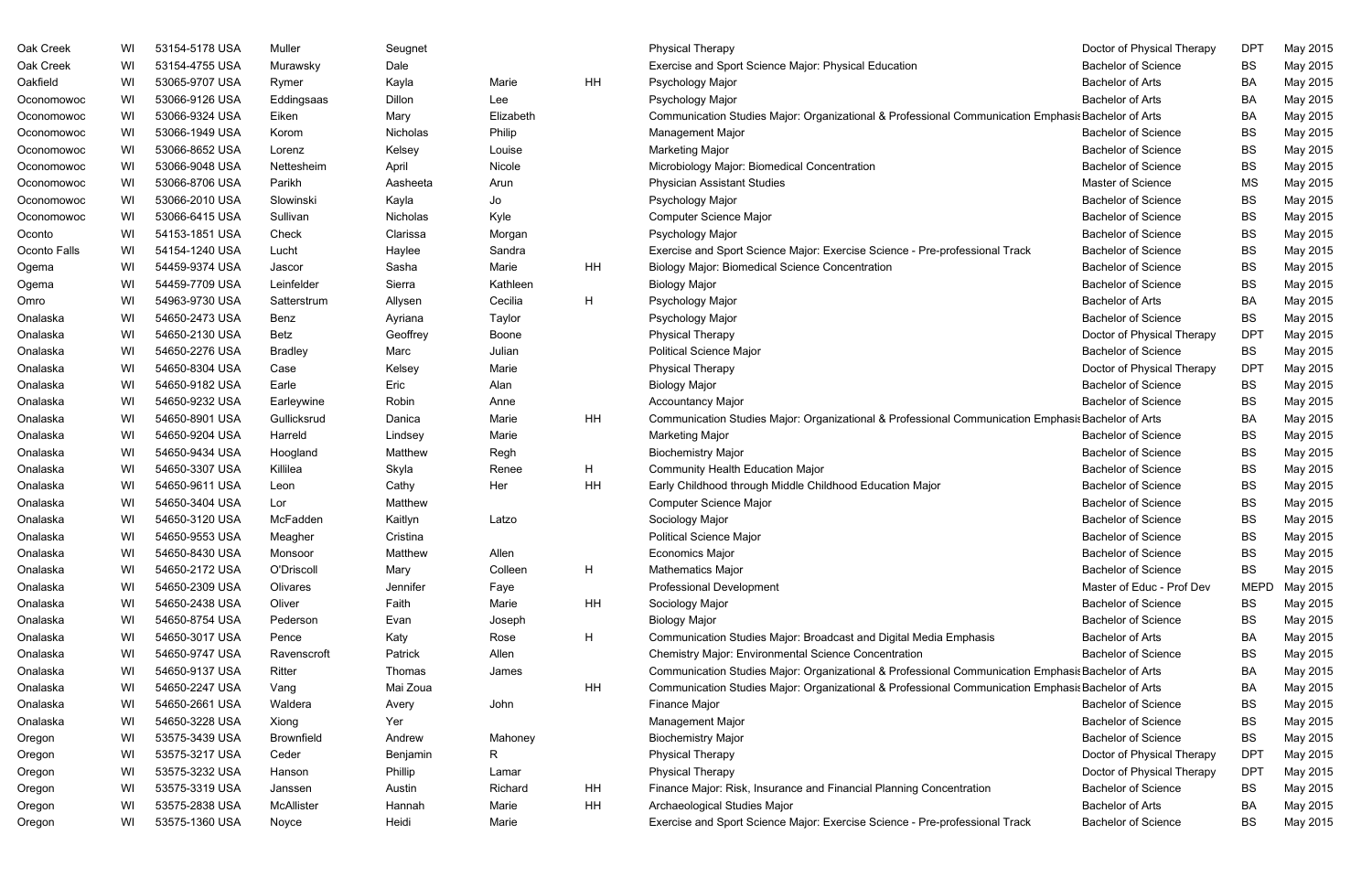| Oak Creek    | WI | 53154-5178 USA | Muller            | Seugnet  |           |    | <b>Physical Therapy</b>                                                                            | Doctor of Physical Therapy | <b>DPT</b>  | May 2015 |
|--------------|----|----------------|-------------------|----------|-----------|----|----------------------------------------------------------------------------------------------------|----------------------------|-------------|----------|
| Oak Creek    | WI | 53154-4755 USA | Murawsky          | Dale     |           |    | Exercise and Sport Science Major: Physical Education                                               | <b>Bachelor of Science</b> | <b>BS</b>   | May 2015 |
| Oakfield     | WI | 53065-9707 USA | Rymer             | Kayla    | Marie     | HH | Psychology Major                                                                                   | <b>Bachelor of Arts</b>    | BA          | May 2015 |
| Oconomowoc   | WI | 53066-9126 USA | Eddingsaas        | Dillon   | Lee       |    | Psychology Major                                                                                   | <b>Bachelor of Arts</b>    | BA          | May 2015 |
| Oconomowoc   | WI | 53066-9324 USA | Eiken             | Mary     | Elizabeth |    | Communication Studies Major: Organizational & Professional Communication Emphasis Bachelor of Arts |                            | <b>BA</b>   | May 2015 |
| Oconomowoc   | WI | 53066-1949 USA | Korom             | Nicholas | Philip    |    | Management Major                                                                                   | <b>Bachelor of Science</b> | <b>BS</b>   | May 2015 |
| Oconomowoc   | WI | 53066-8652 USA | Lorenz            | Kelsey   | Louise    |    | <b>Marketing Major</b>                                                                             | <b>Bachelor of Science</b> | <b>BS</b>   | May 2015 |
| Oconomowoc   | WI | 53066-9048 USA | Nettesheim        | April    | Nicole    |    | Microbiology Major: Biomedical Concentration                                                       | <b>Bachelor of Science</b> | <b>BS</b>   | May 2015 |
| Oconomowoc   | WI | 53066-8706 USA | Parikh            | Aasheeta | Arun      |    | <b>Physician Assistant Studies</b>                                                                 | Master of Science          | <b>MS</b>   | May 2015 |
| Oconomowoc   | WI | 53066-2010 USA | Slowinski         | Kayla    | Jo        |    | Psychology Major                                                                                   | <b>Bachelor of Science</b> | <b>BS</b>   | May 2015 |
| Oconomowoc   | WI | 53066-6415 USA | Sullivan          | Nicholas | Kyle      |    | <b>Computer Science Major</b>                                                                      | <b>Bachelor of Science</b> | <b>BS</b>   | May 2015 |
| Oconto       | WI | 54153-1851 USA | Check             | Clarissa | Morgan    |    | Psychology Major                                                                                   | <b>Bachelor of Science</b> | <b>BS</b>   | May 2015 |
| Oconto Falls | WI | 54154-1240 USA | Lucht             | Haylee   | Sandra    |    | Exercise and Sport Science Major: Exercise Science - Pre-professional Track                        | <b>Bachelor of Science</b> | <b>BS</b>   | May 2015 |
| Ogema        | WI | 54459-9374 USA | Jascor            | Sasha    | Marie     | HH | <b>Biology Major: Biomedical Science Concentration</b>                                             | <b>Bachelor of Science</b> | <b>BS</b>   | May 2015 |
| Ogema        | WI | 54459-7709 USA | Leinfelder        | Sierra   | Kathleen  |    | <b>Biology Major</b>                                                                               | <b>Bachelor of Science</b> | BS          | May 2015 |
| Omro         | WI | 54963-9730 USA | Satterstrum       | Allysen  | Cecilia   | H  | Psychology Major                                                                                   | <b>Bachelor of Arts</b>    | BA          | May 2015 |
| Onalaska     | WI | 54650-2473 USA | Benz              | Ayriana  | Taylor    |    | Psychology Major                                                                                   | <b>Bachelor of Science</b> | BS          | May 2015 |
| Onalaska     | WI | 54650-2130 USA | Betz              | Geoffrey | Boone     |    | <b>Physical Therapy</b>                                                                            | Doctor of Physical Therapy | <b>DPT</b>  | May 2015 |
| Onalaska     | WI | 54650-2276 USA | <b>Bradley</b>    | Marc     | Julian    |    | <b>Political Science Major</b>                                                                     | <b>Bachelor of Science</b> | BS          | May 2015 |
| Onalaska     | WI | 54650-8304 USA | Case              | Kelsey   | Marie     |    | <b>Physical Therapy</b>                                                                            | Doctor of Physical Therapy | <b>DPT</b>  | May 2015 |
| Onalaska     | WI | 54650-9182 USA | Earle             | Eric     | Alan      |    | <b>Biology Major</b>                                                                               | <b>Bachelor of Science</b> | <b>BS</b>   | May 2015 |
| Onalaska     | WI | 54650-9232 USA | Earleywine        | Robin    | Anne      |    | <b>Accountancy Major</b>                                                                           | <b>Bachelor of Science</b> | BS          | May 2015 |
| Onalaska     | WI | 54650-8901 USA | Gullicksrud       | Danica   | Marie     | HH | Communication Studies Major: Organizational & Professional Communication Emphasis Bachelor of Arts |                            | BA          | May 2015 |
| Onalaska     | WI | 54650-9204 USA | Harreld           | Lindsey  | Marie     |    | <b>Marketing Major</b>                                                                             | <b>Bachelor of Science</b> | <b>BS</b>   | May 2015 |
| Onalaska     | WI | 54650-9434 USA | Hoogland          | Matthew  | Regh      |    | <b>Biochemistry Major</b>                                                                          | <b>Bachelor of Science</b> | <b>BS</b>   | May 2015 |
| Onalaska     | WI | 54650-3307 USA | Killilea          | Skyla    | Renee     | H  | <b>Community Health Education Major</b>                                                            | <b>Bachelor of Science</b> | <b>BS</b>   | May 2015 |
| Onalaska     | WI | 54650-9611 USA | Leon              | Cathy    | Her       | HH | Early Childhood through Middle Childhood Education Major                                           | <b>Bachelor of Science</b> | BS          | May 2015 |
| Onalaska     | WI | 54650-3404 USA | Lor               | Matthew  |           |    | Computer Science Major                                                                             | <b>Bachelor of Science</b> | BS          | May 2015 |
| Onalaska     | WI | 54650-3120 USA | McFadden          | Kaitlyn  | Latzo     |    | Sociology Major                                                                                    | <b>Bachelor of Science</b> | <b>BS</b>   | May 2015 |
| Onalaska     | WI | 54650-9553 USA | Meagher           | Cristina |           |    | <b>Political Science Major</b>                                                                     | <b>Bachelor of Science</b> | BS          | May 2015 |
| Onalaska     | WI | 54650-8430 USA | Monsoor           | Matthew  | Allen     |    | <b>Economics Major</b>                                                                             | <b>Bachelor of Science</b> | BS          | May 2015 |
| Onalaska     | WI | 54650-2172 USA | O'Driscoll        | Mary     | Colleen   | H  | <b>Mathematics Major</b>                                                                           | <b>Bachelor of Science</b> | <b>BS</b>   | May 2015 |
| Onalaska     | WI | 54650-2309 USA | Olivares          | Jennifer | Faye      |    | <b>Professional Development</b>                                                                    | Master of Educ - Prof Dev  | <b>MEPD</b> | May 2015 |
| Onalaska     | WI | 54650-2438 USA | Oliver            | Faith    | Marie     | HH | Sociology Major                                                                                    | <b>Bachelor of Science</b> | BS          | May 2015 |
| Onalaska     | WI | 54650-8754 USA | Pederson          | Evan     | Joseph    |    | <b>Biology Major</b>                                                                               | <b>Bachelor of Science</b> | BS          | May 2015 |
| Onalaska     | WI | 54650-3017 USA | Pence             | Katy     | Rose      | H  | Communication Studies Major: Broadcast and Digital Media Emphasis                                  | <b>Bachelor of Arts</b>    | BA          | May 2015 |
| Onalaska     | WI | 54650-9747 USA | Ravenscroft       | Patrick  | Allen     |    | Chemistry Major: Environmental Science Concentration                                               | <b>Bachelor of Science</b> | BS          | May 2015 |
| Onalaska     | WI | 54650-9137 USA | Ritter            | Thomas   | James     |    | Communication Studies Major: Organizational & Professional Communication Emphasis Bachelor of Arts |                            | BA          | May 2015 |
| Onalaska     | WI | 54650-2247 USA | Vang              | Mai Zoua |           | HH | Communication Studies Major: Organizational & Professional Communication Emphasis Bachelor of Arts |                            | BA          | May 2015 |
| Onalaska     | WI | 54650-2661 USA | Waldera           | Avery    | John      |    | Finance Major                                                                                      | <b>Bachelor of Science</b> | BS          | May 2015 |
| Onalaska     | WI | 54650-3228 USA | Xiong             | Yer      |           |    | <b>Management Major</b>                                                                            | <b>Bachelor of Science</b> | BS          | May 2015 |
| Oregon       | WI | 53575-3439 USA | <b>Brownfield</b> | Andrew   | Mahoney   |    | <b>Biochemistry Major</b>                                                                          | <b>Bachelor of Science</b> | BS          | May 2015 |
| Oregon       | WI | 53575-3217 USA | Ceder             | Benjamin | R.        |    | <b>Physical Therapy</b>                                                                            | Doctor of Physical Therapy | <b>DPT</b>  | May 2015 |
| Oregon       | WI | 53575-3232 USA | Hanson            | Phillip  | Lamar     |    | <b>Physical Therapy</b>                                                                            | Doctor of Physical Therapy | <b>DPT</b>  | May 2015 |
| Oregon       | WI | 53575-3319 USA | Janssen           | Austin   | Richard   | HH | Finance Major: Risk, Insurance and Financial Planning Concentration                                | <b>Bachelor of Science</b> | BS          | May 2015 |
| Oregon       | WI | 53575-2838 USA | McAllister        | Hannah   | Marie     | HH | Archaeological Studies Major                                                                       | <b>Bachelor of Arts</b>    | BA          | May 2015 |
| Oregon       | WI | 53575-1360 USA | Noyce             | Heidi    | Marie     |    | Exercise and Sport Science Major: Exercise Science - Pre-professional Track                        | <b>Bachelor of Science</b> | BS          | May 2015 |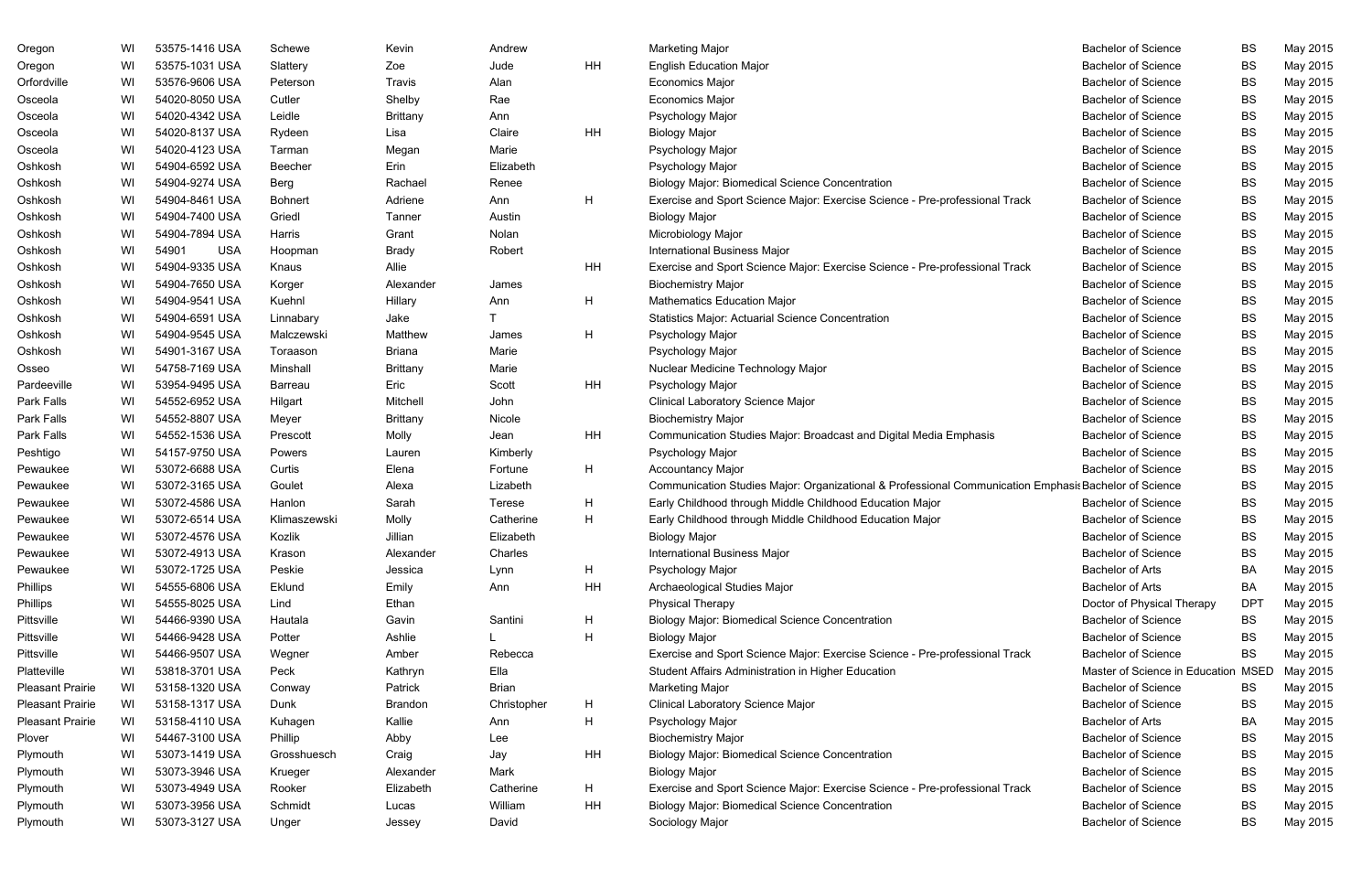| Oregon                  | WI | 53575-1416 USA      | Schewe         | Kevin           | Andrew        |           | <b>Marketing Major</b>                                                                                | <b>Bachelor of Science</b>     | <b>BS</b>   | May 2015 |
|-------------------------|----|---------------------|----------------|-----------------|---------------|-----------|-------------------------------------------------------------------------------------------------------|--------------------------------|-------------|----------|
| Oregon                  | WI | 53575-1031 USA      | Slattery       | Zoe             | Jude          | <b>HH</b> | <b>English Education Major</b>                                                                        | <b>Bachelor of Science</b>     | <b>BS</b>   | May 2015 |
| Orfordville             | WI | 53576-9606 USA      | Peterson       | Travis          | Alan          |           | <b>Economics Major</b>                                                                                | <b>Bachelor of Science</b>     | BS          | May 2015 |
| Osceola                 | WI | 54020-8050 USA      | Cutler         | Shelby          | Rae           |           | <b>Economics Major</b>                                                                                | <b>Bachelor of Science</b>     | <b>BS</b>   | May 2015 |
| Osceola                 | WI | 54020-4342 USA      | Leidle         | <b>Brittany</b> | Ann           |           | Psychology Major                                                                                      | <b>Bachelor of Science</b>     | BS          | May 2015 |
| Osceola                 | WI | 54020-8137 USA      | Rydeen         | Lisa            | Claire        | <b>HH</b> | <b>Biology Major</b>                                                                                  | <b>Bachelor of Science</b>     | BS          | May 2015 |
| Osceola                 | WI | 54020-4123 USA      | Tarman         | Megan           | Marie         |           | Psychology Major                                                                                      | <b>Bachelor of Science</b>     | BS          | May 2015 |
| Oshkosh                 | WI | 54904-6592 USA      | <b>Beecher</b> | Erin            | Elizabeth     |           | Psychology Major                                                                                      | <b>Bachelor of Science</b>     | <b>BS</b>   | May 2015 |
| Oshkosh                 | WI | 54904-9274 USA      | Berg           | Rachael         | Renee         |           | <b>Biology Major: Biomedical Science Concentration</b>                                                | <b>Bachelor of Science</b>     | BS          | May 2015 |
| Oshkosh                 | WI | 54904-8461 USA      | <b>Bohnert</b> | Adriene         | Ann           | H         | Exercise and Sport Science Major: Exercise Science - Pre-professional Track                           | <b>Bachelor of Science</b>     | BS          | May 2015 |
| Oshkosh                 | WI | 54904-7400 USA      | Griedl         | Tanner          | Austin        |           | <b>Biology Major</b>                                                                                  | <b>Bachelor of Science</b>     | BS          | May 2015 |
| Oshkosh                 | WI | 54904-7894 USA      | Harris         | Grant           | Nolan         |           | Microbiology Major                                                                                    | <b>Bachelor of Science</b>     | BS          | May 2015 |
| Oshkosh                 | WI | 54901<br><b>USA</b> | Hoopman        | <b>Brady</b>    | Robert        |           | <b>International Business Major</b>                                                                   | <b>Bachelor of Science</b>     | BS          | May 2015 |
| Oshkosh                 | WI | 54904-9335 USA      | Knaus          | Allie           |               | HH        | Exercise and Sport Science Major: Exercise Science - Pre-professional Track                           | <b>Bachelor of Science</b>     | BS          | May 2015 |
| Oshkosh                 | WI | 54904-7650 USA      | Korger         | Alexander       | James         |           | <b>Biochemistry Major</b>                                                                             | <b>Bachelor of Science</b>     | BS          | May 2015 |
| Oshkosh                 | WI | 54904-9541 USA      | Kuehnl         | Hillary         | Ann           | Η         | <b>Mathematics Education Major</b>                                                                    | <b>Bachelor of Science</b>     | BS          | May 2015 |
| Oshkosh                 | WI | 54904-6591 USA      | Linnabary      | Jake            |               |           | <b>Statistics Major: Actuarial Science Concentration</b>                                              | <b>Bachelor of Science</b>     | BS          | May 2015 |
| Oshkosh                 | WI | 54904-9545 USA      | Malczewski     | Matthew         | James         | H         | Psychology Major                                                                                      | <b>Bachelor of Science</b>     | BS          | May 2015 |
| Oshkosh                 | WI | 54901-3167 USA      | Toraason       | <b>Briana</b>   | Marie         |           | Psychology Major                                                                                      | <b>Bachelor of Science</b>     | BS          | May 2015 |
| Osseo                   | WI | 54758-7169 USA      | Minshall       | <b>Brittany</b> | Marie         |           | Nuclear Medicine Technology Major                                                                     | <b>Bachelor of Science</b>     | BS          | May 2015 |
| Pardeeville             | WI | 53954-9495 USA      | Barreau        | Eric            | Scott         | HH        | Psychology Major                                                                                      | <b>Bachelor of Science</b>     | BS          | May 2015 |
| Park Falls              | WI | 54552-6952 USA      | Hilgart        | Mitchell        | John          |           | Clinical Laboratory Science Major                                                                     | <b>Bachelor of Science</b>     | BS          | May 2015 |
| Park Falls              | WI | 54552-8807 USA      | Meyer          | <b>Brittany</b> | Nicole        |           | <b>Biochemistry Major</b>                                                                             | <b>Bachelor of Science</b>     | BS          | May 2015 |
| Park Falls              | WI | 54552-1536 USA      | Prescott       | Molly           | Jean          | HH        | Communication Studies Major: Broadcast and Digital Media Emphasis                                     | <b>Bachelor of Science</b>     | <b>BS</b>   | May 2015 |
| Peshtigo                | WI | 54157-9750 USA      | Powers         | Lauren          | Kimberly      |           | Psychology Major                                                                                      | <b>Bachelor of Science</b>     | BS          | May 2015 |
| Pewaukee                | WI | 53072-6688 USA      | Curtis         | Elena           | Fortune       | H         | <b>Accountancy Major</b>                                                                              | <b>Bachelor of Science</b>     | BS          | May 2015 |
| Pewaukee                | WI | 53072-3165 USA      | Goulet         | Alexa           | Lizabeth      |           | Communication Studies Major: Organizational & Professional Communication Emphasis Bachelor of Science |                                | BS          | May 2015 |
| Pewaukee                | WI | 53072-4586 USA      | Hanlon         | Sarah           | <b>Terese</b> | H         | Early Childhood through Middle Childhood Education Major                                              | <b>Bachelor of Science</b>     | <b>BS</b>   | May 2015 |
| Pewaukee                | WI | 53072-6514 USA      | Klimaszewski   | Molly           | Catherine     | н         | Early Childhood through Middle Childhood Education Major                                              | <b>Bachelor of Science</b>     | <b>BS</b>   | May 2015 |
| Pewaukee                | WI | 53072-4576 USA      | Kozlik         | Jillian         | Elizabeth     |           | <b>Biology Major</b>                                                                                  | <b>Bachelor of Science</b>     | BS          | May 2015 |
| Pewaukee                | WI | 53072-4913 USA      | Krason         | Alexander       | Charles       |           | <b>International Business Major</b>                                                                   | <b>Bachelor of Science</b>     | <b>BS</b>   | May 2015 |
| Pewaukee                | WI | 53072-1725 USA      | Peskie         | Jessica         | Lynn          | H         | Psychology Major                                                                                      | <b>Bachelor of Arts</b>        | BA          | May 2015 |
| Phillips                | WI | 54555-6806 USA      | Eklund         | Emily           | Ann           | HH        | Archaeological Studies Major                                                                          | <b>Bachelor of Arts</b>        | BA          | May 2015 |
| Phillips                | WI | 54555-8025 USA      | Lind           | Ethan           |               |           | <b>Physical Therapy</b>                                                                               | Doctor of Physical Therapy     | <b>DPT</b>  | May 2015 |
| Pittsville              | WI | 54466-9390 USA      | Hautala        | Gavin           | Santini       | H         | <b>Biology Major: Biomedical Science Concentration</b>                                                | <b>Bachelor of Science</b>     | <b>BS</b>   | May 2015 |
| Pittsville              | WI | 54466-9428 USA      | Potter         | Ashlie          |               | H         | <b>Biology Major</b>                                                                                  | <b>Bachelor of Science</b>     | BS          | May 2015 |
| Pittsville              | WI | 54466-9507 USA      | Wegner         | Amber           | Rebecca       |           | Exercise and Sport Science Major: Exercise Science - Pre-professional Track                           | <b>Bachelor of Science</b>     | <b>BS</b>   | May 2015 |
| Platteville             | WI | 53818-3701 USA      | Peck           | Kathryn         | Ella          |           | Student Affairs Administration in Higher Education                                                    | Master of Science in Education | <b>MSED</b> | May 2015 |
| <b>Pleasant Prairie</b> | WI | 53158-1320 USA      | Conway         | Patrick         | <b>Brian</b>  |           | <b>Marketing Major</b>                                                                                | <b>Bachelor of Science</b>     | <b>BS</b>   | May 2015 |
| <b>Pleasant Prairie</b> | WI | 53158-1317 USA      | Dunk           | Brandon         | Christopher   | H         | Clinical Laboratory Science Major                                                                     | <b>Bachelor of Science</b>     | <b>BS</b>   | May 2015 |
| <b>Pleasant Prairie</b> | WI | 53158-4110 USA      | Kuhagen        | Kallie          | Ann           | H         | Psychology Major                                                                                      | <b>Bachelor of Arts</b>        | BA          | May 2015 |
| Plover                  | WI | 54467-3100 USA      | Phillip        | Abby            | Lee           |           | <b>Biochemistry Major</b>                                                                             | <b>Bachelor of Science</b>     | <b>BS</b>   | May 2015 |
| Plymouth                | WI | 53073-1419 USA      | Grosshuesch    | Craig           | Jay           | HH        | <b>Biology Major: Biomedical Science Concentration</b>                                                | <b>Bachelor of Science</b>     | <b>BS</b>   | May 2015 |
| Plymouth                | WI | 53073-3946 USA      | Krueger        | Alexander       | Mark          |           | <b>Biology Major</b>                                                                                  | <b>Bachelor of Science</b>     | <b>BS</b>   | May 2015 |
| Plymouth                | WI | 53073-4949 USA      | Rooker         | Elizabeth       | Catherine     | H         | Exercise and Sport Science Major: Exercise Science - Pre-professional Track                           | <b>Bachelor of Science</b>     | BS          | May 2015 |
| Plymouth                | WI | 53073-3956 USA      | Schmidt        | Lucas           | William       | HH        | <b>Biology Major: Biomedical Science Concentration</b>                                                | <b>Bachelor of Science</b>     | BS          | May 2015 |
| Plymouth                | WI | 53073-3127 USA      | Unger          | Jessey          | David         |           | Sociology Major                                                                                       | <b>Bachelor of Science</b>     | BS          | May 2015 |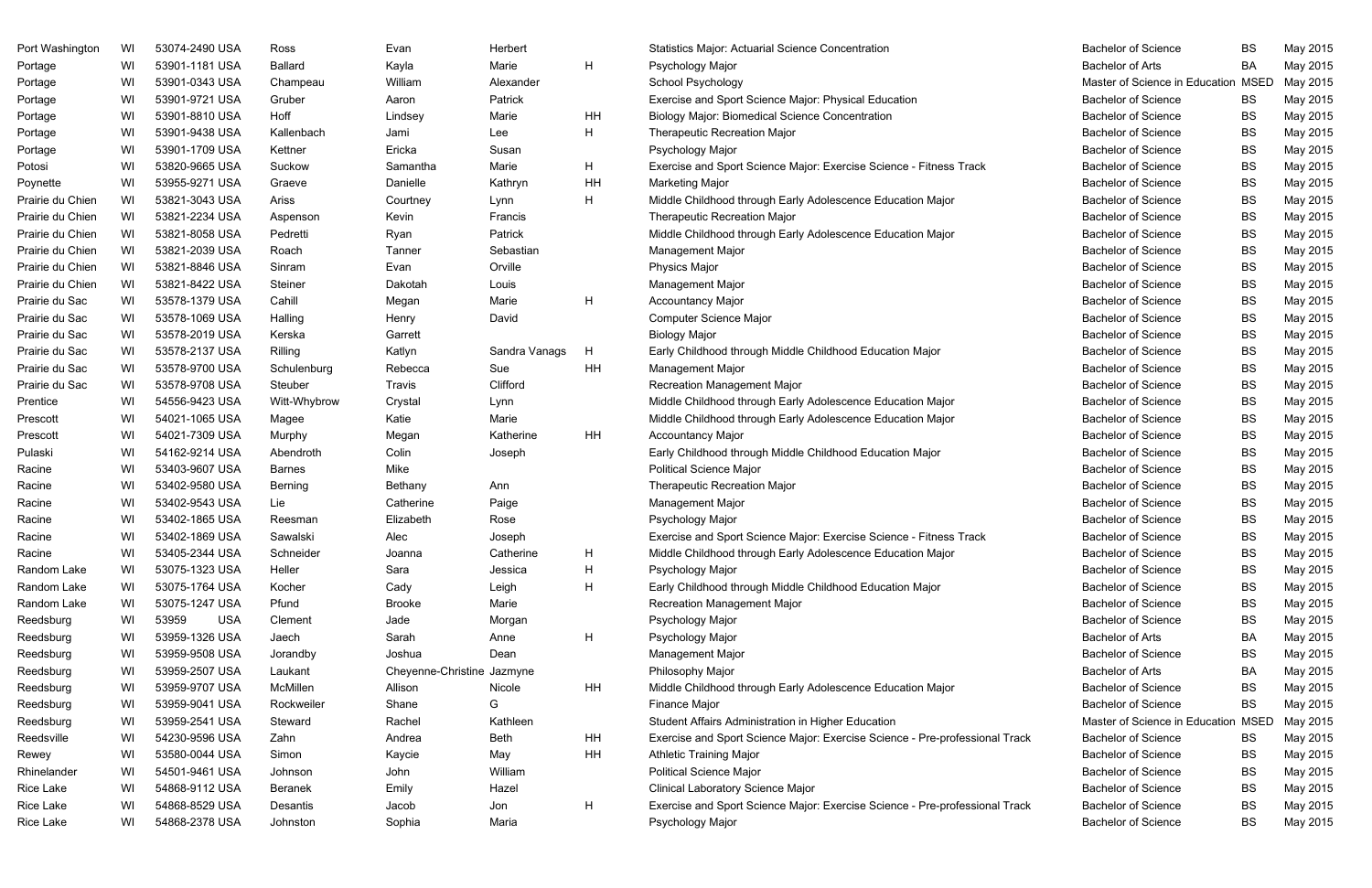| Port Washington  | WI | 53074-2490 USA      | Ross           | Evan                       | Herbert       |    | <b>Statistics Major: Actuarial Science Concentration</b>                    | <b>Bachelor of Science</b>     | <b>BS</b>   | May 2015 |
|------------------|----|---------------------|----------------|----------------------------|---------------|----|-----------------------------------------------------------------------------|--------------------------------|-------------|----------|
| Portage          | WI | 53901-1181 USA      | <b>Ballard</b> | Kayla                      | Marie         | H  | Psychology Major                                                            | <b>Bachelor of Arts</b>        | BA          | May 2015 |
| Portage          | WI | 53901-0343 USA      | Champeau       | William                    | Alexander     |    | School Psychology                                                           | Master of Science in Education | <b>MSED</b> | May 2015 |
| Portage          | WI | 53901-9721 USA      | Gruber         | Aaron                      | Patrick       |    | Exercise and Sport Science Major: Physical Education                        | <b>Bachelor of Science</b>     | <b>BS</b>   | May 2015 |
| Portage          | WI | 53901-8810 USA      | Hoff           | Lindsey                    | Marie         | HH | <b>Biology Major: Biomedical Science Concentration</b>                      | <b>Bachelor of Science</b>     | <b>BS</b>   | May 2015 |
| Portage          | WI | 53901-9438 USA      | Kallenbach     | Jami                       | Lee           | Η  | <b>Therapeutic Recreation Major</b>                                         | <b>Bachelor of Science</b>     | <b>BS</b>   | May 2015 |
| Portage          | WI | 53901-1709 USA      | Kettner        | Ericka                     | Susan         |    | Psychology Major                                                            | <b>Bachelor of Science</b>     | <b>BS</b>   | May 2015 |
| Potosi           | WI | 53820-9665 USA      | Suckow         | Samantha                   | Marie         | H. | Exercise and Sport Science Major: Exercise Science - Fitness Track          | <b>Bachelor of Science</b>     | <b>BS</b>   | May 2015 |
| Poynette         | WI | 53955-9271 USA      | Graeve         | Danielle                   | Kathryn       | HH | <b>Marketing Major</b>                                                      | <b>Bachelor of Science</b>     | <b>BS</b>   | May 2015 |
| Prairie du Chien | WI | 53821-3043 USA      | Ariss          | Courtney                   | Lynn          | Н  | Middle Childhood through Early Adolescence Education Major                  | <b>Bachelor of Science</b>     | <b>BS</b>   | May 2015 |
| Prairie du Chien | WI | 53821-2234 USA      | Aspenson       | Kevin                      | Francis       |    | <b>Therapeutic Recreation Major</b>                                         | <b>Bachelor of Science</b>     | <b>BS</b>   | May 2015 |
| Prairie du Chien | WI | 53821-8058 USA      | Pedretti       | Ryan                       | Patrick       |    | Middle Childhood through Early Adolescence Education Major                  | <b>Bachelor of Science</b>     | <b>BS</b>   | May 2015 |
| Prairie du Chien | WI | 53821-2039 USA      | Roach          | Tanner                     | Sebastian     |    | Management Major                                                            | <b>Bachelor of Science</b>     | <b>BS</b>   | May 2015 |
| Prairie du Chien | WI | 53821-8846 USA      | Sinram         | Evan                       | Orville       |    | <b>Physics Major</b>                                                        | <b>Bachelor of Science</b>     | <b>BS</b>   | May 2015 |
| Prairie du Chien | WI | 53821-8422 USA      | Steiner        | Dakotah                    | Louis         |    | <b>Management Major</b>                                                     | <b>Bachelor of Science</b>     | <b>BS</b>   | May 2015 |
| Prairie du Sac   | WI | 53578-1379 USA      | Cahill         | Megan                      | Marie         | H  | <b>Accountancy Major</b>                                                    | <b>Bachelor of Science</b>     | <b>BS</b>   | May 2015 |
| Prairie du Sac   | WI | 53578-1069 USA      | Halling        | Henry                      | David         |    | Computer Science Major                                                      | <b>Bachelor of Science</b>     | <b>BS</b>   | May 2015 |
| Prairie du Sac   | WI | 53578-2019 USA      | Kerska         | Garrett                    |               |    | <b>Biology Major</b>                                                        | <b>Bachelor of Science</b>     | <b>BS</b>   | May 2015 |
| Prairie du Sac   | WI | 53578-2137 USA      | Rilling        | Katlyn                     | Sandra Vanags | H  | Early Childhood through Middle Childhood Education Major                    | <b>Bachelor of Science</b>     | <b>BS</b>   | May 2015 |
| Prairie du Sac   | WI | 53578-9700 USA      | Schulenburg    | Rebecca                    | Sue           | HH | <b>Management Major</b>                                                     | <b>Bachelor of Science</b>     | <b>BS</b>   | May 2015 |
| Prairie du Sac   | WI | 53578-9708 USA      | Steuber        | Travis                     | Clifford      |    | <b>Recreation Management Major</b>                                          | <b>Bachelor of Science</b>     | <b>BS</b>   | May 2015 |
| Prentice         | WI | 54556-9423 USA      | Witt-Whybrow   | Crystal                    | Lynn          |    | Middle Childhood through Early Adolescence Education Major                  | <b>Bachelor of Science</b>     | <b>BS</b>   | May 2015 |
| Prescott         | WI | 54021-1065 USA      | Magee          | Katie                      | Marie         |    | Middle Childhood through Early Adolescence Education Major                  | <b>Bachelor of Science</b>     | <b>BS</b>   | May 2015 |
| Prescott         | WI | 54021-7309 USA      | Murphy         | Megan                      | Katherine     | HH | <b>Accountancy Major</b>                                                    | <b>Bachelor of Science</b>     | <b>BS</b>   | May 2015 |
| Pulaski          | WI | 54162-9214 USA      | Abendroth      | Colin                      | Joseph        |    | Early Childhood through Middle Childhood Education Major                    | <b>Bachelor of Science</b>     | <b>BS</b>   | May 2015 |
| Racine           | WI | 53403-9607 USA      | <b>Barnes</b>  | Mike                       |               |    | <b>Political Science Major</b>                                              | <b>Bachelor of Science</b>     | <b>BS</b>   | May 2015 |
| Racine           | WI | 53402-9580 USA      | Berning        | Bethany                    | Ann           |    | <b>Therapeutic Recreation Major</b>                                         | <b>Bachelor of Science</b>     | <b>BS</b>   | May 2015 |
| Racine           | WI | 53402-9543 USA      | Lie            | Catherine                  | Paige         |    | Management Major                                                            | <b>Bachelor of Science</b>     | <b>BS</b>   | May 2015 |
| Racine           | WI | 53402-1865 USA      | Reesman        | Elizabeth                  | Rose          |    | Psychology Major                                                            | <b>Bachelor of Science</b>     | <b>BS</b>   | May 2015 |
| Racine           | WI | 53402-1869 USA      | Sawalski       | Alec                       | Joseph        |    | Exercise and Sport Science Major: Exercise Science - Fitness Track          | <b>Bachelor of Science</b>     | <b>BS</b>   | May 2015 |
| Racine           | WI | 53405-2344 USA      | Schneider      | Joanna                     | Catherine     | H  | Middle Childhood through Early Adolescence Education Major                  | <b>Bachelor of Science</b>     | <b>BS</b>   | May 2015 |
| Random Lake      | WI | 53075-1323 USA      | Heller         | Sara                       | Jessica       | H  | Psychology Major                                                            | <b>Bachelor of Science</b>     | <b>BS</b>   | May 2015 |
| Random Lake      | WI | 53075-1764 USA      | Kocher         | Cady                       | Leigh         | H  | Early Childhood through Middle Childhood Education Major                    | <b>Bachelor of Science</b>     | <b>BS</b>   | May 2015 |
| Random Lake      | WI | 53075-1247 USA      | Pfund          | <b>Brooke</b>              | Marie         |    | <b>Recreation Management Major</b>                                          | <b>Bachelor of Science</b>     | BS          | May 2015 |
| Reedsburg        | WI | 53959<br><b>USA</b> | Clement        | Jade                       | Morgan        |    | Psychology Major                                                            | <b>Bachelor of Science</b>     | BS          | May 2015 |
| Reedsburg        | WI | 53959-1326 USA      | Jaech          | Sarah                      | Anne          | H  | Psychology Major                                                            | <b>Bachelor of Arts</b>        | BA          | May 2015 |
| Reedsburg        | WI | 53959-9508 USA      | Jorandby       | Joshua                     | Dean          |    | <b>Management Major</b>                                                     | <b>Bachelor of Science</b>     | <b>BS</b>   | May 2015 |
| Reedsburg        | WI | 53959-2507 USA      | Laukant        | Cheyenne-Christine Jazmyne |               |    | Philosophy Major                                                            | <b>Bachelor of Arts</b>        | BA          | May 2015 |
| Reedsburg        | WI | 53959-9707 USA      | McMillen       | Allison                    | Nicole        | HH | Middle Childhood through Early Adolescence Education Major                  | <b>Bachelor of Science</b>     | <b>BS</b>   | May 2015 |
| Reedsburg        | WI | 53959-9041 USA      | Rockweiler     | Shane                      | G             |    | Finance Major                                                               | <b>Bachelor of Science</b>     | <b>BS</b>   | May 2015 |
| Reedsburg        | WI | 53959-2541 USA      | Steward        | Rachel                     | Kathleen      |    | Student Affairs Administration in Higher Education                          | Master of Science in Education | <b>MSED</b> | May 2015 |
| Reedsville       | WI | 54230-9596 USA      | Zahn           | Andrea                     | <b>Beth</b>   | HH | Exercise and Sport Science Major: Exercise Science - Pre-professional Track | <b>Bachelor of Science</b>     | <b>BS</b>   | May 2015 |
| Rewey            | WI | 53580-0044 USA      | Simon          | Kaycie                     | May           | HH | <b>Athletic Training Major</b>                                              | <b>Bachelor of Science</b>     | <b>BS</b>   | May 2015 |
| Rhinelander      | WI | 54501-9461 USA      | Johnson        | John                       | William       |    | <b>Political Science Major</b>                                              | <b>Bachelor of Science</b>     | <b>BS</b>   | May 2015 |
| Rice Lake        | WI | 54868-9112 USA      | <b>Beranek</b> | Emily                      | Hazel         |    | <b>Clinical Laboratory Science Major</b>                                    | <b>Bachelor of Science</b>     | BS          | May 2015 |
| Rice Lake        | WI | 54868-8529 USA      | Desantis       | Jacob                      | Jon           | H  | Exercise and Sport Science Major: Exercise Science - Pre-professional Track | <b>Bachelor of Science</b>     | <b>BS</b>   | May 2015 |
| Rice Lake        | WI | 54868-2378 USA      | Johnston       | Sophia                     | Maria         |    | Psychology Major                                                            | <b>Bachelor of Science</b>     | <b>BS</b>   | May 2015 |

| <b>Bachelor of Science</b>     | BS          | May 2015 |
|--------------------------------|-------------|----------|
| <b>Bachelor of Arts</b>        | BA          | May 2015 |
| Master of Science in Education | <b>MSED</b> | May 2015 |
| <b>Bachelor of Science</b>     | BS          | May 2015 |
| <b>Bachelor of Science</b>     | BS          | May 2015 |
| <b>Bachelor of Science</b>     | BS          | May 2015 |
| <b>Bachelor of Science</b>     | BS          | May 2015 |
| <b>Bachelor of Science</b>     | BS          | May 2015 |
| <b>Bachelor of Science</b>     | BS          | May 2015 |
| <b>Bachelor of Science</b>     | BS          | May 2015 |
| <b>Bachelor of Science</b>     | BS          | May 2015 |
| <b>Bachelor of Science</b>     | BS          | May 2015 |
| <b>Bachelor of Science</b>     | BS          | May 2015 |
| <b>Bachelor of Science</b>     | BS          | May 2015 |
| <b>Bachelor of Science</b>     | BS          | May 2015 |
| <b>Bachelor of Science</b>     | BS          | May 2015 |
| <b>Bachelor of Science</b>     | BS          | May 2015 |
| <b>Bachelor of Science</b>     | BS          | May 2015 |
| <b>Bachelor of Science</b>     | <b>BS</b>   | May 2015 |
| <b>Bachelor of Science</b>     | BS          | May 2015 |
| <b>Bachelor of Science</b>     | BS          | May 2015 |
| <b>Bachelor of Science</b>     | BS          | May 2015 |
| <b>Bachelor of Science</b>     | BS          | May 2015 |
| <b>Bachelor of Science</b>     | BS          | May 2015 |
| <b>Bachelor of Science</b>     | BS          | May 2015 |
| <b>Bachelor of Science</b>     | BS          | May 2015 |
| <b>Bachelor of Science</b>     | BS          | May 2015 |
| <b>Bachelor of Science</b>     | BS          | May 2015 |
| <b>Bachelor of Science</b>     | BS          | May 2015 |
| <b>Bachelor of Science</b>     | BS          | May 2015 |
| <b>Bachelor of Science</b>     | BS          | May 2015 |
| <b>Bachelor of Science</b>     | BS          | May 2015 |
| <b>Bachelor of Science</b>     | BS          | May 2015 |
| <b>Bachelor of Science</b>     | <b>BS</b>   | May 2015 |
| <b>Bachelor of Science</b>     | BS          | May 2015 |
| <b>Bachelor of Arts</b>        | BA          | May 2015 |
| <b>Bachelor of Science</b>     | BS          | May 2015 |
| <b>Bachelor of Arts</b>        | BA          | May 2015 |
| <b>Bachelor of Science</b>     | BS          | May 2015 |
| <b>Bachelor of Science</b>     | BS          | May 2015 |
| Master of Science in Education | <b>MSED</b> | May 2015 |
| <b>Bachelor of Science</b>     | BS          | May 2015 |
| <b>Bachelor of Science</b>     | BS          | May 2015 |
| <b>Bachelor of Science</b>     | BS          | May 2015 |
| <b>Bachelor of Science</b>     | <b>BS</b>   | May 2015 |
| <b>Bachelor of Science</b>     | BS          | May 2015 |
| <b>Bachelor of Science</b>     | BS          | May 2015 |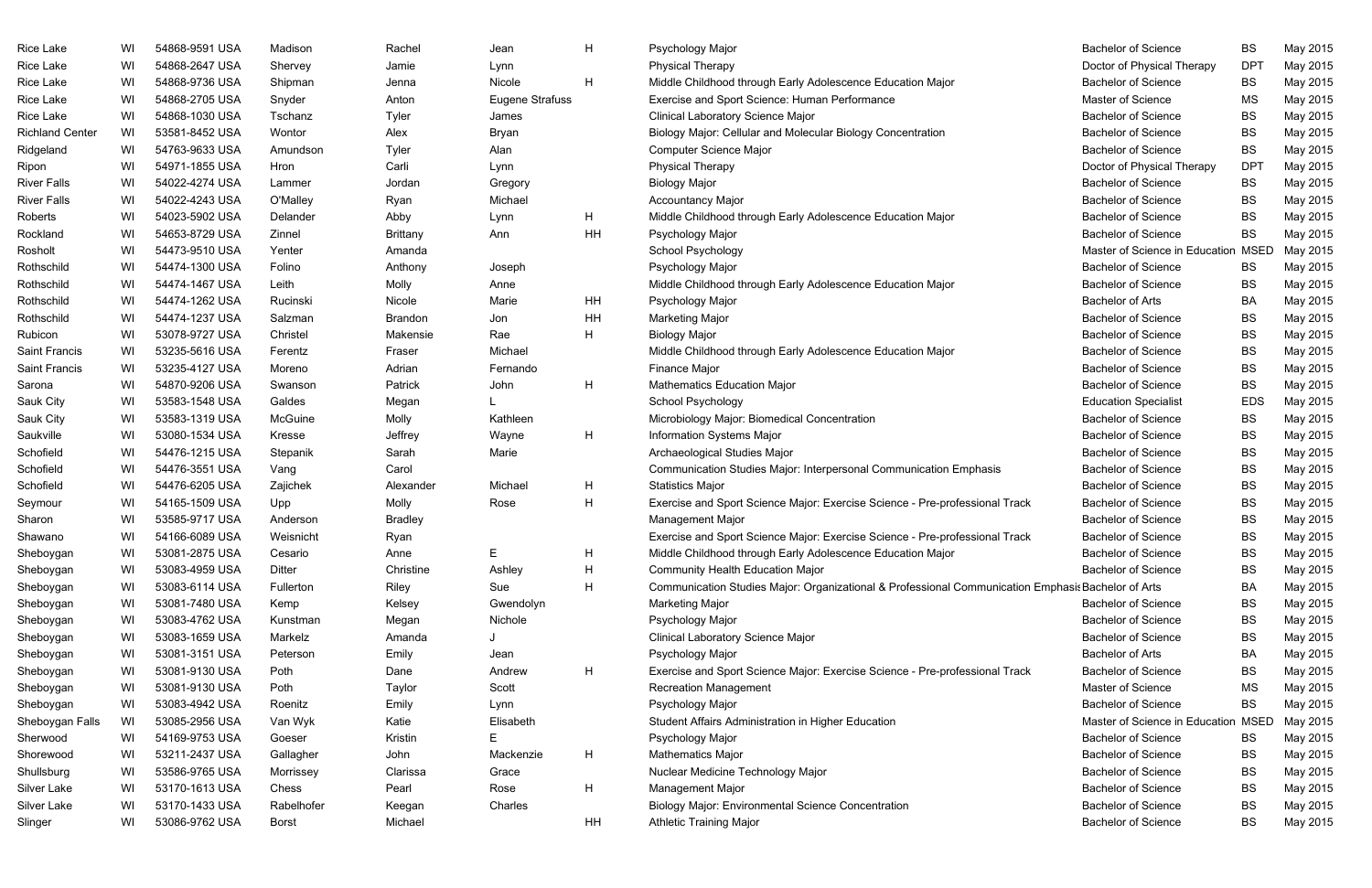| Rice Lake              | WI | 54868-9591 USA | Madison      | Rachel         | Jean                   | H  | Psychology Major                                                                                   | <b>Bachelor of Science</b>     | <b>BS</b>   | May 2015 |
|------------------------|----|----------------|--------------|----------------|------------------------|----|----------------------------------------------------------------------------------------------------|--------------------------------|-------------|----------|
| Rice Lake              | WI | 54868-2647 USA | Shervey      | Jamie          | Lynn                   |    | <b>Physical Therapy</b>                                                                            | Doctor of Physical Therapy     | <b>DPT</b>  | May 2015 |
| Rice Lake              | WI | 54868-9736 USA | Shipman      | Jenna          | Nicole                 | H  | Middle Childhood through Early Adolescence Education Major                                         | <b>Bachelor of Science</b>     | <b>BS</b>   | May 2015 |
| Rice Lake              | WI | 54868-2705 USA | Snyder       | Anton          | <b>Eugene Strafuss</b> |    | Exercise and Sport Science: Human Performance                                                      | Master of Science              | <b>MS</b>   | May 2015 |
| Rice Lake              | WI | 54868-1030 USA | Tschanz      | Tyler          | James                  |    | Clinical Laboratory Science Major                                                                  | <b>Bachelor of Science</b>     | <b>BS</b>   | May 2015 |
| <b>Richland Center</b> | WI | 53581-8452 USA | Wontor       | Alex           | Bryan                  |    | Biology Major: Cellular and Molecular Biology Concentration                                        | <b>Bachelor of Science</b>     | <b>BS</b>   | May 2015 |
| Ridgeland              | WI | 54763-9633 USA | Amundson     | Tyler          | Alan                   |    | Computer Science Major                                                                             | <b>Bachelor of Science</b>     | <b>BS</b>   | May 2015 |
| Ripon                  | WI | 54971-1855 USA | Hron         | Carli          | Lynn                   |    | <b>Physical Therapy</b>                                                                            | Doctor of Physical Therapy     | <b>DPT</b>  | May 2015 |
| <b>River Falls</b>     | WI | 54022-4274 USA | Lammer       | Jordan         | Gregory                |    | <b>Biology Major</b>                                                                               | <b>Bachelor of Science</b>     | <b>BS</b>   | May 2015 |
| <b>River Falls</b>     | WI | 54022-4243 USA | O'Malley     | Ryan           | Michael                |    | <b>Accountancy Major</b>                                                                           | <b>Bachelor of Science</b>     | <b>BS</b>   | May 2015 |
| Roberts                | WI | 54023-5902 USA | Delander     | Abby           | Lynn                   | H  | Middle Childhood through Early Adolescence Education Major                                         | <b>Bachelor of Science</b>     | <b>BS</b>   | May 2015 |
| Rockland               | WI | 54653-8729 USA | Zinnel       | Brittany       | Ann                    | HH | Psychology Major                                                                                   | <b>Bachelor of Science</b>     | <b>BS</b>   | May 2015 |
| Rosholt                | WI | 54473-9510 USA | Yenter       | Amanda         |                        |    | School Psychology                                                                                  | Master of Science in Education | <b>MSED</b> | May 2015 |
| Rothschild             | WI | 54474-1300 USA | Folino       | Anthony        | Joseph                 |    | Psychology Major                                                                                   | <b>Bachelor of Science</b>     | BS          | May 2015 |
| Rothschild             | WI | 54474-1467 USA | Leith        | Molly          | Anne                   |    | Middle Childhood through Early Adolescence Education Major                                         | <b>Bachelor of Science</b>     | BS          | May 2015 |
| Rothschild             | WI | 54474-1262 USA | Rucinski     | Nicole         | Marie                  | HH | Psychology Major                                                                                   | <b>Bachelor of Arts</b>        | <b>BA</b>   | May 2015 |
| Rothschild             | WI | 54474-1237 USA | Salzman      | Brandon        | Jon                    | HН | <b>Marketing Major</b>                                                                             | <b>Bachelor of Science</b>     | <b>BS</b>   | May 2015 |
| Rubicon                | WI | 53078-9727 USA | Christel     | Makensie       | Rae                    | H  | <b>Biology Major</b>                                                                               | <b>Bachelor of Science</b>     | <b>BS</b>   | May 2015 |
| Saint Francis          | WI | 53235-5616 USA | Ferentz      | Fraser         | Michael                |    | Middle Childhood through Early Adolescence Education Major                                         | <b>Bachelor of Science</b>     | <b>BS</b>   | May 2015 |
| Saint Francis          | WI | 53235-4127 USA | Moreno       | Adrian         | Fernando               |    | Finance Major                                                                                      | <b>Bachelor of Science</b>     | <b>BS</b>   | May 2015 |
| Sarona                 | WI | 54870-9206 USA | Swanson      | Patrick        | John                   | H  | Mathematics Education Major                                                                        | <b>Bachelor of Science</b>     | <b>BS</b>   | May 2015 |
| Sauk City              | WI | 53583-1548 USA | Galdes       | Megan          |                        |    | <b>School Psychology</b>                                                                           | <b>Education Specialist</b>    | <b>EDS</b>  | May 2015 |
| Sauk City              | WI | 53583-1319 USA | McGuine      | Molly          | Kathleen               |    | Microbiology Major: Biomedical Concentration                                                       | <b>Bachelor of Science</b>     | <b>BS</b>   | May 2015 |
| Saukville              | WI | 53080-1534 USA | Kresse       | Jeffrey        | Wayne                  | H  | Information Systems Major                                                                          | <b>Bachelor of Science</b>     | <b>BS</b>   | May 2015 |
| Schofield              | WI | 54476-1215 USA | Stepanik     | Sarah          | Marie                  |    | Archaeological Studies Major                                                                       | <b>Bachelor of Science</b>     | <b>BS</b>   | May 2015 |
| Schofield              | WI | 54476-3551 USA | Vang         | Carol          |                        |    | Communication Studies Major: Interpersonal Communication Emphasis                                  | <b>Bachelor of Science</b>     | <b>BS</b>   | May 2015 |
| Schofield              | WI | 54476-6205 USA | Zajichek     | Alexander      | Michael                | H  | <b>Statistics Major</b>                                                                            | <b>Bachelor of Science</b>     | <b>BS</b>   | May 2015 |
| Seymour                | WI | 54165-1509 USA | Upp          | Molly          | Rose                   | H  | Exercise and Sport Science Major: Exercise Science - Pre-professional Track                        | <b>Bachelor of Science</b>     | BS          | May 2015 |
| Sharon                 | WI | 53585-9717 USA | Anderson     | <b>Bradley</b> |                        |    | <b>Management Major</b>                                                                            | <b>Bachelor of Science</b>     | BS          | May 2015 |
| Shawano                | WI | 54166-6089 USA | Weisnicht    | Ryan           |                        |    | Exercise and Sport Science Major: Exercise Science - Pre-professional Track                        | <b>Bachelor of Science</b>     | BS          | May 2015 |
| Sheboygan              | WI | 53081-2875 USA | Cesario      | Anne           | E.                     | H  | Middle Childhood through Early Adolescence Education Major                                         | <b>Bachelor of Science</b>     | ВS          | May 2015 |
| Sheboygan              | WI | 53083-4959 USA | Ditter       | Christine      | Ashley                 | H  | <b>Community Health Education Major</b>                                                            | <b>Bachelor of Science</b>     | BS          | May 2015 |
| Sheboygan              | WI | 53083-6114 USA | Fullerton    | Riley          | Sue                    | H  | Communication Studies Major: Organizational & Professional Communication Emphasis Bachelor of Arts |                                | BA          | May 2015 |
| Sheboygan              | WI | 53081-7480 USA | Kemp         | Kelsey         | Gwendolyn              |    | <b>Marketing Major</b>                                                                             | <b>Bachelor of Science</b>     | BS          | May 2015 |
| Sheboygan              | WI | 53083-4762 USA | Kunstman     | Megan          | Nichole                |    | Psychology Major                                                                                   | <b>Bachelor of Science</b>     | BS          | May 2015 |
| Sheboygan              | WI | 53083-1659 USA | Markelz      | Amanda         |                        |    | <b>Clinical Laboratory Science Major</b>                                                           | <b>Bachelor of Science</b>     | BS          | May 2015 |
| Sheboygan              | WI | 53081-3151 USA | Peterson     | Emily          | Jean                   |    | Psychology Major                                                                                   | <b>Bachelor of Arts</b>        | BA          | May 2015 |
| Sheboygan              | WI | 53081-9130 USA | Poth         | Dane           | Andrew                 | H  | Exercise and Sport Science Major: Exercise Science - Pre-professional Track                        | <b>Bachelor of Science</b>     | BS          | May 2015 |
| Sheboygan              | WI | 53081-9130 USA | Poth         | Taylor         | Scott                  |    | <b>Recreation Management</b>                                                                       | Master of Science              | МS          | May 2015 |
| Sheboygan              | WI | 53083-4942 USA | Roenitz      | Emily          | Lynn                   |    | Psychology Major                                                                                   | <b>Bachelor of Science</b>     | BS          | May 2015 |
| Sheboygan Falls        | WI | 53085-2956 USA | Van Wyk      | Katie          | Elisabeth              |    | Student Affairs Administration in Higher Education                                                 | Master of Science in Education | <b>MSED</b> | May 2015 |
| Sherwood               | WI | 54169-9753 USA | Goeser       | Kristin        | E.                     |    | Psychology Major                                                                                   | <b>Bachelor of Science</b>     | BS          | May 2015 |
| Shorewood              | WI | 53211-2437 USA | Gallagher    | John           | Mackenzie              | H  | <b>Mathematics Major</b>                                                                           | <b>Bachelor of Science</b>     | BS          | May 2015 |
| Shullsburg             | WI | 53586-9765 USA | Morrissey    | Clarissa       | Grace                  |    | Nuclear Medicine Technology Major                                                                  | <b>Bachelor of Science</b>     | BS          | May 2015 |
| Silver Lake            | WI | 53170-1613 USA | Chess        | Pearl          | Rose                   | H  | <b>Management Major</b>                                                                            | <b>Bachelor of Science</b>     | <b>BS</b>   | May 2015 |
| Silver Lake            | WI | 53170-1433 USA | Rabelhofer   | Keegan         | Charles                |    | <b>Biology Major: Environmental Science Concentration</b>                                          | <b>Bachelor of Science</b>     | BS          | May 2015 |
| Slinger                | WI | 53086-9762 USA | <b>Borst</b> | Michael        |                        | HH | <b>Athletic Training Major</b>                                                                     | <b>Bachelor of Science</b>     | ВS          | May 2015 |
|                        |    |                |              |                |                        |    |                                                                                                    |                                |             |          |

| <b>Bachelor of Science</b>     | BS          | May 2015 |
|--------------------------------|-------------|----------|
| Doctor of Physical Therapy     | DPT         | May 2015 |
| <b>Bachelor of Science</b>     | BS          | May 2015 |
| Master of Science              | ΜS          | May 2015 |
| <b>Bachelor of Science</b>     | BS          | May 2015 |
| <b>Bachelor of Science</b>     | BS          | May 2015 |
| <b>Bachelor of Science</b>     | BS          | May 2015 |
| Doctor of Physical Therapy     | DPT         | May 2015 |
| <b>Bachelor of Science</b>     | BS          | May 2015 |
| <b>Bachelor of Science</b>     | BS          | May 2015 |
| <b>Bachelor of Science</b>     | BS          | May 2015 |
| <b>Bachelor of Science</b>     | BS          | May 2015 |
| Master of Science in Education | <b>MSED</b> | May 2015 |
| <b>Bachelor of Science</b>     | <b>BS</b>   | May 2015 |
| <b>Bachelor of Science</b>     | BS          | May 2015 |
| <b>Bachelor of Arts</b>        | BA          | May 2015 |
| <b>Bachelor of Science</b>     | BS          | May 2015 |
| <b>Bachelor of Science</b>     | BS          | May 2015 |
| <b>Bachelor of Science</b>     | BS          | May 2015 |
| <b>Bachelor of Science</b>     | BS          | May 2015 |
| <b>Bachelor of Science</b>     | <b>BS</b>   | May 2015 |
| <b>Education Specialist</b>    | <b>EDS</b>  | May 2015 |
| <b>Bachelor of Science</b>     | BS          | May 2015 |
| <b>Bachelor of Science</b>     | <b>BS</b>   | May 2015 |
| <b>Bachelor of Science</b>     | <b>BS</b>   | May 2015 |
| <b>Bachelor of Science</b>     | <b>BS</b>   | May 2015 |
| <b>Bachelor of Science</b>     | <b>BS</b>   | May 2015 |
| <b>Bachelor of Science</b>     | <b>BS</b>   | May 2015 |
| <b>Bachelor of Science</b>     | BS          | May 2015 |
| <b>Bachelor of Science</b>     | BS          | May 2015 |
| <b>Bachelor of Science</b>     | BS          | May 2015 |
| <b>Bachelor of Science</b>     | BS          | May 2015 |
| nphasi: Bachelor of Arts       | BA          | May 2015 |
| <b>Bachelor of Science</b>     | <b>BS</b>   | May 2015 |
| <b>Bachelor of Science</b>     | <b>BS</b>   | May 2015 |
| <b>Bachelor of Science</b>     | <b>BS</b>   | May 2015 |
| <b>Bachelor of Arts</b>        | BA          | May 2015 |
| <b>Bachelor of Science</b>     | <b>BS</b>   | May 2015 |
| <b>Master of Science</b>       | ΜS          | May 2015 |
| <b>Bachelor of Science</b>     | BS          | May 2015 |
| Master of Science in Education | <b>MSED</b> | May 2015 |
| <b>Bachelor of Science</b>     | BS          | May 2015 |
| <b>Bachelor of Science</b>     | BS          | May 2015 |
| <b>Bachelor of Science</b>     | <b>BS</b>   | May 2015 |
| <b>Bachelor of Science</b>     | <b>BS</b>   | May 2015 |
| <b>Bachelor of Science</b>     | <b>BS</b>   | May 2015 |
| <b>Bachelor of Science</b>     | BS          | May 2015 |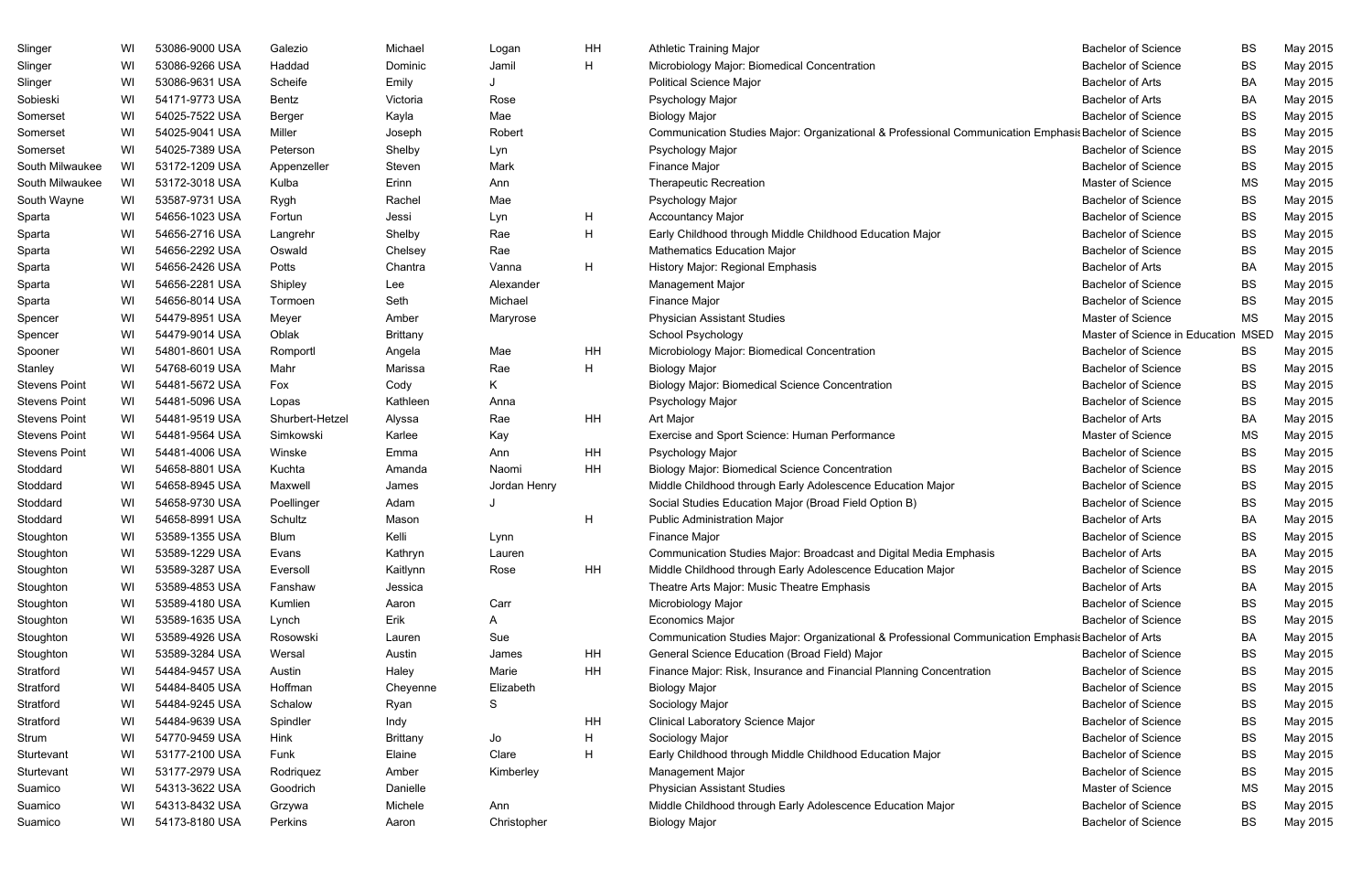| Slinger              | WI | 53086-9000 USA | Galezio         | Michael         | Logan        | HH           | <b>Athletic Training Major</b>                                                                        | <b>Bachelor of Science</b>     | BS          | May 2015 |
|----------------------|----|----------------|-----------------|-----------------|--------------|--------------|-------------------------------------------------------------------------------------------------------|--------------------------------|-------------|----------|
| Slinger              | WI | 53086-9266 USA | Haddad          | Dominic         | Jamil        | H            | Microbiology Major: Biomedical Concentration                                                          | <b>Bachelor of Science</b>     | <b>BS</b>   | May 2015 |
| Slinger              | WI | 53086-9631 USA | Scheife         | Emily           |              |              | <b>Political Science Major</b>                                                                        | <b>Bachelor of Arts</b>        | BA          | May 2015 |
| Sobieski             | WI | 54171-9773 USA | Bentz           | Victoria        | Rose         |              | Psychology Major                                                                                      | <b>Bachelor of Arts</b>        | BA          | May 2015 |
| Somerset             | WI | 54025-7522 USA | Berger          | Kayla           | Mae          |              | <b>Biology Major</b>                                                                                  | <b>Bachelor of Science</b>     | BS          | May 2015 |
| Somerset             | WI | 54025-9041 USA | Miller          | Joseph          | Robert       |              | Communication Studies Major: Organizational & Professional Communication Emphasis Bachelor of Science |                                | BS          | May 2015 |
| Somerset             | WI | 54025-7389 USA | Peterson        | Shelby          | Lyn          |              | Psychology Major                                                                                      | <b>Bachelor of Science</b>     | BS          | May 2015 |
| South Milwaukee      | WI | 53172-1209 USA | Appenzeller     | Steven          | Mark         |              | Finance Major                                                                                         | <b>Bachelor of Science</b>     | BS          | May 2015 |
| South Milwaukee      | WI | 53172-3018 USA | Kulba           | Erinn           | Ann          |              | <b>Therapeutic Recreation</b>                                                                         | Master of Science              | <b>MS</b>   | May 2015 |
| South Wayne          | WI | 53587-9731 USA | Rygh            | Rachel          | Mae          |              | Psychology Major                                                                                      | <b>Bachelor of Science</b>     | BS          | May 2015 |
| Sparta               | WI | 54656-1023 USA | Fortun          | Jessi           | Lyn          | H            | <b>Accountancy Major</b>                                                                              | <b>Bachelor of Science</b>     | BS          | May 2015 |
| Sparta               | WI | 54656-2716 USA | Langrehr        | Shelby          | Rae          | H            | Early Childhood through Middle Childhood Education Major                                              | <b>Bachelor of Science</b>     | BS          | May 2015 |
| Sparta               | WI | 54656-2292 USA | Oswald          | Chelsey         | Rae          |              | <b>Mathematics Education Major</b>                                                                    | <b>Bachelor of Science</b>     | BS          | May 2015 |
| Sparta               | WI | 54656-2426 USA | Potts           | Chantra         | Vanna        | $\mathsf{H}$ | History Major: Regional Emphasis                                                                      | <b>Bachelor of Arts</b>        | BA          | May 2015 |
| Sparta               | WI | 54656-2281 USA | Shipley         | Lee             | Alexander    |              | Management Major                                                                                      | <b>Bachelor of Science</b>     | BS          | May 2015 |
| Sparta               | WI | 54656-8014 USA | Tormoen         | Seth            | Michael      |              | Finance Major                                                                                         | <b>Bachelor of Science</b>     | <b>BS</b>   | May 2015 |
| Spencer              | WI | 54479-8951 USA | Meyer           | Amber           | Maryrose     |              | <b>Physician Assistant Studies</b>                                                                    | Master of Science              | <b>MS</b>   | May 2015 |
| Spencer              | WI | 54479-9014 USA | Oblak           | <b>Brittany</b> |              |              | School Psychology                                                                                     | Master of Science in Education | <b>MSED</b> | May 2015 |
| Spooner              | WI | 54801-8601 USA | Romportl        | Angela          | Mae          | HH           | Microbiology Major: Biomedical Concentration                                                          | <b>Bachelor of Science</b>     | BS          | May 2015 |
| Stanley              | WI | 54768-6019 USA | Mahr            | Marissa         | Rae          | H            | <b>Biology Major</b>                                                                                  | <b>Bachelor of Science</b>     | BS          | May 2015 |
| <b>Stevens Point</b> | WI | 54481-5672 USA | Fox             | Cody            | K.           |              | <b>Biology Major: Biomedical Science Concentration</b>                                                | <b>Bachelor of Science</b>     | BS          | May 2015 |
| <b>Stevens Point</b> | WI | 54481-5096 USA | Lopas           | Kathleen        | Anna         |              | Psychology Major                                                                                      | <b>Bachelor of Science</b>     | BS          | May 2015 |
| <b>Stevens Point</b> | WI | 54481-9519 USA | Shurbert-Hetzel | Alyssa          | Rae          | HH           | Art Major                                                                                             | <b>Bachelor of Arts</b>        | BA          | May 2015 |
| <b>Stevens Point</b> | WI | 54481-9564 USA | Simkowski       | Karlee          | Kay          |              | Exercise and Sport Science: Human Performance                                                         | Master of Science              | MS          | May 2015 |
| <b>Stevens Point</b> | WI | 54481-4006 USA | Winske          | Emma            | Ann          | HH           | Psychology Major                                                                                      | <b>Bachelor of Science</b>     | BS          | May 2015 |
| Stoddard             | WI | 54658-8801 USA | Kuchta          | Amanda          | Naomi        | HH           | <b>Biology Major: Biomedical Science Concentration</b>                                                | <b>Bachelor of Science</b>     | <b>BS</b>   | May 2015 |
| Stoddard             | WI | 54658-8945 USA | Maxwell         | James           | Jordan Henry |              | Middle Childhood through Early Adolescence Education Major                                            | <b>Bachelor of Science</b>     | BS          | May 2015 |
| Stoddard             | WI | 54658-9730 USA | Poellinger      | Adam            |              |              | Social Studies Education Major (Broad Field Option B)                                                 | <b>Bachelor of Science</b>     | BS          | May 2015 |
| Stoddard             | WI | 54658-8991 USA | Schultz         | Mason           |              | H            | <b>Public Administration Major</b>                                                                    | <b>Bachelor of Arts</b>        | BA          | May 2015 |
| Stoughton            | WI | 53589-1355 USA | <b>Blum</b>     | Kelli           | Lynn         |              | <b>Finance Major</b>                                                                                  | <b>Bachelor of Science</b>     | <b>BS</b>   | May 2015 |
| Stoughton            | WI | 53589-1229 USA | Evans           | Kathryn         | Lauren       |              | Communication Studies Major: Broadcast and Digital Media Emphasis                                     | <b>Bachelor of Arts</b>        | BA          | May 2015 |
| Stoughton            | WI | 53589-3287 USA | Eversoll        | Kaitlynn        | Rose         | HH           | Middle Childhood through Early Adolescence Education Major                                            | <b>Bachelor of Science</b>     | BS          | May 2015 |
| Stoughton            | WI | 53589-4853 USA | Fanshaw         | Jessica         |              |              | Theatre Arts Major: Music Theatre Emphasis                                                            | <b>Bachelor of Arts</b>        | BA          | May 2015 |
| Stoughton            | WI | 53589-4180 USA | Kumlien         | Aaron           | Carr         |              | Microbiology Major                                                                                    | <b>Bachelor of Science</b>     | BS          | May 2015 |
| Stoughton            | WI | 53589-1635 USA | Lynch           | Erik            | A            |              | <b>Economics Major</b>                                                                                | <b>Bachelor of Science</b>     | BS          | May 2015 |
| Stoughton            | WI | 53589-4926 USA | Rosowski        | Lauren          | Sue          |              | Communication Studies Major: Organizational & Professional Communication Emphasis Bachelor of Arts    |                                | BA          | May 2015 |
| Stoughton            | WI | 53589-3284 USA | Wersal          | Austin          | James        | HH           | General Science Education (Broad Field) Major                                                         | <b>Bachelor of Science</b>     | BS          | May 2015 |
| Stratford            | WI | 54484-9457 USA | Austin          | Haley           | Marie        | HH           | Finance Major: Risk, Insurance and Financial Planning Concentration                                   | <b>Bachelor of Science</b>     | BS          | May 2015 |
| Stratford            | WI | 54484-8405 USA | Hoffman         | Cheyenne        | Elizabeth    |              | <b>Biology Major</b>                                                                                  | <b>Bachelor of Science</b>     | BS          | May 2015 |
| Stratford            | WI | 54484-9245 USA | Schalow         | Ryan            | S            |              | Sociology Major                                                                                       | <b>Bachelor of Science</b>     | BS          | May 2015 |
| Stratford            | WI | 54484-9639 USA | Spindler        | Indy            |              | HH           | Clinical Laboratory Science Major                                                                     | <b>Bachelor of Science</b>     | BS          | May 2015 |
| Strum                | WI | 54770-9459 USA | Hink            | <b>Brittany</b> | Jo           | H            | Sociology Major                                                                                       | <b>Bachelor of Science</b>     | BS          | May 2015 |
| Sturtevant           | WI | 53177-2100 USA | Funk            | Elaine          | Clare        | H            | Early Childhood through Middle Childhood Education Major                                              | <b>Bachelor of Science</b>     | BS          | May 2015 |
| Sturtevant           | WI | 53177-2979 USA | Rodriquez       | Amber           | Kimberley    |              | Management Major                                                                                      | <b>Bachelor of Science</b>     | BS          | May 2015 |
| Suamico              | WI | 54313-3622 USA | Goodrich        | Danielle        |              |              | <b>Physician Assistant Studies</b>                                                                    | Master of Science              | MS          | May 2015 |
| Suamico              | WI | 54313-8432 USA | Grzywa          | Michele         | Ann          |              | Middle Childhood through Early Adolescence Education Major                                            | <b>Bachelor of Science</b>     | BS          | May 2015 |
| Suamico              | WI | 54173-8180 USA | Perkins         | Aaron           | Christopher  |              | <b>Biology Major</b>                                                                                  | <b>Bachelor of Science</b>     | <b>BS</b>   | May 2015 |
|                      |    |                |                 |                 |              |              |                                                                                                       |                                |             |          |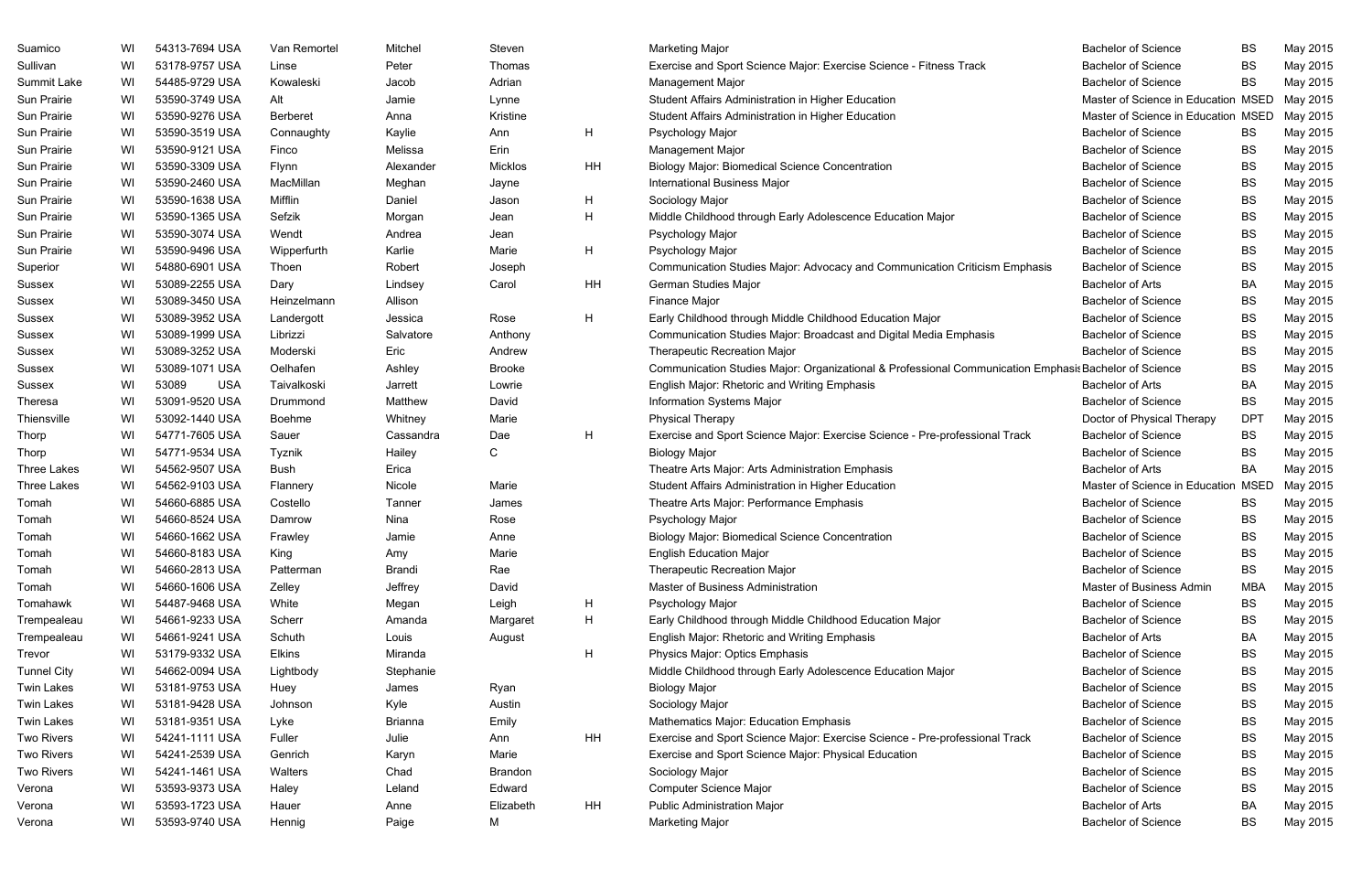| Suamico            | WI. | 54313-7694 USA      | Van Remortel  | Mitchel        | Steven        |    | Marketing Major                                                                                       | <b>Bachelor of Science</b>          | <b>BS</b>  | May 2015 |
|--------------------|-----|---------------------|---------------|----------------|---------------|----|-------------------------------------------------------------------------------------------------------|-------------------------------------|------------|----------|
| Sullivan           | WI  | 53178-9757 USA      | Linse         | Peter          | Thomas        |    | Exercise and Sport Science Major: Exercise Science - Fitness Track                                    | <b>Bachelor of Science</b>          | BS         | May 2015 |
| Summit Lake        | WI  | 54485-9729 USA      | Kowaleski     | Jacob          | Adrian        |    | <b>Management Major</b>                                                                               | <b>Bachelor of Science</b>          | <b>BS</b>  | May 2015 |
| Sun Prairie        | WI  | 53590-3749 USA      | Alt           | Jamie          | Lynne         |    | Student Affairs Administration in Higher Education                                                    | Master of Science in Education MSED |            | May 2015 |
| Sun Prairie        | WI  | 53590-9276 USA      | Berberet      | Anna           | Kristine      |    | Student Affairs Administration in Higher Education                                                    | Master of Science in Education MSED |            | May 2015 |
| Sun Prairie        | WI  | 53590-3519 USA      | Connaughty    | Kaylie         | Ann           | H  | Psychology Major                                                                                      | <b>Bachelor of Science</b>          | BS         | May 2015 |
| Sun Prairie        | WI  | 53590-9121 USA      | Finco         | Melissa        | Erin          |    | <b>Management Major</b>                                                                               | <b>Bachelor of Science</b>          | BS         | May 2015 |
| Sun Prairie        | WI  | 53590-3309 USA      | Flynn         | Alexander      | Micklos       | HH | <b>Biology Major: Biomedical Science Concentration</b>                                                | <b>Bachelor of Science</b>          | <b>BS</b>  | May 2015 |
| Sun Prairie        | WI  | 53590-2460 USA      | MacMillan     | Meghan         | Jayne         |    | <b>International Business Major</b>                                                                   | <b>Bachelor of Science</b>          | <b>BS</b>  | May 2015 |
| Sun Prairie        | WI  | 53590-1638 USA      | Mifflin       | Daniel         | Jason         | H  | Sociology Major                                                                                       | <b>Bachelor of Science</b>          | BS         | May 2015 |
| Sun Prairie        | WI  | 53590-1365 USA      | Sefzik        | Morgan         | Jean          | H  | Middle Childhood through Early Adolescence Education Major                                            | <b>Bachelor of Science</b>          | BS         | May 2015 |
| Sun Prairie        | WI  | 53590-3074 USA      | Wendt         | Andrea         | Jean          |    | Psychology Major                                                                                      | <b>Bachelor of Science</b>          | BS         | May 2015 |
| Sun Prairie        | WI  | 53590-9496 USA      | Wipperfurth   | Karlie         | Marie         | H  | Psychology Major                                                                                      | <b>Bachelor of Science</b>          | <b>BS</b>  | May 2015 |
| Superior           | WI  | 54880-6901 USA      | Thoen         | Robert         | Joseph        |    | Communication Studies Major: Advocacy and Communication Criticism Emphasis                            | <b>Bachelor of Science</b>          | BS         | May 2015 |
| Sussex             | WI  | 53089-2255 USA      | Dary          | Lindsey        | Carol         | HH | <b>German Studies Major</b>                                                                           | <b>Bachelor of Arts</b>             | BA         | May 2015 |
| Sussex             | WI  | 53089-3450 USA      | Heinzelmann   | Allison        |               |    | Finance Major                                                                                         | <b>Bachelor of Science</b>          | BS         | May 2015 |
| Sussex             | WI  | 53089-3952 USA      | Landergott    | Jessica        | Rose          | H. | Early Childhood through Middle Childhood Education Major                                              | <b>Bachelor of Science</b>          | <b>BS</b>  | May 2015 |
| Sussex             | WI  | 53089-1999 USA      | Librizzi      | Salvatore      | Anthony       |    | Communication Studies Major: Broadcast and Digital Media Emphasis                                     | <b>Bachelor of Science</b>          | <b>BS</b>  | May 2015 |
| Sussex             | WI  | 53089-3252 USA      | Moderski      | Eric           | Andrew        |    | <b>Therapeutic Recreation Major</b>                                                                   | <b>Bachelor of Science</b>          | BS         | May 2015 |
| Sussex             | WI  | 53089-1071 USA      | Oelhafen      | Ashley         | <b>Brooke</b> |    | Communication Studies Major: Organizational & Professional Communication Emphasis Bachelor of Science |                                     | BS         | May 2015 |
| Sussex             | WI  | 53089<br><b>USA</b> | Taivalkoski   | Jarrett        | Lowrie        |    | English Major: Rhetoric and Writing Emphasis                                                          | <b>Bachelor of Arts</b>             | BA         | May 2015 |
| <b>Theresa</b>     | WI  | 53091-9520 USA      | Drummond      | Matthew        | David         |    | Information Systems Major                                                                             | <b>Bachelor of Science</b>          | BS         | May 2015 |
| Thiensville        | WI  | 53092-1440 USA      | Boehme        | Whitney        | Marie         |    | <b>Physical Therapy</b>                                                                               | Doctor of Physical Therapy          | <b>DPT</b> | May 2015 |
| Thorp              | WI  | 54771-7605 USA      | Sauer         | Cassandra      | Dae           | H  | Exercise and Sport Science Major: Exercise Science - Pre-professional Track                           | <b>Bachelor of Science</b>          | <b>BS</b>  | May 2015 |
| Thorp              | WI  | 54771-9534 USA      | Tyznik        | Hailey         | C             |    | <b>Biology Major</b>                                                                                  | <b>Bachelor of Science</b>          | <b>BS</b>  | May 2015 |
| <b>Three Lakes</b> | WI  | 54562-9507 USA      | Bush          | Erica          |               |    | Theatre Arts Major: Arts Administration Emphasis                                                      | <b>Bachelor of Arts</b>             | BA         | May 2015 |
| <b>Three Lakes</b> | WI  | 54562-9103 USA      | Flannery      | Nicole         | Marie         |    | Student Affairs Administration in Higher Education                                                    | Master of Science in Education MSED |            | May 2015 |
| Tomah              | WI  | 54660-6885 USA      | Costello      | Tanner         | James         |    | Theatre Arts Major: Performance Emphasis                                                              | <b>Bachelor of Science</b>          | <b>BS</b>  | May 2015 |
| Tomah              | WI  | 54660-8524 USA      | Damrow        | Nina           | Rose          |    | Psychology Major                                                                                      | <b>Bachelor of Science</b>          | <b>BS</b>  | May 2015 |
| Tomah              | WI  | 54660-1662 USA      | Frawley       | Jamie          | Anne          |    | <b>Biology Major: Biomedical Science Concentration</b>                                                | <b>Bachelor of Science</b>          | <b>BS</b>  | May 2015 |
| Tomah              | WI  | 54660-8183 USA      | King          | Amy            | Marie         |    | <b>English Education Major</b>                                                                        | <b>Bachelor of Science</b>          | BS         | May 2015 |
| Tomah              | WI  | 54660-2813 USA      | Patterman     | Brandi         | Rae           |    | Therapeutic Recreation Major                                                                          | <b>Bachelor of Science</b>          | BS         | May 2015 |
| Tomah              | WI  | 54660-1606 USA      | Zelley        | Jeffrey        | David         |    | Master of Business Administration                                                                     | Master of Business Admin            | MBA        | May 2015 |
| Tomahawk           | WI  | 54487-9468 USA      | White         | Megan          | Leigh         | H  | Psychology Major                                                                                      | <b>Bachelor of Science</b>          | BS         | May 2015 |
| Trempealeau        | WI  | 54661-9233 USA      | Scherr        | Amanda         | Margaret      | H  | Early Childhood through Middle Childhood Education Major                                              | <b>Bachelor of Science</b>          | BS         | May 2015 |
| Trempealeau        | WI  | 54661-9241 USA      | Schuth        | Louis          | August        |    | English Major: Rhetoric and Writing Emphasis                                                          | <b>Bachelor of Arts</b>             | BA         | May 2015 |
| Trevor             | WI  | 53179-9332 USA      | <b>Elkins</b> | Miranda        |               | H  | Physics Major: Optics Emphasis                                                                        | <b>Bachelor of Science</b>          | BS         | May 2015 |
| <b>Tunnel City</b> | WI  | 54662-0094 USA      | Lightbody     | Stephanie      |               |    | Middle Childhood through Early Adolescence Education Major                                            | <b>Bachelor of Science</b>          | BS         | May 2015 |
| <b>Twin Lakes</b>  | WI  | 53181-9753 USA      | Huey          | James          | Ryan          |    | <b>Biology Major</b>                                                                                  | <b>Bachelor of Science</b>          | BS         | May 2015 |
| <b>Twin Lakes</b>  | WI  | 53181-9428 USA      | Johnson       | Kyle           | Austin        |    | Sociology Major                                                                                       | <b>Bachelor of Science</b>          | BS         | May 2015 |
| <b>Twin Lakes</b>  | WI  | 53181-9351 USA      | Lyke          | <b>Brianna</b> | Emily         |    | Mathematics Major: Education Emphasis                                                                 | <b>Bachelor of Science</b>          | BS         | May 2015 |
| <b>Two Rivers</b>  | WI  | 54241-1111 USA      | Fuller        | Julie          | Ann           | HH | Exercise and Sport Science Major: Exercise Science - Pre-professional Track                           | <b>Bachelor of Science</b>          | BS         | May 2015 |
| <b>Two Rivers</b>  | WI  | 54241-2539 USA      | Genrich       | Karyn          | Marie         |    | Exercise and Sport Science Major: Physical Education                                                  | <b>Bachelor of Science</b>          | BS         | May 2015 |
| <b>Two Rivers</b>  | WI  | 54241-1461 USA      | Walters       | Chad           | Brandon       |    | Sociology Major                                                                                       | <b>Bachelor of Science</b>          | BS         | May 2015 |
| Verona             | WI  | 53593-9373 USA      | Haley         | Leland         | Edward        |    | Computer Science Major                                                                                | <b>Bachelor of Science</b>          | BS         | May 2015 |
| Verona             | WI  | 53593-1723 USA      | Hauer         | Anne           | Elizabeth     | HH | <b>Public Administration Major</b>                                                                    | <b>Bachelor of Arts</b>             | BA         | May 2015 |
| Verona             | WI  | 53593-9740 USA      | Hennig        | Paige          | Μ             |    | <b>Marketing Major</b>                                                                                | <b>Bachelor of Science</b>          | BS         | May 2015 |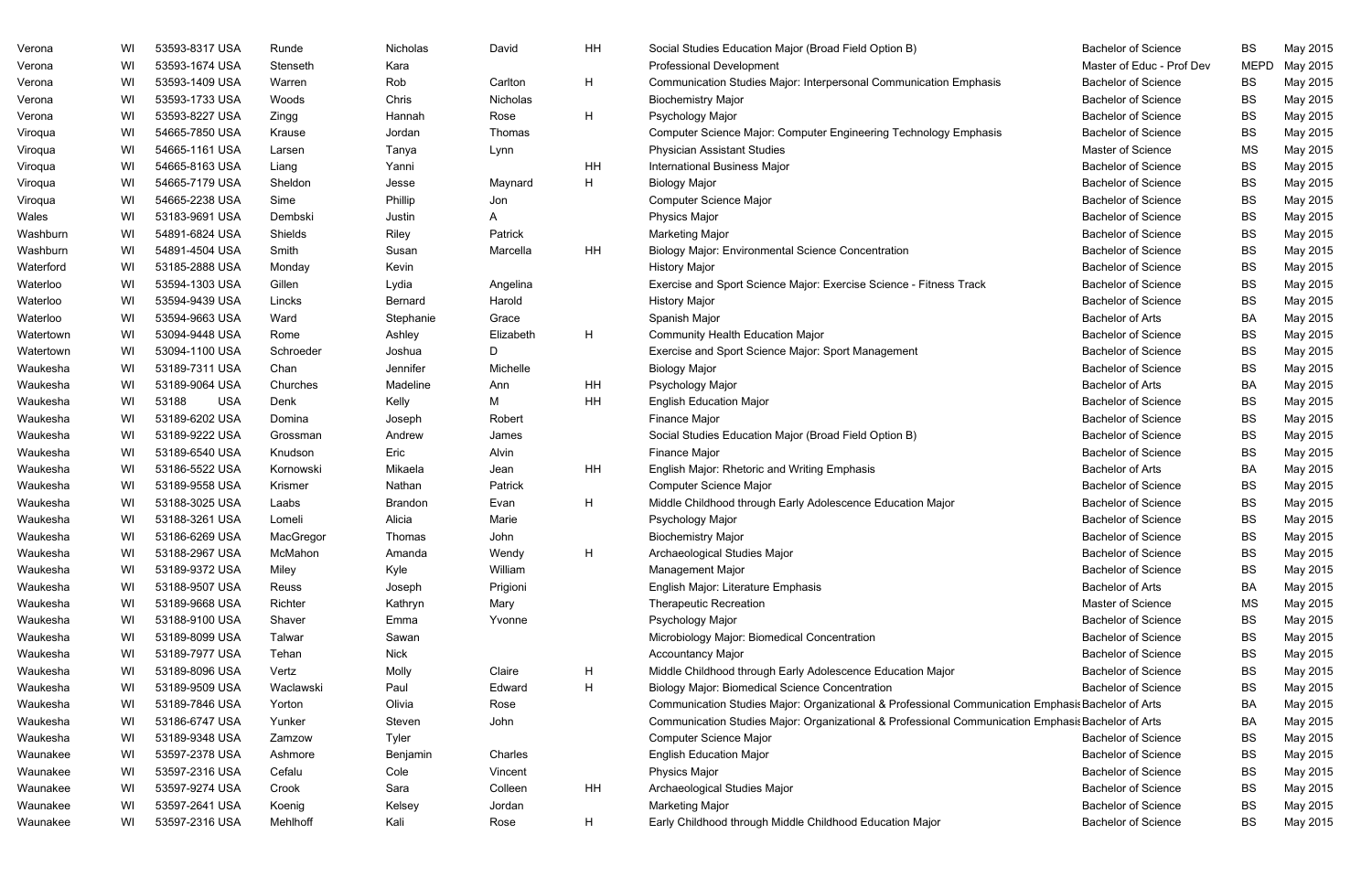| Verona    | WI | 53593-8317 USA      | Runde     | Nicholas    | David     | HH | Social Studies Education Major (Broad Field Option B)                                              | <b>Bachelor of Science</b> | BS          | May 2015 |
|-----------|----|---------------------|-----------|-------------|-----------|----|----------------------------------------------------------------------------------------------------|----------------------------|-------------|----------|
| Verona    | WI | 53593-1674 USA      | Stenseth  | Kara        |           |    | Professional Development                                                                           | Master of Educ - Prof Dev  | <b>MEPD</b> | May 2015 |
| Verona    | WI | 53593-1409 USA      | Warren    | Rob         | Carlton   | H  | Communication Studies Major: Interpersonal Communication Emphasis                                  | <b>Bachelor of Science</b> | BS          | May 2015 |
| Verona    | WI | 53593-1733 USA      | Woods     | Chris       | Nicholas  |    | <b>Biochemistry Major</b>                                                                          | <b>Bachelor of Science</b> | BS          | May 2015 |
| Verona    | WI | 53593-8227 USA      | Zingg     | Hannah      | Rose      | H  | Psychology Major                                                                                   | <b>Bachelor of Science</b> | <b>BS</b>   | May 2015 |
| Viroqua   | WI | 54665-7850 USA      | Krause    | Jordan      | Thomas    |    | Computer Science Major: Computer Engineering Technology Emphasis                                   | <b>Bachelor of Science</b> | BS          | May 2015 |
| Viroqua   | WI | 54665-1161 USA      | Larsen    | Tanya       | Lynn      |    | <b>Physician Assistant Studies</b>                                                                 | Master of Science          | MS          | May 2015 |
| Viroqua   | WI | 54665-8163 USA      | Liang     | Yanni       |           | HH | <b>International Business Major</b>                                                                | <b>Bachelor of Science</b> | BS          | May 2015 |
| Viroqua   | WI | 54665-7179 USA      | Sheldon   | Jesse       | Maynard   | H  | <b>Biology Major</b>                                                                               | <b>Bachelor of Science</b> | BS          | May 2015 |
| Viroqua   | WI | 54665-2238 USA      | Sime      | Phillip     | Jon       |    | Computer Science Major                                                                             | <b>Bachelor of Science</b> | BS          | May 2015 |
| Wales     | WI | 53183-9691 USA      | Dembski   | Justin      | A         |    | Physics Major                                                                                      | <b>Bachelor of Science</b> | BS          | May 2015 |
| Washburn  | WI | 54891-6824 USA      | Shields   | Riley       | Patrick   |    | <b>Marketing Major</b>                                                                             | <b>Bachelor of Science</b> | BS          | May 2015 |
| Washburn  | WI | 54891-4504 USA      | Smith     | Susan       | Marcella  | HH | <b>Biology Major: Environmental Science Concentration</b>                                          | <b>Bachelor of Science</b> | BS          | May 2015 |
| Waterford | WI | 53185-2888 USA      | Monday    | Kevin       |           |    | <b>History Major</b>                                                                               | <b>Bachelor of Science</b> | BS          | May 2015 |
| Waterloo  | WI | 53594-1303 USA      | Gillen    | Lydia       | Angelina  |    | Exercise and Sport Science Major: Exercise Science - Fitness Track                                 | <b>Bachelor of Science</b> | BS          | May 2015 |
| Waterloo  | WI | 53594-9439 USA      | Lincks    | Bernard     | Harold    |    | <b>History Major</b>                                                                               | <b>Bachelor of Science</b> | <b>BS</b>   | May 2015 |
| Waterloo  | WI | 53594-9663 USA      | Ward      | Stephanie   | Grace     |    | Spanish Major                                                                                      | <b>Bachelor of Arts</b>    | BA          | May 2015 |
| Watertown | WI | 53094-9448 USA      | Rome      | Ashley      | Elizabeth | H  | <b>Community Health Education Major</b>                                                            | <b>Bachelor of Science</b> | BS          | May 2015 |
| Watertown | WI | 53094-1100 USA      | Schroeder | Joshua      | D         |    | Exercise and Sport Science Major: Sport Management                                                 | <b>Bachelor of Science</b> | BS          | May 2015 |
| Waukesha  | WI | 53189-7311 USA      | Chan      | Jennifer    | Michelle  |    | <b>Biology Major</b>                                                                               | <b>Bachelor of Science</b> | <b>BS</b>   | May 2015 |
| Waukesha  | WI | 53189-9064 USA      | Churches  | Madeline    | Ann       | HH | Psychology Major                                                                                   | <b>Bachelor of Arts</b>    | BA          | May 2015 |
| Waukesha  | WI | 53188<br><b>USA</b> | Denk      | Kelly       | M         | HH | <b>English Education Major</b>                                                                     | <b>Bachelor of Science</b> | BS          | May 2015 |
| Waukesha  | WI | 53189-6202 USA      | Domina    | Joseph      | Robert    |    | Finance Major                                                                                      | <b>Bachelor of Science</b> | BS          | May 2015 |
| Waukesha  | WI | 53189-9222 USA      | Grossman  | Andrew      | James     |    | Social Studies Education Major (Broad Field Option B)                                              | <b>Bachelor of Science</b> | BS          | May 2015 |
| Waukesha  | WI | 53189-6540 USA      | Knudson   | Eric        | Alvin     |    | Finance Major                                                                                      | <b>Bachelor of Science</b> | BS          | May 2015 |
| Waukesha  | WI | 53186-5522 USA      | Kornowski | Mikaela     | Jean      | HH | English Major: Rhetoric and Writing Emphasis                                                       | <b>Bachelor of Arts</b>    | BA          | May 2015 |
| Waukesha  | WI | 53189-9558 USA      | Krismer   | Nathan      | Patrick   |    | Computer Science Major                                                                             | <b>Bachelor of Science</b> | BS          | May 2015 |
| Waukesha  | WI | 53188-3025 USA      | Laabs     | Brandon     | Evan      | H  | Middle Childhood through Early Adolescence Education Major                                         | <b>Bachelor of Science</b> | BS          | May 2015 |
| Waukesha  | WI | 53188-3261 USA      | Lomeli    | Alicia      | Marie     |    | Psychology Major                                                                                   | <b>Bachelor of Science</b> | <b>BS</b>   | May 2015 |
| Waukesha  | WI | 53186-6269 USA      | MacGregor | Thomas      | John      |    | <b>Biochemistry Major</b>                                                                          | <b>Bachelor of Science</b> | <b>BS</b>   | May 2015 |
| Waukesha  | WI | 53188-2967 USA      | McMahon   | Amanda      | Wendy     | H  | Archaeological Studies Major                                                                       | <b>Bachelor of Science</b> | BS          | May 2015 |
| Waukesha  | WI | 53189-9372 USA      | Miley     | Kyle        | William   |    | Management Major                                                                                   | <b>Bachelor of Science</b> | BS          | May 2015 |
| Waukesha  | WI | 53188-9507 USA      | Reuss     | Joseph      | Prigioni  |    | English Major: Literature Emphasis                                                                 | <b>Bachelor of Arts</b>    | BA          | May 2015 |
| Waukesha  | WI | 53189-9668 USA      | Richter   | Kathryn     | Mary      |    | <b>Therapeutic Recreation</b>                                                                      | <b>Master of Science</b>   | MS          | May 2015 |
| Waukesha  | WI | 53188-9100 USA      | Shaver    | Emma        | Yvonne    |    | Psychology Major                                                                                   | <b>Bachelor of Science</b> | BS          | May 2015 |
| Waukesha  | WI | 53189-8099 USA      | Talwar    | Sawan       |           |    | Microbiology Major: Biomedical Concentration                                                       | <b>Bachelor of Science</b> | BS          | May 2015 |
| Waukesha  | WI | 53189-7977 USA      | Tehan     | <b>Nick</b> |           |    | <b>Accountancy Major</b>                                                                           | <b>Bachelor of Science</b> | BS          | May 2015 |
| Waukesha  | WI | 53189-8096 USA      | Vertz     | Molly       | Claire    | H  | Middle Childhood through Early Adolescence Education Major                                         | <b>Bachelor of Science</b> | BS          | May 2015 |
| Waukesha  | WI | 53189-9509 USA      | Waclawski | Paul        | Edward    | H  | <b>Biology Major: Biomedical Science Concentration</b>                                             | <b>Bachelor of Science</b> | BS          | May 2015 |
| Waukesha  | WI | 53189-7846 USA      | Yorton    | Olivia      | Rose      |    | Communication Studies Major: Organizational & Professional Communication Emphasis Bachelor of Arts |                            | BA          | May 2015 |
| Waukesha  | WI | 53186-6747 USA      | Yunker    | Steven      | John      |    | Communication Studies Major: Organizational & Professional Communication Emphasis Bachelor of Arts |                            | BA          | May 2015 |
| Waukesha  | WI | 53189-9348 USA      | Zamzow    | Tyler       |           |    | Computer Science Major                                                                             | <b>Bachelor of Science</b> | BS          | May 2015 |
| Waunakee  | WI | 53597-2378 USA      | Ashmore   | Benjamin    | Charles   |    | <b>English Education Major</b>                                                                     | <b>Bachelor of Science</b> | BS          | May 2015 |
| Waunakee  | WI | 53597-2316 USA      | Cefalu    | Cole        | Vincent   |    | Physics Major                                                                                      | <b>Bachelor of Science</b> | BS          | May 2015 |
| Waunakee  | WI | 53597-9274 USA      | Crook     | Sara        | Colleen   | HH | Archaeological Studies Major                                                                       | <b>Bachelor of Science</b> | BS          | May 2015 |
| Waunakee  | WI | 53597-2641 USA      | Koenig    | Kelsey      | Jordan    |    | <b>Marketing Major</b>                                                                             | <b>Bachelor of Science</b> | BS          | May 2015 |
| Waunakee  | WI | 53597-2316 USA      | Mehlhoff  | Kali        | Rose      | H  | Early Childhood through Middle Childhood Education Major                                           | <b>Bachelor of Science</b> | BS          | May 2015 |

| <b>Bachelor of Science</b> | BS          | May 2015 |
|----------------------------|-------------|----------|
| Master of Educ - Prof Dev  | <b>MEPD</b> | May 2015 |
| <b>Bachelor of Science</b> | <b>BS</b>   | May 2015 |
| <b>Bachelor of Science</b> | <b>BS</b>   | May 2015 |
| <b>Bachelor of Science</b> | <b>BS</b>   | May 2015 |
| <b>Bachelor of Science</b> | <b>BS</b>   | May 2015 |
| <b>Master of Science</b>   | МS          | May 2015 |
| <b>Bachelor of Science</b> | <b>BS</b>   | May 2015 |
| <b>Bachelor of Science</b> | <b>BS</b>   | May 2015 |
| <b>Bachelor of Science</b> | <b>BS</b>   | May 2015 |
| <b>Bachelor of Science</b> | <b>BS</b>   | May 2015 |
| <b>Bachelor of Science</b> | <b>BS</b>   | May 2015 |
| <b>Bachelor of Science</b> | <b>BS</b>   | May 2015 |
| <b>Bachelor of Science</b> | <b>BS</b>   | May 2015 |
| <b>Bachelor of Science</b> | <b>BS</b>   | May 2015 |
| <b>Bachelor of Science</b> | <b>BS</b>   | May 2015 |
| <b>Bachelor of Arts</b>    | BA          | May 2015 |
| <b>Bachelor of Science</b> | <b>BS</b>   | May 2015 |
| <b>Bachelor of Science</b> | <b>BS</b>   | May 2015 |
| <b>Bachelor of Science</b> | <b>BS</b>   | May 2015 |
| <b>Bachelor of Arts</b>    | BA          | May 2015 |
| <b>Bachelor of Science</b> | <b>BS</b>   | May 2015 |
| <b>Bachelor of Science</b> | <b>BS</b>   | May 2015 |
| <b>Bachelor of Science</b> | <b>BS</b>   | May 2015 |
| <b>Bachelor of Science</b> | <b>BS</b>   | May 2015 |
| <b>Bachelor of Arts</b>    | BA          | May 2015 |
| <b>Bachelor of Science</b> | <b>BS</b>   | May 2015 |
| <b>Bachelor of Science</b> | BS.         | May 2015 |
| <b>Bachelor of Science</b> | <b>BS</b>   | May 2015 |
| <b>Bachelor of Science</b> | BS          | May 2015 |
| <b>Bachelor of Science</b> | BS          | May 2015 |
| <b>Bachelor of Science</b> | <b>BS</b>   | May 2015 |
| <b>Bachelor of Arts</b>    | BA          | May 2015 |
| <b>Master of Science</b>   | MS          | May 2015 |
| <b>Bachelor of Science</b> | <b>BS</b>   | May 2015 |
| <b>Bachelor of Science</b> | <b>BS</b>   | May 2015 |
| <b>Bachelor of Science</b> | <b>BS</b>   | May 2015 |
| <b>Bachelor of Science</b> | <b>BS</b>   | May 2015 |
| <b>Bachelor of Science</b> | <b>BS</b>   | May 2015 |
| asisBachelor of Arts       | BA          | May 2015 |
| asi: Bachelor of Arts      | BA          | May 2015 |
| <b>Bachelor of Science</b> | BS          | May 2015 |
| <b>Bachelor of Science</b> | <b>BS</b>   | May 2015 |
| <b>Bachelor of Science</b> | <b>BS</b>   | May 2015 |
| <b>Bachelor of Science</b> | <b>BS</b>   | May 2015 |
| <b>Bachelor of Science</b> | BS          | May 2015 |
| <b>Bachelor of Science</b> | BS          | May 2015 |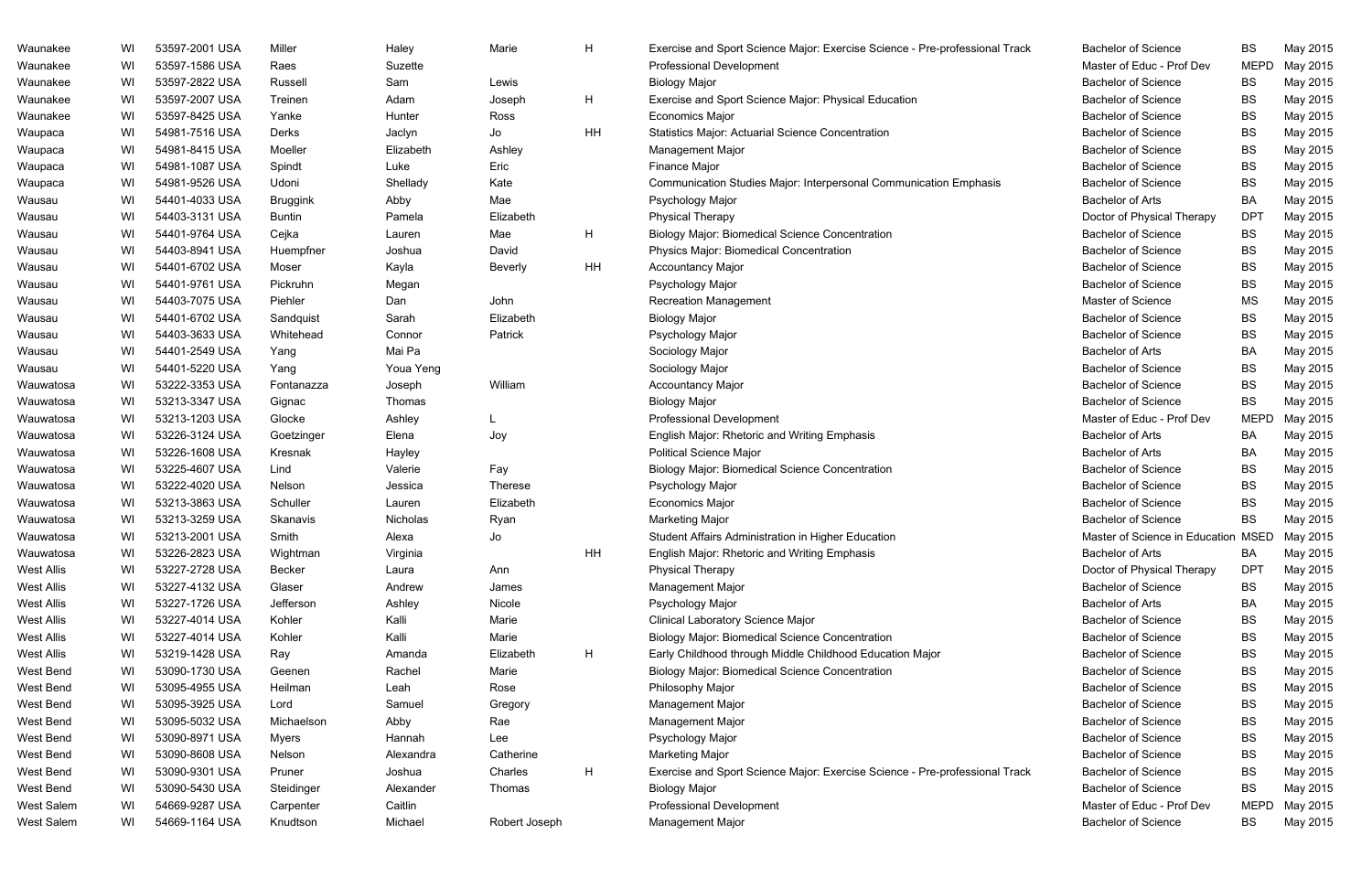| Waunakee          | WI | 53597-2001 USA | Miller          | Haley     | Marie          | H  | Exercise and Sport Science Major: Exercise Science - Pre-professional Track | <b>Bachelor of Science</b>          | BS              | May 2015 |
|-------------------|----|----------------|-----------------|-----------|----------------|----|-----------------------------------------------------------------------------|-------------------------------------|-----------------|----------|
| Waunakee          | WI | 53597-1586 USA | Raes            | Suzette   |                |    | <b>Professional Development</b>                                             | Master of Educ - Prof Dev           | <b>MEPD</b>     | May 2015 |
| Waunakee          | WI | 53597-2822 USA | Russell         | Sam       | Lewis          |    | <b>Biology Major</b>                                                        | <b>Bachelor of Science</b>          | BS              | May 2015 |
| Waunakee          | WI | 53597-2007 USA | Treinen         | Adam      | Joseph         | H  | Exercise and Sport Science Major: Physical Education                        | <b>Bachelor of Science</b>          | <b>BS</b>       | May 2015 |
| Waunakee          | WI | 53597-8425 USA | Yanke           | Hunter    | Ross           |    | <b>Economics Major</b>                                                      | <b>Bachelor of Science</b>          | BS              | May 2015 |
| Waupaca           | WI | 54981-7516 USA | Derks           | Jaclyn    | Jo             | HH | <b>Statistics Major: Actuarial Science Concentration</b>                    | <b>Bachelor of Science</b>          | BS              | May 2015 |
| Waupaca           | WI | 54981-8415 USA | Moeller         | Elizabeth | Ashley         |    | Management Major                                                            | <b>Bachelor of Science</b>          | BS              | May 2015 |
| Waupaca           | WI | 54981-1087 USA | Spindt          | Luke      | Eric           |    | <b>Finance Major</b>                                                        | <b>Bachelor of Science</b>          | BS              | May 2015 |
| Waupaca           | WI | 54981-9526 USA | Udoni           | Shellady  | Kate           |    | Communication Studies Major: Interpersonal Communication Emphasis           | <b>Bachelor of Science</b>          | BS              | May 2015 |
| Wausau            | WI | 54401-4033 USA | <b>Bruggink</b> | Abby      | Mae            |    | Psychology Major                                                            | <b>Bachelor of Arts</b>             | BA              | May 2015 |
| Wausau            | WI | 54403-3131 USA | <b>Buntin</b>   | Pamela    | Elizabeth      |    | <b>Physical Therapy</b>                                                     | Doctor of Physical Therapy          | <b>DPT</b>      | May 2015 |
| Wausau            | WI | 54401-9764 USA | Cejka           | Lauren    | Mae            | H  | <b>Biology Major: Biomedical Science Concentration</b>                      | <b>Bachelor of Science</b>          | BS              | May 2015 |
| Wausau            | WI | 54403-8941 USA | Huempfner       | Joshua    | David          |    | Physics Major: Biomedical Concentration                                     | <b>Bachelor of Science</b>          | BS              | May 2015 |
| Wausau            | WI | 54401-6702 USA | Moser           | Kayla     | <b>Beverly</b> | HH | <b>Accountancy Major</b>                                                    | <b>Bachelor of Science</b>          | <b>BS</b>       | May 2015 |
| Wausau            | WI | 54401-9761 USA | Pickruhn        | Megan     |                |    | Psychology Major                                                            | <b>Bachelor of Science</b>          | BS              | May 2015 |
| Wausau            | WI | 54403-7075 USA | Piehler         | Dan       | John           |    | <b>Recreation Management</b>                                                | Master of Science                   | <b>MS</b>       | May 2015 |
| Wausau            | WI | 54401-6702 USA | Sandquist       | Sarah     | Elizabeth      |    | <b>Biology Major</b>                                                        | <b>Bachelor of Science</b>          | BS              | May 2015 |
| Wausau            | WI | 54403-3633 USA | Whitehead       | Connor    | Patrick        |    | Psychology Major                                                            | <b>Bachelor of Science</b>          | <b>BS</b>       | May 2015 |
| Wausau            | WI | 54401-2549 USA | Yang            | Mai Pa    |                |    | Sociology Major                                                             | <b>Bachelor of Arts</b>             | <b>BA</b>       | May 2015 |
| Wausau            | WI | 54401-5220 USA | Yang            | Youa Yeng |                |    | Sociology Major                                                             | <b>Bachelor of Science</b>          | <b>BS</b>       | May 2015 |
| Wauwatosa         | WI | 53222-3353 USA | Fontanazza      | Joseph    | William        |    | <b>Accountancy Major</b>                                                    | <b>Bachelor of Science</b>          | BS              | May 2015 |
| Wauwatosa         | WI | 53213-3347 USA | Gignac          | Thomas    |                |    | <b>Biology Major</b>                                                        | <b>Bachelor of Science</b>          | BS              | May 2015 |
| Wauwatosa         | WI | 53213-1203 USA | Glocke          | Ashley    |                |    | <b>Professional Development</b>                                             | Master of Educ - Prof Dev           | <b>MEPD</b>     | May 2015 |
| Wauwatosa         | WI | 53226-3124 USA | Goetzinger      | Elena     | Joy            |    | English Major: Rhetoric and Writing Emphasis                                | <b>Bachelor of Arts</b>             | ВA              | May 2015 |
| Wauwatosa         | WI | 53226-1608 USA | Kresnak         | Hayley    |                |    | <b>Political Science Major</b>                                              | <b>Bachelor of Arts</b>             | BA              | May 2015 |
| Wauwatosa         | WI | 53225-4607 USA | Lind            | Valerie   | Fay            |    | <b>Biology Major: Biomedical Science Concentration</b>                      | <b>Bachelor of Science</b>          | <b>BS</b>       | May 2015 |
| Wauwatosa         | WI | 53222-4020 USA | Nelson          | Jessica   | <b>Therese</b> |    | Psychology Major                                                            | <b>Bachelor of Science</b>          | BS              | May 2015 |
| Wauwatosa         | WI | 53213-3863 USA | Schuller        | Lauren    | Elizabeth      |    | <b>Economics Major</b>                                                      | <b>Bachelor of Science</b>          | BS              | May 2015 |
| Wauwatosa         | WI | 53213-3259 USA | Skanavis        | Nicholas  | Ryan           |    | <b>Marketing Major</b>                                                      | <b>Bachelor of Science</b>          | <b>BS</b>       | May 2015 |
| Wauwatosa         | WI | 53213-2001 USA | Smith           | Alexa     | Jo             |    | Student Affairs Administration in Higher Education                          | Master of Science in Education MSED |                 | May 2015 |
| Wauwatosa         | WI | 53226-2823 USA | Wightman        | Virginia  |                | HH | English Major: Rhetoric and Writing Emphasis                                | <b>Bachelor of Arts</b>             | BA              | May 2015 |
| <b>West Allis</b> | WI | 53227-2728 USA | Becker          | Laura     | Ann            |    | <b>Physical Therapy</b>                                                     | Doctor of Physical Therapy          | DP <sub>1</sub> | May 2015 |
| <b>West Allis</b> | WI | 53227-4132 USA | Glaser          | Andrew    | James          |    | Management Major                                                            | <b>Bachelor of Science</b>          | ВS              | May 2015 |
| <b>West Allis</b> | WI | 53227-1726 USA | Jefferson       | Ashley    | Nicole         |    | Psychology Major                                                            | <b>Bachelor of Arts</b>             | ВA              | May 2015 |
| <b>West Allis</b> | WI | 53227-4014 USA | Kohler          | Kalli     | Marie          |    | Clinical Laboratory Science Major                                           | <b>Bachelor of Science</b>          | BS              | May 2015 |
| <b>West Allis</b> | WI | 53227-4014 USA | Kohler          | Kalli     | Marie          |    | <b>Biology Major: Biomedical Science Concentration</b>                      | <b>Bachelor of Science</b>          | <b>BS</b>       | May 2015 |
| <b>West Allis</b> | WI | 53219-1428 USA | Ray             | Amanda    | Elizabeth      | H  | Early Childhood through Middle Childhood Education Major                    | <b>Bachelor of Science</b>          | BS              | May 2015 |
| West Bend         | WI | 53090-1730 USA | Geenen          | Rachel    | Marie          |    | <b>Biology Major: Biomedical Science Concentration</b>                      | <b>Bachelor of Science</b>          | <b>BS</b>       | May 2015 |
| West Bend         | WI | 53095-4955 USA | Heilman         | Leah      | Rose           |    | Philosophy Major                                                            | <b>Bachelor of Science</b>          | BS              | May 2015 |
| West Bend         | WI | 53095-3925 USA | Lord            | Samuel    | Gregory        |    | Management Major                                                            | <b>Bachelor of Science</b>          | BS              | May 2015 |
| West Bend         | WI | 53095-5032 USA | Michaelson      | Abby      | Rae            |    | Management Major                                                            | <b>Bachelor of Science</b>          | BS              | May 2015 |
| West Bend         | WI | 53090-8971 USA | <b>Myers</b>    | Hannah    | Lee            |    | Psychology Major                                                            | <b>Bachelor of Science</b>          | <b>BS</b>       | May 2015 |
| West Bend         | WI | 53090-8608 USA | Nelson          | Alexandra | Catherine      |    | <b>Marketing Major</b>                                                      | <b>Bachelor of Science</b>          | ВS              | May 2015 |
| West Bend         | WI | 53090-9301 USA | Pruner          | Joshua    | Charles        | H  | Exercise and Sport Science Major: Exercise Science - Pre-professional Track | <b>Bachelor of Science</b>          | ВS              | May 2015 |
| West Bend         | WI | 53090-5430 USA | Steidinger      | Alexander | Thomas         |    | <b>Biology Major</b>                                                        | <b>Bachelor of Science</b>          | ВS              | May 2015 |
| West Salem        | WI | 54669-9287 USA | Carpenter       | Caitlin   |                |    | <b>Professional Development</b>                                             | Master of Educ - Prof Dev           | <b>MEPD</b>     | May 2015 |
| West Salem        | WI | 54669-1164 USA | Knudtson        | Michael   | Robert Joseph  |    | Management Major                                                            | <b>Bachelor of Science</b>          | BS              | May 2015 |